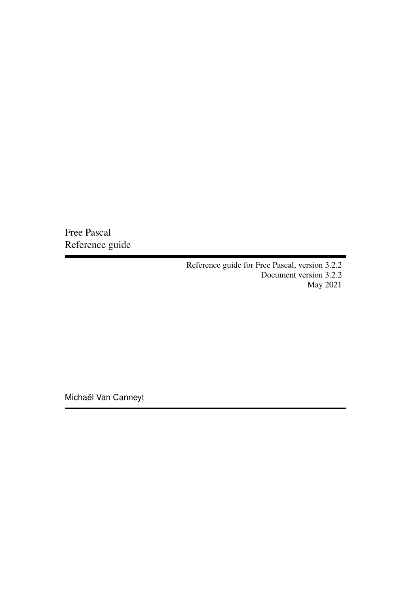Free Pascal Reference guide

> Reference guide for Free Pascal, version 3.2.2 Document version 3.2.2 May 2021

Michaël Van Canneyt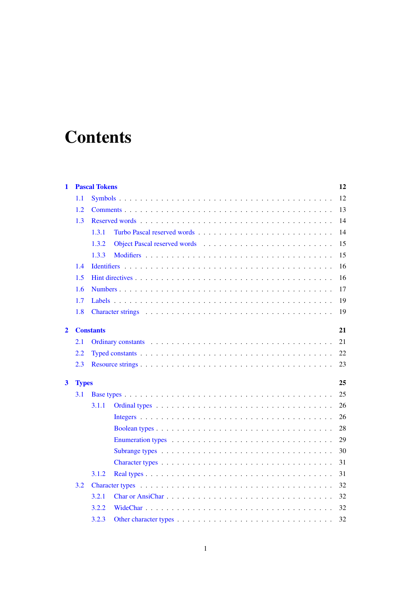# **Contents**

| 1                       |              | <b>Pascal Tokens</b>                                                                                                                                                                                                           | 12 |
|-------------------------|--------------|--------------------------------------------------------------------------------------------------------------------------------------------------------------------------------------------------------------------------------|----|
|                         | 1.1          |                                                                                                                                                                                                                                | 12 |
|                         | 1.2          |                                                                                                                                                                                                                                | 13 |
|                         | 1.3          |                                                                                                                                                                                                                                | 14 |
|                         |              | 1.3.1                                                                                                                                                                                                                          | 14 |
|                         |              | 1.3.2                                                                                                                                                                                                                          | 15 |
|                         |              | 1.3.3                                                                                                                                                                                                                          | 15 |
|                         | 1.4          |                                                                                                                                                                                                                                | 16 |
|                         | 1.5          |                                                                                                                                                                                                                                | 16 |
|                         | 1.6          |                                                                                                                                                                                                                                | 17 |
|                         | 1.7          |                                                                                                                                                                                                                                | 19 |
|                         | 1.8          |                                                                                                                                                                                                                                | 19 |
| $\overline{2}$          |              | <b>Constants</b>                                                                                                                                                                                                               | 21 |
|                         | 2.1          | Ordinary constants in the contract of the contract of the contract of the contract of the contract of the contract of the contract of the contract of the contract of the contract of the contract of the contract of the cont | 21 |
|                         | 2.2          |                                                                                                                                                                                                                                | 22 |
|                         | 2.3          |                                                                                                                                                                                                                                | 23 |
| $\overline{\mathbf{3}}$ | <b>Types</b> |                                                                                                                                                                                                                                | 25 |
|                         | 3.1          |                                                                                                                                                                                                                                | 25 |
|                         |              | 3.1.1                                                                                                                                                                                                                          | 26 |
|                         |              |                                                                                                                                                                                                                                | 26 |
|                         |              |                                                                                                                                                                                                                                | 28 |
|                         |              |                                                                                                                                                                                                                                | 29 |
|                         |              |                                                                                                                                                                                                                                | 30 |
|                         |              |                                                                                                                                                                                                                                | 31 |
|                         |              | 3.1.2                                                                                                                                                                                                                          | 31 |
|                         | 3.2          |                                                                                                                                                                                                                                | 32 |
|                         |              | 3.2.1                                                                                                                                                                                                                          | 32 |
|                         |              | 3.2.2                                                                                                                                                                                                                          | 32 |
|                         |              | 3.2.3                                                                                                                                                                                                                          | 32 |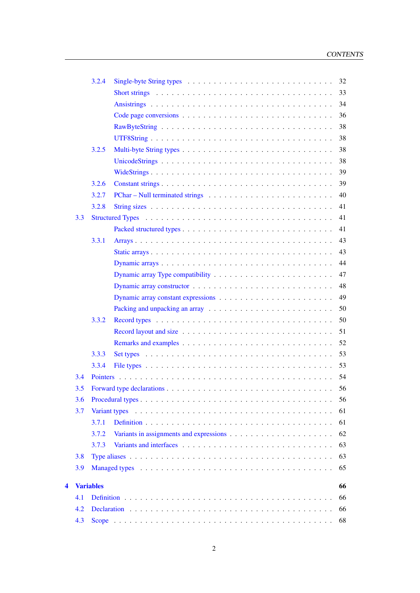|   |     | 3.2.4            | 32<br>Single-byte String types $\ldots \ldots \ldots \ldots \ldots \ldots \ldots \ldots \ldots \ldots$ |
|---|-----|------------------|--------------------------------------------------------------------------------------------------------|
|   |     |                  | 33                                                                                                     |
|   |     |                  | 34                                                                                                     |
|   |     |                  | 36                                                                                                     |
|   |     |                  | 38                                                                                                     |
|   |     |                  | 38                                                                                                     |
|   |     | 3.2.5            | 38                                                                                                     |
|   |     |                  | 38                                                                                                     |
|   |     |                  | 39                                                                                                     |
|   |     | 3.2.6            | 39                                                                                                     |
|   |     | 3.2.7            | 40                                                                                                     |
|   |     | 3.2.8            | 41                                                                                                     |
|   | 3.3 |                  | 41                                                                                                     |
|   |     |                  | 41                                                                                                     |
|   |     | 3.3.1            | 43                                                                                                     |
|   |     |                  | 43                                                                                                     |
|   |     |                  | 44                                                                                                     |
|   |     |                  | 47                                                                                                     |
|   |     |                  | 48                                                                                                     |
|   |     |                  | 49                                                                                                     |
|   |     |                  | 50                                                                                                     |
|   |     | 3.3.2            | 50                                                                                                     |
|   |     |                  | 51                                                                                                     |
|   |     |                  | 52                                                                                                     |
|   |     | 3.3.3            | 53                                                                                                     |
|   |     | 3.3.4            | 53                                                                                                     |
|   | 3.4 |                  | 54                                                                                                     |
|   | 3.5 |                  | 56                                                                                                     |
|   | 3.6 |                  | 56                                                                                                     |
|   | 3.7 |                  | 61                                                                                                     |
|   |     | 3.7.1            | 61                                                                                                     |
|   |     | 3.7.2            | 62                                                                                                     |
|   |     | 3.7.3            | 63                                                                                                     |
|   | 3.8 |                  | 63                                                                                                     |
|   | 3.9 |                  | 65                                                                                                     |
| 4 |     | <b>Variables</b> | 66                                                                                                     |
|   | 4.1 |                  | 66                                                                                                     |
|   | 4.2 |                  | 66                                                                                                     |
|   | 4.3 |                  | 68                                                                                                     |
|   |     |                  |                                                                                                        |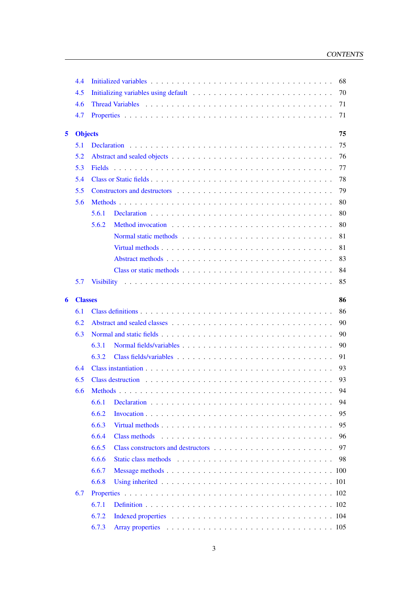|   | 4.4            | 68                 |    |
|---|----------------|--------------------|----|
|   | 4.5            | 70                 |    |
|   | 4.6            | 71                 |    |
|   | 4.7            | 71                 |    |
|   |                |                    |    |
| 5 | <b>Objects</b> | 75                 |    |
|   | 5.1            | 75                 |    |
|   | 5.2            | 76                 |    |
|   | 5.3            | 77                 |    |
|   | 5.4            | 78                 |    |
|   | 5.5            | 79                 |    |
|   | 5.6            | 80                 |    |
|   |                | 5.6.1<br>80        |    |
|   |                | 5.6.2<br>80        |    |
|   |                | 81                 |    |
|   |                | 81                 |    |
|   |                | 83                 |    |
|   |                | 84                 |    |
|   | 5.7            | 85                 |    |
| 6 | <b>Classes</b> |                    | 86 |
|   | 6.1            | 86                 |    |
|   | 6.2            | 90                 |    |
|   | 6.3            | 90                 |    |
|   |                | 6.3.1<br>90        |    |
|   |                | 6.3.2<br>91        |    |
|   | 6.4            | 93                 |    |
|   | 6.5            | 93                 |    |
|   |                | 6.6 Methods.<br>94 |    |
|   |                | 6.6.1<br>94        |    |
|   |                | 6.6.2<br>95        |    |
|   |                | 6.6.3<br>95        |    |
|   |                | 6.6.4<br>96        |    |
|   |                | 6.6.5<br>97        |    |
|   |                | 6.6.6<br>98        |    |
|   |                | 6.6.7              |    |
|   |                | 6.6.8              |    |
|   | 6.7            |                    |    |
|   |                |                    |    |
|   |                | 6.7.1              |    |
|   |                | 6.7.2              |    |
|   |                | 6.7.3              |    |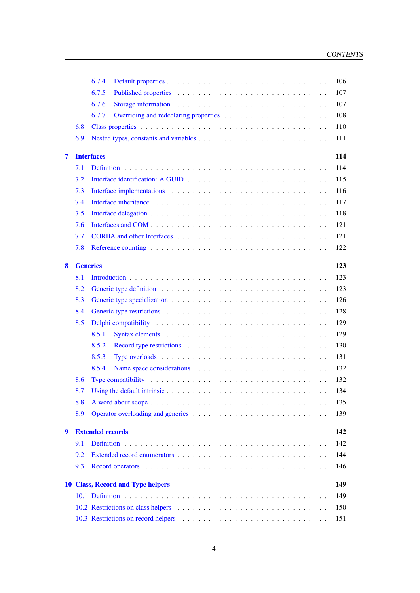|   |                 | 6.7.4                                           |
|---|-----------------|-------------------------------------------------|
|   |                 | 6.7.5                                           |
|   |                 | 6.7.6                                           |
|   |                 | 6.7.7                                           |
|   | 6.8             |                                                 |
|   | 6.9             |                                                 |
| 7 |                 | <b>Interfaces</b><br>114                        |
|   | 7.1             |                                                 |
|   | 7.2             |                                                 |
|   | 7.3             |                                                 |
|   | 7.4             |                                                 |
|   | 7.5             |                                                 |
|   | 7.6             |                                                 |
|   | 7.7             |                                                 |
|   | 7.8             |                                                 |
|   |                 |                                                 |
| 8 | <b>Generics</b> | 123                                             |
|   | 8.1             |                                                 |
|   | 8.2             |                                                 |
|   | 8.3             |                                                 |
|   | 8.4             |                                                 |
|   | 8.5             |                                                 |
|   |                 | 8.5.1                                           |
|   |                 | 8.5.2                                           |
|   |                 | 8.5.3                                           |
|   |                 | 8.5.4                                           |
|   | 8.6             |                                                 |
|   |                 |                                                 |
|   | 8.8             |                                                 |
|   | 8.9             |                                                 |
| 9 |                 | <b>Extended records</b><br>142                  |
|   | 9.1             |                                                 |
|   | 9.2             |                                                 |
|   | 9.3             |                                                 |
|   |                 | <b>10 Class, Record and Type helpers</b><br>149 |
|   |                 |                                                 |
|   |                 |                                                 |
|   |                 |                                                 |
|   |                 |                                                 |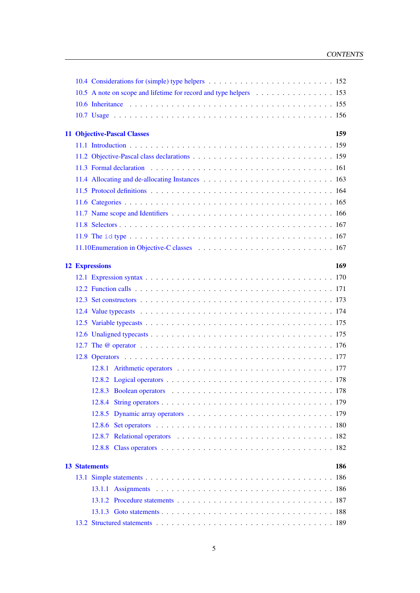| 10.5 A note on scope and lifetime for record and type helpers 153                                                  |  |
|--------------------------------------------------------------------------------------------------------------------|--|
|                                                                                                                    |  |
|                                                                                                                    |  |
|                                                                                                                    |  |
| <b>11 Objective-Pascal Classes</b><br>159                                                                          |  |
|                                                                                                                    |  |
|                                                                                                                    |  |
|                                                                                                                    |  |
|                                                                                                                    |  |
|                                                                                                                    |  |
|                                                                                                                    |  |
|                                                                                                                    |  |
|                                                                                                                    |  |
|                                                                                                                    |  |
|                                                                                                                    |  |
| <b>12 Expressions</b><br>169                                                                                       |  |
|                                                                                                                    |  |
|                                                                                                                    |  |
|                                                                                                                    |  |
|                                                                                                                    |  |
|                                                                                                                    |  |
|                                                                                                                    |  |
|                                                                                                                    |  |
|                                                                                                                    |  |
|                                                                                                                    |  |
|                                                                                                                    |  |
| 12.8.2 Logical operators $\ldots \ldots \ldots \ldots \ldots \ldots \ldots \ldots \ldots \ldots \ldots \ldots 178$ |  |
|                                                                                                                    |  |
|                                                                                                                    |  |
|                                                                                                                    |  |
|                                                                                                                    |  |
|                                                                                                                    |  |
|                                                                                                                    |  |
| <b>13 Statements</b><br>186                                                                                        |  |
|                                                                                                                    |  |
|                                                                                                                    |  |
|                                                                                                                    |  |
|                                                                                                                    |  |
|                                                                                                                    |  |
|                                                                                                                    |  |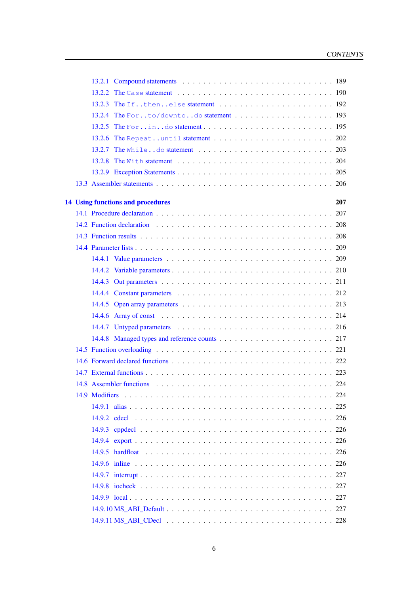|  | 13.2.6 The Repeatuntil statement  202                                                                                                                                                                                          |
|--|--------------------------------------------------------------------------------------------------------------------------------------------------------------------------------------------------------------------------------|
|  |                                                                                                                                                                                                                                |
|  |                                                                                                                                                                                                                                |
|  |                                                                                                                                                                                                                                |
|  |                                                                                                                                                                                                                                |
|  | <b>14 Using functions and procedures</b><br>207                                                                                                                                                                                |
|  |                                                                                                                                                                                                                                |
|  | 14.2 Function declaration expansion expansion expansion expansion expansion expansion expansion expansion expansion expansion expansion expansion expansion expansion expansion expansion expansion expansion expansion expans |
|  |                                                                                                                                                                                                                                |
|  |                                                                                                                                                                                                                                |
|  |                                                                                                                                                                                                                                |
|  |                                                                                                                                                                                                                                |
|  |                                                                                                                                                                                                                                |
|  |                                                                                                                                                                                                                                |
|  |                                                                                                                                                                                                                                |
|  |                                                                                                                                                                                                                                |
|  |                                                                                                                                                                                                                                |
|  |                                                                                                                                                                                                                                |
|  |                                                                                                                                                                                                                                |
|  |                                                                                                                                                                                                                                |
|  |                                                                                                                                                                                                                                |
|  |                                                                                                                                                                                                                                |
|  |                                                                                                                                                                                                                                |
|  | 14.9.1                                                                                                                                                                                                                         |
|  |                                                                                                                                                                                                                                |
|  |                                                                                                                                                                                                                                |
|  |                                                                                                                                                                                                                                |
|  |                                                                                                                                                                                                                                |
|  |                                                                                                                                                                                                                                |
|  |                                                                                                                                                                                                                                |
|  |                                                                                                                                                                                                                                |
|  |                                                                                                                                                                                                                                |
|  |                                                                                                                                                                                                                                |
|  |                                                                                                                                                                                                                                |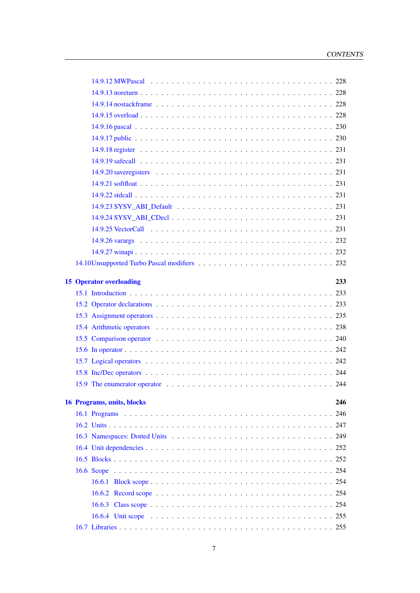| <b>15 Operator overloading</b><br>233 |
|---------------------------------------|
|                                       |
|                                       |
|                                       |
|                                       |
|                                       |
|                                       |
|                                       |
|                                       |
|                                       |
|                                       |
| 246<br>16 Programs, units, blocks     |
| 246                                   |
|                                       |
|                                       |
|                                       |
|                                       |
|                                       |
|                                       |
|                                       |
|                                       |
|                                       |
|                                       |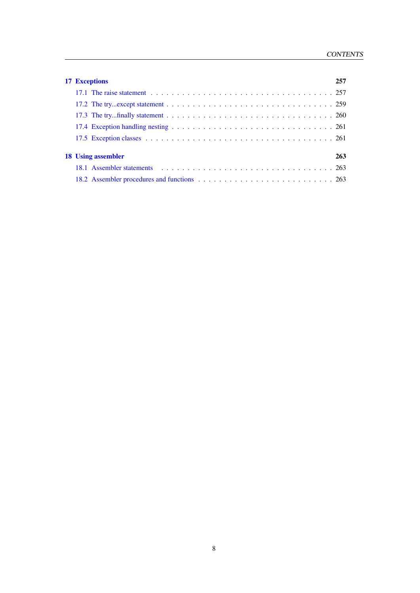| <b>17 Exceptions</b><br>257 |     |  |  |
|-----------------------------|-----|--|--|
|                             |     |  |  |
|                             |     |  |  |
|                             |     |  |  |
|                             |     |  |  |
|                             |     |  |  |
| <b>18 Using assembler</b>   | 263 |  |  |
|                             |     |  |  |
|                             |     |  |  |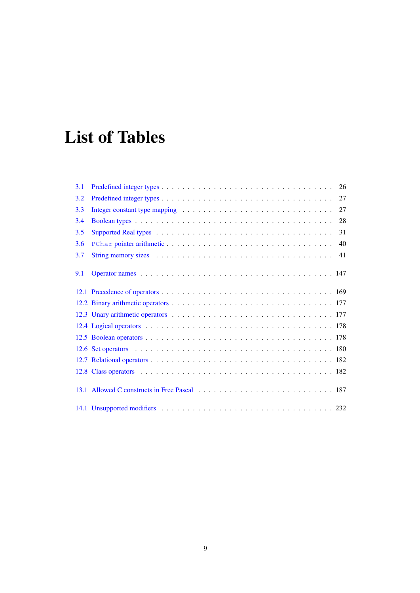# List of Tables

| 3.1 |    |  |
|-----|----|--|
| 3.2 | 27 |  |
| 3.3 | 27 |  |
| 3.4 | 28 |  |
| 3.5 | 31 |  |
| 3.6 | 40 |  |
| 3.7 |    |  |
| 9.1 |    |  |
|     |    |  |
|     |    |  |
|     |    |  |
|     |    |  |
|     |    |  |
|     |    |  |
|     |    |  |
|     |    |  |
|     |    |  |
|     |    |  |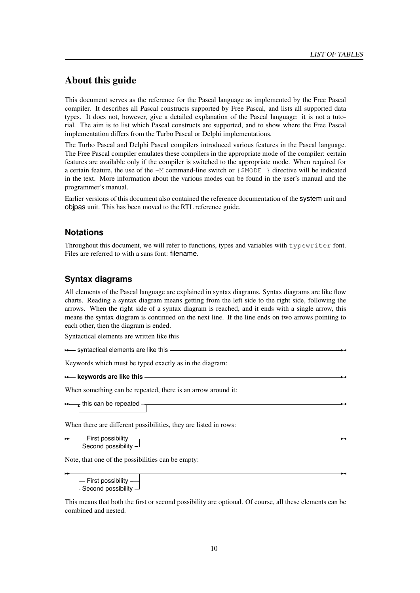$\sim$ 

✲✛

#### About this guide

This document serves as the reference for the Pascal language as implemented by the Free Pascal compiler. It describes all Pascal constructs supported by Free Pascal, and lists all supported data types. It does not, however, give a detailed explanation of the Pascal language: it is not a tutorial. The aim is to list which Pascal constructs are supported, and to show where the Free Pascal implementation differs from the Turbo Pascal or Delphi implementations.

The Turbo Pascal and Delphi Pascal compilers introduced various features in the Pascal language. The Free Pascal compiler emulates these compilers in the appropriate mode of the compiler: certain features are available only if the compiler is switched to the appropriate mode. When required for a certain feature, the use of the  $-M$  command-line switch or  $\{\text{SMODE}\}\$  directive will be indicated in the text. More information about the various modes can be found in the user's manual and the programmer's manual.

Earlier versions of this document also contained the reference documentation of the system unit and objpas unit. This has been moved to the RTL reference guide.

#### **Notations**

Throughout this document, we will refer to functions, types and variables with typewriter font. Files are referred to with a sans font: filename.

#### **Syntax diagrams**

All elements of the Pascal language are explained in syntax diagrams. Syntax diagrams are like flow charts. Reading a syntax diagram means getting from the left side to the right side, following the arrows. When the right side of a syntax diagram is reached, and it ends with a single arrow, this means the syntax diagram is continued on the next line. If the line ends on two arrows pointing to each other, then the diagram is ended.

Syntactical elements are written like this

✲✲ syntactical elements are like this ✲✛

Keywords which must be typed exactly as in the diagram:

#### ✲✲ **keywords are like this** ✲✛

When something can be repeated, there is an arrow around it:

✲✲  $\uparrow$  this can be repeated  $\rightarrow$ 

When there are different possibilities, they are listed in rows:

- First possibility  $\lfloor$  Second possibility  $\lfloor$ 

Note, that one of the possibilities can be empty:

- First possibility - $\lfloor$  Second possibility  $\lfloor$ 

✲✲

This means that both the first or second possibility are optional. Of course, all these elements can be combined and nested.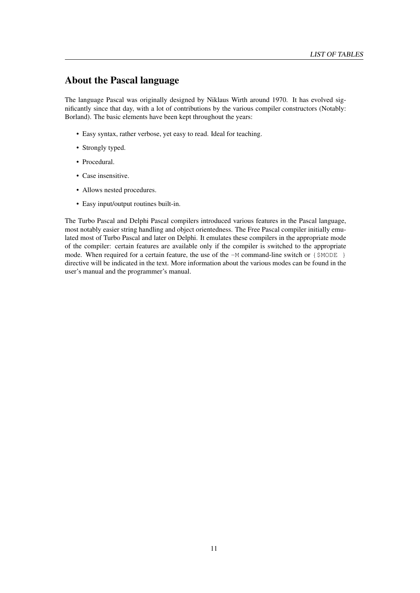## About the Pascal language

The language Pascal was originally designed by Niklaus Wirth around 1970. It has evolved significantly since that day, with a lot of contributions by the various compiler constructors (Notably: Borland). The basic elements have been kept throughout the years:

- Easy syntax, rather verbose, yet easy to read. Ideal for teaching.
- Strongly typed.
- Procedural.
- Case insensitive.
- Allows nested procedures.
- Easy input/output routines built-in.

The Turbo Pascal and Delphi Pascal compilers introduced various features in the Pascal language, most notably easier string handling and object orientedness. The Free Pascal compiler initially emulated most of Turbo Pascal and later on Delphi. It emulates these compilers in the appropriate mode of the compiler: certain features are available only if the compiler is switched to the appropriate mode. When required for a certain feature, the use of the  $-M$  command-line switch or  $\{\text{SMODE }\}$ directive will be indicated in the text. More information about the various modes can be found in the user's manual and the programmer's manual.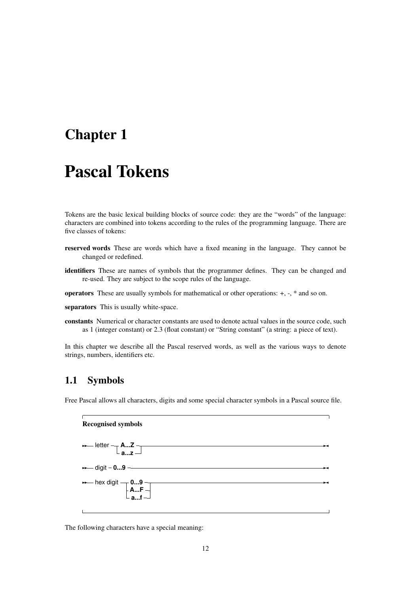## <span id="page-12-0"></span>Chapter 1

## Pascal Tokens

Tokens are the basic lexical building blocks of source code: they are the "words" of the language: characters are combined into tokens according to the rules of the programming language. There are five classes of tokens:

- reserved words These are words which have a fixed meaning in the language. They cannot be changed or redefined.
- identifiers These are names of symbols that the programmer defines. They can be changed and re-used. They are subject to the scope rules of the language.
- operators These are usually symbols for mathematical or other operations: +, -, \* and so on.

separators This is usually white-space.

constants Numerical or character constants are used to denote actual values in the source code, such as 1 (integer constant) or 2.3 (float constant) or "String constant" (a string: a piece of text).

In this chapter we describe all the Pascal reserved words, as well as the various ways to denote strings, numbers, identifiers etc.

### <span id="page-12-1"></span>1.1 Symbols

Free Pascal allows all characters, digits and some special character symbols in a Pascal source file.

| <b>Recognised symbols</b>                                                                                                                                                       |  |
|---------------------------------------------------------------------------------------------------------------------------------------------------------------------------------|--|
| $\rightarrow$ letter $\begin{array}{c} \hline \mathbf{A} \cdot \mathbf{Z} \end{array}$                                                                                          |  |
| $\rightarrow -$ digit - 09 -                                                                                                                                                    |  |
| $\begin{array}{c}\n\leftarrow \text{hex digit} - \text{09}\n\end{array}$<br>$\begin{array}{c}\n\left[\begin{array}{c}\n\text{AF} \\ \text{af}\n\end{array}\right]\n\end{array}$ |  |

The following characters have a special meaning: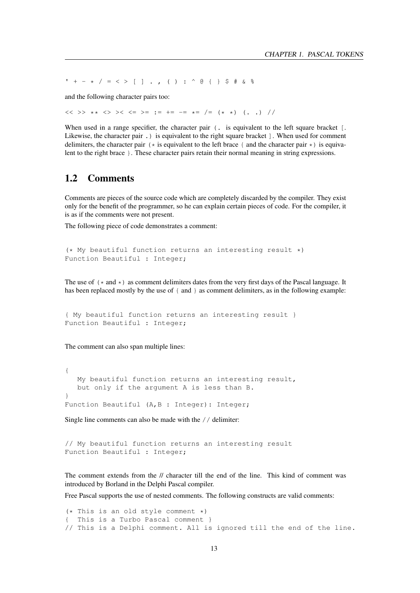$'$  + - \* / = < > [ ] . , ( ) : ^ @ { } \$ # & %

and the following character pairs too:

 $<<\,\,>>\,\,**\,\,<<\,\,>>\,\,<<\,\,>=\,\,:=\,\,:=\,\,+=\,\,-=\,\,*\,=\,\,/\,=\,\,(\,\,\ast\,\,\,\star\,)\ \ \,(\,\,\,\,\,\,\ldots\,)\ \ \, /\,/\,$ 

When used in a range specifier, the character pair (. is equivalent to the left square bracket [. Likewise, the character pair .) is equivalent to the right square bracket ]. When used for comment delimiters, the character pair ( $\star$  is equivalent to the left brace { and the character pair  $\star$  ) is equivalent to the right brace }. These character pairs retain their normal meaning in string expressions.

#### <span id="page-13-0"></span>1.2 Comments

Comments are pieces of the source code which are completely discarded by the compiler. They exist only for the benefit of the programmer, so he can explain certain pieces of code. For the compiler, it is as if the comments were not present.

The following piece of code demonstrates a comment:

```
(* My beautiful function returns an interesting result *)
Function Beautiful : Integer;
```
The use of  $(x \text{ and } x)$  as comment delimiters dates from the very first days of the Pascal language. It has been replaced mostly by the use of { and } as comment delimiters, as in the following example:

{ My beautiful function returns an interesting result } Function Beautiful : Integer;

The comment can also span multiple lines:

```
{
  My beautiful function returns an interesting result,
  but only if the argument A is less than B.
}
Function Beautiful (A,B : Integer): Integer;
```
Single line comments can also be made with the // delimiter:

```
// My beautiful function returns an interesting result
Function Beautiful : Integer;
```
The comment extends from the // character till the end of the line. This kind of comment was introduced by Borland in the Delphi Pascal compiler.

Free Pascal supports the use of nested comments. The following constructs are valid comments:

```
(* This is an old style comment *)
{ This is a Turbo Pascal comment }
// This is a Delphi comment. All is ignored till the end of the line.
```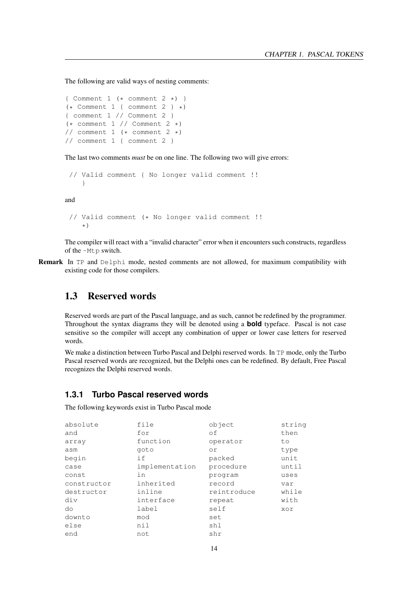The following are valid ways of nesting comments:

```
{ Comment 1 (* comment 2 *) }
(* Comment 1 { comment 2 } *){ comment 1 // Comment 2 }
(* comment 1 // Comment 2 *)// comment 1 (* comment 2 *)// comment 1 { comment 2 }
```
The last two comments *must* be on one line. The following two will give errors:

```
// Valid comment { No longer valid comment !!
  }
```
and

```
// Valid comment (* No longer valid comment !!
   *)
```
The compiler will react with a "invalid character" error when it encounters such constructs, regardless of the -Mtp switch.

Remark In TP and Delphi mode, nested comments are not allowed, for maximum compatibility with existing code for those compilers.

#### <span id="page-14-0"></span>1.3 Reserved words

Reserved words are part of the Pascal language, and as such, cannot be redefined by the programmer. Throughout the syntax diagrams they will be denoted using a **bold** typeface. Pascal is not case sensitive so the compiler will accept any combination of upper or lower case letters for reserved words.

We make a distinction between Turbo Pascal and Delphi reserved words. In TP mode, only the Turbo Pascal reserved words are recognized, but the Delphi ones can be redefined. By default, Free Pascal recognizes the Delphi reserved words.

#### <span id="page-14-1"></span>**1.3.1 Turbo Pascal reserved words**

The following keywords exist in Turbo Pascal mode

| absolute    | file           | object      | string |
|-------------|----------------|-------------|--------|
| and         | for            | оf          | then   |
| array       | function       | operator    | to     |
| asm         | goto           | or          | type   |
| begin       | if             | packed      | unit   |
| case        | implementation | procedure   | until  |
| const       | in             | program     | uses   |
| constructor | inherited      | record      | var    |
| destructor  | inline         | reintroduce | while  |
| div         | interface      | repeat      | with   |
| do          | label          | self        | xor    |
| downto      | mod            | set         |        |
| else        | nil            | shl         |        |
| end         | not            | shr         |        |
|             |                |             |        |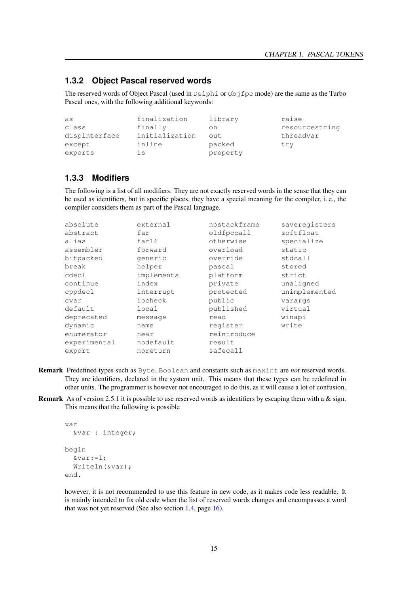#### <span id="page-15-0"></span>**1.3.2 Object Pascal reserved words**

The reserved words of Object Pascal (used in Delphi or Objfpc mode) are the same as the Turbo Pascal ones, with the following additional keywords:

| as            | finalization   | library  | raise          |
|---------------|----------------|----------|----------------|
| class         | finally        | on       | resourcestring |
| dispinterface | initialization | out.     | threadvar      |
| except        | inline         | packed   | trv            |
| exports       | is             | property |                |

#### <span id="page-15-1"></span>**1.3.3 Modifiers**

The following is a list of all modifiers. They are not exactly reserved words in the sense that they can be used as identifiers, but in specific places, they have a special meaning for the compiler, i. e., the compiler considers them as part of the Pascal language.

| absolute     | external   | nostackframe | saveregisters |
|--------------|------------|--------------|---------------|
| abstract     | far        | oldfpccall   | softfloat     |
| alias        | far16      | otherwise    | specialize    |
| assembler    | forward    | overload     | static        |
| bitpacked    | generic    | override     | stdcall       |
| break        | helper     | pascal       | stored        |
| cdecl        | implements | platform     | strict        |
| continue     | index      | private      | unaligned     |
| cppdecl      | interrupt  | protected    | unimplemented |
| cvar         | iocheck    | public       | varargs       |
| default      | local      | published    | virtual       |
| deprecated   | message    | read         | winapi        |
| dynamic      | name       | register     | write         |
| enumerator   | near       | reintroduce  |               |
| experimental | nodefault  | result       |               |
| export       | noreturn   | safecall     |               |

- Remark Predefined types such as Byte, Boolean and constants such as maxint are *not* reserved words. They are identifiers, declared in the system unit. This means that these types can be redefined in other units. The programmer is however not encouraged to do this, as it will cause a lot of confusion.
- Remark As of version 2.5.1 it is possible to use reserved words as identifiers by escaping them with a & sign. This means that the following is possible

```
var
  &var : integer;
begin
  &var:=1;Writeln(&var);
end.
```
however, it is not recommended to use this feature in new code, as it makes code less readable. It is mainly intended to fix old code when the list of reserved words changes and encompasses a word that was not yet reserved (See also section [1.4,](#page-16-0) page [16\)](#page-16-0).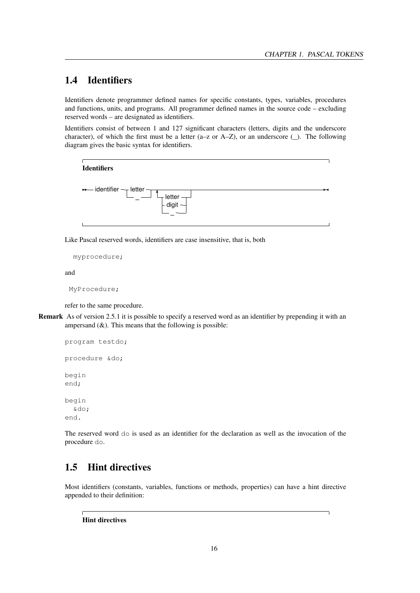### <span id="page-16-0"></span>1.4 Identifiers

Identifiers denote programmer defined names for specific constants, types, variables, procedures and functions, units, and programs. All programmer defined names in the source code – excluding reserved words – are designated as identifiers.

Identifiers consist of between 1 and 127 significant characters (letters, digits and the underscore character), of which the first must be a letter (a–z or A–Z), or an underscore (\_). The following diagram gives the basic syntax for identifiers.



Like Pascal reserved words, identifiers are case insensitive, that is, both

```
myprocedure;
```
and

```
MyProcedure;
```
refer to the same procedure.

Remark As of version 2.5.1 it is possible to specify a reserved word as an identifier by prepending it with an ampersand  $(\&)$ . This means that the following is possible:

```
program testdo;
procedure &do;
begin
end;
begin
  &do;
end.
```
The reserved word do is used as an identifier for the declaration as well as the invocation of the procedure do.

## <span id="page-16-1"></span>1.5 Hint directives

Most identifiers (constants, variables, functions or methods, properties) can have a hint directive appended to their definition:

Hint directives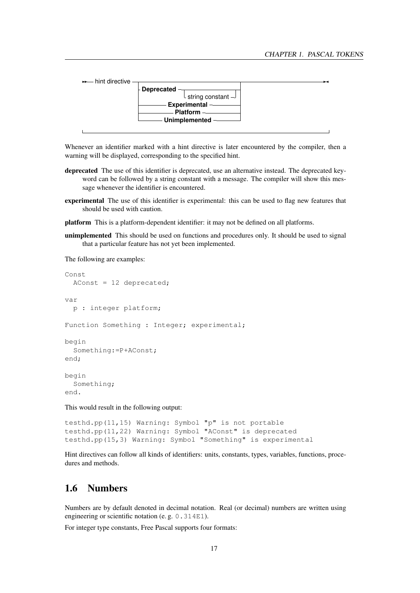| $\rightarrow$ hint directive |                                            |  |
|------------------------------|--------------------------------------------|--|
|                              | <b>Deprecated</b><br>L string constant $-$ |  |
|                              |                                            |  |
|                              | Experimental-                              |  |
|                              | Platform -                                 |  |
|                              | Unimplemented -                            |  |
|                              |                                            |  |

Whenever an identifier marked with a hint directive is later encountered by the compiler, then a warning will be displayed, corresponding to the specified hint.

- deprecated The use of this identifier is deprecated, use an alternative instead. The deprecated keyword can be followed by a string constant with a message. The compiler will show this message whenever the identifier is encountered.
- experimental The use of this identifier is experimental: this can be used to flag new features that should be used with caution.

platform This is a platform-dependent identifier: it may not be defined on all platforms.

unimplemented This should be used on functions and procedures only. It should be used to signal that a particular feature has not yet been implemented.

The following are examples:

```
Const
  AConst = 12 deprecated;
var
  p : integer platform;
Function Something : Integer; experimental;
begin
  Something:=P+AConst;
end;
begin
  Something;
end.
```
This would result in the following output:

```
testhd.pp(11,15) Warning: Symbol "p" is not portable
testhd.pp(11,22) Warning: Symbol "AConst" is deprecated
testhd.pp(15,3) Warning: Symbol "Something" is experimental
```
Hint directives can follow all kinds of identifiers: units, constants, types, variables, functions, procedures and methods.

#### <span id="page-17-0"></span>1.6 Numbers

Numbers are by default denoted in decimal notation. Real (or decimal) numbers are written using engineering or scientific notation (e. g. 0.314E1).

For integer type constants, Free Pascal supports four formats: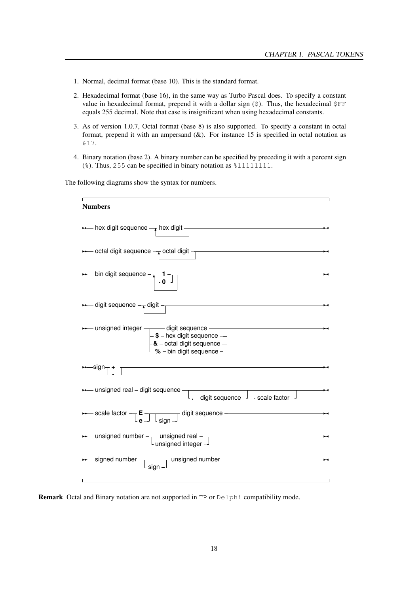- 1. Normal, decimal format (base 10). This is the standard format.
- 2. Hexadecimal format (base 16), in the same way as Turbo Pascal does. To specify a constant value in hexadecimal format, prepend it with a dollar sign (\$). Thus, the hexadecimal \$FF equals 255 decimal. Note that case is insignificant when using hexadecimal constants.
- 3. As of version 1.0.7, Octal format (base 8) is also supported. To specify a constant in octal format, prepend it with an ampersand  $(\&)$ . For instance 15 is specified in octal notation as &17.
- 4. Binary notation (base 2). A binary number can be specified by preceding it with a percent sign (%). Thus, 255 can be specified in binary notation as %11111111.

The following diagrams show the syntax for numbers.

| <b>Numbers</b>                                                                                                                                                                                                                                                                                                                                                                                                           |  |
|--------------------------------------------------------------------------------------------------------------------------------------------------------------------------------------------------------------------------------------------------------------------------------------------------------------------------------------------------------------------------------------------------------------------------|--|
| hex digit sequence - hex digit -                                                                                                                                                                                                                                                                                                                                                                                         |  |
| → octal digit sequence – octal digit –                                                                                                                                                                                                                                                                                                                                                                                   |  |
| bin digit sequence $\begin{array}{ c c c }\n\hline\n\multicolumn{1}{ c }{\hline\n\multicolumn{1}{ c }{\hline\n\multicolumn{1}{ c }{\hline\n\multicolumn{1}{ c }{\hline\n\multicolumn{1}{ c }{\hline\n\multicolumn{1}{ c }{\hline\n\multicolumn{1}{ c }{\hline\n\multicolumn{1}{ c }{\hline\n\multicolumn{1}{ c }{\hline\n\multicolumn{1}{ c }{\hline\n\multicolumn{1}{ c }{\hline\n\multicolumn{1}{ c }{\hline\n\multic$ |  |
| $\rightarrow$ digit sequence $\rightarrow$ digit $\rightarrow$                                                                                                                                                                                                                                                                                                                                                           |  |
| $\mathrel{\rule{.15pt}{.1ex}\rule{.1pt}{.1ex}}$ $\mathrel{\sim}$ $\mathrel{\sim}$ bin digit sequence $\mathrel{\rule{.15pt}{.1ex}\rule{.1pt}{.1ex}}$                                                                                                                                                                                                                                                                     |  |
| <u> 1989 - Johann Stein, mars ar breithinn ar chuid ann an t-</u><br>$-\mathsf{sign}_{\top}$ + $\top$                                                                                                                                                                                                                                                                                                                    |  |
| → unsigned real – digit sequence – L <sub>. –</sub> digit sequence – L scale factor –                                                                                                                                                                                                                                                                                                                                    |  |
| - scale factor $\begin{array}{c c c} \mathsf{E} & \mathsf{digit}\ \mathsf{sequence} & \mathsf{--} \end{array}$                                                                                                                                                                                                                                                                                                           |  |
|                                                                                                                                                                                                                                                                                                                                                                                                                          |  |
| → signed number - signal unsigned number - signal unsigned number - signal unsigned number - signal unsignal unsigned number - signal unsignal unsignal unsignal unsignal unsignal unsignal unsignal unsignal unsignal unsign                                                                                                                                                                                            |  |
|                                                                                                                                                                                                                                                                                                                                                                                                                          |  |

Remark Octal and Binary notation are not supported in TP or Delphi compatibility mode.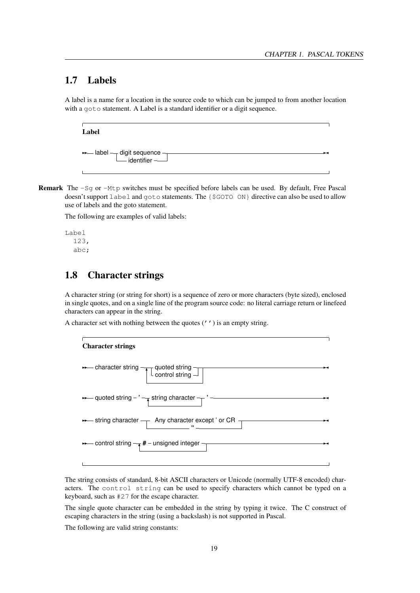## <span id="page-19-0"></span>1.7 Labels

A label is a name for a location in the source code to which can be jumped to from another location with a goto statement. A Label is a standard identifier or a digit sequence.

| Label                                                                 |  |
|-----------------------------------------------------------------------|--|
| $\rightarrow$ label $\neg$ digit sequence $\neg$<br>identifier $\neg$ |  |

Remark The -Sg or -Mtp switches must be specified before labels can be used. By default, Free Pascal doesn't support label and goto statements. The {\$GOTO ON} directive can also be used to allow use of labels and the goto statement.

The following are examples of valid labels:

```
Label
  123,
  abc;
```
## <span id="page-19-1"></span>1.8 Character strings

A character string (or string for short) is a sequence of zero or more characters (byte sized), enclosed in single quotes, and on a single line of the program source code: no literal carriage return or linefeed characters can appear in the string.

A character set with nothing between the quotes ('') is an empty string.

| <b>Character strings</b>                                                              |
|---------------------------------------------------------------------------------------|
| - character string – quoted string –                                                  |
| → quoted string $-$ ' $-\frac{1}{1}$ string character $-\frac{1}{1}$ ' $-\frac{1}{1}$ |
| string character - Any character except ' or CR                                       |
|                                                                                       |
|                                                                                       |

The string consists of standard, 8-bit ASCII characters or Unicode (normally UTF-8 encoded) characters. The control string can be used to specify characters which cannot be typed on a keyboard, such as #27 for the escape character.

The single quote character can be embedded in the string by typing it twice. The C construct of escaping characters in the string (using a backslash) is not supported in Pascal.

The following are valid string constants: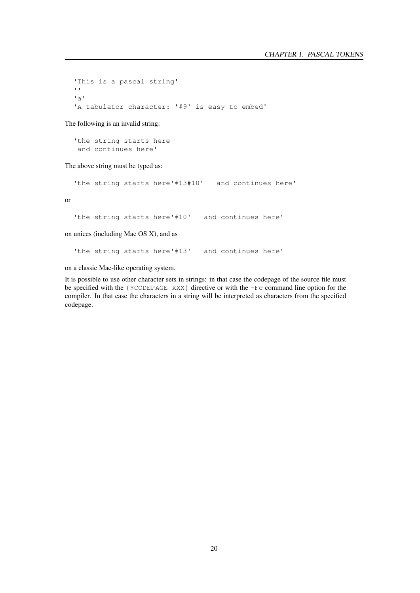```
'This is a pascal string'
\bar{\bf r}\overline{B}'A tabulator character: '#9' is easy to embed'
```
The following is an invalid string:

'the string starts here and continues here'

The above string must be typed as:

'the string starts here'#13#10' and continues here'

or

'the string starts here'#10' and continues here'

on unices (including Mac OS X), and as

'the string starts here'#13' and continues here'

on a classic Mac-like operating system.

It is possible to use other character sets in strings: in that case the codepage of the source file must be specified with the {\$CODEPAGE XXX} directive or with the -Fc command line option for the compiler. In that case the characters in a string will be interpreted as characters from the specified codepage.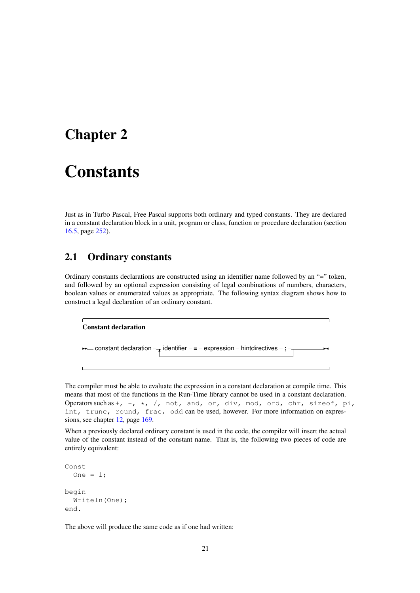## <span id="page-21-0"></span>Chapter 2

## **Constants**

Just as in Turbo Pascal, Free Pascal supports both ordinary and typed constants. They are declared in a constant declaration block in a unit, program or class, function or procedure declaration (section [16.5,](#page-252-1) page [252\)](#page-252-1).

### <span id="page-21-1"></span>2.1 Ordinary constants

Ordinary constants declarations are constructed using an identifier name followed by an "=" token, and followed by an optional expression consisting of legal combinations of numbers, characters, boolean values or enumerated values as appropriate. The following syntax diagram shows how to construct a legal declaration of an ordinary constant.

Constant declaration

```
✲✲ constant declaration ✻
                                  \frac{1}{\sqrt{1}} identifier − = − expression − hintdirectives − ; →
```
The compiler must be able to evaluate the expression in a constant declaration at compile time. This means that most of the functions in the Run-Time library cannot be used in a constant declaration. Operators such as +, -, \*, /, not, and, or, div, mod, ord, chr, sizeof, pi, int, trunc, round, frac, odd can be used, however. For more information on expressions, see chapter [12,](#page-169-0) page [169.](#page-169-0)

When a previously declared ordinary constant is used in the code, the compiler will insert the actual value of the constant instead of the constant name. That is, the following two pieces of code are entirely equivalent:

```
Const
  One = 1;begin
  Writeln(One);
end.
```
The above will produce the same code as if one had written: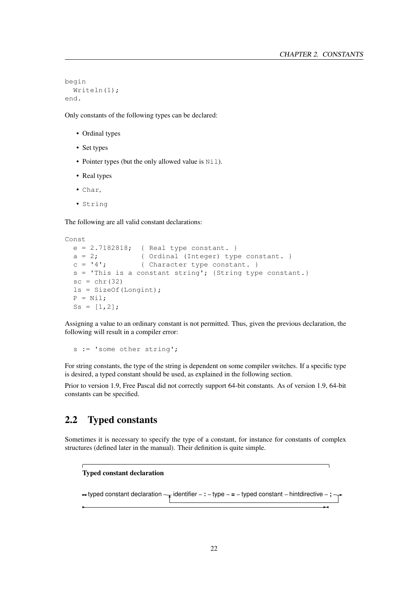```
begin
  Writeln(1);
end.
```
Only constants of the following types can be declared:

- Ordinal types
- Set types
- Pointer types (but the only allowed value is Nil).
- Real types
- Char,
- String

The following are all valid constant declarations:

```
Const
 e = 2.7182818; { Real type constant. }
 a = 2; { Ordinal (Integer) type constant. }
 c = '4'; { Character type constant. }
 s = 'This is a constant string'; {String type constant.}
 sc = chr(32)ls = SizeOf(Longint);
 P = Nil;Ss = [1,2];
```
Assigning a value to an ordinary constant is not permitted. Thus, given the previous declaration, the following will result in a compiler error:

s := 'some other string';

For string constants, the type of the string is dependent on some compiler switches. If a specific type is desired, a typed constant should be used, as explained in the following section.

Prior to version 1.9, Free Pascal did not correctly support 64-bit constants. As of version 1.9, 64-bit constants can be specified.

## <span id="page-22-0"></span>2.2 Typed constants

Sometimes it is necessary to specify the type of a constant, for instance for constants of complex structures (defined later in the manual). Their definition is quite simple.

#### Typed constant declaration

```
→ typed constant declaration \rightarrow identifier -:- type -=- typed constant - hintdirective -:-
```
<u></u>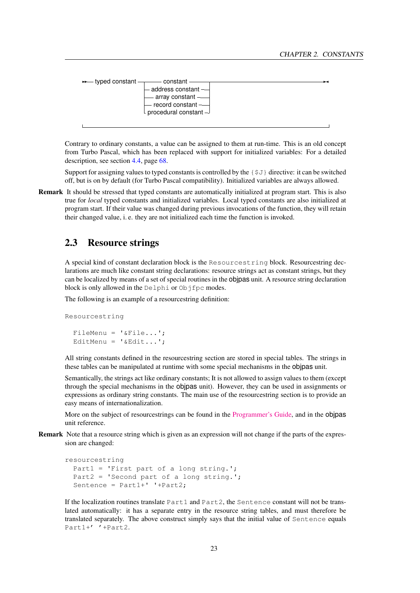| address constant -<br>- array constant<br>-- record constant -<br>$\perp$ procedural constant $\perp$ |
|-------------------------------------------------------------------------------------------------------|
|-------------------------------------------------------------------------------------------------------|

Contrary to ordinary constants, a value can be assigned to them at run-time. This is an old concept from Turbo Pascal, which has been replaced with support for initialized variables: For a detailed description, see section [4.4,](#page-68-1) page [68.](#page-68-1)

Support for assigning values to typed constants is controlled by the  $\{5J\}$  directive: it can be switched off, but is on by default (for Turbo Pascal compatibility). Initialized variables are always allowed.

Remark It should be stressed that typed constants are automatically initialized at program start. This is also true for *local* typed constants and initialized variables. Local typed constants are also initialized at program start. If their value was changed during previous invocations of the function, they will retain their changed value, i. e. they are not initialized each time the function is invoked.

### <span id="page-23-0"></span>2.3 Resource strings

A special kind of constant declaration block is the Resourcestring block. Resourcestring declarations are much like constant string declarations: resource strings act as constant strings, but they can be localized by means of a set of special routines in the objpas unit. A resource string declaration block is only allowed in the Delphi or Objfpc modes.

The following is an example of a resourcestring definition:

Resourcestring

```
FileMenu = '&File...';
EditMenu = '&Edit...';
```
All string constants defined in the resourcestring section are stored in special tables. The strings in these tables can be manipulated at runtime with some special mechanisms in the objpas unit.

Semantically, the strings act like ordinary constants; It is not allowed to assign values to them (except through the special mechanisms in the objpas unit). However, they can be used in assignments or expressions as ordinary string constants. The main use of the resourcestring section is to provide an easy means of internationalization.

More on the subject of resourcestrings can be found in the [Programmer's Guide,](../prog/prog.html) and in the objpas unit reference.

Remark Note that a resource string which is given as an expression will not change if the parts of the expression are changed:

```
resourcestring
 Part1 = 'First part of a long string.';
 Part2 = 'Second part of a long string.';
 Sentence = Part1+' '+Part2;
```
If the localization routines translate  $Part1$  and  $Part2$ , the Sentence constant will not be translated automatically: it has a separate entry in the resource string tables, and must therefore be translated separately. The above construct simply says that the initial value of Sentence equals Part1+' '+Part2.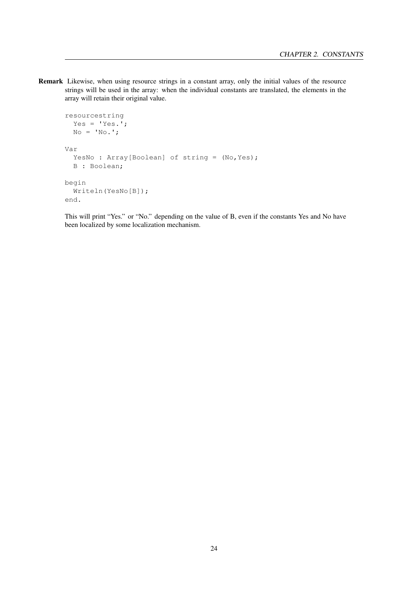Remark Likewise, when using resource strings in a constant array, only the initial values of the resource strings will be used in the array: when the individual constants are translated, the elements in the array will retain their original value.

```
resourcestring
  Yes = 'Yes.';
 No = 'No.';
Var
  YesNo : Array[Boolean] of string = (No, Yes);
  B : Boolean;
begin
  Writeln(YesNo[B]);
end.
```
This will print "Yes." or "No." depending on the value of B, even if the constants Yes and No have been localized by some localization mechanism.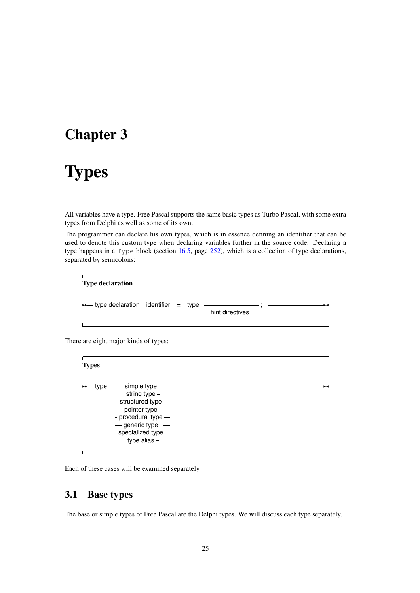## <span id="page-25-0"></span>Chapter 3

# **Types**

All variables have a type. Free Pascal supports the same basic types as Turbo Pascal, with some extra types from Delphi as well as some of its own.

The programmer can declare his own types, which is in essence defining an identifier that can be used to denote this custom type when declaring variables further in the source code. Declaring a type happens in a Type block (section [16.5,](#page-252-1) page [252\)](#page-252-1), which is a collection of type declarations, separated by semicolons:

Type declaration **★ type declaration** – identifier – = – type – **L** hint directives **;** ✲✛ There are eight major kinds of types: **Types**  $-$  type  $-\!\!\!-\!\!\!-\!\!\!-$  simple type -- string type - $-$  structured type -- pointer type - $-$  procedural type -- generic type specialized type - type alias - $\sim$ 

Each of these cases will be examined separately.

## <span id="page-25-1"></span>3.1 Base types

The base or simple types of Free Pascal are the Delphi types. We will discuss each type separately.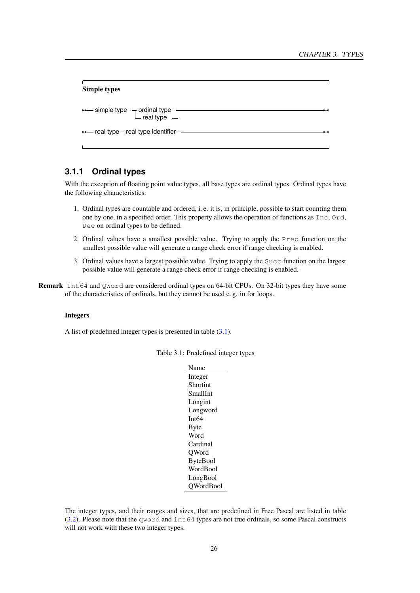| <b>Simple types</b>                                              |  |
|------------------------------------------------------------------|--|
| $\rightarrow$ simple type $\leftarrow$ ordinal type $\leftarrow$ |  |
| $\rightarrow$ real type – real type identifier –                 |  |
|                                                                  |  |

#### <span id="page-26-0"></span>**3.1.1 Ordinal types**

With the exception of floating point value types, all base types are ordinal types. Ordinal types have the following characteristics:

- 1. Ordinal types are countable and ordered, i. e. it is, in principle, possible to start counting them one by one, in a specified order. This property allows the operation of functions as Inc, Ord, Dec on ordinal types to be defined.
- 2. Ordinal values have a smallest possible value. Trying to apply the Pred function on the smallest possible value will generate a range check error if range checking is enabled.
- 3. Ordinal values have a largest possible value. Trying to apply the Succ function on the largest possible value will generate a range check error if range checking is enabled.
- Remark Int64 and QWord are considered ordinal types on 64-bit CPUs. On 32-bit types they have some of the characteristics of ordinals, but they cannot be used e. g. in for loops.

#### <span id="page-26-1"></span>Integers

A list of predefined integer types is presented in table [\(3.1\)](#page-26-2).

Table 3.1: Predefined integer types

<span id="page-26-2"></span>

| Name              |
|-------------------|
| Integer           |
| Shortint          |
| SmallInt          |
| Longint           |
| Longword          |
| Int <sub>64</sub> |
| <b>Byte</b>       |
| Word              |
| Cardinal          |
| QWord             |
| <b>ByteBool</b>   |
| WordBool          |
| LongBool          |
| <b>QWordBool</b>  |
|                   |

The integer types, and their ranges and sizes, that are predefined in Free Pascal are listed in table [\(3.2\)](#page-27-0). Please note that the qword and int64 types are not true ordinals, so some Pascal constructs will not work with these two integer types.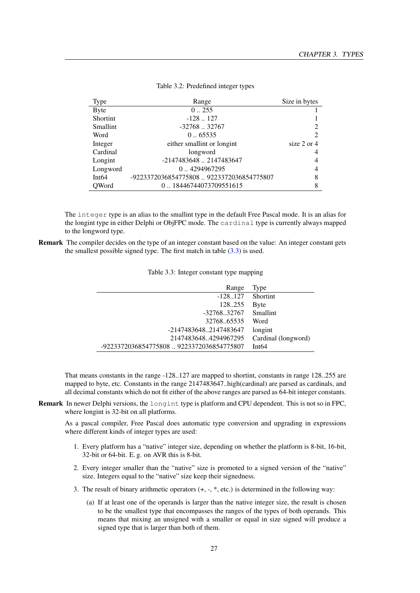| Type        | Range                                    | Size in bytes   |
|-------------|------------------------------------------|-----------------|
| <b>Byte</b> | 0.255                                    |                 |
| Shortint    | $-128127$                                |                 |
| Smallint    | $-32768$ $\ldots$ 32767                  | 2               |
| Word        | 0.65535                                  | 2               |
| Integer     | either smallint or longint               | size $2$ or $4$ |
| Cardinal    | longword                                 | 4               |
| Longint     | -2147483648  2147483647                  | $\overline{4}$  |
| Longword    | 04294967295                              | $\overline{4}$  |
| Int64       | -9223372036854775808 9223372036854775807 | 8               |
| OWord       | 018446744073709551615                    | 8               |

<span id="page-27-0"></span>Table 3.2: Predefined integer types

The integer type is an alias to the smallint type in the default Free Pascal mode. It is an alias for the longint type in either Delphi or ObjFPC mode. The cardinal type is currently always mapped to the longword type.

Remark The compiler decides on the type of an integer constant based on the value: An integer constant gets the smallest possible signed type. The first match in table  $(3.3)$  is used.

<span id="page-27-1"></span>

|  |  | Table 3.3: Integer constant type mapping |
|--|--|------------------------------------------|

| Range                                     | Type                |
|-------------------------------------------|---------------------|
| $-128.127$                                | Shortint            |
| 128255                                    | <b>B</b> yte        |
| $-3276832767$                             | Smallint            |
| 3276865535                                | Word                |
| -21474836482147483647                     | longint             |
| 2147483648.4294967295                     | Cardinal (longword) |
| -9223372036854775808  9223372036854775807 | Int <sub>64</sub>   |

That means constants in the range -128..127 are mapped to shortint, constants in range 128..255 are mapped to byte, etc. Constants in the range 2147483647..high(cardinal) are parsed as cardinals, and all decimal constants which do not fit either of the above ranges are parsed as 64-bit integer constants.

Remark In newer Delphi versions, the longint type is platform and CPU dependent. This is not so in FPC, where longint is 32-bit on all platforms.

As a pascal compiler, Free Pascal does automatic type conversion and upgrading in expressions where different kinds of integer types are used:

- 1. Every platform has a "native" integer size, depending on whether the platform is 8-bit, 16-bit, 32-bit or 64-bit. E. g. on AVR this is 8-bit.
- 2. Every integer smaller than the "native" size is promoted to a signed version of the "native" size. Integers equal to the "native" size keep their signedness.
- 3. The result of binary arithmetic operators  $(+, -, *, etc.)$  is determined in the following way:
	- (a) If at least one of the operands is larger than the native integer size, the result is chosen to be the smallest type that encompasses the ranges of the types of both operands. This means that mixing an unsigned with a smaller or equal in size signed will produce a signed type that is larger than both of them.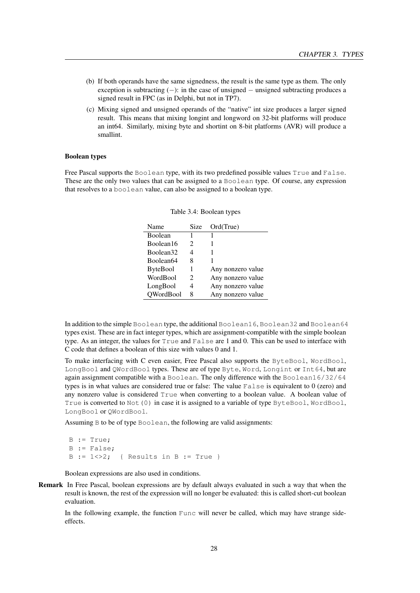- (b) If both operands have the same signedness, the result is the same type as them. The only exception is subtracting  $(-)$ : in the case of unsigned – unsigned subtracting produces a signed result in FPC (as in Delphi, but not in TP7).
- (c) Mixing signed and unsigned operands of the "native" int size produces a larger signed result. This means that mixing longint and longword on 32-bit platforms will produce an int64. Similarly, mixing byte and shortint on 8-bit platforms (AVR) will produce a smallint.

#### <span id="page-28-0"></span>Boolean types

Free Pascal supports the Boolean type, with its two predefined possible values True and False. These are the only two values that can be assigned to a Boolean type. Of course, any expression that resolves to a boolean value, can also be assigned to a boolean type.

| Name                  | Size                        | Ord(True)         |
|-----------------------|-----------------------------|-------------------|
| <b>Boolean</b>        |                             |                   |
| Boolean16             | $\mathcal{D}_{\mathcal{L}}$ |                   |
| Boolean <sub>32</sub> | 4                           |                   |
| Boolean <sub>64</sub> | 8                           |                   |
| <b>ByteBool</b>       | 1                           | Any nonzero value |
| WordBool              | $\mathcal{D}_{\mathcal{L}}$ | Any nonzero value |
| LongBool              | 4                           | Any nonzero value |
| <b>QWordBool</b>      | 8                           | Any nonzero value |

<span id="page-28-1"></span>Table 3.4: Boolean types

In addition to the simple Boolean type, the additional Boolean16, Boolean32 and Boolean64 types exist. These are in fact integer types, which are assignment-compatible with the simple boolean type. As an integer, the values for True and False are 1 and 0. This can be used to interface with C code that defines a boolean of this size with values 0 and 1.

To make interfacing with C even easier, Free Pascal also supports the ByteBool, WordBool, LongBool and QWordBool types. These are of type Byte, Word, Longint or Int64, but are again assignment compatible with a Boolean. The only difference with the Boolean16/32/64 types is in what values are considered true or false: The value False is equivalent to 0 (zero) and any nonzero value is considered True when converting to a boolean value. A boolean value of True is converted to Not(0) in case it is assigned to a variable of type ByteBool, WordBool, LongBool or QWordBool.

Assuming B to be of type Boolean, the following are valid assignments:

```
B := True;B := False;B := 1 < > 2; { Results in B := True }
```
Boolean expressions are also used in conditions.

Remark In Free Pascal, boolean expressions are by default always evaluated in such a way that when the result is known, the rest of the expression will no longer be evaluated: this is called short-cut boolean evaluation.

In the following example, the function Func will never be called, which may have strange sideeffects.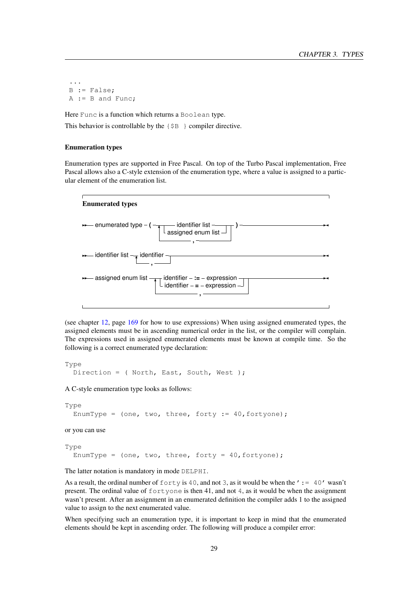...  $B := False;$  $A := B$  and Func:

Here Func is a function which returns a Boolean type.

This behavior is controllable by the  $\{\$B\}$  compiler directive.

#### <span id="page-29-0"></span>Enumeration types

Enumeration types are supported in Free Pascal. On top of the Turbo Pascal implementation, Free Pascal allows also a C-style extension of the enumeration type, where a value is assigned to a particular element of the enumeration list.



(see chapter [12,](#page-169-0) page [169](#page-169-0) for how to use expressions) When using assigned enumerated types, the assigned elements must be in ascending numerical order in the list, or the compiler will complain. The expressions used in assigned enumerated elements must be known at compile time. So the following is a correct enumerated type declaration:

Type Direction = ( North, East, South, West );

A C-style enumeration type looks as follows:

```
Type
  EnumType = (one, two, three, forty := 40, fortyone);
or you can use
Type
  EnumType = (one, two, three, forty = 40, fortyone);
```
The latter notation is mandatory in mode DELPHI.

As a result, the ordinal number of  $f \circ r \circ t$  is 40, and not 3, as it would be when the ': = 40' wasn't present. The ordinal value of  $f$ ortyone is then 41, and not 4, as it would be when the assignment wasn't present. After an assignment in an enumerated definition the compiler adds 1 to the assigned value to assign to the next enumerated value.

When specifying such an enumeration type, it is important to keep in mind that the enumerated elements should be kept in ascending order. The following will produce a compiler error: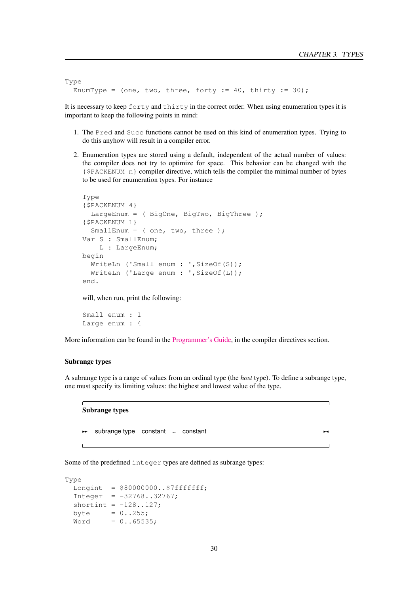```
Type
 EnumType = (one, two, three, forty := 40, thirty := 30);
```
It is necessary to keep forty and thirty in the correct order. When using enumeration types it is important to keep the following points in mind:

- 1. The Pred and Succ functions cannot be used on this kind of enumeration types. Trying to do this anyhow will result in a compiler error.
- 2. Enumeration types are stored using a default, independent of the actual number of values: the compiler does not try to optimize for space. This behavior can be changed with the {\$PACKENUM n} compiler directive, which tells the compiler the minimal number of bytes to be used for enumeration types. For instance

```
Type
{$PACKENUM 4}
  LargeEnum = ( BigOne, BigTwo, BigThree );{$PACKENUM 1}
  SmallEnum = ( one, two, three );
Var S : SmallEnum;
    L : LargeEnum;
begin
  WriteLn ('Small enum : ', SizeOf(S));
  WriteLn ('Large enum : ', SizeOf(L));
end.
```
will, when run, print the following:

Small enum : 1 Large enum : 4

More information can be found in the [Programmer's Guide,](../prog/prog.html) in the compiler directives section.

#### <span id="page-30-0"></span>Subrange types

A subrange type is a range of values from an ordinal type (the *host* type). To define a subrange type, one must specify its limiting values: the highest and lowest value of the type.

Subrange types

**★** subrange type – constant – .. – constant –

Some of the predefined integer types are defined as subrange types:

```
Type
 Longint = $800000000..$7ffffff;Integer = -32768...32767;shortint = -128...127;
 byte = 0..255;Word = 0.065535;
```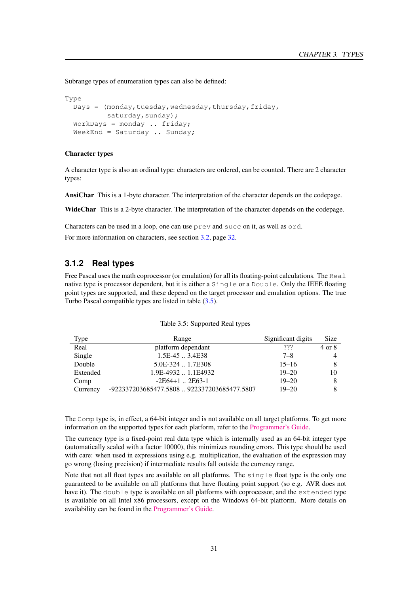Subrange types of enumeration types can also be defined:

```
Type
  Days = (monday, tuesday, wednesday, thursday, friday,
         saturday, sunday);
  WorkDays = monday .. friday;
  WeekEnd = Saturday .. Sunday;
```
#### <span id="page-31-0"></span>Character types

A character type is also an ordinal type: characters are ordered, can be counted. There are 2 character types:

AnsiChar This is a 1-byte character. The interpretation of the character depends on the codepage.

WideChar This is a 2-byte character. The interpretation of the character depends on the codepage.

Characters can be used in a loop, one can use prev and succ on it, as well as ord.

For more information on characters, see section [3.2,](#page-32-0) page [32.](#page-32-0)

#### <span id="page-31-1"></span>**3.1.2 Real types**

Free Pascal uses the math coprocessor (or emulation) for all its floating-point calculations. The Real native type is processor dependent, but it is either a Single or a Double. Only the IEEE floating point types are supported, and these depend on the target processor and emulation options. The true Turbo Pascal compatible types are listed in table [\(3.5\)](#page-31-2).

<span id="page-31-2"></span>

|  | Table 3.5: Supported Real types |  |  |
|--|---------------------------------|--|--|
|--|---------------------------------|--|--|

| Type     | Range                                       | Significant digits | <b>Size</b> |
|----------|---------------------------------------------|--------------------|-------------|
| Real     | platform dependant                          | ???                | 4 or 8      |
| Single   | $1.5E-45$ $\ldots$ $3.4E38$                 | $7 - 8$            |             |
| Double   | $5.0E-324$ 1.7E308                          | $15 - 16$          |             |
| Extended | 1.9E-4932  1.1E4932                         | $19 - 20$          | 10          |
| Comp     | $-2E64+1$ $\ldots$ 2E63-1                   | $19 - 20$          |             |
| Currency | -922337203685477.5808  922337203685477.5807 | $19 - 20$          |             |

The Comp type is, in effect, a 64-bit integer and is not available on all target platforms. To get more information on the supported types for each platform, refer to the [Programmer's Guide.](../prog/prog.html)

The currency type is a fixed-point real data type which is internally used as an 64-bit integer type (automatically scaled with a factor 10000), this minimizes rounding errors. This type should be used with care: when used in expressions using e.g. multiplication, the evaluation of the expression may go wrong (losing precision) if intermediate results fall outside the currency range.

Note that not all float types are available on all platforms. The single float type is the only one guaranteed to be available on all platforms that have floating point support (so e.g. AVR does not have it). The double type is available on all platforms with coprocessor, and the extended type is available on all Intel x86 processors, except on the Windows 64-bit platform. More details on availability can be found in the [Programmer's Guide.](../prog/prog.html)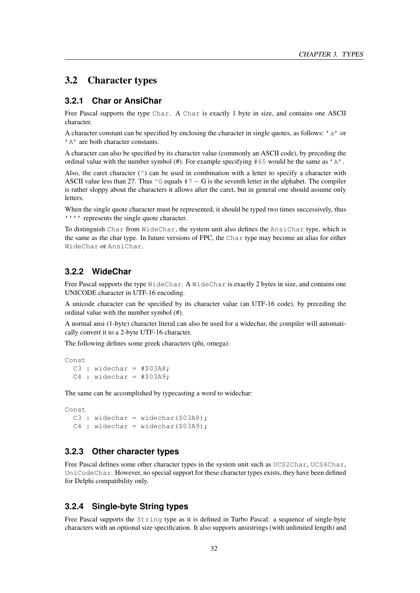### <span id="page-32-0"></span>3.2 Character types

#### <span id="page-32-1"></span>**3.2.1 Char or AnsiChar**

Free Pascal supports the type Char. A Char is exactly 1 byte in size, and contains one ASCII character.

A character constant can be specified by enclosing the character in single quotes, as follows: 'a' or 'A' are both character constants.

A character can also be specified by its character value (commonly an ASCII code), by preceding the ordinal value with the number symbol (#). For example specifying #65 would be the same as 'A'.

Also, the caret character  $(2)$  can be used in combination with a letter to specify a character with ASCII value less than 27. Thus  $\hat{G}$  equals  $\hat{H}$  – G is the seventh letter in the alphabet. The compiler is rather sloppy about the characters it allows after the caret, but in general one should assume only letters.

When the single quote character must be represented, it should be typed two times successively, thus '''' represents the single quote character.

To distinguish Char from WideChar, the system unit also defines the AnsiChar type, which is the same as the char type. In future versions of FPC, the Char type may become an alias for either WideChar or AnsiChar.

#### <span id="page-32-2"></span>**3.2.2 WideChar**

Free Pascal supports the type WideChar. A WideChar is exactly 2 bytes in size, and contains one UNICODE character in UTF-16 encoding.

A unicode character can be specified by its character value (an UTF-16 code), by preceding the ordinal value with the number symbol (#).

A normal ansi (1-byte) character literal can also be used for a widechar, the compiler will automatically convert it to a 2-byte UTF-16 character.

The following defines some greek characters (phi, omega):

```
Const
 C3 : widechar = #$03A8;C4 : widechar = #503A9;
```
The same can be accomplished by typecasting a word to widechar:

```
Const
 C3 : widechar = widechar($03A8);
 C4 : widechar = widechar($03A9);
```
#### <span id="page-32-3"></span>**3.2.3 Other character types**

Free Pascal defines some other character types in the system unit such as UCS2Char, UCS4Char, UniCodeChar. However, no special support for these character types exists, they have been defined for Delphi compatibility only.

#### <span id="page-32-4"></span>**3.2.4 Single-byte String types**

Free Pascal supports the String type as it is defined in Turbo Pascal: a sequence of single-byte characters with an optional size specification. It also supports ansistrings (with unlimited length) and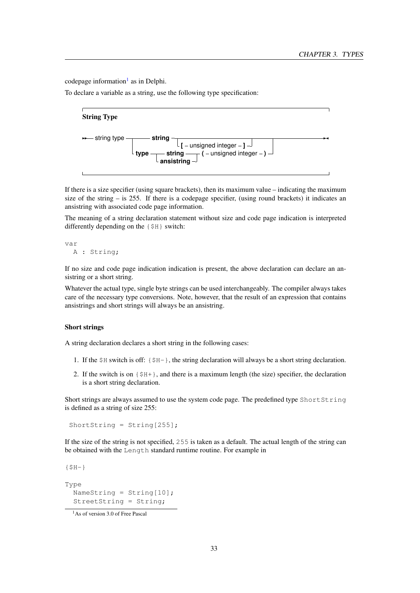codepage information<sup>[1](#page-33-1)</sup> as in Delphi.

To declare a variable as a string, use the following type specification:



If there is a size specifier (using square brackets), then its maximum value – indicating the maximum size of the string – is 255. If there is a codepage specifier, (using round brackets) it indicates an ansistring with associated code page information.

The meaning of a string declaration statement without size and code page indication is interpreted differently depending on the {\$H} switch:

var A : String;

If no size and code page indication indication is present, the above declaration can declare an ansistring or a short string.

Whatever the actual type, single byte strings can be used interchangeably. The compiler always takes care of the necessary type conversions. Note, however, that the result of an expression that contains ansistrings and short strings will always be an ansistring.

#### <span id="page-33-0"></span>Short strings

A string declaration declares a short string in the following cases:

- 1. If the  $$H$  switch is off: { $$H-}$ }, the string declaration will always be a short string declaration.
- 2. If the switch is on  $\{\frac{5H+1}{2}\}$ , and there is a maximum length (the size) specifier, the declaration is a short string declaration.

Short strings are always assumed to use the system code page. The predefined type ShortString is defined as a string of size 255:

ShortString = String[255];

If the size of the string is not specified, 255 is taken as a default. The actual length of the string can be obtained with the Length standard runtime routine. For example in

 ${SH-}$ 

Type NameString =  $String[10]$ ; StreetString = String;

<span id="page-33-1"></span> $1<sup>1</sup>$ As of version 3.0 of Free Pascal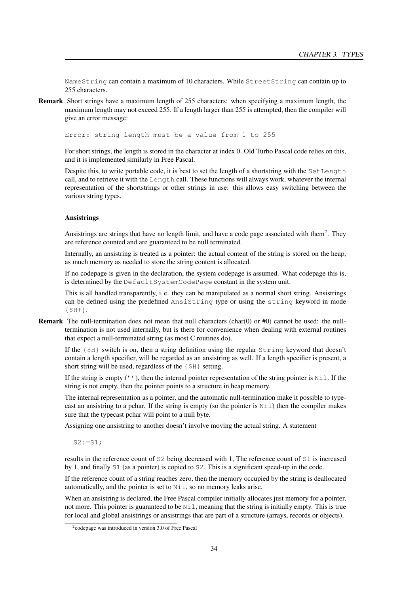NameString can contain a maximum of 10 characters. While StreetString can contain up to 255 characters.

Remark Short strings have a maximum length of 255 characters: when specifying a maximum length, the maximum length may not exceed 255. If a length larger than 255 is attempted, then the compiler will give an error message:

Error: string length must be a value from 1 to 255

For short strings, the length is stored in the character at index 0. Old Turbo Pascal code relies on this, and it is implemented similarly in Free Pascal.

Despite this, to write portable code, it is best to set the length of a shortstring with the SetLength call, and to retrieve it with the Length call. These functions will always work, whatever the internal representation of the shortstrings or other strings in use: this allows easy switching between the various string types.

#### <span id="page-34-0"></span>Ansistrings

Ansistrings are strings that have no length limit, and have a code page associated with them $2$ . They are reference counted and are guaranteed to be null terminated.

Internally, an ansistring is treated as a pointer: the actual content of the string is stored on the heap, as much memory as needed to store the string content is allocated.

If no codepage is given in the declaration, the system codepage is assumed. What codepage this is, is determined by the DefaultSystemCodePage constant in the system unit.

This is all handled transparently, i. e. they can be manipulated as a normal short string. Ansistrings can be defined using the predefined AnsiString type or using the string keyword in mode  ${SHH}.$ 

**Remark** The null-termination does not mean that null characters (char(0) or  $#0$ ) cannot be used: the nulltermination is not used internally, but is there for convenience when dealing with external routines that expect a null-terminated string (as most C routines do).

If the  $\{\$H\}$  switch is on, then a string definition using the regular  $String$  keyword that doesn't contain a length specifier, will be regarded as an ansistring as well. If a length specifier is present, a short string will be used, regardless of the {\$H} setting.

If the string is empty  $('')$ , then the internal pointer representation of the string pointer is Nil. If the string is not empty, then the pointer points to a structure in heap memory.

The internal representation as a pointer, and the automatic null-termination make it possible to typecast an ansistring to a pchar. If the string is empty (so the pointer is  $N<sub>i</sub>1$ ) then the compiler makes sure that the typecast pchar will point to a null byte.

Assigning one ansistring to another doesn't involve moving the actual string. A statement

 $S2:=S1;$ 

results in the reference count of S2 being decreased with 1, The reference count of S1 is increased by 1, and finally S1 (as a pointer) is copied to S2. This is a significant speed-up in the code.

If the reference count of a string reaches zero, then the memory occupied by the string is deallocated automatically, and the pointer is set to Nil, so no memory leaks arise.

When an ansistring is declared, the Free Pascal compiler initially allocates just memory for a pointer, not more. This pointer is guaranteed to be  $N<sub>i</sub>l$ , meaning that the string is initially empty. This is true for local and global ansistrings or ansistrings that are part of a structure (arrays, records or objects).

<span id="page-34-1"></span><sup>2</sup> codepage was introduced in version 3.0 of Free Pascal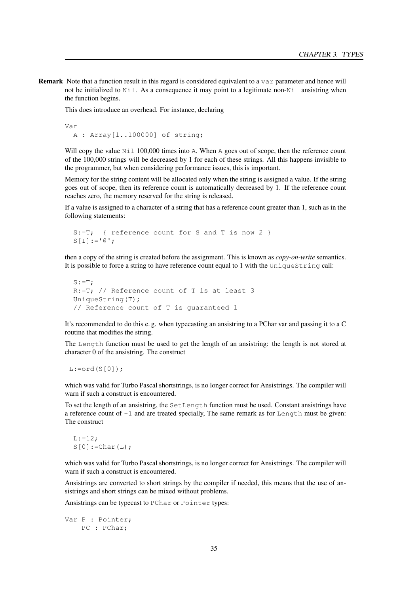Remark Note that a function result in this regard is considered equivalent to a var parameter and hence will not be initialized to Nil. As a consequence it may point to a legitimate non-Nil ansistring when the function begins.

This does introduce an overhead. For instance, declaring

```
Var
 A : Array[1..100000] of string;
```
Will copy the value  $N<sub>1</sub>1100,000$  times into A. When A goes out of scope, then the reference count of the 100,000 strings will be decreased by 1 for each of these strings. All this happens invisible to the programmer, but when considering performance issues, this is important.

Memory for the string content will be allocated only when the string is assigned a value. If the string goes out of scope, then its reference count is automatically decreased by 1. If the reference count reaches zero, the memory reserved for the string is released.

If a value is assigned to a character of a string that has a reference count greater than 1, such as in the following statements:

```
S:=T; { reference count for S and T is now 2 }
S[I]:='@';
```
then a copy of the string is created before the assignment. This is known as *copy-on-write* semantics. It is possible to force a string to have reference count equal to 1 with the UniqueString call:

```
S:=T:R:=T; // Reference count of T is at least 3
UniqueString(T);
// Reference count of T is guaranteed 1
```
It's recommended to do this e. g. when typecasting an ansistring to a PChar var and passing it to a C routine that modifies the string.

The Length function must be used to get the length of an ansistring: the length is not stored at character 0 of the ansistring. The construct

```
L:=\text{ord}(S[0]);
```
which was valid for Turbo Pascal shortstrings, is no longer correct for Ansistrings. The compiler will warn if such a construct is encountered.

To set the length of an ansistring, the SetLength function must be used. Constant ansistrings have a reference count of  $-1$  and are treated specially. The same remark as for Length must be given: The construct

```
L:=12;
S[0]:=Char(L);
```
which was valid for Turbo Pascal shortstrings, is no longer correct for Ansistrings. The compiler will warn if such a construct is encountered.

Ansistrings are converted to short strings by the compiler if needed, this means that the use of ansistrings and short strings can be mixed without problems.

Ansistrings can be typecast to PChar or Pointer types:

```
Var P : Pointer;
    PC : PChar;
```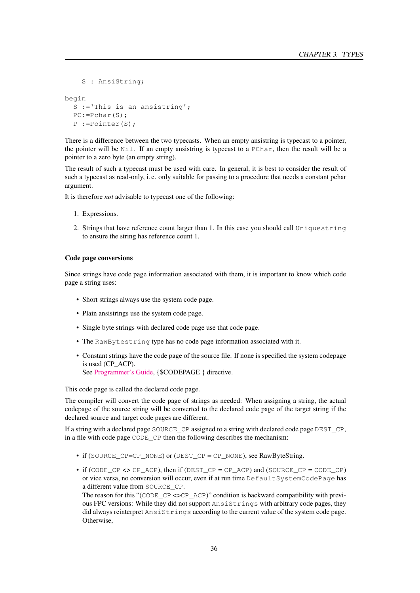```
S : AnsiString;
begin
 S :='This is an ansistring':
 PC:=Pchar(S);
 P :=Pointer(S);
```
There is a difference between the two typecasts. When an empty ansistring is typecast to a pointer, the pointer will be  $Nil$ . If an empty ansistring is typecast to a  $PChar$ , then the result will be a pointer to a zero byte (an empty string).

The result of such a typecast must be used with care. In general, it is best to consider the result of such a typecast as read-only, i. e. only suitable for passing to a procedure that needs a constant pchar argument.

It is therefore *not* advisable to typecast one of the following:

- 1. Expressions.
- 2. Strings that have reference count larger than 1. In this case you should call Uniquestring to ensure the string has reference count 1.

#### Code page conversions

Since strings have code page information associated with them, it is important to know which code page a string uses:

- Short strings always use the system code page.
- Plain ansistrings use the system code page.
- Single byte strings with declared code page use that code page.
- The RawBytestring type has no code page information associated with it.
- Constant strings have the code page of the source file. If none is specified the system codepage is used (CP\_ACP). See [Programmer's Guide,](../prog/prog.html) {\$CODEPAGE } directive.

This code page is called the declared code page.

The compiler will convert the code page of strings as needed: When assigning a string, the actual codepage of the source string will be converted to the declared code page of the target string if the declared source and target code pages are different.

If a string with a declared page SOURCE  $CP$  assigned to a string with declared code page DEST  $CP$ , in a file with code page CODE\_CP then the following describes the mechanism:

- if (SOURCE\_CP=CP\_NONE) or (DEST\_CP = CP\_NONE), see RawByteString.
- if (CODE\_CP  $\leq$  CP\_ACP), then if (DEST\_CP = CP\_ACP) and (SOURCE\_CP = CODE\_CP) or vice versa, no conversion will occur, even if at run time DefaultSystemCodePage has a different value from SOURCE\_CP.

The reason for this "(CODE\_CP  $\llgt;$ CP\_ACP)" condition is backward compatibility with previous FPC versions: While they did not support AnsiStrings with arbitrary code pages, they did always reinterpret AnsiStrings according to the current value of the system code page. Otherwise,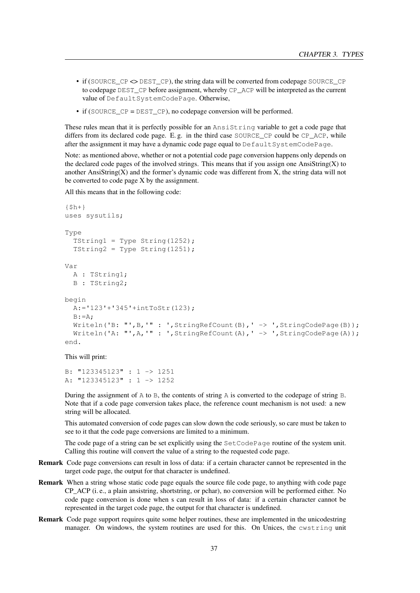- if (SOURCE CP  $\leq$  DEST CP), the string data will be converted from codepage SOURCE CP to codepage DEST\_CP before assignment, whereby CP\_ACP will be interpreted as the current value of DefaultSystemCodePage. Otherwise,
- if (SOURCE\_CP = DEST\_CP), no codepage conversion will be performed.

These rules mean that it is perfectly possible for an AnsiString variable to get a code page that differs from its declared code page. E.g. in the third case SOURCE CP could be CP  $\angle$ ACP, while after the assignment it may have a dynamic code page equal to DefaultSystemCodePage.

Note: as mentioned above, whether or not a potential code page conversion happens only depends on the declared code pages of the involved strings. This means that if you assign one AnsiString $(X)$  to another AnsiString(X) and the former's dynamic code was different from X, the string data will not be converted to code page X by the assignment.

All this means that in the following code:

```
{5h+}uses sysutils;
Type
 TString1 = Type String(1252);
 TString2 = Type String(1251);
Var
 A : TString1;
 B : TString2;
begin
 A:='123'+'345'+intToStr(123);
 B:=A;Writeln('B: "', B,'" : ', StringRefCount(B),' -> ', StringCodePage(B));
 Writeln('A: "',A,'" : ',StringRefCount(A),' -> ',StringCodePage(A));
end.
```
This will print:

B: "123345123" : 1 -> 1251 A: "123345123" : 1 -> 1252

During the assignment of A to B, the contents of string A is converted to the codepage of string B. Note that if a code page conversion takes place, the reference count mechanism is not used: a new string will be allocated.

This automated conversion of code pages can slow down the code seriously, so care must be taken to see to it that the code page conversions are limited to a minimum.

The code page of a string can be set explicitly using the SetCodePage routine of the system unit. Calling this routine will convert the value of a string to the requested code page.

- Remark Code page conversions can result in loss of data: if a certain character cannot be represented in the target code page, the output for that character is undefined.
- Remark When a string whose static code page equals the source file code page, to anything with code page CP ACP (i. e., a plain ansistring, shortstring, or pchar), no conversion will be performed either. No code page conversion is done when s can result in loss of data: if a certain character cannot be represented in the target code page, the output for that character is undefined.
- Remark Code page support requires quite some helper routines, these are implemented in the unicodestring manager. On windows, the system routines are used for this. On Unices, the cwstring unit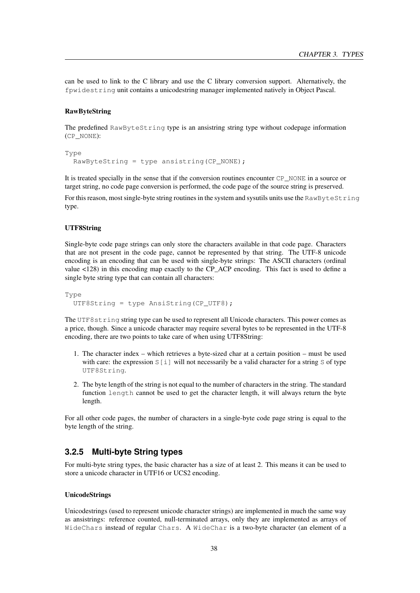can be used to link to the C library and use the C library conversion support. Alternatively, the fpwidestring unit contains a unicodestring manager implemented natively in Object Pascal.

#### RawByteString

The predefined RawByteString type is an ansistring string type without codepage information (CP\_NONE):

Type RawByteString = type ansistring(CP\_NONE);

It is treated specially in the sense that if the conversion routines encounter CP\_NONE in a source or target string, no code page conversion is performed, the code page of the source string is preserved.

For this reason, most single-byte string routines in the system and sysutils units use the RawByteString type.

#### UTF8String

Single-byte code page strings can only store the characters available in that code page. Characters that are not present in the code page, cannot be represented by that string. The UTF-8 unicode encoding is an encoding that can be used with single-byte strings: The ASCII characters (ordinal value <128) in this encoding map exactly to the CP\_ACP encoding. This fact is used to define a single byte string type that can contain all characters:

Type UTF8String = type AnsiString(CP\_UTF8);

The UTF8string string type can be used to represent all Unicode characters. This power comes as a price, though. Since a unicode character may require several bytes to be represented in the UTF-8 encoding, there are two points to take care of when using UTF8String:

- 1. The character index which retrieves a byte-sized char at a certain position must be used with care: the expression  $S[i]$  will not necessarily be a valid character for a string S of type UTF8String.
- 2. The byte length of the string is not equal to the number of characters in the string. The standard function length cannot be used to get the character length, it will always return the byte length.

For all other code pages, the number of characters in a single-byte code page string is equal to the byte length of the string.

### **3.2.5 Multi-byte String types**

For multi-byte string types, the basic character has a size of at least 2. This means it can be used to store a unicode character in UTF16 or UCS2 encoding.

#### UnicodeStrings

Unicodestrings (used to represent unicode character strings) are implemented in much the same way as ansistrings: reference counted, null-terminated arrays, only they are implemented as arrays of WideChars instead of regular Chars. A WideChar is a two-byte character (an element of a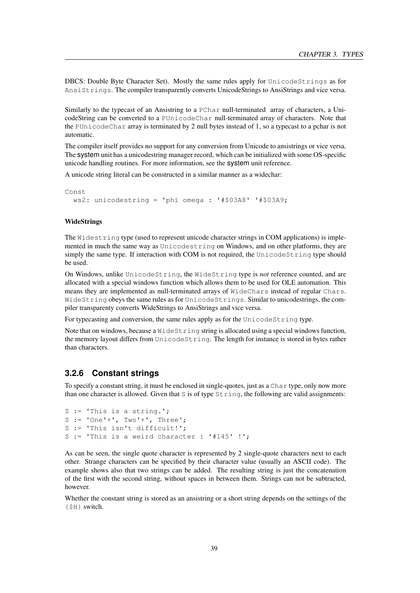DBCS: Double Byte Character Set). Mostly the same rules apply for UnicodeStrings as for AnsiStrings. The compiler transparently converts UnicodeStrings to AnsiStrings and vice versa.

Similarly to the typecast of an Ansistring to a PChar null-terminated array of characters, a UnicodeString can be converted to a PUnicodeChar null-terminated array of characters. Note that the PUnicodeChar array is terminated by 2 null bytes instead of 1, so a typecast to a pchar is not automatic.

The compiler itself provides no support for any conversion from Unicode to ansistrings or vice versa. The system unit has a unicodestring manager record, which can be initialized with some OS-specific unicode handling routines. For more information, see the system unit reference.

A unicode string literal can be constructed in a similar manner as a widechar:

```
Const
 ws2: unicodestring = 'phi omega : '#$03A8' '#$03A9;
```
#### **WideStrings**

The Widestring type (used to represent unicode character strings in COM applications) is implemented in much the same way as Unicodestring on Windows, and on other platforms, they are simply the same type. If interaction with COM is not required, the UnicodeString type should be used.

On Windows, unlike UnicodeString, the WideString type is *not* reference counted, and are allocated with a special windows function which allows them to be used for OLE automation. This means they are implemented as null-terminated arrays of WideChars instead of regular Chars. WideString obeys the same rules as for UnicodeStrings. Similar to unicodestrings, the compiler transparenty converts WideStrings to AnsiStrings and vice versa.

For typecasting and conversion, the same rules apply as for the UnicodeString type.

Note that on windows, because a WideString string is allocated using a special windows function, the memory layout differs from UnicodeString. The length for instance is stored in bytes rather than characters.

### **3.2.6 Constant strings**

To specify a constant string, it must be enclosed in single-quotes, just as a Char type, only now more than one character is allowed. Given that  $S$  is of type  $String$ , the following are valid assignments:

```
S := 'This is a string.';
S := 'One'+', Two'+', Three';
S := 'This isn't difficult!';
S := 'This is a weird character : '#145' !';
```
As can be seen, the single quote character is represented by 2 single-quote characters next to each other. Strange characters can be specified by their character value (usually an ASCII code). The example shows also that two strings can be added. The resulting string is just the concatenation of the first with the second string, without spaces in between them. Strings can not be subtracted, however.

Whether the constant string is stored as an ansistring or a short string depends on the settings of the {\$H} switch.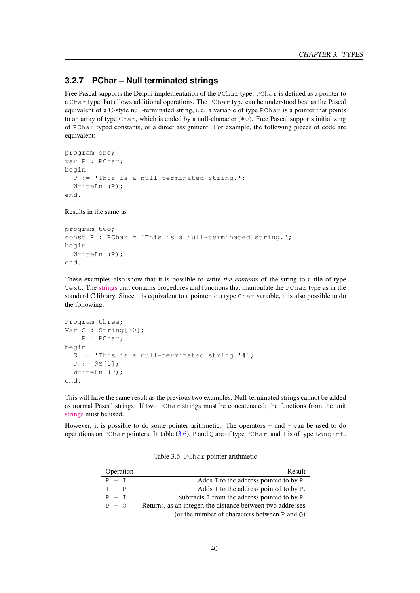### **3.2.7 PChar – Null terminated strings**

Free Pascal supports the Delphi implementation of the PChar type. PChar is defined as a pointer to a Char type, but allows additional operations. The PChar type can be understood best as the Pascal equivalent of a C-style null-terminated string, i. e. a variable of type PChar is a pointer that points to an array of type Char, which is ended by a null-character  $(\#0)$ . Free Pascal supports initializing of PChar typed constants, or a direct assignment. For example, the following pieces of code are equivalent:

```
program one;
var P : PChar;
begin
  P := 'This is a null-terminated string.';
  WriteLn (P);
end.
```
Results in the same as

```
program two;
const P : PChar = 'This is a null-terminated string.';
begin
  WriteLn (P);
end.
```
These examples also show that it is possible to write *the contents* of the string to a file of type Text. The [strings](../rtl/strings/index.html) unit contains procedures and functions that manipulate the PChar type as in the standard C library. Since it is equivalent to a pointer to a type Char variable, it is also possible to do the following:

```
Program three;
Var S : String[30];
    P : PChar;
begin
  S := 'This is a null-terminated string.'#0;
  P := \text{QST11};WriteLn (P);
end.
```
This will have the same result as the previous two examples. Null-terminated strings cannot be added as normal Pascal strings. If two PChar strings must be concatenated; the functions from the unit [strings](../rtl/strings/index.html) must be used.

However, it is possible to do some pointer arithmetic. The operators  $+$  and  $-$  can be used to do operations on PChar pointers. In table  $(3.6)$ , P and Q are of type PChar, and I is of type Longint.

<span id="page-40-0"></span>

|  | Table 3.6: PChar pointer arithmetic |
|--|-------------------------------------|
|  |                                     |

| Operation | Result                                                     |
|-----------|------------------------------------------------------------|
| $P + I$   | Adds $I$ to the address pointed to by $P$ .                |
| $T + P$   | Adds $I$ to the address pointed to by $P$ .                |
| $P - T$   | Subtracts $I$ from the address pointed to by $P$ .         |
| $P - Q$   | Returns, as an integer, the distance between two addresses |
|           | (or the number of characters between $P$ and $Q$ )         |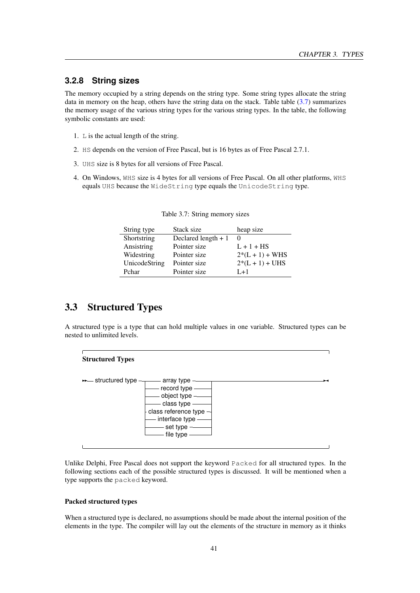### **3.2.8 String sizes**

The memory occupied by a string depends on the string type. Some string types allocate the string data in memory on the heap, others have the string data on the stack. Table table [\(3.7\)](#page-41-0) summarizes the memory usage of the various string types for the various string types. In the table, the following symbolic constants are used:

- 1. L is the actual length of the string.
- 2. HS depends on the version of Free Pascal, but is 16 bytes as of Free Pascal 2.7.1.
- 3. UHS size is 8 bytes for all versions of Free Pascal.
- 4. On Windows, WHS size is 4 bytes for all versions of Free Pascal. On all other platforms, WHS equals UHS because the WideString type equals the UnicodeString type.

| String type   | Stack size           | heap size         |
|---------------|----------------------|-------------------|
| Shortstring   | Declared length $+1$ | $\theta$          |
| Ansistring    | Pointer size         | $L + 1 + HS$      |
| Widestring    | Pointer size         | $2*(L + 1) + WHS$ |
| UnicodeString | Pointer size         | $2*(L + 1) + UHS$ |
| Pchar         | Pointer size         | $L+1$             |

<span id="page-41-0"></span>Table 3.7: String memory sizes

# 3.3 Structured Types

A structured type is a type that can hold multiple values in one variable. Structured types can be nested to unlimited levels.



Unlike Delphi, Free Pascal does not support the keyword Packed for all structured types. In the following sections each of the possible structured types is discussed. It will be mentioned when a type supports the packed keyword.

#### Packed structured types

When a structured type is declared, no assumptions should be made about the internal position of the elements in the type. The compiler will lay out the elements of the structure in memory as it thinks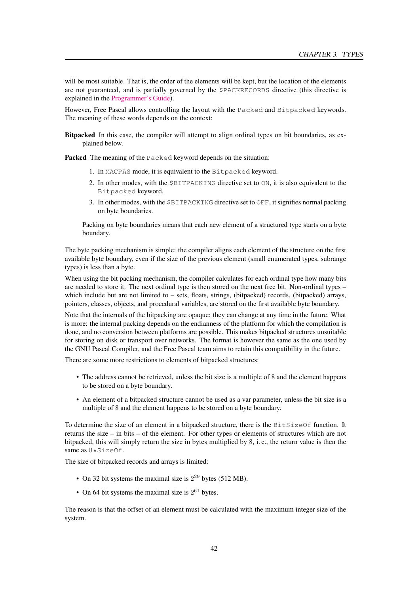will be most suitable. That is, the order of the elements will be kept, but the location of the elements are not guaranteed, and is partially governed by the \$PACKRECORDS directive (this directive is explained in the [Programmer's Guide\)](../prog/prog.html).

However, Free Pascal allows controlling the layout with the Packed and Bitpacked keywords. The meaning of these words depends on the context:

Bitpacked In this case, the compiler will attempt to align ordinal types on bit boundaries, as explained below.

Packed The meaning of the Packed keyword depends on the situation:

- 1. In MACPAS mode, it is equivalent to the Bitpacked keyword.
- 2. In other modes, with the \$BITPACKING directive set to ON, it is also equivalent to the Bitpacked keyword.
- 3. In other modes, with the \$BITPACKING directive set to OFF, it signifies normal packing on byte boundaries.

Packing on byte boundaries means that each new element of a structured type starts on a byte boundary.

The byte packing mechanism is simple: the compiler aligns each element of the structure on the first available byte boundary, even if the size of the previous element (small enumerated types, subrange types) is less than a byte.

When using the bit packing mechanism, the compiler calculates for each ordinal type how many bits are needed to store it. The next ordinal type is then stored on the next free bit. Non-ordinal types – which include but are not limited to – sets, floats, strings, (bitpacked) records, (bitpacked) arrays, pointers, classes, objects, and procedural variables, are stored on the first available byte boundary.

Note that the internals of the bitpacking are opaque: they can change at any time in the future. What is more: the internal packing depends on the endianness of the platform for which the compilation is done, and no conversion between platforms are possible. This makes bitpacked structures unsuitable for storing on disk or transport over networks. The format is however the same as the one used by the GNU Pascal Compiler, and the Free Pascal team aims to retain this compatibility in the future.

There are some more restrictions to elements of bitpacked structures:

- The address cannot be retrieved, unless the bit size is a multiple of 8 and the element happens to be stored on a byte boundary.
- An element of a bitpacked structure cannot be used as a var parameter, unless the bit size is a multiple of 8 and the element happens to be stored on a byte boundary.

To determine the size of an element in a bitpacked structure, there is the  $BitSizeOf$  function. It returns the size – in bits – of the element. For other types or elements of structures which are not bitpacked, this will simply return the size in bytes multiplied by 8, i. e., the return value is then the same as 8\*SizeOf.

The size of bitpacked records and arrays is limited:

- On 32 bit systems the maximal size is  $2^{29}$  bytes (512 MB).
- On 64 bit systems the maximal size is  $2^{61}$  bytes.

The reason is that the offset of an element must be calculated with the maximum integer size of the system.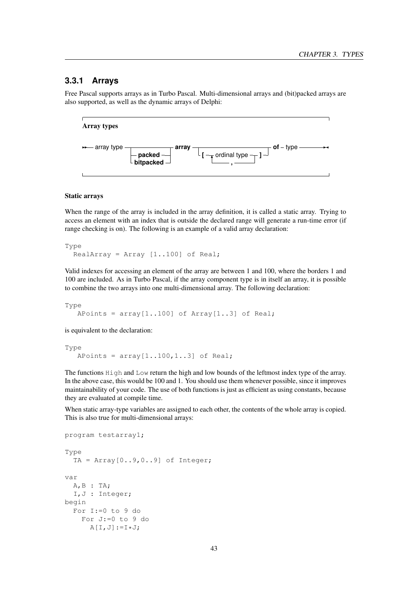### **3.3.1 Arrays**

Free Pascal supports arrays as in Turbo Pascal. Multi-dimensional arrays and (bit)packed arrays are also supported, as well as the dynamic arrays of Delphi:



### Static arrays

When the range of the array is included in the array definition, it is called a static array. Trying to access an element with an index that is outside the declared range will generate a run-time error (if range checking is on). The following is an example of a valid array declaration:

Type RealArray = Array [1..100] of Real;

Valid indexes for accessing an element of the array are between 1 and 100, where the borders 1 and 100 are included. As in Turbo Pascal, if the array component type is in itself an array, it is possible to combine the two arrays into one multi-dimensional array. The following declaration:

Type APoints =  $array[1..100]$  of  $Array[1..3]$  of Real;

is equivalent to the declaration:

Type APoints =  $array[1..100,1..3]$  of Real;

The functions High and Low return the high and low bounds of the leftmost index type of the array. In the above case, this would be 100 and 1. You should use them whenever possible, since it improves maintainability of your code. The use of both functions is just as efficient as using constants, because they are evaluated at compile time.

When static array-type variables are assigned to each other, the contents of the whole array is copied. This is also true for multi-dimensional arrays:

```
program testarray1;
Type
  TA = Array[0..9,0..9] of Integer;
var
  A,B : TA;
  I,J : Integer;
begin
  For I:=0 to 9 do
    For J:=0 to 9 do
      A[I, J] := I * J;
```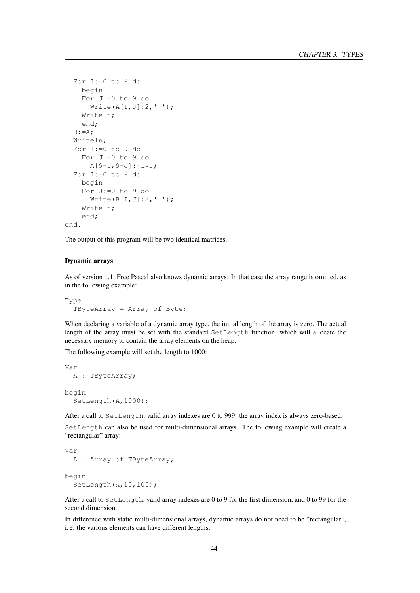```
For I:=0 to 9 do
   begin
    For J:=0 to 9 do
      Write(A[I,J]:2,' '');
    Writeln;
    end;
  B:=A;Writeln;
  For I:=0 to 9 do
    For J:=0 to 9 do
     A[9-I, 9-J] := I *J;For I:=0 to 9 do
   begin
    For J:=0 to 9 do
      Write(B[I, J]:2, ' '');
    Writeln;
    end;
end.
```
The output of this program will be two identical matrices.

#### Dynamic arrays

As of version 1.1, Free Pascal also knows dynamic arrays: In that case the array range is omitted, as in the following example:

Type TByteArray = Array of Byte;

When declaring a variable of a dynamic array type, the initial length of the array is zero. The actual length of the array must be set with the standard SetLength function, which will allocate the necessary memory to contain the array elements on the heap.

The following example will set the length to 1000:

```
Var
 A : TByteArray;
begin
  SetLength(A,1000);
```
After a call to SetLength, valid array indexes are 0 to 999: the array index is always zero-based.

SetLength can also be used for multi-dimensional arrays. The following example will create a "rectangular" array:

```
Var
 A : Array of TByteArray;
begin
 SetLength(A,10,100);
```
After a call to SetLength, valid array indexes are 0 to 9 for the first dimension, and 0 to 99 for the second dimension.

In difference with static multi-dimensional arrays, dynamic arrays do not need to be "rectangular", i. e. the various elements can have different lengths: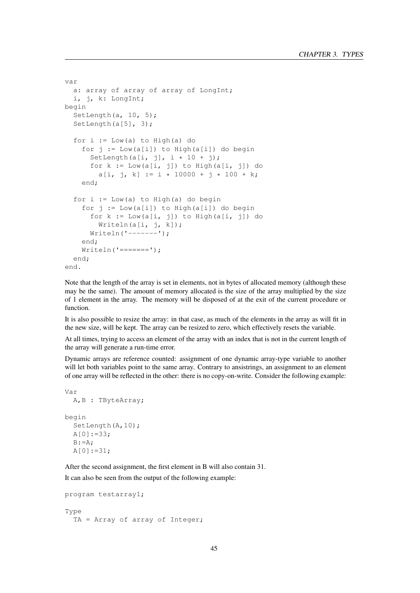```
var
 a: array of array of array of LongInt;
 i, j, k: LongInt;
begin
 SetLength(a, 10, 5);
 SetLength(a[5], 3);
 for i := Low(a) to High(a) do
   for j := Low(a[i]) to High(a[i]) do begin
      SetLength(a[i, j], i * 10 + j);
      for k := Low(a[i, j]) to High(a[i, j]) do
        a[i, j, k] := i * 10000 + j * 100 + k;
   end;
  for i := Low(a) to High(a) do begin
   for j := Low(a[i]) to High(a[i]) do begin
      for k := Low(a[i, j]) to High(a[i, j]) do
        Writeln(a[i, j, k]);
      Writeln('-----');
   end;
   WriteIn('-----');
 end;
end.
```
Note that the length of the array is set in elements, not in bytes of allocated memory (although these may be the same). The amount of memory allocated is the size of the array multiplied by the size of 1 element in the array. The memory will be disposed of at the exit of the current procedure or function.

It is also possible to resize the array: in that case, as much of the elements in the array as will fit in the new size, will be kept. The array can be resized to zero, which effectively resets the variable.

At all times, trying to access an element of the array with an index that is not in the current length of the array will generate a run-time error.

Dynamic arrays are reference counted: assignment of one dynamic array-type variable to another will let both variables point to the same array. Contrary to ansistrings, an assignment to an element of one array will be reflected in the other: there is no copy-on-write. Consider the following example:

```
Var
 A,B : TByteArray;
begin
 SetLength(A,10);
 A[0]:=33;B:=A;A[0]:=31;
```
After the second assignment, the first element in B will also contain 31.

It can also be seen from the output of the following example:

```
program testarray1;
Type
 TA = Array of array of Integer;
```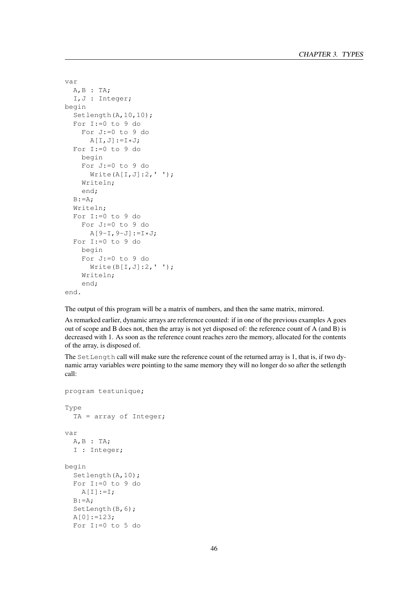```
var
 A,B : TA;
  I,J : Integer;
begin
  Setlength(A, 10, 10);
  For I:=0 to 9 do
    For J:=0 to 9 do
      A[I, J] := I * J;For I:=0 to 9 do
   begin
    For J:=0 to 9 do
      Write(A[I,J]:2,' '');
    Writeln;
    end;
  B:=A;Writeln;
  For I:=0 to 9 do
    For J:=0 to 9 do
      A[9-I, 9-J] := I *J;For I:=0 to 9 do
   begin
    For J:=0 to 9 do
      Write(B[I,J]:2,' '');
    Writeln;
    end;
end.
```
The output of this program will be a matrix of numbers, and then the same matrix, mirrored.

As remarked earlier, dynamic arrays are reference counted: if in one of the previous examples A goes out of scope and B does not, then the array is not yet disposed of: the reference count of A (and B) is decreased with 1. As soon as the reference count reaches zero the memory, allocated for the contents of the array, is disposed of.

The SetLength call will make sure the reference count of the returned array is 1, that is, if two dynamic array variables were pointing to the same memory they will no longer do so after the setlength call:

```
program testunique;
Type
  TA = array of Integer;
var
  A,B : TA;
  I : Integer;
begin
  Setlength(A,10);
  For I:=0 to 9 do
   A[I]:=I;B:=A;SetLength(B, 6);
  A[0]:=123;For I:=0 to 5 do
```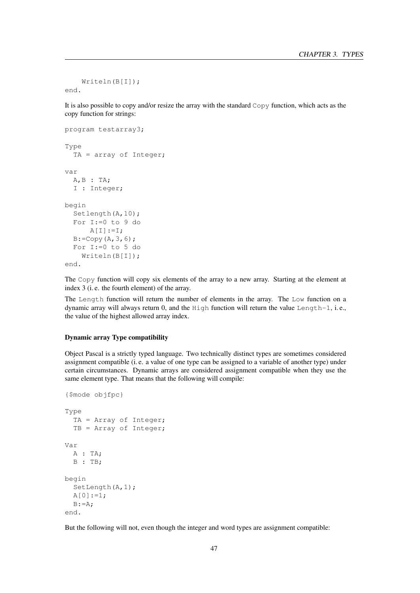```
Writeln(B[I]);
```
end.

It is also possible to copy and/or resize the array with the standard Copy function, which acts as the copy function for strings:

```
program testarray3;
Type
  TA = array of Integer;
var
  A,B : TA;
  I : Integer;
begin
  Setlength(A,10);
  For I:=0 to 9 do
      A[I]:=I;B:=Copy(A, 3, 6);
  For I:=0 to 5 do
    Writeln(B[I]);
end.
```
The Copy function will copy six elements of the array to a new array. Starting at the element at index 3 (i. e. the fourth element) of the array.

The Length function will return the number of elements in the array. The Low function on a dynamic array will always return 0, and the  $High$  function will return the value Length-1, i.e., the value of the highest allowed array index.

#### Dynamic array Type compatibility

Object Pascal is a strictly typed language. Two technically distinct types are sometimes considered assignment compatible (i. e. a value of one type can be assigned to a variable of another type) under certain circumstances. Dynamic arrays are considered assignment compatible when they use the same element type. That means that the following will compile:

```
{$mode objfpc}
Type
  TA = Array of Integer;
  TB = Array of Integer;
Var
  A : TA;
  B : TB;
begin
  SetLength(A,1);
  A[0]: =1;
  B:=A;end.
```
But the following will not, even though the integer and word types are assignment compatible: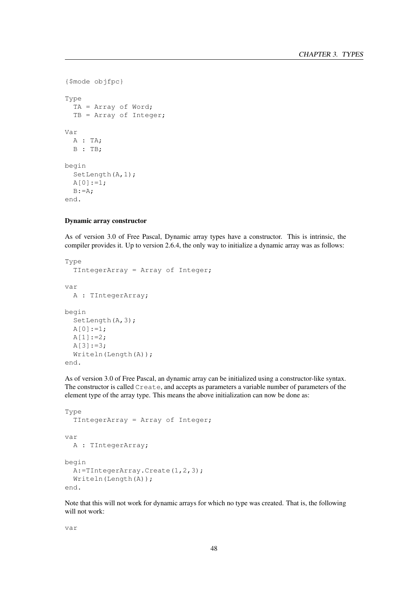```
{$mode objfpc}
Type
  TA = Array of Word;
  TB = Array of Integer;
Var
  A : TA;
 B : TB;
begin
  SetLength(A,1);
 A[0]:=1;B:=A;end.
```
#### Dynamic array constructor

As of version 3.0 of Free Pascal, Dynamic array types have a constructor. This is intrinsic, the compiler provides it. Up to version 2.6.4, the only way to initialize a dynamic array was as follows:

```
Type
  TIntegerArray = Array of Integer;
var
 A : TIntegerArray;
begin
  SetLength(A,3);
 A[0]:=1;A[1]:=2;A[3]:=3;Writeln(Length(A));
end.
```
As of version 3.0 of Free Pascal, an dynamic array can be initialized using a constructor-like syntax. The constructor is called Create, and accepts as parameters a variable number of parameters of the element type of the array type. This means the above initialization can now be done as:

```
Type
  TIntegerArray = Array of Integer;
var
 A : TIntegerArray;
begin
  A:=TIntegerArray.Create(1,2,3);
  Writeln(Length(A));
end.
```
Note that this will not work for dynamic arrays for which no type was created. That is, the following will not work:

var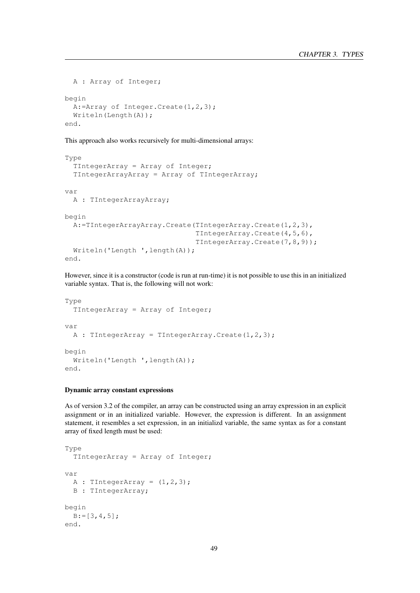```
A : Array of Integer;
begin
  A:=Array of Integer.Create(1,2,3);
  Writeln(Length(A));
end.
```
This approach also works recursively for multi-dimensional arrays:

```
Type
  TIntegerArray = Array of Integer;
  TIntegerArrayArray = Array of TIntegerArray;
var
 A : TIntegerArrayArray;
begin
  A:=TIntegerArrayArray.Create(TIntegerArray.Create(1,2,3),
                                TIntegerArray.Create(4,5,6),
                                TIntegerArray.Create(7,8,9));
  Writeln('Length ',length(A));
end.
```
However, since it is a constructor (code is run at run-time) it is not possible to use this in an initialized variable syntax. That is, the following will not work:

```
Type
 TIntegerArray = Array of Integer;
var
 A : TIntegerArray = TIntegerArray.Create(1,2,3);
begin
 Writeln('Length ',length(A));
end.
```
#### Dynamic array constant expressions

As of version 3.2 of the compiler, an array can be constructed using an array expression in an explicit assignment or in an initialized variable. However, the expression is different. In an assignment statement, it resembles a set expression, in an initializd variable, the same syntax as for a constant array of fixed length must be used:

```
Type
  TIntegerArray = Array of Integer;
var
  A : TIntegerArray = (1, 2, 3);
  B : TIntegerArray;
begin
  B := [3, 4, 5];
end.
```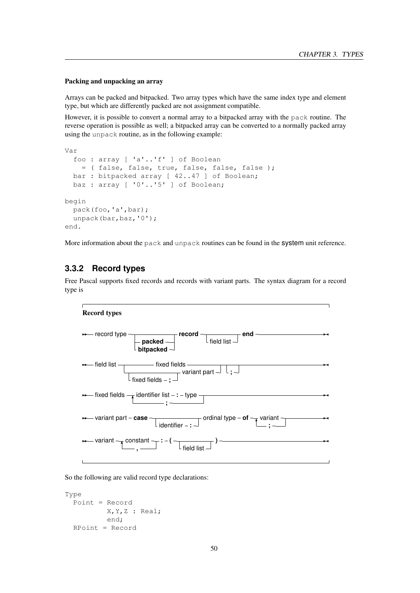#### Packing and unpacking an array

Arrays can be packed and bitpacked. Two array types which have the same index type and element type, but which are differently packed are not assignment compatible.

However, it is possible to convert a normal array to a bitpacked array with the pack routine. The reverse operation is possible as well; a bitpacked array can be converted to a normally packed array using the unpack routine, as in the following example:

```
Var
 foo : array [ 'a'..'f' ] of Boolean
   = ( false, false, true, false, false, false );
 bar : bitpacked array [ 42..47 ] of Boolean;
 baz : array [ '0'..'5' ] of Boolean;
begin
 pack(foo,'a',bar);
 unpack(bar,baz,'0');
end.
```
More information about the pack and unpack routines can be found in the system unit reference.

### **3.3.2 Record types**

Free Pascal supports fixed records and records with variant parts. The syntax diagram for a record type is



So the following are valid record type declarations:

```
Type
 Point = Record
         X,Y,Z : Real;
         end;
 RPoint = Record
```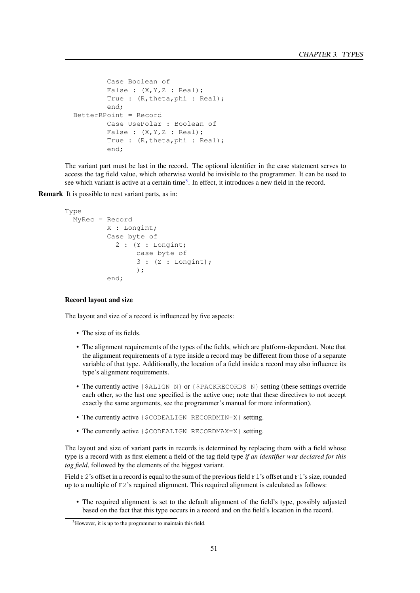```
Case Boolean of
        False : (X, Y, Z : Real);
        True : (R,theta,phi : Real);
        end;
BetterRPoint = Record
        Case UsePolar : Boolean of
        False : (X, Y, Z : Real);
        True : (R,theta,phi : Real);
        end;
```
The variant part must be last in the record. The optional identifier in the case statement serves to access the tag field value, which otherwise would be invisible to the programmer. It can be used to see which variant is active at a certain time<sup>[3](#page-51-0)</sup>. In effect, it introduces a new field in the record.

Remark It is possible to nest variant parts, as in:

```
Type
 MyRec = Record
          X : Longint;
          Case byte of
            2 : (Y : Longint;
                 case byte of
                  3 : (Z : Longint);
                  );
          end;
```
#### Record layout and size

The layout and size of a record is influenced by five aspects:

- The size of its fields.
- The alignment requirements of the types of the fields, which are platform-dependent. Note that the alignment requirements of a type inside a record may be different from those of a separate variable of that type. Additionally, the location of a field inside a record may also influence its type's alignment requirements.
- The currently active {\$ALIGN N} or {\$PACKRECORDS N} setting (these settings override each other, so the last one specified is the active one; note that these directives to not accept exactly the same arguments, see the programmer's manual for more information).
- The currently active { \$CODEALIGN RECORDMIN=X } setting.
- The currently active { \$CODEALIGN RECORDMAX=X } setting.

The layout and size of variant parts in records is determined by replacing them with a field whose type is a record with as first element a field of the tag field type *if an identifier was declared for this tag field*, followed by the elements of the biggest variant.

Field F2's offset in a record is equal to the sum of the previous field F1's offset and F1's size, rounded up to a multiple of F2's required alignment. This required alignment is calculated as follows:

• The required alignment is set to the default alignment of the field's type, possibly adjusted based on the fact that this type occurs in a record and on the field's location in the record.

<span id="page-51-0"></span><sup>3</sup>However, it is up to the programmer to maintain this field.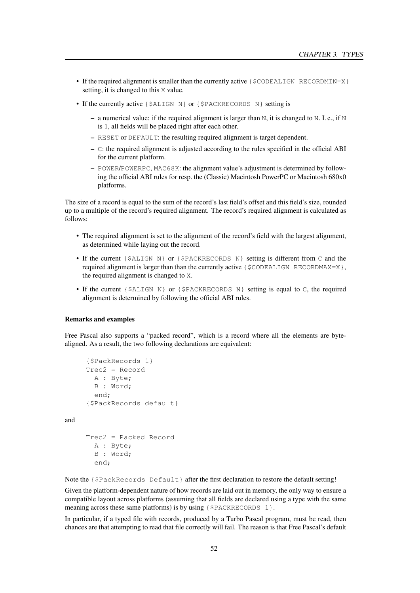- If the required alignment is smaller than the currently active  $\{\text{\textless{CODEALIGN RECORDMIN=X}}\}$ setting, it is changed to this X value.
- If the currently active { \$ALIGN N} or { \$PACKRECORDS N} setting is
	- $-$  a numerical value: if the required alignment is larger than N, it is changed to N. I. e., if N is 1, all fields will be placed right after each other.
	- RESET or DEFAULT: the resulting required alignment is target dependent.
	- C: the required alignment is adjusted according to the rules specified in the official ABI for the current platform.
	- POWER/POWERPC, MAC68K: the alignment value's adjustment is determined by following the official ABI rules for resp. the (Classic) Macintosh PowerPC or Macintosh 680x0 platforms.

The size of a record is equal to the sum of the record's last field's offset and this field's size, rounded up to a multiple of the record's required alignment. The record's required alignment is calculated as follows:

- The required alignment is set to the alignment of the record's field with the largest alignment, as determined while laying out the record.
- If the current {\$ALIGN N} or {\$PACKRECORDS N} setting is different from C and the required alignment is larger than than the currently active  $\{\text{\$CODEALIGN RECORDMAX=X}\}\,$ , the required alignment is changed to X.
- If the current  $\{\$ALIGN\ N\}$  or  $\{\$PACKRECORDS\ N\}$  setting is equal to C, the required alignment is determined by following the official ABI rules.

#### Remarks and examples

Free Pascal also supports a "packed record", which is a record where all the elements are bytealigned. As a result, the two following declarations are equivalent:

```
{$PackRecords 1}
Trec2 = Record
  A : Byte;
  B : Word;
  end;
{$PackRecords default}
```
and

```
Trec2 = Packed Record
  A : Byte;
  B : Word;
  end;
```
Note the {\$PackRecords Default} after the first declaration to restore the default setting!

Given the platform-dependent nature of how records are laid out in memory, the only way to ensure a compatible layout across platforms (assuming that all fields are declared using a type with the same meaning across these same platforms) is by using {\$PACKRECORDS 1}.

In particular, if a typed file with records, produced by a Turbo Pascal program, must be read, then chances are that attempting to read that file correctly will fail. The reason is that Free Pascal's default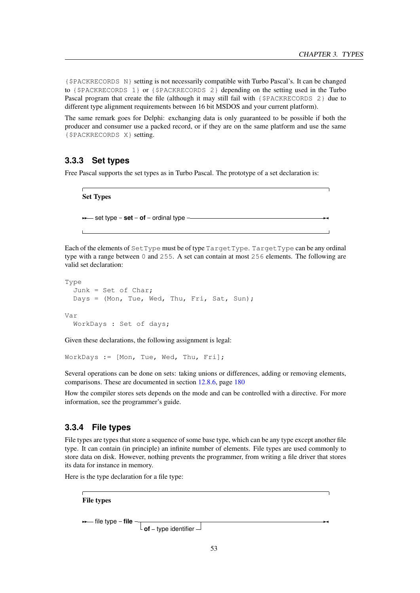{\$PACKRECORDS N} setting is not necessarily compatible with Turbo Pascal's. It can be changed to  $\{\$PACKRECORDS\ 1\}$  or  $\{\$PACKRECORDS\ 2\}$  depending on the setting used in the Turbo Pascal program that create the file (although it may still fail with  $\{\$PACKRECORDS\;2\}$  due to different type alignment requirements between 16 bit MSDOS and your current platform).

The same remark goes for Delphi: exchanging data is only guaranteed to be possible if both the producer and consumer use a packed record, or if they are on the same platform and use the same {\$PACKRECORDS X} setting.

### **3.3.3 Set types**

Free Pascal supports the set types as in Turbo Pascal. The prototype of a set declaration is:

Set Types

 $→$  **set type – set – of** – ordinal type –

Each of the elements of SetType must be of type TargetType. TargetType can be any ordinal type with a range between 0 and 255. A set can contain at most 256 elements. The following are valid set declaration:

```
Type
 Junk = Set of Char;
 Days = (Mon, Tue, Wed, Thu, Fri, Sat, Sun);
Var
 WorkDays : Set of days;
```
Given these declarations, the following assignment is legal:

WorkDays := [Mon, Tue, Wed, Thu, Fri];

Several operations can be done on sets: taking unions or differences, adding or removing elements, comparisons. These are documented in section [12.8.6,](#page-180-0) page [180](#page-180-0)

How the compiler stores sets depends on the mode and can be controlled with a directive. For more information, see the programmer's guide.

### **3.3.4 File types**

File types are types that store a sequence of some base type, which can be any type except another file type. It can contain (in principle) an infinite number of elements. File types are used commonly to store data on disk. However, nothing prevents the programmer, from writing a file driver that stores its data for instance in memory.

Here is the type declaration for a file type:

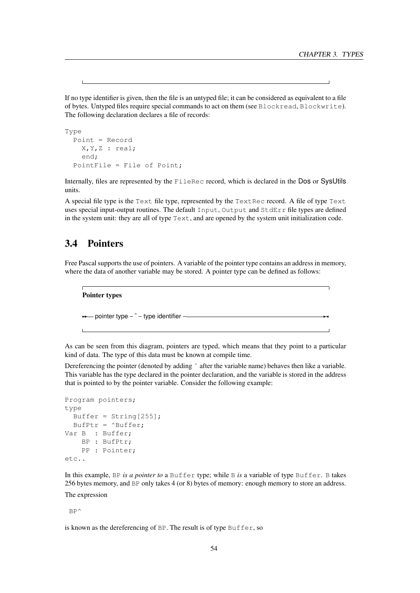If no type identifier is given, then the file is an untyped file; it can be considered as equivalent to a file of bytes. Untyped files require special commands to act on them (see Blockread, Blockwrite). The following declaration declares a file of records:

```
Type
 Point = Record
    X,Y,Z : real;
    end;
 PointFile = File of Point;
```
Internally, files are represented by the FileRec record, which is declared in the Dos or SysUtils units.

A special file type is the Text file type, represented by the TextRec record. A file of type Text uses special input-output routines. The default Input, Output and StdErr file types are defined in the system unit: they are all of type  $Text$ , and are opened by the system unit initialization code.

# 3.4 Pointers

Free Pascal supports the use of pointers. A variable of the pointer type contains an address in memory, where the data of another variable may be stored. A pointer type can be defined as follows:

Pointer types

**► pointer type - ^** - type identifier  $\rightarrow$ 

As can be seen from this diagram, pointers are typed, which means that they point to a particular kind of data. The type of this data must be known at compile time.

Dereferencing the pointer (denoted by adding  $\hat{ }$  after the variable name) behaves then like a variable. This variable has the type declared in the pointer declaration, and the variable is stored in the address that is pointed to by the pointer variable. Consider the following example:

```
Program pointers;
type
  Buffer = String[255];
 BufPtr = \DeltaBuffer;
Var B : Buffer;
    BP : BufPtr;
    PP : Pointer;
etc..
```
In this example, BP *is a pointer to* a Buffer type; while B *is* a variable of type Buffer. B takes 256 bytes memory, and BP only takes 4 (or 8) bytes of memory: enough memory to store an address. The expression

BP^

is known as the dereferencing of BP. The result is of type Buffer, so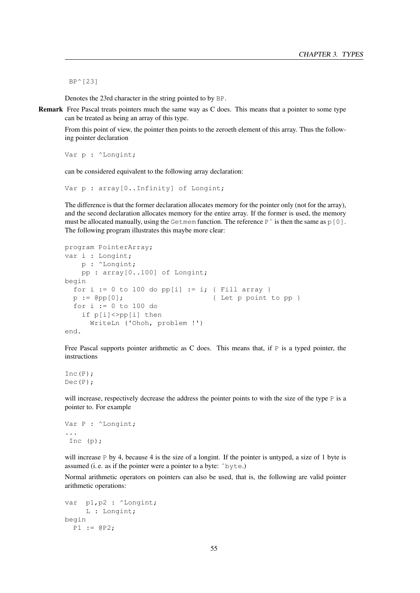BP^[23]

Denotes the 23rd character in the string pointed to by BP.

Remark Free Pascal treats pointers much the same way as C does. This means that a pointer to some type can be treated as being an array of this type.

From this point of view, the pointer then points to the zeroeth element of this array. Thus the following pointer declaration

Var p : ^Longint;

can be considered equivalent to the following array declaration:

Var p : array<sup>[0</sup>..Infinity] of Longint;

The difference is that the former declaration allocates memory for the pointer only (not for the array), and the second declaration allocates memory for the entire array. If the former is used, the memory must be allocated manually, using the Getmem function. The reference  $P^{\dagger}$  is then the same as p[0]. The following program illustrates this maybe more clear:

```
program PointerArray;
var i : Longint;
   p : ^Longint;
   pp : array[0..100] of Longint;
begin
 for i := 0 to 100 do pp[i] := i; { Fill array }
 p := @pp[0]; { Let p point to pp }
 for i := 0 to 100 do
   if p[i]<>pp[i] then
     WriteLn ('Ohoh, problem !')
end.
```
Free Pascal supports pointer arithmetic as C does. This means that, if  $P$  is a typed pointer, the instructions

Inc(P);  $Dec(P);$ 

will increase, respectively decrease the address the pointer points to with the size of the type P is a pointer to. For example

```
Var P : ^Longint;
...
Inc (p);
```
will increase P by 4, because 4 is the size of a longint. If the pointer is untyped, a size of 1 byte is assumed (i. e. as if the pointer were a pointer to a byte: ˆbyte.)

Normal arithmetic operators on pointers can also be used, that is, the following are valid pointer arithmetic operations:

```
var p1, p2 : ^Longint;
     L : Longint;
begin
 P1 := QP2;
```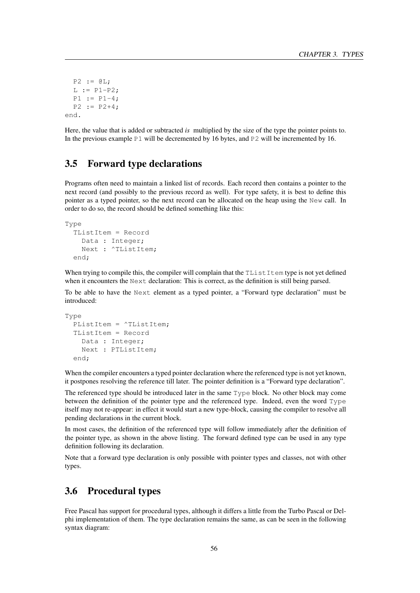$P2 := QL;$  $L := P1-P2;$  $P1 := P1-4;$  $P2 := P2+4;$ end.

Here, the value that is added or subtracted *is* multiplied by the size of the type the pointer points to. In the previous example  $P1$  will be decremented by 16 bytes, and  $P2$  will be incremented by 16.

## 3.5 Forward type declarations

Programs often need to maintain a linked list of records. Each record then contains a pointer to the next record (and possibly to the previous record as well). For type safety, it is best to define this pointer as a typed pointer, so the next record can be allocated on the heap using the New call. In order to do so, the record should be defined something like this:

```
Type
  TListItem = Record
    Data : Integer;
    Next : ^TListItem;
  end;
```
When trying to compile this, the compiler will complain that the TListItem type is not yet defined when it encounters the Next declaration: This is correct, as the definition is still being parsed.

To be able to have the Next element as a typed pointer, a "Forward type declaration" must be introduced:

```
Type
 PListItem = ^TListItem;
 TListItem = Record
   Data : Integer;
   Next : PTListItem;
 end;
```
When the compiler encounters a typed pointer declaration where the referenced type is not yet known, it postpones resolving the reference till later. The pointer definition is a "Forward type declaration".

The referenced type should be introduced later in the same Type block. No other block may come between the definition of the pointer type and the referenced type. Indeed, even the word Type itself may not re-appear: in effect it would start a new type-block, causing the compiler to resolve all pending declarations in the current block.

In most cases, the definition of the referenced type will follow immediately after the definition of the pointer type, as shown in the above listing. The forward defined type can be used in any type definition following its declaration.

Note that a forward type declaration is only possible with pointer types and classes, not with other types.

# 3.6 Procedural types

Free Pascal has support for procedural types, although it differs a little from the Turbo Pascal or Delphi implementation of them. The type declaration remains the same, as can be seen in the following syntax diagram: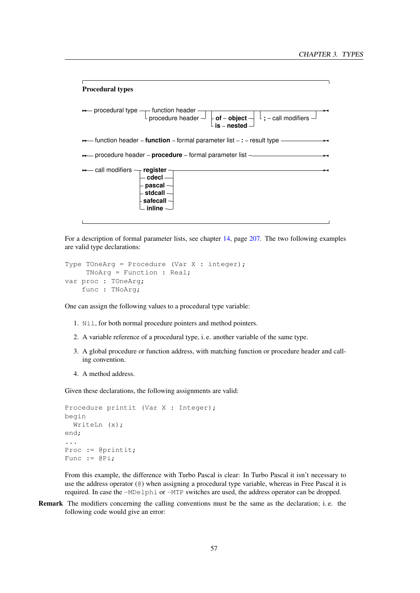| <b>Procedural types</b>                                                                                                                                                                                                       |
|-------------------------------------------------------------------------------------------------------------------------------------------------------------------------------------------------------------------------------|
| procedural type $\begin{array}{ c c c c c c c c c }\n\hline\n\text{procedure header} & \text{of} & \text{object} & \text{; -- call modifiers} \\ \hline\n\end{array}$                                                         |
| <b>EXECUTE:</b> function header – <b>function</b> – formal parameter list – : – result type –                                                                                                                                 |
| $\rightarrow$ procedure header – <b>procedure</b> – formal parameter list –                                                                                                                                                   |
| $\rightarrow$ call modifiers $\leftarrow$ register $\leftarrow$<br>$\leftarrow$ cdecl $\leftarrow$<br>$\leftarrow$ pascal $\leftarrow$<br>$\leftarrow$ stdcall $\leftarrow$<br>$\mathord{\vdash}$ safecall $\mathord{\dashv}$ |

For a description of formal parameter lists, see chapter [14,](#page-207-0) page [207.](#page-207-0) The two following examples are valid type declarations:

```
Type TOneArg = Procedure (Var X : integer);
     TNoArg = Function : Real;
var proc : TOneArg;
    func : TNoArg;
```
One can assign the following values to a procedural type variable:

- 1. Nil, for both normal procedure pointers and method pointers.
- 2. A variable reference of a procedural type, i. e. another variable of the same type.
- 3. A global procedure or function address, with matching function or procedure header and calling convention.
- 4. A method address.

Given these declarations, the following assignments are valid:

```
Procedure printit (Var X : Integer);
begin
  WriteLn (x);
end;
...
Proc := @printit;
Func := @Pi;
```
From this example, the difference with Turbo Pascal is clear: In Turbo Pascal it isn't necessary to use the address operator (@) when assigning a procedural type variable, whereas in Free Pascal it is required. In case the -MDelphi or -MTP switches are used, the address operator can be dropped.

Remark The modifiers concerning the calling conventions must be the same as the declaration; i. e. the following code would give an error: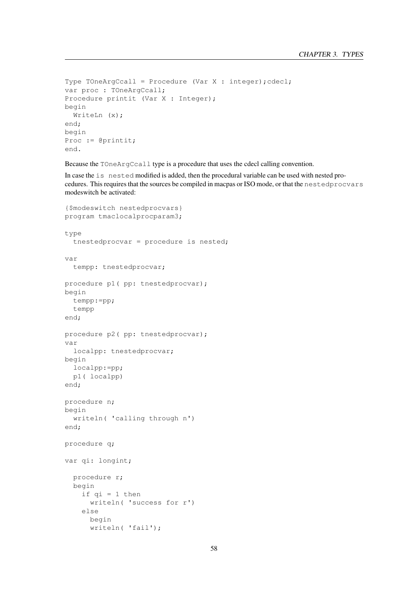```
Type TOneArgCcall = Procedure (Var X : integer);cdecl;
var proc : TOneArgCcall;
Procedure printit (Var X : Integer);
begin
  WriteLn (x);
end;
begin
Proc := @printit;
end.
```
Because the TOneArgCcall type is a procedure that uses the cdecl calling convention.

In case the is nested modified is added, then the procedural variable can be used with nested procedures. This requires that the sources be compiled in macpas or ISO mode, or that the nestedprocvars modeswitch be activated:

```
{$modeswitch nestedprocvars}
program tmaclocalprocparam3;
type
  tnestedprocvar = procedure is nested;
var
  tempp: tnestedprocvar;
procedure p1( pp: tnestedprocvar);
begin
  tempp:=pp;
  tempp
end;
procedure p2( pp: tnestedprocvar);
var
 localpp: tnestedprocvar;
begin
 localpp:=pp;
 p1( localpp)
end;
procedure n;
begin
  writeln( 'calling through n')
end;
procedure q;
var qi: longint;
  procedure r;
  begin
    if qi = 1 then
      writeln( 'success for r')
    else
     begin
      writeln( 'fail');
```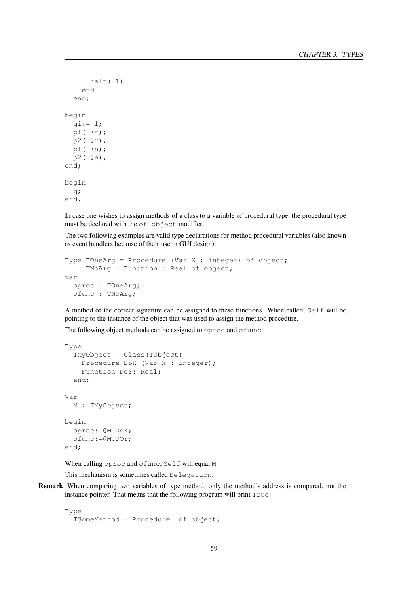```
halt( 1)
    end
  end;
begin
  qi:= 1;p1( @r);
  p2( @r);
  p1( @n);
  p2( @n);
end;
begin
  q;
end.
```
In case one wishes to assign methods of a class to a variable of procedural type, the procedural type must be declared with the of object modifier.

The two following examples are valid type declarations for method procedural variables (also known as event handlers because of their use in GUI design):

```
Type TOneArg = Procedure (Var X : integer) of object;
     TNoArg = Function : Real of object;
var
 oproc : TOneArg;
 ofunc : TNoArg;
```
A method of the correct signature can be assigned to these functions. When called, Self will be pointing to the instance of the object that was used to assign the method procedure.

The following object methods can be assigned to oproc and ofunc:

```
Type
  TMyObject = Class(TObject)
    Procedure DoX (Var X : integer);
    Function DoY: Real;
  end;
Var
 M : TMyObject;
begin
  oproc:=@M.DoX;
  ofunc:=@M.DOY;
end;
```
When calling oproc and ofunc, Self will equal M.

This mechanism is sometimes called Delegation.

Remark When comparing two variables of type method, only the method's address is compared, not the instance pointer. That means that the following program will print True:

Type TSomeMethod = Procedure of object;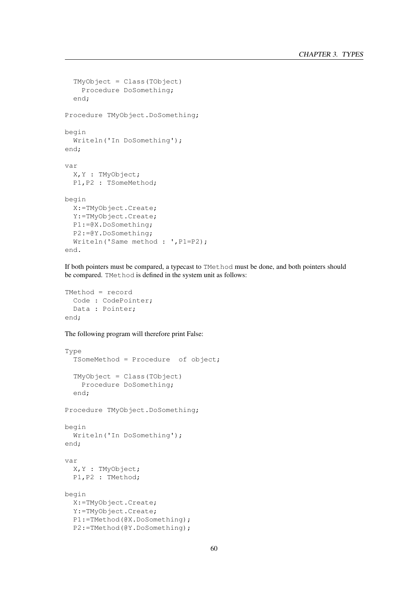```
TMyObject = Class(TObject)
    Procedure DoSomething;
  end;
Procedure TMyObject.DoSomething;
begin
 Writeln('In DoSomething');
end;
var
  X,Y : TMyObject;
 P1,P2 : TSomeMethod;
begin
 X:=TMyObject.Create;
 Y:=TMyObject.Create;
 P1:=@X.DoSomething;
  P2:=@Y.DoSomething;
  Writeln('Same method: ', P1=P2);
end.
```
If both pointers must be compared, a typecast to TMethod must be done, and both pointers should be compared. TMethod is defined in the system unit as follows:

```
TMethod = record
 Code : CodePointer;
 Data : Pointer;
end;
```
The following program will therefore print False:

```
Type
  TSomeMethod = Procedure of object;
  TMyObject = Class(TObject)
    Procedure DoSomething;
  end;
Procedure TMyObject.DoSomething;
begin
 Writeln('In DoSomething');
end;
var
 X,Y : TMyObject;
 P1,P2 : TMethod;
begin
 X:=TMyObject.Create;
 Y:=TMyObject.Create;
 P1:=TMethod(@X.DoSomething);
  P2:=TMethod(@Y.DoSomething);
```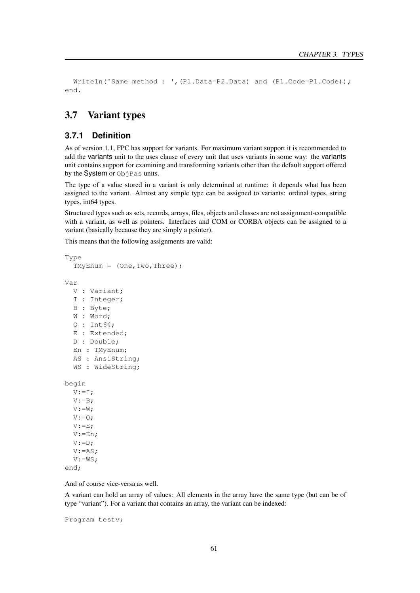Writeln('Same method : ', (P1.Data=P2.Data) and (P1.Code=P1.Code)); end.

# 3.7 Variant types

### **3.7.1 Definition**

As of version 1.1, FPC has support for variants. For maximum variant support it is recommended to add the variants unit to the uses clause of every unit that uses variants in some way: the variants unit contains support for examining and transforming variants other than the default support offered by the System or ObjPas units.

The type of a value stored in a variant is only determined at runtime: it depends what has been assigned to the variant. Almost any simple type can be assigned to variants: ordinal types, string types, int64 types.

Structured types such as sets, records, arrays, files, objects and classes are not assignment-compatible with a variant, as well as pointers. Interfaces and COM or CORBA objects can be assigned to a variant (basically because they are simply a pointer).

This means that the following assignments are valid:

```
Type
  TMyEnum = (One,Two,Three);
Var
  V : Variant;
  I : Integer;
  B : Byte;
  W : Word;
  Q : Int64;E : Extended;
  D : Double;
  En : TMyEnum;
  AS : AnsiString;
  WS : WideString;
begin
  V:={I};V:=B;V:=W;V:Q;V:=E;V:=En;
  V:=D;V: =AS;V := WS;end;
```
And of course vice-versa as well.

A variant can hold an array of values: All elements in the array have the same type (but can be of type "variant"). For a variant that contains an array, the variant can be indexed:

Program testv;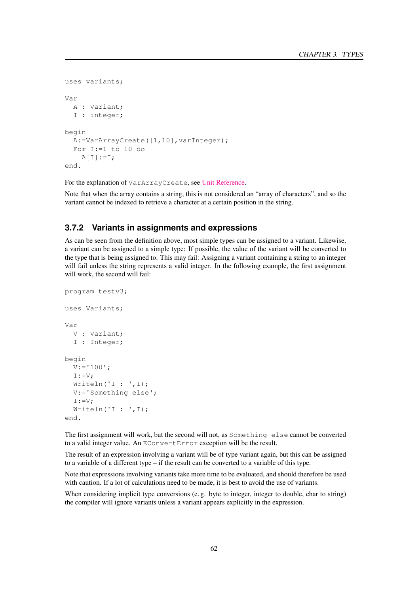```
uses variants;
Var
 A : Variant;
 I : integer;
begin
 A:=VarArrayCreate([1,10],varInteger);
 For I:=1 to 10 do
    A[T]:=I;end.
```
For the explanation of VarArrayCreate, see [Unit Reference.](../rtl/index.html)

Note that when the array contains a string, this is not considered an "array of characters", and so the variant cannot be indexed to retrieve a character at a certain position in the string.

### **3.7.2 Variants in assignments and expressions**

As can be seen from the definition above, most simple types can be assigned to a variant. Likewise, a variant can be assigned to a simple type: If possible, the value of the variant will be converted to the type that is being assigned to. This may fail: Assigning a variant containing a string to an integer will fail unless the string represents a valid integer. In the following example, the first assignment will work, the second will fail:

```
program testv3;
uses Variants;
Var
 V : Variant;
  I : Integer;
begin
 V:={}'100';
  I:=\vee:
  Writeln('I : ',I);
  V:='Something else';
  I:=V;Writeln('I : ',I);
end.
```
The first assignment will work, but the second will not, as Something else cannot be converted to a valid integer value. An EConvertError exception will be the result.

The result of an expression involving a variant will be of type variant again, but this can be assigned to a variable of a different type – if the result can be converted to a variable of this type.

Note that expressions involving variants take more time to be evaluated, and should therefore be used with caution. If a lot of calculations need to be made, it is best to avoid the use of variants.

When considering implicit type conversions (e.g. byte to integer, integer to double, char to string) the compiler will ignore variants unless a variant appears explicitly in the expression.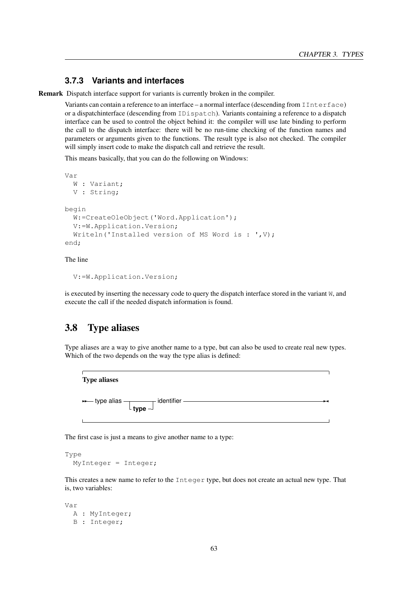### **3.7.3 Variants and interfaces**

Remark Dispatch interface support for variants is currently broken in the compiler.

Variants can contain a reference to an interface – a normal interface (descending from  $IInterface$ ) or a dispatchinterface (descending from IDispatch). Variants containing a reference to a dispatch interface can be used to control the object behind it: the compiler will use late binding to perform the call to the dispatch interface: there will be no run-time checking of the function names and parameters or arguments given to the functions. The result type is also not checked. The compiler will simply insert code to make the dispatch call and retrieve the result.

This means basically, that you can do the following on Windows:

```
Var
 W : Variant:
 V : String;
begin
 W:=CreateOleObject('Word.Application');
 V:=W.Application.Version;
 Writeln('Installed version of MS Word is : ', V);
end;
```
### The line

V:=W.Application.Version;

is executed by inserting the necessary code to query the dispatch interface stored in the variant W, and execute the call if the needed dispatch information is found.

# 3.8 Type aliases

Type aliases are a way to give another name to a type, but can also be used to create real new types. Which of the two depends on the way the type alias is defined:

Type aliases – type alias –  $\overline{\mathbb{L}}$ type  $\overline{\mathbb{L}}$  $\top$  identifier -

The first case is just a means to give another name to a type:

Type MyInteger = Integer;

This creates a new name to refer to the Integer type, but does not create an actual new type. That is, two variables:

Var A : MyInteger; B : Integer;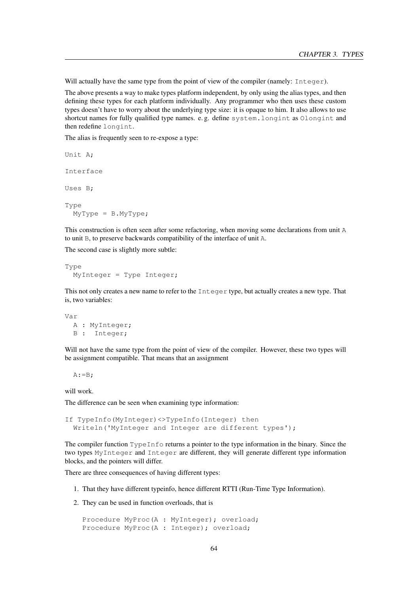Will actually have the same type from the point of view of the compiler (namely: Integer).

The above presents a way to make types platform independent, by only using the alias types, and then defining these types for each platform individually. Any programmer who then uses these custom types doesn't have to worry about the underlying type size: it is opaque to him. It also allows to use shortcut names for fully qualified type names. e. g. define system.longint as Olongint and then redefine longint.

The alias is frequently seen to re-expose a type:

```
Unit A;
Interface
Uses B;
Type
 MyType = B.WType;
```
This construction is often seen after some refactoring, when moving some declarations from unit A to unit B, to preserve backwards compatibility of the interface of unit A.

The second case is slightly more subtle:

```
Type
 MyInteger = Type Integer;
```
This not only creates a new name to refer to the Integer type, but actually creates a new type. That is, two variables:

Var A : MyInteger; B : Integer;

Will not have the same type from the point of view of the compiler. However, these two types will be assignment compatible. That means that an assignment

 $A:=B$ ;

will work.

The difference can be seen when examining type information:

```
If TypeInfo(MyInteger)<>TypeInfo(Integer) then
 Writeln('MyInteger and Integer are different types');
```
The compiler function  $TypeInfo$  returns a pointer to the type information in the binary. Since the two types MyInteger and Integer are different, they will generate different type information blocks, and the pointers will differ.

There are three consequences of having different types:

- 1. That they have different typeinfo, hence different RTTI (Run-Time Type Information).
- 2. They can be used in function overloads, that is

```
Procedure MyProc(A : MyInteger); overload;
Procedure MyProc(A : Integer); overload;
```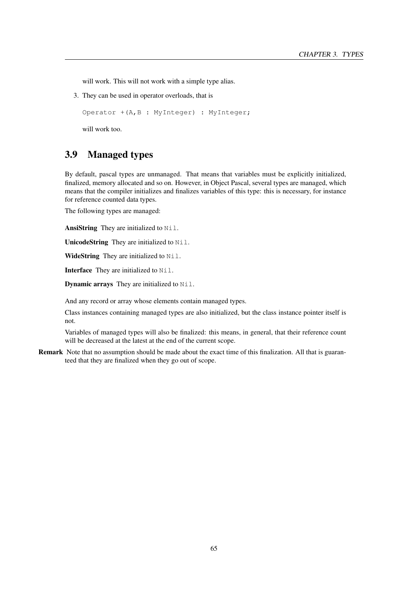will work. This will not work with a simple type alias.

3. They can be used in operator overloads, that is

Operator +(A,B : MyInteger) : MyInteger;

will work too.

# <span id="page-65-0"></span>3.9 Managed types

By default, pascal types are unmanaged. That means that variables must be explicitly initialized, finalized, memory allocated and so on. However, in Object Pascal, several types are managed, which means that the compiler initializes and finalizes variables of this type: this is necessary, for instance for reference counted data types.

The following types are managed:

AnsiString They are initialized to Nil.

UnicodeString They are initialized to Nil.

WideString They are initialized to Nil.

Interface They are initialized to Nil.

Dynamic arrays They are initialized to Nil.

And any record or array whose elements contain managed types.

Class instances containing managed types are also initialized, but the class instance pointer itself is not.

Variables of managed types will also be finalized: this means, in general, that their reference count will be decreased at the latest at the end of the current scope.

Remark Note that no assumption should be made about the exact time of this finalization. All that is guaranteed that they are finalized when they go out of scope.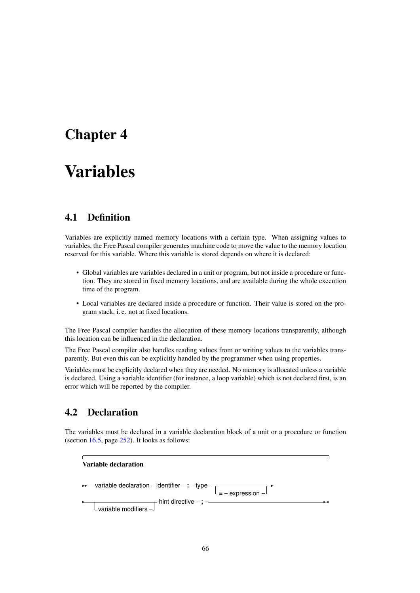# Chapter 4

# Variables

# 4.1 Definition

Variables are explicitly named memory locations with a certain type. When assigning values to variables, the Free Pascal compiler generates machine code to move the value to the memory location reserved for this variable. Where this variable is stored depends on where it is declared:

- Global variables are variables declared in a unit or program, but not inside a procedure or function. They are stored in fixed memory locations, and are available during the whole execution time of the program.
- Local variables are declared inside a procedure or function. Their value is stored on the program stack, i. e. not at fixed locations.

The Free Pascal compiler handles the allocation of these memory locations transparently, although this location can be influenced in the declaration.

The Free Pascal compiler also handles reading values from or writing values to the variables transparently. But even this can be explicitly handled by the programmer when using properties.

Variables must be explicitly declared when they are needed. No memory is allocated unless a variable is declared. Using a variable identifier (for instance, a loop variable) which is not declared first, is an error which will be reported by the compiler.

# 4.2 Declaration

The variables must be declared in a variable declaration block of a unit or a procedure or function (section [16.5,](#page-252-0) page [252\)](#page-252-0). It looks as follows:

| Variable declaration                                                                 |  |
|--------------------------------------------------------------------------------------|--|
| → variable declaration – identifier – : – type –<br>$\lfloor$ = – expression $\lnot$ |  |
| - hint directive - ; ----------<br>$\lfloor$ variable modifiers $\lceil$             |  |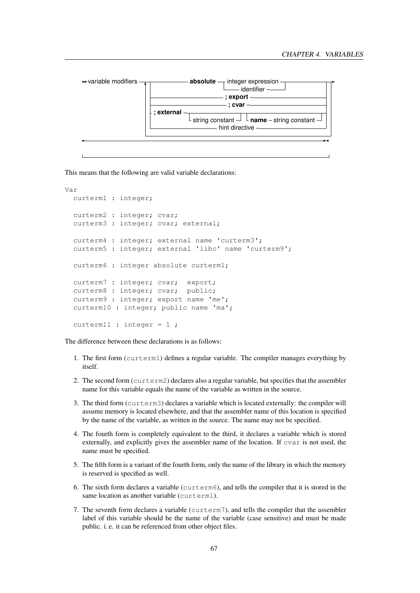

This means that the following are valid variable declarations:

```
Var
 curterm1 : integer;
 curterm2 : integer; cvar;
 curterm3 : integer; cvar; external;
 curterm4 : integer; external name 'curterm3';
 curterm5 : integer; external 'libc' name 'curterm9';
 curterm6 : integer absolute curterm1;
 curterm7 : integer; cvar; export;
 curterm8 : integer; cvar; public;
 curterm9 : integer; export name 'me';
 curterm10 : integer; public name 'ma';
 curterm11 : integer = 1;
```
The difference between these declarations is as follows:

- 1. The first form (curterm1) defines a regular variable. The compiler manages everything by itself.
- 2. The second form  $(\text{current})$  declares also a regular variable, but specifies that the assembler name for this variable equals the name of the variable as written in the source.
- 3. The third form (curterm3) declares a variable which is located externally: the compiler will assume memory is located elsewhere, and that the assembler name of this location is specified by the name of the variable, as written in the source. The name may not be specified.
- 4. The fourth form is completely equivalent to the third, it declares a variable which is stored externally, and explicitly gives the assembler name of the location. If cvar is not used, the name must be specified.
- 5. The fifth form is a variant of the fourth form, only the name of the library in which the memory is reserved is specified as well.
- 6. The sixth form declares a variable (curterm6), and tells the compiler that it is stored in the same location as another variable (curterm1).
- 7. The seventh form declares a variable (curterm7), and tells the compiler that the assembler label of this variable should be the name of the variable (case sensitive) and must be made public. i. e. it can be referenced from other object files.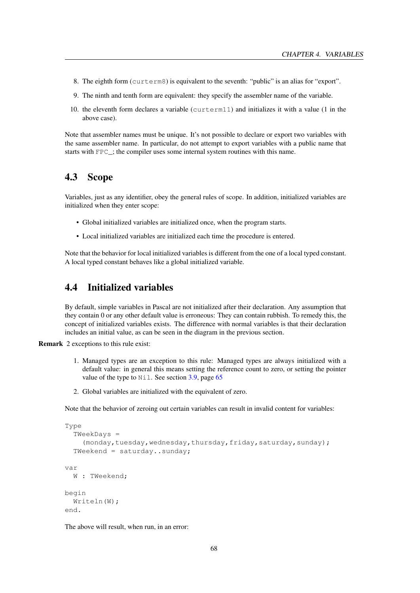- 8. The eighth form (curterm8) is equivalent to the seventh: "public" is an alias for "export".
- 9. The ninth and tenth form are equivalent: they specify the assembler name of the variable.
- 10. the eleventh form declares a variable (curterm11) and initializes it with a value (1 in the above case).

Note that assembler names must be unique. It's not possible to declare or export two variables with the same assembler name. In particular, do not attempt to export variables with a public name that starts with FPC ; the compiler uses some internal system routines with this name.

# 4.3 Scope

Variables, just as any identifier, obey the general rules of scope. In addition, initialized variables are initialized when they enter scope:

- Global initialized variables are initialized once, when the program starts.
- Local initialized variables are initialized each time the procedure is entered.

Note that the behavior for local initialized variables is different from the one of a local typed constant. A local typed constant behaves like a global initialized variable.

# 4.4 Initialized variables

By default, simple variables in Pascal are not initialized after their declaration. Any assumption that they contain 0 or any other default value is erroneous: They can contain rubbish. To remedy this, the concept of initialized variables exists. The difference with normal variables is that their declaration includes an initial value, as can be seen in the diagram in the previous section.

Remark 2 exceptions to this rule exist:

- 1. Managed types are an exception to this rule: Managed types are always initialized with a default value: in general this means setting the reference count to zero, or setting the pointer value of the type to Nil. See section [3.9,](#page-65-0) page [65](#page-65-0)
- 2. Global variables are initialized with the equivalent of zero.

Note that the behavior of zeroing out certain variables can result in invalid content for variables:

```
Type
  TWeekDays =
    (monday, tuesday, wednesday, thursday, friday, saturday, sunday);
  TWeekend = saturday..sunday;
var
  W : TWeekend;
begin
  Writeln(W);
end.
```
The above will result, when run, in an error: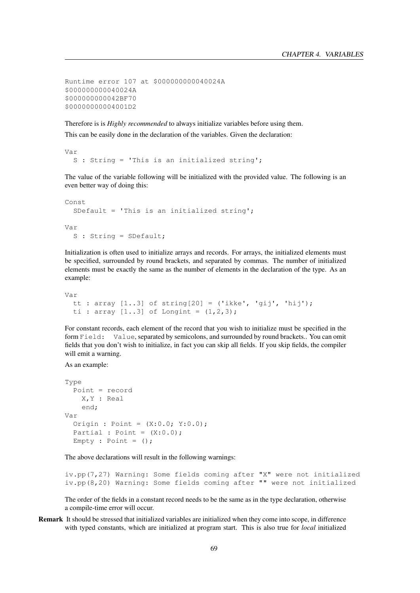```
Runtime error 107 at $000000000040024A
$000000000040024A
$000000000042BF70
$00000000004001D2
```
Therefore is is *Highly recommended* to always initialize variables before using them.

This can be easily done in the declaration of the variables. Given the declaration:

Var S : String = 'This is an initialized string';

The value of the variable following will be initialized with the provided value. The following is an even better way of doing this:

```
Const
 SDefault = 'This is an initialized string';
Var
 S : String = SDefault;
```
Initialization is often used to initialize arrays and records. For arrays, the initialized elements must be specified, surrounded by round brackets, and separated by commas. The number of initialized elements must be exactly the same as the number of elements in the declaration of the type. As an example:

```
Var
 tt : array [1..3] of string[20] = ('ikke', 'gij', 'hij');
 ti : array [1..3] of Longint = (1, 2, 3);
```
For constant records, each element of the record that you wish to initialize must be specified in the form Field: Value, separated by semicolons, and surrounded by round brackets.. You can omit fields that you don't wish to initialize, in fact you can skip all fields. If you skip fields, the compiler will emit a warning.

As an example:

```
Type
 Point = record
    X,Y : Real
    end;
Var
 Origin : Point = (X:0.0; Y:0.0);
 Partial : Point = (X:0.0);
 Empty : Point = ();
```
The above declarations will result in the following warnings:

```
iv.pp(7,27) Warning: Some fields coming after "X" were not initialized
iv.pp(8,20) Warning: Some fields coming after "" were not initialized
```
The order of the fields in a constant record needs to be the same as in the type declaration, otherwise a compile-time error will occur.

Remark It should be stressed that initialized variables are initialized when they come into scope, in difference with typed constants, which are initialized at program start. This is also true for *local* initialized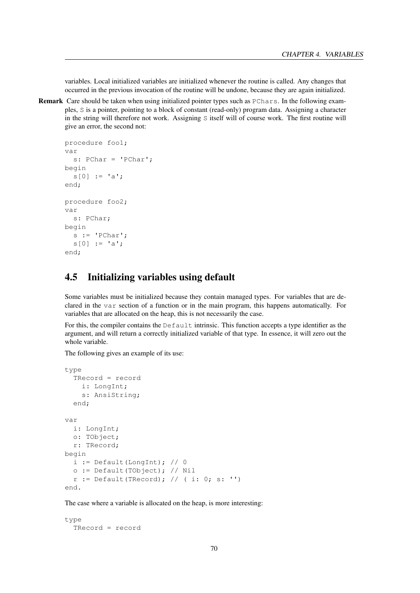variables. Local initialized variables are initialized whenever the routine is called. Any changes that occurred in the previous invocation of the routine will be undone, because they are again initialized.

Remark Care should be taken when using initialized pointer types such as PChars. In the following examples, S is a pointer, pointing to a block of constant (read-only) program data. Assigning a character in the string will therefore not work. Assigning S itself will of course work. The first routine will give an error, the second not:

```
procedure foo1;
var
 s: PChar = 'PChar';
begin
 s[0] := 'a';end;
procedure foo2;
var
  s: PChar;
begin
 s := 'PChar';s[0] := 'a';end;
```
# 4.5 Initializing variables using default

Some variables must be initialized because they contain managed types. For variables that are declared in the var section of a function or in the main program, this happens automatically. For variables that are allocated on the heap, this is not necessarily the case.

For this, the compiler contains the Default intrinsic. This function accepts a type identifier as the argument, and will return a correctly initialized variable of that type. In essence, it will zero out the whole variable.

The following gives an example of its use:

```
type
  TRecord = record
    i: LongInt;
    s: AnsiString;
  end;
var
  i: LongInt;
  o: TObject;
  r: TRecord;
begin
  i := \text{Default}(\text{LongInt}); // 0
  o := Default(TObject); // Nil
  r := \text{Default}(\text{Thecord}); // ( i: 0; s: '')
end.
```
The case where a variable is allocated on the heap, is more interesting:

type TRecord = record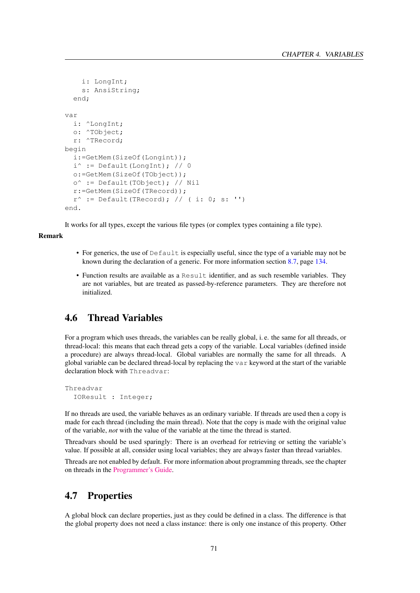```
i: LongInt;
    s: AnsiString;
 end;
var
 i: ^LongInt;
 o: ^TObject;
 r: ^TRecord;
begin
 i:=GetMem(SizeOf(Longint));
 i^* := Default (LongInt); // 0
 o:=GetMem(SizeOf(TObject));
 o^ := Default(TObject); // Nil
 r:=GetMem(SizeOf(TRecord));
 r^* := Default (TRecord); // ( i: 0; s: '')
end.
```
It works for all types, except the various file types (or complex types containing a file type).

#### Remark

- For generics, the use of  $Default$  is especially useful, since the type of a variable may not be known during the declaration of a generic. For more information section [8.7,](#page-134-0) page [134.](#page-134-0)
- Function results are available as a Result identifier, and as such resemble variables. They are not variables, but are treated as passed-by-reference parameters. They are therefore not initialized.

# 4.6 Thread Variables

For a program which uses threads, the variables can be really global, i. e. the same for all threads, or thread-local: this means that each thread gets a copy of the variable. Local variables (defined inside a procedure) are always thread-local. Global variables are normally the same for all threads. A global variable can be declared thread-local by replacing the var keyword at the start of the variable declaration block with Threadvar:

```
Threadvar
 IOResult : Integer;
```
If no threads are used, the variable behaves as an ordinary variable. If threads are used then a copy is made for each thread (including the main thread). Note that the copy is made with the original value of the variable, *not* with the value of the variable at the time the thread is started.

Threadvars should be used sparingly: There is an overhead for retrieving or setting the variable's value. If possible at all, consider using local variables; they are always faster than thread variables.

Threads are not enabled by default. For more information about programming threads, see the chapter on threads in the [Programmer's Guide.](../prog/prog.html)

## 4.7 Properties

A global block can declare properties, just as they could be defined in a class. The difference is that the global property does not need a class instance: there is only one instance of this property. Other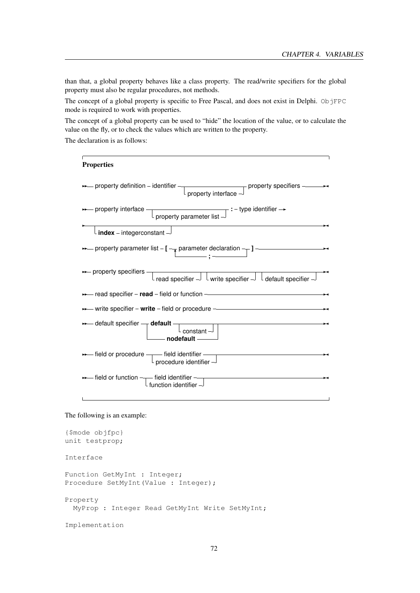than that, a global property behaves like a class property. The read/write specifiers for the global property must also be regular procedures, not methods.

The concept of a global property is specific to Free Pascal, and does not exist in Delphi. ObjFPC mode is required to work with properties.

The concept of a global property can be used to "hide" the location of the value, or to calculate the value on the fly, or to check the values which are written to the property.

The declaration is as follows:

| <b>Properties</b>                                                                                                             |
|-------------------------------------------------------------------------------------------------------------------------------|
| property definition – identifier – $\sqrt{\frac{1}{\text{property}}$ interface – property specifiers – $\rightarrow$          |
| → property interface $-\sqrt{\frac{1}{\text{property parameter list}}}}$ : - type identifier $\rightarrow$                    |
| $L$ index – integerconstant $-$                                                                                               |
| property parameter list $ \uparrow$ parameter declaration $\uparrow$ ] $\uparrow$                                             |
| property specifiers $\overline{\phantom{a}}$ read specifier $\overline{\phantom{a}}$ write specifier $\overline{\phantom{a}}$ |
| read specifier - read - field or function - The matter of the set of the set of the set of the set of the set o               |
|                                                                                                                               |
| $\rightarrow$ default specifier $\neg$ <b>default</b> $\neg$ <b>constant</b> $\neg$<br>— nodefault —                          |
| → field or procedure – field identifier –<br>procedure identifier –                                                           |
| $\rightarrow$ field or function $\leftarrow$ field identifier $\leftarrow$                                                    |

The following is an example:

```
{$mode objfpc}
unit testprop;
Interface
Function GetMyInt : Integer;
Procedure SetMyInt(Value : Integer);
Property
 MyProp : Integer Read GetMyInt Write SetMyInt;
Implementation
```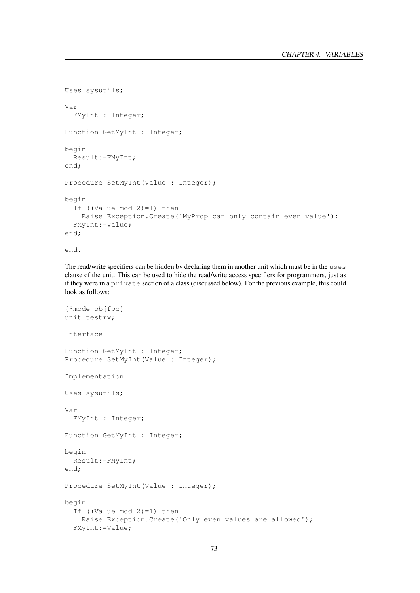```
Uses sysutils;
Var
 FMyInt : Integer;
Function GetMyInt : Integer;
begin
 Result:=FMyInt;
end;
Procedure SetMyInt(Value : Integer);
begin
  If ((Value mod 2) = 1) then
    Raise Exception.Create('MyProp can only contain even value');
  FMyInt:=Value;
end;
```

```
end.
```
The read/write specifiers can be hidden by declaring them in another unit which must be in the uses clause of the unit. This can be used to hide the read/write access specifiers for programmers, just as if they were in a private section of a class (discussed below). For the previous example, this could look as follows:

```
{$mode objfpc}
unit testrw;
Interface
Function GetMyInt : Integer;
Procedure SetMyInt(Value : Integer);
Implementation
Uses sysutils;
Var
  FMyInt : Integer;
Function GetMyInt : Integer;
begin
 Result:=FMyInt;
end;
Procedure SetMyInt(Value : Integer);
begin
  If ((Value mod 2) =1) then
   Raise Exception.Create('Only even values are allowed');
  FMyInt:=Value;
```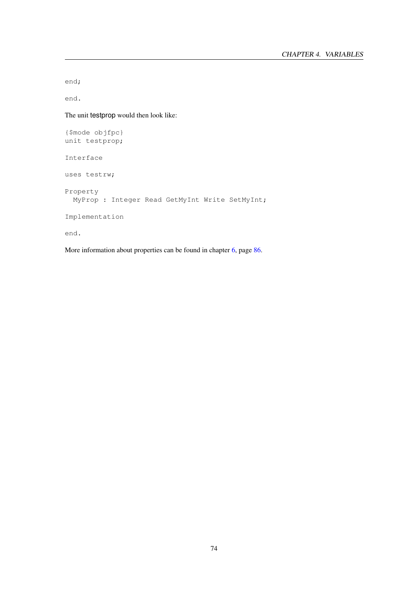end;

end.

## The unit testprop would then look like:

```
{$mode objfpc}
unit testprop;
Interface
uses testrw;
Property
 MyProp : Integer Read GetMyInt Write SetMyInt;
Implementation
end.
```
More information about properties can be found in chapter [6,](#page-86-0) page [86.](#page-86-0)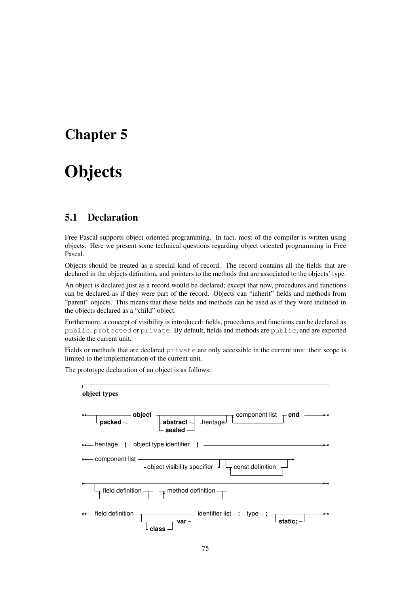# Chapter 5

# **Objects**

# 5.1 Declaration

Free Pascal supports object oriented programming. In fact, most of the compiler is written using objects. Here we present some technical questions regarding object oriented programming in Free Pascal.

Objects should be treated as a special kind of record. The record contains all the fields that are declared in the objects definition, and pointers to the methods that are associated to the objects' type.

An object is declared just as a record would be declared; except that now, procedures and functions can be declared as if they were part of the record. Objects can "inherit" fields and methods from "parent" objects. This means that these fields and methods can be used as if they were included in the objects declared as a "child" object.

Furthermore, a concept of visibility is introduced: fields, procedures and functions can be declared as public, protected or private. By default, fields and methods are public, and are exported outside the current unit.

Fields or methods that are declared private are only accessible in the current unit: their scope is limited to the implementation of the current unit.

The prototype declaration of an object is as follows:

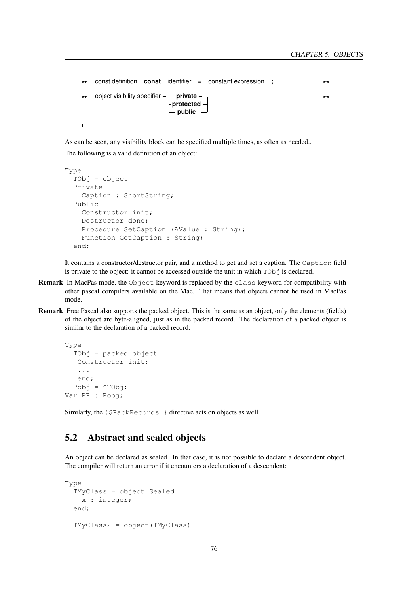**★** const definition – **const** – identifier – = – constant expression – ; → **► object visibility specifier – private protected public**  $\sim$ 

As can be seen, any visibility block can be specified multiple times, as often as needed..

The following is a valid definition of an object:

```
Type
 TObj = object
 Private
    Caption : ShortString;
 Public
    Constructor init;
    Destructor done;
    Procedure SetCaption (AValue : String);
    Function GetCaption : String;
 end;
```
It contains a constructor/destructor pair, and a method to get and set a caption. The Caption field is private to the object: it cannot be accessed outside the unit in which  $TOD$  is declared.

- Remark In MacPas mode, the Object keyword is replaced by the class keyword for compatibility with other pascal compilers available on the Mac. That means that objects cannot be used in MacPas mode.
- Remark Free Pascal also supports the packed object. This is the same as an object, only the elements (fields) of the object are byte-aligned, just as in the packed record. The declaration of a packed object is similar to the declaration of a packed record:

```
Type
  TObj = packed object
   Constructor init;
   ...
   end;
  Pobj = \text{`TOb}j;Var PP : Pobj;
```
Similarly, the {\$PackRecords } directive acts on objects as well.

# 5.2 Abstract and sealed objects

An object can be declared as sealed. In that case, it is not possible to declare a descendent object. The compiler will return an error if it encounters a declaration of a descendent:

```
Type
 TMyClass = object Sealed
   x : integer;
 end;
 TMyClass2 = object(TMyClass)
```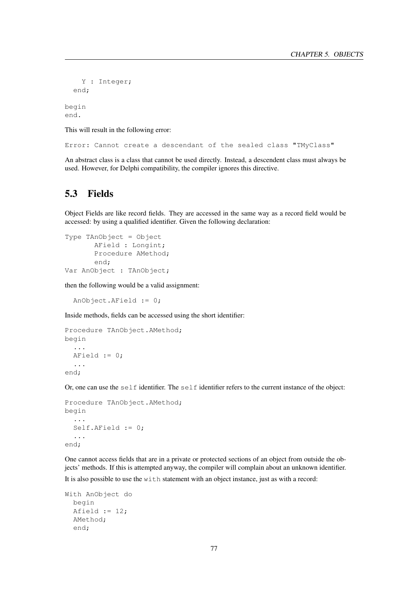```
Y : Integer;
  end;
begin
end.
```
This will result in the following error:

Error: Cannot create a descendant of the sealed class "TMyClass"

An abstract class is a class that cannot be used directly. Instead, a descendent class must always be used. However, for Delphi compatibility, the compiler ignores this directive.

# 5.3 Fields

Object Fields are like record fields. They are accessed in the same way as a record field would be accessed: by using a qualified identifier. Given the following declaration:

```
Type TAnObject = Object
       AField : Longint;
       Procedure AMethod;
       end;
Var AnObject : TAnObject;
```
then the following would be a valid assignment:

AnObject.AField := 0;

Inside methods, fields can be accessed using the short identifier:

```
Procedure TAnObject.AMethod;
begin
  ...
  AField := 0;
  ...
end;
```
Or, one can use the self identifier. The self identifier refers to the current instance of the object:

```
Procedure TAnObject.AMethod;
begin
  ...
 Self.AField := 0;
  ...
end;
```
One cannot access fields that are in a private or protected sections of an object from outside the objects' methods. If this is attempted anyway, the compiler will complain about an unknown identifier.

It is also possible to use the with statement with an object instance, just as with a record:

```
With AnObject do
 begin
 Afield := 12;AMethod;
 end;
```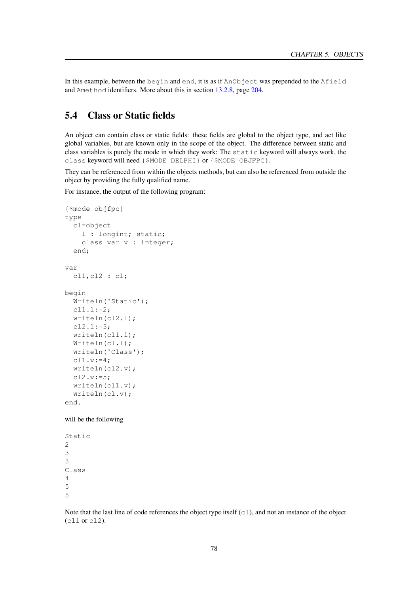In this example, between the begin and end, it is as if AnObject was prepended to the Afield and Amethod identifiers. More about this in section [13.2.8,](#page-204-0) page [204.](#page-204-0)

# 5.4 Class or Static fields

An object can contain class or static fields: these fields are global to the object type, and act like global variables, but are known only in the scope of the object. The difference between static and class variables is purely the mode in which they work: The static keyword will always work, the class keyword will need {\$MODE DELPHI} or {\$MODE OBJFPC}.

They can be referenced from within the objects methods, but can also be referenced from outside the object by providing the fully qualified name.

For instance, the output of the following program:

```
{$mode objfpc}
type
  cl=object
    l : longint; static;
    class var v : integer;
  end;
var
  cl1,cl2 : cl;
begin
 Writeln('Static');
  cl1.l:=2;writeln(cl2.l);
 c12.1:=3;
  writeln(cl1.l);
  Writeln(cl.l);
  Writeln('Class');
  c11.v:=4;writeln(cl2.v);
  cl2.v:=5;writeln(cl1.v);
  Writeln(cl.v);
end.
```
will be the following

Note that the last line of code references the object type itself (c1), and not an instance of the object (cl1 or cl2).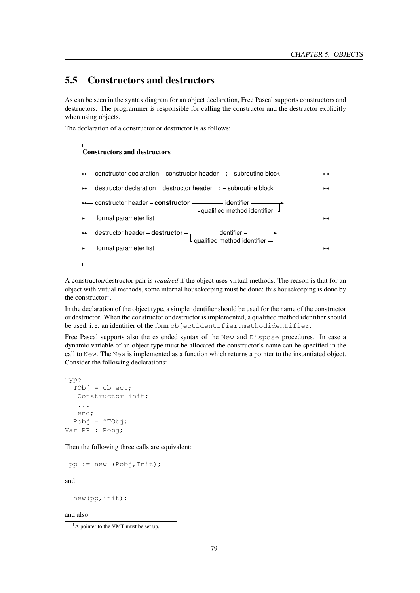# 5.5 Constructors and destructors

As can be seen in the syntax diagram for an object declaration, Free Pascal supports constructors and destructors. The programmer is responsible for calling the constructor and the destructor explicitly when using objects.

The declaration of a constructor or destructor is as follows:

| <b>Constructors and destructors</b>                                                                                                                                                                                                                                                                                                      |
|------------------------------------------------------------------------------------------------------------------------------------------------------------------------------------------------------------------------------------------------------------------------------------------------------------------------------------------|
| $\rightarrow$ constructor declaration – constructor header –; – subroutine block –——————                                                                                                                                                                                                                                                 |
| → destructor declaration – destructor header – : – subroutine block ––––––––––––                                                                                                                                                                                                                                                         |
| → constructor header – constructor – identifier – identifier – constructor – qualified method identifier –                                                                                                                                                                                                                               |
| $\rightarrow$ destructor header - <b>destructor</b> - $\begin{array}{c} \hline \end{array}$ dentifier -<br>► formal parameter list – The Communication of the Communication of the Communication of the Communication of the Communication of the Communication of the Communication of the Communication of the Communication of the Co |
|                                                                                                                                                                                                                                                                                                                                          |

A constructor/destructor pair is *required* if the object uses virtual methods. The reason is that for an object with virtual methods, some internal housekeeping must be done: this housekeeping is done by the constructor<sup>[1](#page-79-0)</sup>.

In the declaration of the object type, a simple identifier should be used for the name of the constructor or destructor. When the constructor or destructor is implemented, a qualified method identifier should be used, i. e. an identifier of the form objectidentifier.methodidentifier.

Free Pascal supports also the extended syntax of the New and Dispose procedures. In case a dynamic variable of an object type must be allocated the constructor's name can be specified in the call to New. The New is implemented as a function which returns a pointer to the instantiated object. Consider the following declarations:

```
Type
  TObj = object;
   Constructor init;
   ...
   end;
  Pobj = \triangle TObj;Var PP : Pobj;
```
Then the following three calls are equivalent:

pp := new (Pobj,Init);

and

new(pp,init);

#### and also

<span id="page-79-0"></span> $<sup>1</sup>A$  pointer to the VMT must be set up.</sup>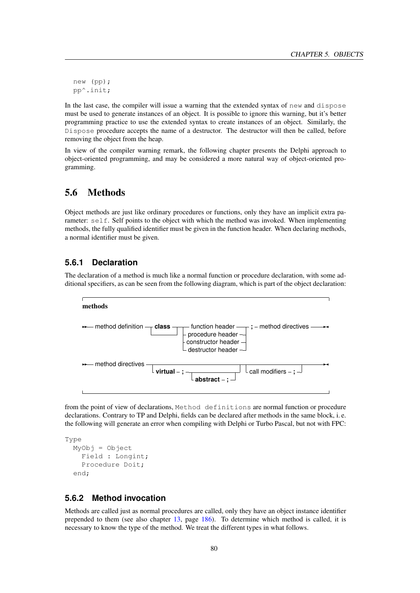new (pp); pp^.init;

In the last case, the compiler will issue a warning that the extended syntax of new and dispose must be used to generate instances of an object. It is possible to ignore this warning, but it's better programming practice to use the extended syntax to create instances of an object. Similarly, the Dispose procedure accepts the name of a destructor. The destructor will then be called, before removing the object from the heap.

In view of the compiler warning remark, the following chapter presents the Delphi approach to object-oriented programming, and may be considered a more natural way of object-oriented programming.

# 5.6 Methods

Object methods are just like ordinary procedures or functions, only they have an implicit extra parameter: self. Self points to the object with which the method was invoked. When implementing methods, the fully qualified identifier must be given in the function header. When declaring methods, a normal identifier must be given.

## **5.6.1 Declaration**

The declaration of a method is much like a normal function or procedure declaration, with some additional specifiers, as can be seen from the following diagram, which is part of the object declaration:



from the point of view of declarations, Method definitions are normal function or procedure declarations. Contrary to TP and Delphi, fields can be declared after methods in the same block, i. e. the following will generate an error when compiling with Delphi or Turbo Pascal, but not with FPC:

```
Type
  MyObj = Object
   Field : Longint;
    Procedure Doit;
  end;
```
# **5.6.2 Method invocation**

Methods are called just as normal procedures are called, only they have an object instance identifier prepended to them (see also chapter [13,](#page-186-0) page [186\)](#page-186-0). To determine which method is called, it is necessary to know the type of the method. We treat the different types in what follows.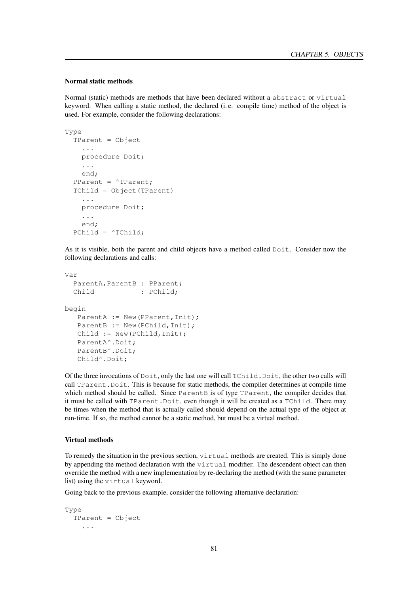#### Normal static methods

Normal (static) methods are methods that have been declared without a abstract or virtual keyword. When calling a static method, the declared (i. e. compile time) method of the object is used. For example, consider the following declarations:

```
Type
  TParent = Object
    ...
    procedure Doit;
    ...
    end;
  PParent = ^TParent;
  TChild = Object(TParent)
    ...
    procedure Doit;
    ...
    end;
  PChild = ^{\wedge}TChild;
```
As it is visible, both the parent and child objects have a method called Doit. Consider now the following declarations and calls:

```
Var
 ParentA, ParentB : PParent;
 Child : PChild;
begin
  ParentA := New(PParent, Init);
  ParentB := New(PChild, Init);
  Child := New(PChild,Init);
  ParentA^.Doit;
  ParentB^.Doit;
  Child^.Doit;
```
Of the three invocations of  $Doint$ , only the last one will call  $TChild$ .  $Doit$ , the other two calls will call TParent.Doit. This is because for static methods, the compiler determines at compile time which method should be called. Since ParentB is of type TParent, the compiler decides that it must be called with TParent.Doit, even though it will be created as a TChild. There may be times when the method that is actually called should depend on the actual type of the object at run-time. If so, the method cannot be a static method, but must be a virtual method.

#### Virtual methods

To remedy the situation in the previous section,  $virtual$  methods are created. This is simply done by appending the method declaration with the virtual modifier. The descendent object can then override the method with a new implementation by re-declaring the method (with the same parameter list) using the virtual keyword.

Going back to the previous example, consider the following alternative declaration:

```
Type
  TParent = Object
    ...
```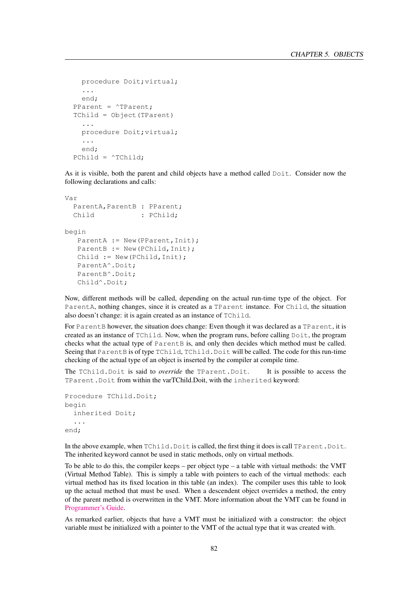```
procedure Doit;virtual;
  ...
  end;
PParent = ^TParent;
TChild = Object(TParent)
  ...
  procedure Doit;virtual;
  ...
  end;
PChild = ^{\wedge}TChild;
```
As it is visible, both the parent and child objects have a method called Doit. Consider now the following declarations and calls:

```
Var
 ParentA, ParentB : PParent;
 Child : PChild;
begin
```

```
ParentA := New(PParent, Init);
ParentB := New(PChild, Init);
Child := New(PChild,Init);
ParentA^.Doit;
ParentB^.Doit;
Child^.Doit;
```
Now, different methods will be called, depending on the actual run-time type of the object. For ParentA, nothing changes, since it is created as a TParent instance. For Child, the situation also doesn't change: it is again created as an instance of TChild.

For ParentB however, the situation does change: Even though it was declared as a TParent, it is created as an instance of TChild. Now, when the program runs, before calling Doit, the program checks what the actual type of Parent B is, and only then decides which method must be called. Seeing that ParentB is of type TChild, TChild.Doit will be called. The code for this run-time checking of the actual type of an object is inserted by the compiler at compile time.

The TChild.Doit is said to *override* the TParent.Doit. It is possible to access the TParent.Doit from within the varTChild.Doit, with the inherited keyword:

```
Procedure TChild.Doit;
begin
  inherited Doit;
  ...
end;
```
In the above example, when TChild.Doit is called, the first thing it does is call TParent.Doit. The inherited keyword cannot be used in static methods, only on virtual methods.

To be able to do this, the compiler keeps – per object type – a table with virtual methods: the VMT (Virtual Method Table). This is simply a table with pointers to each of the virtual methods: each virtual method has its fixed location in this table (an index). The compiler uses this table to look up the actual method that must be used. When a descendent object overrides a method, the entry of the parent method is overwritten in the VMT. More information about the VMT can be found in [Programmer's Guide.](../prog/prog.html)

As remarked earlier, objects that have a VMT must be initialized with a constructor: the object variable must be initialized with a pointer to the VMT of the actual type that it was created with.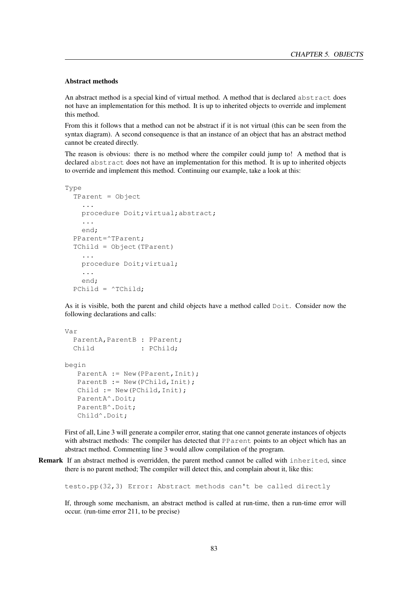### Abstract methods

An abstract method is a special kind of virtual method. A method that is declared abstract does not have an implementation for this method. It is up to inherited objects to override and implement this method.

From this it follows that a method can not be abstract if it is not virtual (this can be seen from the syntax diagram). A second consequence is that an instance of an object that has an abstract method cannot be created directly.

The reason is obvious: there is no method where the compiler could jump to! A method that is declared abstract does not have an implementation for this method. It is up to inherited objects to override and implement this method. Continuing our example, take a look at this:

```
Type
  TParent = Object
    ...
    procedure Doit;virtual;abstract;
    ...
    end;
  PParent=^TParent;
  TChild = Object(TParent)
    ...
    procedure Doit;virtual;
    ...
    end;
  PChild = \{TChild\}
```
As it is visible, both the parent and child objects have a method called Doit. Consider now the following declarations and calls:

```
Var
 ParentA, ParentB : PParent;
 Child : PChild;
begin
  ParentA := New(PParent, Init);
  ParentB := New(PChild, Init);
  Child := New (PChild, Init) ;
  ParentA^.Doit;
  ParentB^.Doit;
  Child^.Doit;
```
First of all, Line 3 will generate a compiler error, stating that one cannot generate instances of objects with abstract methods: The compiler has detected that PParent points to an object which has an abstract method. Commenting line 3 would allow compilation of the program.

Remark If an abstract method is overridden, the parent method cannot be called with inherited, since there is no parent method; The compiler will detect this, and complain about it, like this:

testo.pp(32,3) Error: Abstract methods can't be called directly

If, through some mechanism, an abstract method is called at run-time, then a run-time error will occur. (run-time error 211, to be precise)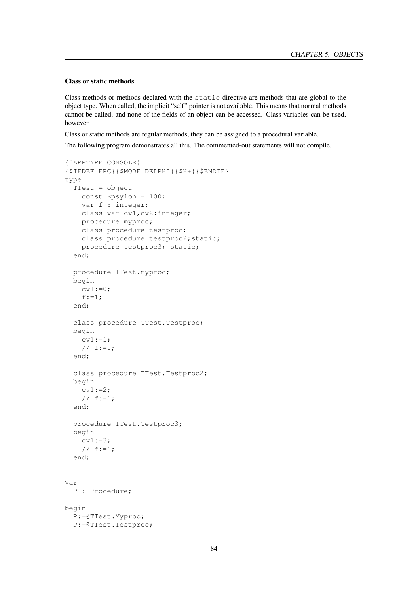#### Class or static methods

Class methods or methods declared with the static directive are methods that are global to the object type. When called, the implicit "self" pointer is not available. This means that normal methods cannot be called, and none of the fields of an object can be accessed. Class variables can be used, however.

Class or static methods are regular methods, they can be assigned to a procedural variable.

The following program demonstrates all this. The commented-out statements will not compile.

```
{$APPTYPE CONSOLE}
{$IFDEF FPC}{$MODE DELPHI}{$H+}{$ENDIF}
type
  TTest = object
    const Epsylon = 100;
    var f : integer;
    class var cv1, cv2: integer;
    procedure myproc;
    class procedure testproc;
    class procedure testproc2;static;
    procedure testproc3; static;
  end;
  procedure TTest.myproc;
  begin
    cv1:=0;
    f:=1;end;
  class procedure TTest.Testproc;
  begin
    cv1:=1;// f:=1;
  end;
  class procedure TTest.Testproc2;
  begin
    cv1:=2;// f:=1;end;
  procedure TTest.Testproc3;
  begin
    cv1:=3;// f:=1;end;
Var
 P : Procedure;
begin
 P:=@TTest.Myproc;
 P:=@TTest.Testproc;
```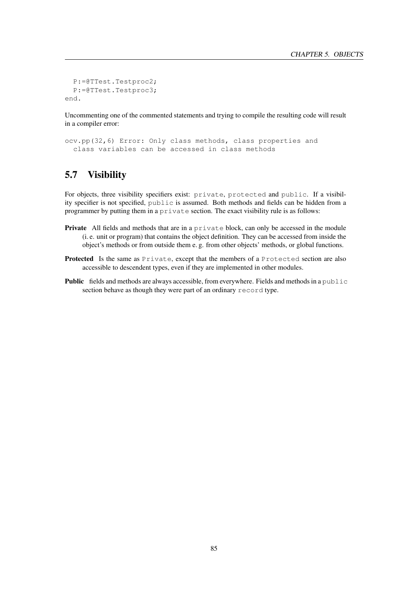```
P:=@TTest.Testproc2;
 P:=@TTest.Testproc3;
end.
```
Uncommenting one of the commented statements and trying to compile the resulting code will result in a compiler error:

```
ocv.pp(32,6) Error: Only class methods, class properties and
 class variables can be accessed in class methods
```
# 5.7 Visibility

For objects, three visibility specifiers exist: private, protected and public. If a visibility specifier is not specified, public is assumed. Both methods and fields can be hidden from a programmer by putting them in a private section. The exact visibility rule is as follows:

- Private All fields and methods that are in a private block, can only be accessed in the module (i. e. unit or program) that contains the object definition. They can be accessed from inside the object's methods or from outside them e. g. from other objects' methods, or global functions.
- Protected Is the same as Private, except that the members of a Protected section are also accessible to descendent types, even if they are implemented in other modules.
- **Public** fields and methods are always accessible, from everywhere. Fields and methods in a public section behave as though they were part of an ordinary record type.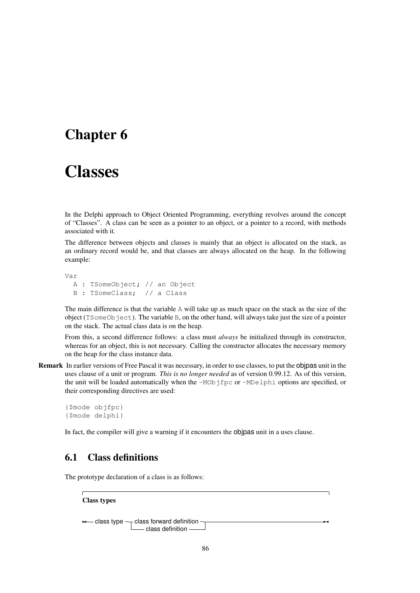# <span id="page-86-0"></span>Chapter 6

# **Classes**

In the Delphi approach to Object Oriented Programming, everything revolves around the concept of "Classes". A class can be seen as a pointer to an object, or a pointer to a record, with methods associated with it.

The difference between objects and classes is mainly that an object is allocated on the stack, as an ordinary record would be, and that classes are always allocated on the heap. In the following example:

Var A : TSomeObject; // an Object B : TSomeClass; // a Class

The main difference is that the variable  $A$  will take up as much space on the stack as the size of the object (TSomeObject). The variable B, on the other hand, will always take just the size of a pointer on the stack. The actual class data is on the heap.

From this, a second difference follows: a class must *always* be initialized through its constructor, whereas for an object, this is not necessary. Calling the constructor allocates the necessary memory on the heap for the class instance data.

Remark In earlier versions of Free Pascal it was necessary, in order to use classes, to put the objpas unit in the uses clause of a unit or program. *This is no longer needed* as of version 0.99.12. As of this version, the unit will be loaded automatically when the -MObjfpc or -MDelphi options are specified, or their corresponding directives are used:

```
{$mode objfpc}
{$mode delphi}
```
In fact, the compiler will give a warning if it encounters the objpas unit in a uses clause.

# 6.1 Class definitions

The prototype declaration of a class is as follows:

Class types  $\rightarrow$  class type  $-\tau$  class forward definition class definition ✲✛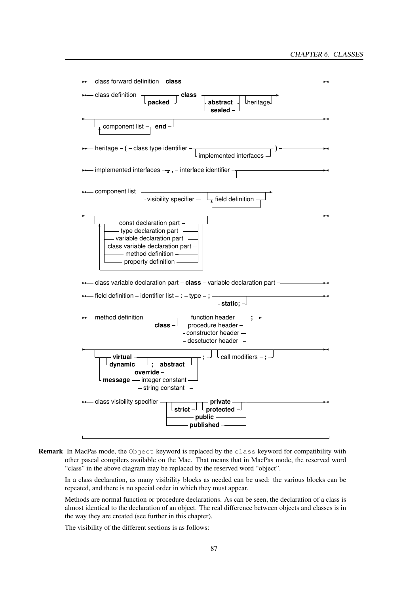| - class forward definition – <b>class</b>                                                                                                                                                                                                                                                                                                                |
|----------------------------------------------------------------------------------------------------------------------------------------------------------------------------------------------------------------------------------------------------------------------------------------------------------------------------------------------------------|
| class definition<br>class<br>Lheritage-<br>packed<br>abstract –<br>sealed                                                                                                                                                                                                                                                                                |
| $\frac{1}{\sqrt{2}}$ component list $-\frac{1}{\sqrt{2}}$ end $-\frac{1}{\sqrt{2}}$                                                                                                                                                                                                                                                                      |
| heritage - ( - class type identifier -<br>implemented interfaces                                                                                                                                                                                                                                                                                         |
| implemented interfaces $-\frac{1}{x}$ , - interface identifier -                                                                                                                                                                                                                                                                                         |
| component list<br>visibility specifier<br>$\mathbf r$ field definition -                                                                                                                                                                                                                                                                                 |
| - const declaration part –<br>- type declaration part -<br>- variable declaration part -<br>class variable declaration part -<br>- method definition-<br>- property definition -                                                                                                                                                                         |
| - class variable declaration part - class - variable declaration part -                                                                                                                                                                                                                                                                                  |
| $\rightarrow$ field definition – identifier list – : – type – ;<br>└ static: -                                                                                                                                                                                                                                                                           |
| - function header -<br>- method definition<br>class -<br>procedure header -<br>constructor header -<br>desctuctor header -                                                                                                                                                                                                                               |
| $L$ call modifiers - ; $-$<br>virtual<br>$\mathrel{\rule{0pt}{.05in} \rule{0pt}{1.5ex}}$ dynamic $\mathrel{-\mathrel{\rule{0pt}{.05in} \rule{0pt}{1.5ex}}}\mathrel{\rule{0pt}{.05in} \rule{0pt}{1.5ex}}$ $\mathrel{\rule{0pt}{.05in} \rule{0pt}{1.5ex}}$ abstract $\mathrel{-}$<br>—— override —<br>$message -T integer constant -$<br>string constant - |
| class visibility specifier -<br>private<br>$L$ protected $-$<br>$\mathrel{\mathsf{L}}$ strict $\mathrel{\mathsf{I}}$<br>public -<br>published -                                                                                                                                                                                                          |

Remark In MacPas mode, the Object keyword is replaced by the class keyword for compatibility with other pascal compilers available on the Mac. That means that in MacPas mode, the reserved word "class" in the above diagram may be replaced by the reserved word "object".

In a class declaration, as many visibility blocks as needed can be used: the various blocks can be repeated, and there is no special order in which they must appear.

Methods are normal function or procedure declarations. As can be seen, the declaration of a class is almost identical to the declaration of an object. The real difference between objects and classes is in the way they are created (see further in this chapter).

The visibility of the different sections is as follows: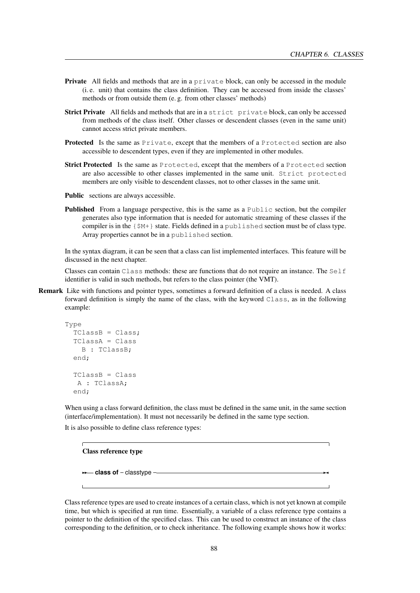- **Private** All fields and methods that are in a private block, can only be accessed in the module (i. e. unit) that contains the class definition. They can be accessed from inside the classes' methods or from outside them (e. g. from other classes' methods)
- Strict Private All fields and methods that are in a strict private block, can only be accessed from methods of the class itself. Other classes or descendent classes (even in the same unit) cannot access strict private members.
- Protected Is the same as Private, except that the members of a Protected section are also accessible to descendent types, even if they are implemented in other modules.
- Strict Protected Is the same as Protected, except that the members of a Protected section are also accessible to other classes implemented in the same unit. Strict protected members are only visible to descendent classes, not to other classes in the same unit.
- Public sections are always accessible.
- Published From a language perspective, this is the same as a Public section, but the compiler generates also type information that is needed for automatic streaming of these classes if the compiler is in the {\$M+} state. Fields defined in a published section must be of class type. Array properties cannot be in a published section.

In the syntax diagram, it can be seen that a class can list implemented interfaces. This feature will be discussed in the next chapter.

Classes can contain Class methods: these are functions that do not require an instance. The Self identifier is valid in such methods, but refers to the class pointer (the VMT).

Remark Like with functions and pointer types, sometimes a forward definition of a class is needed. A class forward definition is simply the name of the class, with the keyword Class, as in the following example:

```
Type
 TClassB = Class;TClassA = Class
   B : TClassB;
 end;
 TClassB = ClassA : TClassA;
 end;
```
When using a class forward definition, the class must be defined in the same unit, in the same section (interface/implementation). It must not necessarily be defined in the same type section.

It is also possible to define class reference types:

#### Class reference type

 $→$  **class of** - classtype —

Class reference types are used to create instances of a certain class, which is not yet known at compile time, but which is specified at run time. Essentially, a variable of a class reference type contains a pointer to the definition of the specified class. This can be used to construct an instance of the class corresponding to the definition, or to check inheritance. The following example shows how it works: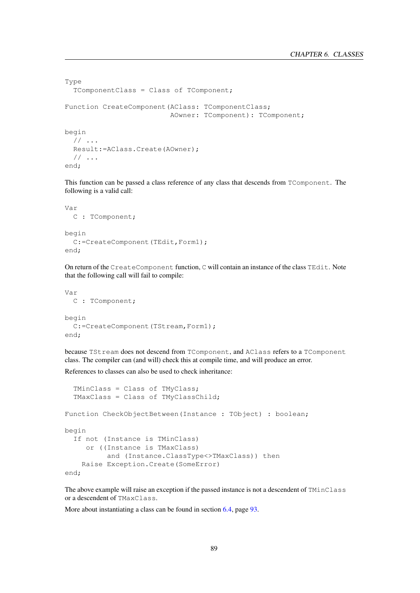```
Type
  TComponentClass = Class of TComponent;
Function CreateComponent(AClass: TComponentClass;
                         AOwner: TComponent): TComponent;
begin
  // ...
  Result:=AClass.Create(AOwner);
  // ...
end;
```
This function can be passed a class reference of any class that descends from TComponent. The following is a valid call:

```
Var
 C : TComponent;
begin
  C:=CreateComponent(TEdit,Form1);
end;
```
On return of the CreateComponent function, C will contain an instance of the class TEdit. Note that the following call will fail to compile:

```
Var
 C : TComponent;
begin
  C:=CreateComponent(TStream, Form1);
end;
```
because TStream does not descend from TComponent, and AClass refers to a TComponent class. The compiler can (and will) check this at compile time, and will produce an error.

References to classes can also be used to check inheritance:

```
TMinClass = Class of TMyClass;
 TMaxClass = Class of TMyClassChild;
Function CheckObjectBetween(Instance : TObject) : boolean;
begin
 If not (Instance is TMinClass)
     or ((Instance is TMaxClass)
          and (Instance.ClassType<>TMaxClass)) then
   Raise Exception.Create(SomeError)
end;
```
The above example will raise an exception if the passed instance is not a descendent of TMinClass or a descendent of TMaxClass.

More about instantiating a class can be found in section [6.4,](#page-93-0) page [93.](#page-93-0)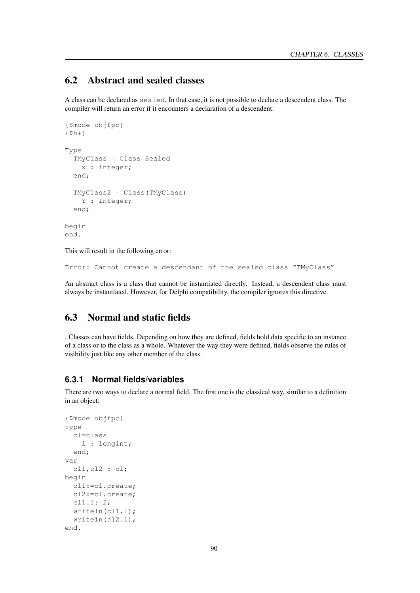# 6.2 Abstract and sealed classes

A class can be declared as sealed. In that case, it is not possible to declare a descendent class. The compiler will return an error if it encounters a declaration of a descendent:

```
{$mode objfpc}
{$h+}
Type
  TMyClass = Class Sealed
    x : integer;
  end;
  TMyClass2 = Class(TMyClass)
    Y : Integer;
  end;
begin
end.
```
This will result in the following error:

Error: Cannot create a descendant of the sealed class "TMyClass"

An abstract class is a class that cannot be instantiated directly. Instead, a descendent class must always be instantiated. However, for Delphi compatibility, the compiler ignores this directive.

# 6.3 Normal and static fields

. Classes can have fields. Depending on how they are defined, fields hold data specific to an instance of a class or to the class as a whole. Whatever the way they were defined, fields observe the rules of visibility just like any other member of the class.

## **6.3.1 Normal fields/variables**

There are two ways to declare a normal field. The first one is the classical way, similar to a definition in an object:

```
{$mode objfpc}
type
  cl=class
    l : longint;
  end;
var
  cl1,cl2 : cl;
begin
  cl1:=cl.create;
  cl2:=cl.create;
  cl1.l:=2;
  writeln(cl1.l);
  writeln(cl2.l);
end.
```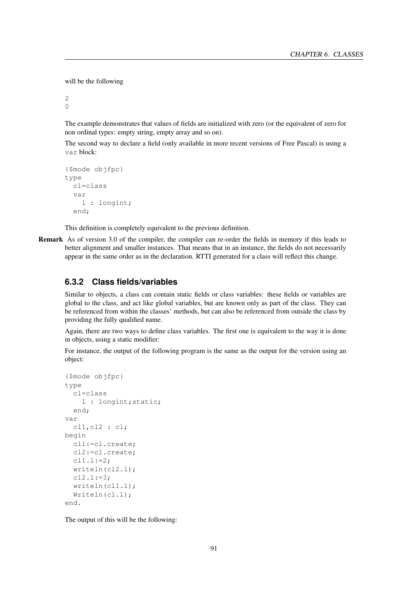will be the following

2  $\Omega$ 

The example demonstrates that values of fields are initialized with zero (or the equivalent of zero for non ordinal types: empty string, empty array and so on).

The second way to declare a field (only available in more recent versions of Free Pascal) is using a var block:

```
{$mode objfpc}
type
  cl=class
  var
    l : longint;
  end;
```
This definition is completely equivalent to the previous definition.

Remark As of version 3.0 of the compiler, the compiler can re-order the fields in memory if this leads to better alignment and smaller instances. That means that in an instance, the fields do not necessarily appear in the same order as in the declaration. RTTI generated for a class will reflect this change.

# **6.3.2 Class fields/variables**

Similar to objects, a class can contain static fields or class variables: these fields or variables are global to the class, and act like global variables, but are known only as part of the class. They can be referenced from within the classes' methods, but can also be referenced from outside the class by providing the fully qualified name.

Again, there are two ways to define class variables. The first one is equivalent to the way it is done in objects, using a static modifier:

For instance, the output of the following program is the same as the output for the version using an object:

```
{$mode objfpc}
type
  cl=class
    l : longint;static;
  end;
var
  cl1,cl2 : cl;
begin
  cl1:=cl.create;
  cl2:=cl.create;
  c11.1:=2;writeln(cl2.l);
  cl2.l:=3;
  writeln(cl1.l);
  Writeln(cl.l);
end.
```
The output of this will be the following: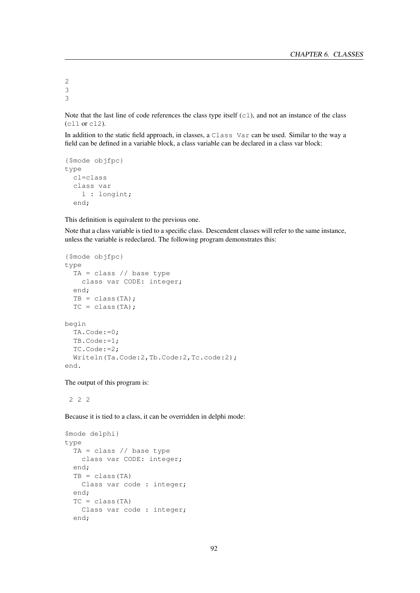2 3  $\overline{\mathcal{L}}$ 

Note that the last line of code references the class type itself  $(c_1)$ , and not an instance of the class (cl1 or cl2).

In addition to the static field approach, in classes, a Class Var can be used. Similar to the way a field can be defined in a variable block, a class variable can be declared in a class var block:

```
{$mode objfpc}
type
  cl=class
  class var
    l : longint;
  end;
```
This definition is equivalent to the previous one.

Note that a class variable is tied to a specific class. Descendent classes will refer to the same instance, unless the variable is redeclared. The following program demonstrates this:

```
{$mode objfpc}
type
  TA = class // base type
    class var CODE: integer;
  end;
  TB = class(TA);TC = class(TA);begin
  TA.Code:=0;
  TB.Code:=1;
  TC.Code:=2;
  Writeln(Ta.Code:2,Tb.Code:2,Tc.code:2);
end.
```
The output of this program is:

2 2 2

Because it is tied to a class, it can be overridden in delphi mode:

```
$mode delphi}
type
 TA = class // base type
   class var CODE: integer;
 end;
 TB = class(TA)Class var code : integer;
 end;
 TC = class(TA)
    Class var code : integer;
 end;
```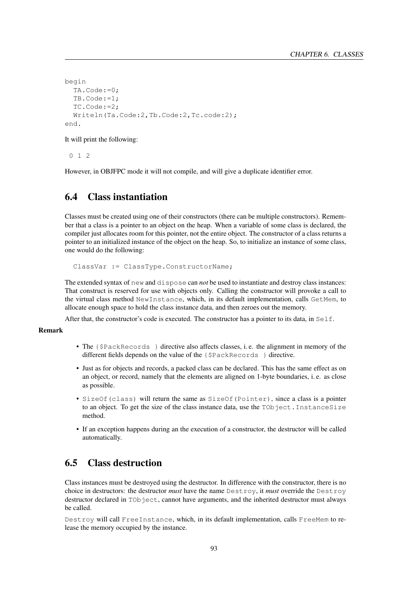```
begin
  TA.Code:=0;
  TB.Code:=1;
  TC.Code:=2;
  Writeln(Ta.Code:2,Tb.Code:2,Tc.code:2);
end.
```
#### It will print the following:

0 1 2

However, in OBJFPC mode it will not compile, and will give a duplicate identifier error.

# <span id="page-93-0"></span>6.4 Class instantiation

Classes must be created using one of their constructors (there can be multiple constructors). Remember that a class is a pointer to an object on the heap. When a variable of some class is declared, the compiler just allocates room for this pointer, not the entire object. The constructor of a class returns a pointer to an initialized instance of the object on the heap. So, to initialize an instance of some class, one would do the following:

ClassVar := ClassType.ConstructorName;

The extended syntax of new and dispose can *not* be used to instantiate and destroy class instances: That construct is reserved for use with objects only. Calling the constructor will provoke a call to the virtual class method NewInstance, which, in its default implementation, calls GetMem, to allocate enough space to hold the class instance data, and then zeroes out the memory.

After that, the constructor's code is executed. The constructor has a pointer to its data, in Self.

#### Remark

- The {\$PackRecords } directive also affects classes, i.e. the alignment in memory of the different fields depends on the value of the {\$PackRecords } directive.
- Just as for objects and records, a packed class can be declared. This has the same effect as on an object, or record, namely that the elements are aligned on 1-byte boundaries, i. e. as close as possible.
- SizeOf(class) will return the same as SizeOf(Pointer), since a class is a pointer to an object. To get the size of the class instance data, use the TObject. InstanceSize method.
- If an exception happens during an the execution of a constructor, the destructor will be called automatically.

# 6.5 Class destruction

Class instances must be destroyed using the destructor. In difference with the constructor, there is no choice in destructors: the destructor *must* have the name Destroy, it *must* override the Destroy destructor declared in  $TOb\text{ject}$ , cannot have arguments, and the inherited destructor must always be called.

Destroy will call FreeInstance, which, in its default implementation, calls FreeMem to release the memory occupied by the instance.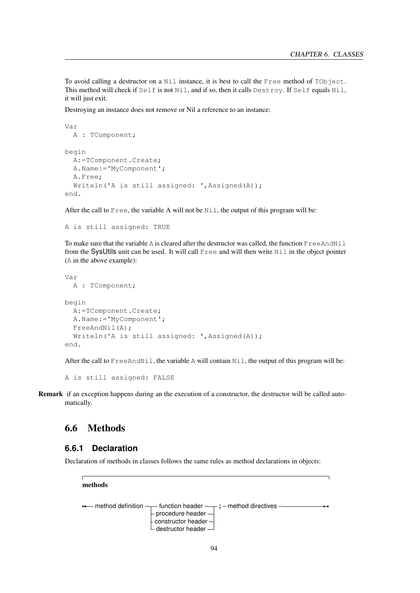To avoid calling a destructor on a Nil instance, it is best to call the Free method of TObject. This method will check if Self is not Nil, and if so, then it calls Destroy. If Self equals Nil, it will just exit.

Destroying an instance does not remove or Nil a reference to an instance:

```
Var
  A : TComponent;
begin
 A:=TComponent.Create;
 A.Name:='MyComponent';
  A.Free;
  Writeln('A is still assigned: ', Assigned(A));
end.
```
After the call to  $Free$ , the variable A will not be  $Nil$ , the output of this program will be:

```
A is still assigned: TRUE
```
To make sure that the variable A is cleared after the destructor was called, the function  $F$ reeAndNil from the SysUtils unit can be used. It will call Free and will then write Nil in the object pointer (A in the above example):

```
Var
 A : TComponent;
begin
 A:=TComponent.Create;
 A.Name:='MyComponent';
 FreeAndNil(A);
 Writeln('A is still assigned: ',Assigned(A));
end.
```
After the call to  $F$ reeAndNil, the variable A will contain Nil, the output of this program will be:

A is still assigned: FALSE

Remark if an exception happens during an the execution of a constructor, the destructor will be called automatically.

# 6.6 Methods

## **6.6.1 Declaration**

Declaration of methods in classes follows the same rules as method declarations in objects:

#### methods

```
► method definition -- function header -
                                       \mathrel{\mathop{\rule{0pt}{\mathop{\rule{0pt}{0.5pt}}}\nolimits\rule{0pt}{0.5pt}}}\, procedure header –
                                        constructor header
                                       L destructor header -
                                                                           _+ ; – method directives –
```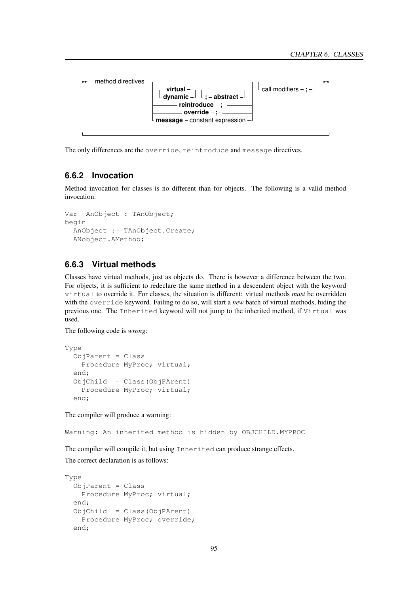

The only differences are the override, reintroduce and message directives.

## **6.6.2 Invocation**

Method invocation for classes is no different than for objects. The following is a valid method invocation:

```
Var AnObject : TAnObject;
begin
 AnObject := TAnObject.Create;
 ANobject.AMethod;
```
## **6.6.3 Virtual methods**

Classes have virtual methods, just as objects do. There is however a difference between the two. For objects, it is sufficient to redeclare the same method in a descendent object with the keyword virtual to override it. For classes, the situation is different: virtual methods *must* be overridden with the override keyword. Failing to do so, will start a *new* batch of virtual methods, hiding the previous one. The Inherited keyword will not jump to the inherited method, if Virtual was used.

The following code is *wrong*:

```
Type
 ObjParent = Class
   Procedure MyProc; virtual;
 end;
 ObjChild = Class(ObjectParent)Procedure MyProc; virtual;
 end;
```
The compiler will produce a warning:

Warning: An inherited method is hidden by OBJCHILD.MYPROC

The compiler will compile it, but using Inherited can produce strange effects.

The correct declaration is as follows:

```
Type
 ObjParent = Class
    Procedure MyProc; virtual;
 end;
 ObjChild = Class(ObjParent)Procedure MyProc; override;
 end;
```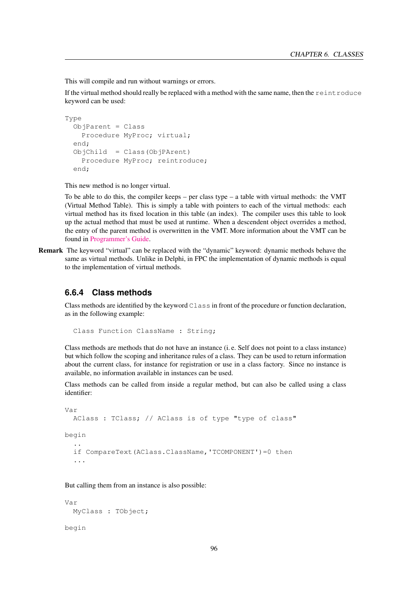This will compile and run without warnings or errors.

If the virtual method should really be replaced with a method with the same name, then the reintroduce keyword can be used:

```
Type
 ObjParent = Class
    Procedure MyProc; virtual;
 end;
 ObjChild = Class(ObjectParent)Procedure MyProc; reintroduce;
 end;
```
This new method is no longer virtual.

To be able to do this, the compiler keeps – per class type – a table with virtual methods: the VMT (Virtual Method Table). This is simply a table with pointers to each of the virtual methods: each virtual method has its fixed location in this table (an index). The compiler uses this table to look up the actual method that must be used at runtime. When a descendent object overrides a method, the entry of the parent method is overwritten in the VMT. More information about the VMT can be found in [Programmer's Guide.](../prog/prog.html)

Remark The keyword "virtual" can be replaced with the "dynamic" keyword: dynamic methods behave the same as virtual methods. Unlike in Delphi, in FPC the implementation of dynamic methods is equal to the implementation of virtual methods.

## **6.6.4 Class methods**

Class methods are identified by the keyword Class in front of the procedure or function declaration, as in the following example:

Class Function ClassName : String;

Class methods are methods that do not have an instance (i. e. Self does not point to a class instance) but which follow the scoping and inheritance rules of a class. They can be used to return information about the current class, for instance for registration or use in a class factory. Since no instance is available, no information available in instances can be used.

Class methods can be called from inside a regular method, but can also be called using a class identifier:

```
Var
 AClass : TClass; // AClass is of type "type of class"
begin
  ..
 if CompareText(AClass.ClassName,'TCOMPONENT')=0 then
  ...
```
But calling them from an instance is also possible:

```
Var
 MyClass : TObject;
```
begin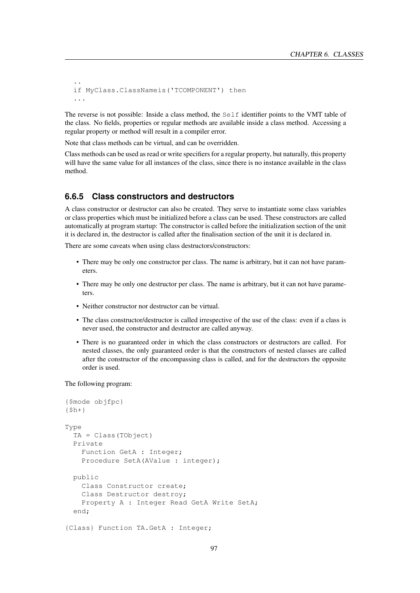```
..
if MyClass.ClassNameis('TCOMPONENT') then
...
```
The reverse is not possible: Inside a class method, the Self identifier points to the VMT table of the class. No fields, properties or regular methods are available inside a class method. Accessing a regular property or method will result in a compiler error.

Note that class methods can be virtual, and can be overridden.

Class methods can be used as read or write specifiers for a regular property, but naturally, this property will have the same value for all instances of the class, since there is no instance available in the class method.

## **6.6.5 Class constructors and destructors**

A class constructor or destructor can also be created. They serve to instantiate some class variables or class properties which must be initialized before a class can be used. These constructors are called automatically at program startup: The constructor is called before the initialization section of the unit it is declared in, the destructor is called after the finalisation section of the unit it is declared in.

There are some caveats when using class destructors/constructors:

- There may be only one constructor per class. The name is arbitrary, but it can not have parameters.
- There may be only one destructor per class. The name is arbitrary, but it can not have parameters.
- Neither constructor nor destructor can be virtual.
- The class constructor/destructor is called irrespective of the use of the class: even if a class is never used, the constructor and destructor are called anyway.
- There is no guaranteed order in which the class constructors or destructors are called. For nested classes, the only guaranteed order is that the constructors of nested classes are called after the constructor of the encompassing class is called, and for the destructors the opposite order is used.

The following program:

```
{$mode objfpc}
{5h+}Type
 TA = Class(TObject)
 Private
    Function GetA : Integer;
    Procedure SetA(AValue : integer);
 public
    Class Constructor create;
    Class Destructor destroy;
    Property A : Integer Read GetA Write SetA;
 end;
{Class} Function TA.GetA : Integer;
```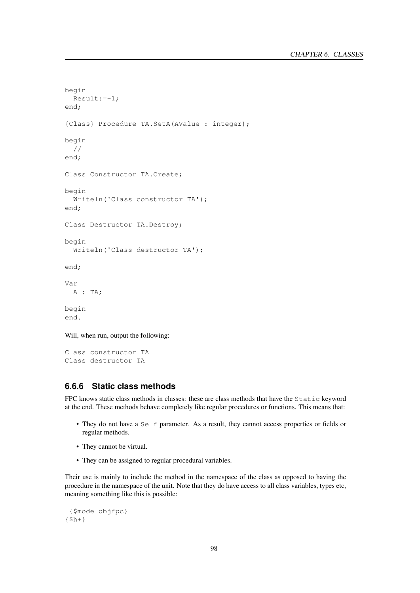```
begin
  Result:=-1;
end;
{Class} Procedure TA.SetA(AValue : integer);
begin
 //
end;
Class Constructor TA.Create;
begin
 Writeln('Class constructor TA');
end;
Class Destructor TA.Destroy;
begin
 Writeln('Class destructor TA');
end;
Var
 A : TA;
begin
end.
```
Will, when run, output the following:

Class constructor TA Class destructor TA

## **6.6.6 Static class methods**

FPC knows static class methods in classes: these are class methods that have the Static keyword at the end. These methods behave completely like regular procedures or functions. This means that:

- They do not have a Self parameter. As a result, they cannot access properties or fields or regular methods.
- They cannot be virtual.
- They can be assigned to regular procedural variables.

Their use is mainly to include the method in the namespace of the class as opposed to having the procedure in the namespace of the unit. Note that they do have access to all class variables, types etc, meaning something like this is possible:

```
{$mode objfpc}
{$h+}
```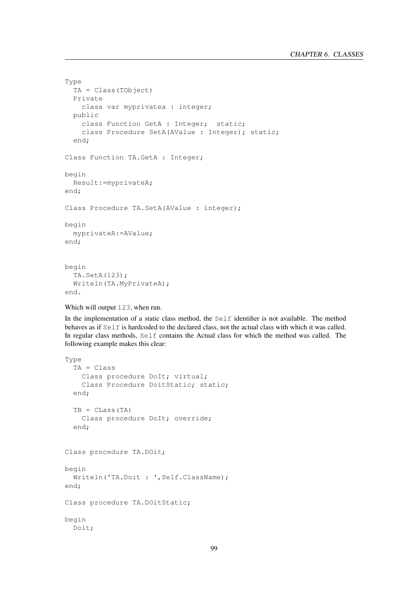```
Type
  TA = Class(TObject)
 Private
    class var myprivatea : integer;
  public
   class Function GetA : Integer; static;
    class Procedure SetA(AValue : Integer); static;
  end;
Class Function TA.GetA : Integer;
begin
 Result:=myprivateA;
end;
Class Procedure TA.SetA(AValue : integer);
begin
  myprivateA:=AValue;
end;
begin
  TA.SetA(123);
  Writeln(TA.MyPrivateA);
end.
```

```
Which will output 123, when run.
```
In the implementation of a static class method, the Self identifier is not available. The method behaves as if Self is hardcoded to the declared class, not the actual class with which it was called. In regular class methods, Self contains the Actual class for which the method was called. The following example makes this clear:

```
Type
  TA = Class
    Class procedure DoIt; virtual;
    Class Procedure DoitStatic; static;
  end;
  TB = CLASS(TA)Class procedure DoIt; override;
  end;
Class procedure TA.DOit;
begin
 Writeln('TA.Doit : ', Self.ClassName);
end;
Class procedure TA.DOitStatic;
begin
 Doit;
```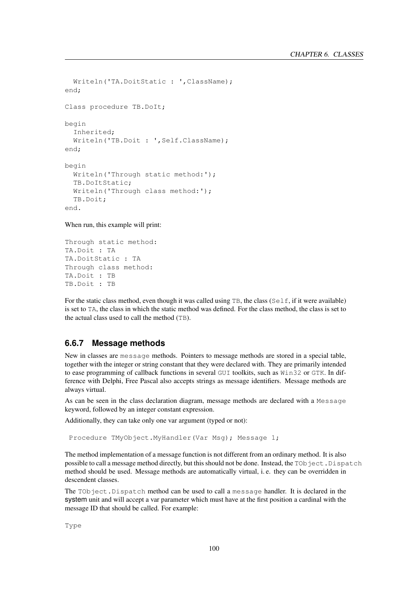```
Writeln('TA.DoitStatic : ',ClassName);
end;
Class procedure TB.DoIt;
begin
 Inherited;
 Writeln('TB.Doit : ',Self.ClassName);
end;
begin
 Writeln('Through static method:');
 TB.DoItStatic;
 Writeln('Through class method:');
 TB.Doit;
end.
```
When run, this example will print:

Through static method: TA.Doit : TA TA.DoitStatic : TA Through class method: TA.Doit : TB TB.Doit : TB

For the static class method, even though it was called using  $TB$ , the class ( $S \in Lf$ , if it were available) is set to TA, the class in which the static method was defined. For the class method, the class is set to the actual class used to call the method (TB).

## **6.6.7 Message methods**

New in classes are message methods. Pointers to message methods are stored in a special table, together with the integer or string constant that they were declared with. They are primarily intended to ease programming of callback functions in several GUI toolkits, such as Win32 or GTK. In difference with Delphi, Free Pascal also accepts strings as message identifiers. Message methods are always virtual.

As can be seen in the class declaration diagram, message methods are declared with a Message keyword, followed by an integer constant expression.

Additionally, they can take only one var argument (typed or not):

Procedure TMyObject.MyHandler(Var Msg); Message 1;

The method implementation of a message function is not different from an ordinary method. It is also possible to call a message method directly, but this should not be done. Instead, the TObject. Dispatch method should be used. Message methods are automatically virtual, i. e. they can be overridden in descendent classes.

The TObject.Dispatch method can be used to call a message handler. It is declared in the system unit and will accept a var parameter which must have at the first position a cardinal with the message ID that should be called. For example:

Type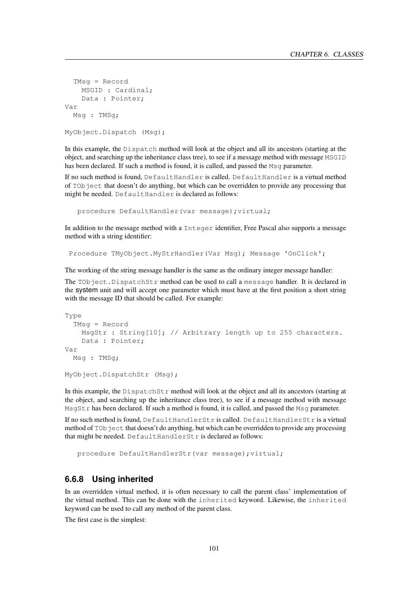```
TMsg = Record
   MSGID : Cardinal;
   Data : Pointer;
Var
 Msg : TMSg;
MyObject.Dispatch (Msg);
```
In this example, the Dispatch method will look at the object and all its ancestors (starting at the object, and searching up the inheritance class tree), to see if a message method with message MSGID has been declared. If such a method is found, it is called, and passed the Msg parameter.

If no such method is found, DefaultHandler is called. DefaultHandler is a virtual method of TObject that doesn't do anything, but which can be overridden to provide any processing that might be needed. DefaultHandler is declared as follows:

```
procedure DefaultHandler(var message); virtual;
```
In addition to the message method with a Integer identifier, Free Pascal also supports a message method with a string identifier:

Procedure TMyObject.MyStrHandler(Var Msg); Message 'OnClick';

The working of the string message handler is the same as the ordinary integer message handler:

The TObject. DispatchStr method can be used to call a message handler. It is declared in the system unit and will accept one parameter which must have at the first position a short string with the message ID that should be called. For example:

```
Type
 TMsg = Record
   MsgStr : String[10]; // Arbitrary length up to 255 characters.
    Data : Pointer;
Var
 Msg : TMSg;
MyObject.DispatchStr (Msg);
```
In this example, the DispatchStr method will look at the object and all its ancestors (starting at the object, and searching up the inheritance class tree), to see if a message method with message MsgStr has been declared. If such a method is found, it is called, and passed the Msg parameter.

If no such method is found, DefaultHandlerStr is called. DefaultHandlerStr is a virtual method of TOb ject that doesn't do anything, but which can be overridden to provide any processing that might be needed. DefaultHandlerStr is declared as follows:

procedure DefaultHandlerStr(var message);virtual;

## **6.6.8 Using inherited**

In an overridden virtual method, it is often necessary to call the parent class' implementation of the virtual method. This can be done with the inherited keyword. Likewise, the inherited keyword can be used to call any method of the parent class.

The first case is the simplest: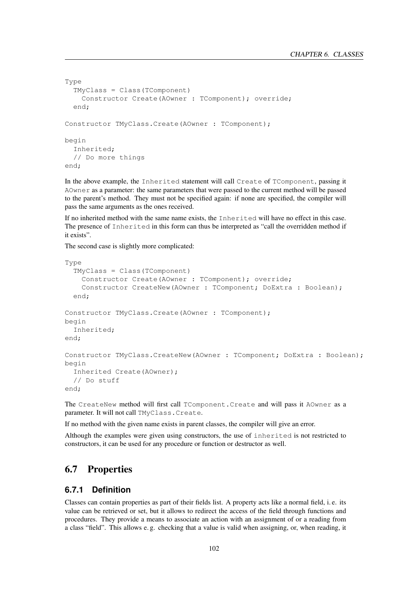```
Type
  TMyClass = Class(TComponent)
    Constructor Create(AOwner : TComponent); override;
 end;
Constructor TMyClass.Create(AOwner : TComponent);
begin
 Inherited;
  // Do more things
end;
```
In the above example, the Inherited statement will call Create of TComponent, passing it AOwner as a parameter: the same parameters that were passed to the current method will be passed to the parent's method. They must not be specified again: if none are specified, the compiler will pass the same arguments as the ones received.

If no inherited method with the same name exists, the Inherited will have no effect in this case. The presence of Inherited in this form can thus be interpreted as "call the overridden method if it exists".

The second case is slightly more complicated:

```
Type
 TMyClass = Class(TComponent)
    Constructor Create(AOwner : TComponent); override;
    Constructor CreateNew(AOwner : TComponent; DoExtra : Boolean);
 end;
Constructor TMyClass.Create(AOwner : TComponent);
begin
  Inherited;
end;
Constructor TMyClass.CreateNew(AOwner : TComponent; DoExtra : Boolean);
begin
 Inherited Create(AOwner);
  // Do stuff
end;
```
The CreateNew method will first call TComponent.Create and will pass it AOwner as a parameter. It will not call TMyClass.Create.

If no method with the given name exists in parent classes, the compiler will give an error.

Although the examples were given using constructors, the use of inherited is not restricted to constructors, it can be used for any procedure or function or destructor as well.

# 6.7 Properties

# **6.7.1 Definition**

Classes can contain properties as part of their fields list. A property acts like a normal field, i. e. its value can be retrieved or set, but it allows to redirect the access of the field through functions and procedures. They provide a means to associate an action with an assignment of or a reading from a class "field". This allows e. g. checking that a value is valid when assigning, or, when reading, it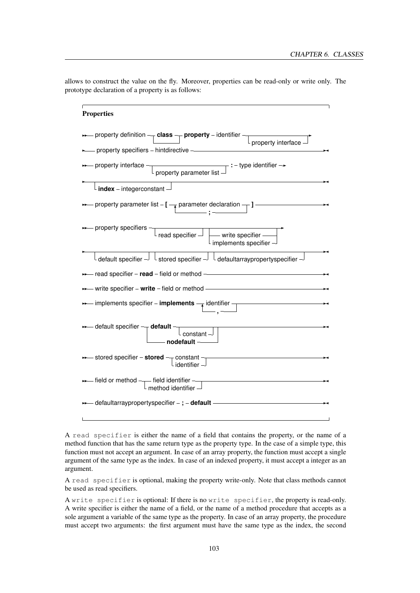allows to construct the value on the fly. Moreover, properties can be read-only or write only. The prototype declaration of a property is as follows:

| <b>Properties</b>                                                                                                                                                                                                      |
|------------------------------------------------------------------------------------------------------------------------------------------------------------------------------------------------------------------------|
| property definition -class - property - identifier - property interface -                                                                                                                                              |
| property parameter list $\overline{\phantom{a}}$ : - type identifier $\rightarrow$<br>– property interface -                                                                                                           |
| $L$ index - integerconstant $-$                                                                                                                                                                                        |
| property parameter list $ \begin{bmatrix} - & \text{parameter declaration} \\ \hline \end{bmatrix}$ = $\begin{bmatrix} - & \text{{{\color{red}k}}} \\ \hline \end{bmatrix}$                                            |
| - property specifiers<br>$\lfloor$ read specifier $\Box$ $\hspace{0.1cm}\rule{0.7cm}{0.8cm}\hspace{0.1cm}$ write specifier $\rule{0.7cm}{0.8cm}\hspace{0.1cm}$<br>$^{\mathsf{L}}$ implements specifier $^{\mathsf{L}}$ |
| $\stackrel{\text{L}}{ }$ default specifier $\stackrel{\text{I}}{ }$ $\stackrel{\text{L}}{ }$ stored specifier $\stackrel{\text{I}}{ }$ $\stackrel{\text{L}}{ }$ defaultarraypropertyspecifier $\stackrel{\text{I}}{ }$ |
| read specifier - read - field or method -                                                                                                                                                                              |
| → write specifier - write - field or method - write - write specifier - write - field or method -                                                                                                                      |
| implements specifier - <b>implements</b> $\rightarrow$ identifier                                                                                                                                                      |
| $\rightarrow$ default specifier $\rightarrow$ <b>default</b> $\rightarrow$<br>constant -<br>nodefault -                                                                                                                |
| → stored specifier – stored – constant –<br>$L$ identifier $-$                                                                                                                                                         |
| → field or method – field identifier –<br>method identifier –                                                                                                                                                          |
|                                                                                                                                                                                                                        |

A read specifier is either the name of a field that contains the property, or the name of a method function that has the same return type as the property type. In the case of a simple type, this function must not accept an argument. In case of an array property, the function must accept a single argument of the same type as the index. In case of an indexed property, it must accept a integer as an argument.

A read specifier is optional, making the property write-only. Note that class methods cannot be used as read specifiers.

A write specifier is optional: If there is no write specifier, the property is read-only. A write specifier is either the name of a field, or the name of a method procedure that accepts as a sole argument a variable of the same type as the property. In case of an array property, the procedure must accept two arguments: the first argument must have the same type as the index, the second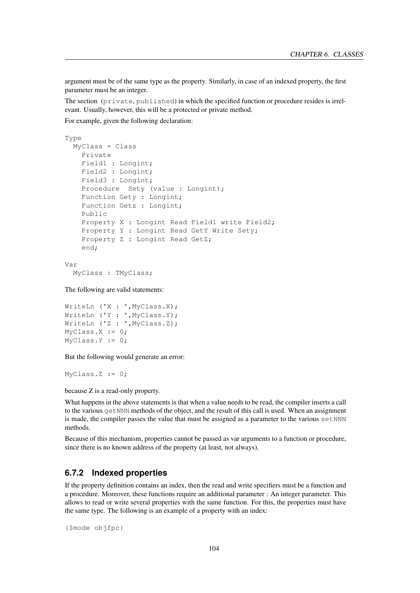argument must be of the same type as the property. Similarly, in case of an indexed property, the first parameter must be an integer.

The section (private, published) in which the specified function or procedure resides is irrelevant. Usually, however, this will be a protected or private method.

For example, given the following declaration:

```
Type
 MyClass = Class
   Private
   Field1 : Longint;
   Field2 : Longint;
   Field3 : Longint;
    Procedure Sety (value : Longint);
    Function Gety : Longint;
    Function Getz : Longint;
    Public
    Property X : Longint Read Field1 write Field2;
    Property Y : Longint Read GetY Write Sety;
    Property Z : Longint Read GetZ;
    end;
Var
```

```
MyClass : TMyClass;
```
The following are valid statements:

```
WriteLn ('X : ',MyClass.X);
WriteLn ('Y : ',MyClass.Y);
WriteLn ('Z : ', MyClass.Z);
MyClass.X := 0;MyClass.Y := 0;
```
But the following would generate an error:

 $MyClass.Z := 0;$ 

because Z is a read-only property.

What happens in the above statements is that when a value needs to be read, the compiler inserts a call to the various getNNN methods of the object, and the result of this call is used. When an assignment is made, the compiler passes the value that must be assigned as a parameter to the various setNNN methods.

Because of this mechanism, properties cannot be passed as var arguments to a function or procedure, since there is no known address of the property (at least, not always).

## **6.7.2 Indexed properties**

If the property definition contains an index, then the read and write specifiers must be a function and a procedure. Moreover, these functions require an additional parameter : An integer parameter. This allows to read or write several properties with the same function. For this, the properties must have the same type. The following is an example of a property with an index:

{\$mode objfpc}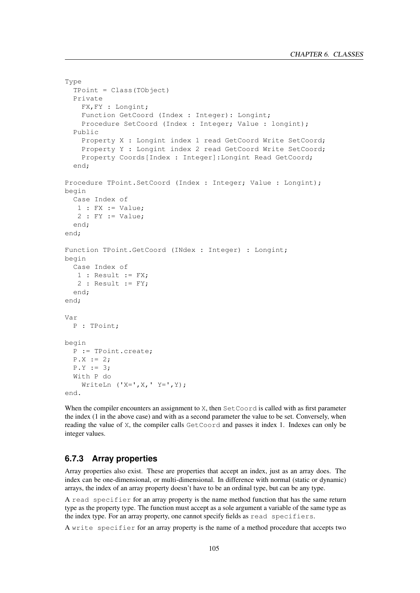```
Type
  TPoint = Class(TObject)
  Private
    FX,FY : Longint;
    Function GetCoord (Index : Integer): Longint;
    Procedure SetCoord (Index : Integer; Value : longint);
  Public
    Property X : Longint index 1 read GetCoord Write SetCoord;
    Property Y : Longint index 2 read GetCoord Write SetCoord;
    Property Coords[Index : Integer]:Longint Read GetCoord;
  end;
Procedure TPoint.SetCoord (Index : Integer; Value : Longint);
begin
  Case Index of
   1 : FX := Value;
   2 : FY := Value;
  end;
end;
Function TPoint.GetCoord (INdex : Integer) : Longint;
begin
  Case Index of
  1 : Result := FX:
   2 : Result := FY;
  end;
end;
Var
 P : TPoint;
begin
 P := TPoint.create;
 P.X := 2;P.Y := 3;With P do
    WriteLn (YX=', X, ' Y=', Y);end.
```
When the compiler encounters an assignment to X, then  $SetCoord$  is called with as first parameter the index (1 in the above case) and with as a second parameter the value to be set. Conversely, when reading the value of X, the compiler calls GetCoord and passes it index 1. Indexes can only be integer values.

## **6.7.3 Array properties**

Array properties also exist. These are properties that accept an index, just as an array does. The index can be one-dimensional, or multi-dimensional. In difference with normal (static or dynamic) arrays, the index of an array property doesn't have to be an ordinal type, but can be any type.

A read specifier for an array property is the name method function that has the same return type as the property type. The function must accept as a sole argument a variable of the same type as the index type. For an array property, one cannot specify fields as read specifiers.

A write specifier for an array property is the name of a method procedure that accepts two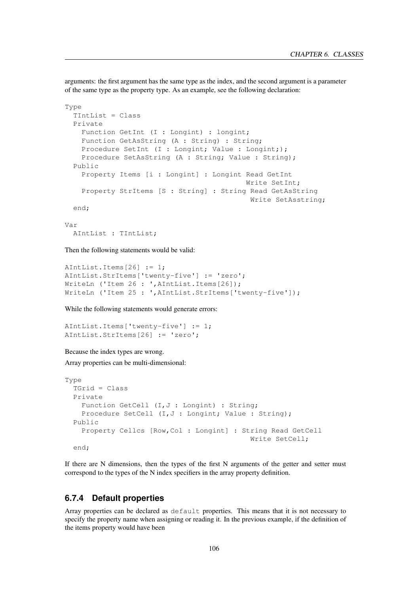arguments: the first argument has the same type as the index, and the second argument is a parameter of the same type as the property type. As an example, see the following declaration:

```
Type
 TIntList = Class
 Private
   Function GetInt (I : Longint) : longint;
   Function GetAsString (A : String) : String;
   Procedure SetInt (I : Longint; Value : Longint;);
   Procedure SetAsString (A : String; Value : String);
 Public
   Property Items [i : Longint] : Longint Read GetInt
                                           Write SetInt;
   Property StrItems [S : String] : String Read GetAsString
                                            Write SetAsstring;
 end;
```
Var AIntList : TIntList;

Then the following statements would be valid:

```
AIntList.Items[26] := 1;
AIntList.StrItems['twenty-five'] := 'zero';
WriteLn ('Item 26 : ', AIntList.Items[26]);
WriteLn ('Item 25 : ',AIntList.StrItems['twenty-five']);
```
While the following statements would generate errors:

```
AIntList.Items['twenty-five'] := 1;
AIntList.StrItems[26] := 'zero';
```
Because the index types are wrong.

Array properties can be multi-dimensional:

```
Type
 TGrid = Class
 Private
   Function GetCell (I, J : Longint) : String;
   Procedure SetCell (I, J : Longint; Value : String);
 Public
    Property Cellcs [Row,Col : Longint] : String Read GetCell
                                             Write SetCell;
 end;
```
If there are N dimensions, then the types of the first N arguments of the getter and setter must correspond to the types of the N index specifiers in the array property definition.

## **6.7.4 Default properties**

Array properties can be declared as default properties. This means that it is not necessary to specify the property name when assigning or reading it. In the previous example, if the definition of the items property would have been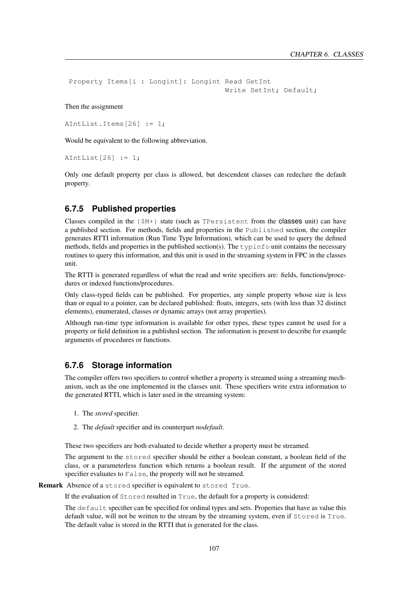```
Property Items[i : Longint]: Longint Read GetInt
                                     Write SetInt; Default;
```
Then the assignment

AIntList.Items[26] := 1;

Would be equivalent to the following abbreviation.

AIntList $[26] := 1;$ 

Only one default property per class is allowed, but descendent classes can redeclare the default property.

## **6.7.5 Published properties**

Classes compiled in the  $\{\$M+\}$  state (such as TPersistent from the classes unit) can have a published section. For methods, fields and properties in the Published section, the compiler generates RTTI information (Run Time Type Information), which can be used to query the defined methods, fields and properties in the published section(s). The  $t$  vpinfo unit contains the necessary routines to query this information, and this unit is used in the streaming system in FPC in the classes unit.

The RTTI is generated regardless of what the read and write specifiers are: fields, functions/procedures or indexed functions/procedures.

Only class-typed fields can be published. For properties, any simple property whose size is less than or equal to a pointer, can be declared published: floats, integers, sets (with less than 32 distinct elements), enumerated, classes or dynamic arrays (not array properties).

Although run-time type information is available for other types, these types cannot be used for a property or field definition in a published section. The information is present to describe for example arguments of procedures or functions.

## **6.7.6 Storage information**

The compiler offers two specifiers to control whether a property is streamed using a streaming mechanism, such as the one implemented in the classes unit. These specifiers write extra information to the generated RTTI, which is later used in the streaming system:

- 1. The *stored* specifier.
- 2. The *default* specifier and its counterpart *nodefault*.

These two specifiers are both evaluated to decide whether a property must be streamed.

The argument to the stored specifier should be either a boolean constant, a boolean field of the class, or a parameterless function which returns a boolean result. If the argument of the stored specifier evaluates to False, the property will not be streamed.

Remark Absence of a stored specifier is equivalent to stored True.

If the evaluation of Stored resulted in True, the default for a property is considered:

The default specifier can be specified for ordinal types and sets. Properties that have as value this default value, will not be written to the stream by the streaming system, even if Stored is True. The default value is stored in the RTTI that is generated for the class.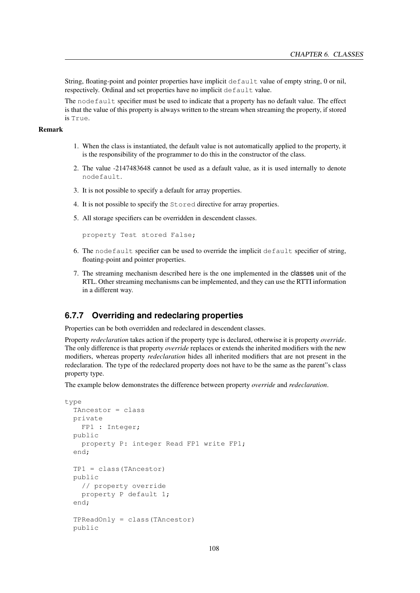String, floating-point and pointer properties have implicit default value of empty string, 0 or nil, respectively. Ordinal and set properties have no implicit default value.

The nodefault specifier must be used to indicate that a property has no default value. The effect is that the value of this property is always written to the stream when streaming the property, if stored is True.

#### Remark

- 1. When the class is instantiated, the default value is not automatically applied to the property, it is the responsibility of the programmer to do this in the constructor of the class.
- 2. The value -2147483648 cannot be used as a default value, as it is used internally to denote nodefault.
- 3. It is not possible to specify a default for array properties.
- 4. It is not possible to specify the Stored directive for array properties.
- 5. All storage specifiers can be overridden in descendent classes.

```
property Test stored False;
```
- 6. The nodefault specifier can be used to override the implicit default specifier of string, floating-point and pointer properties.
- 7. The streaming mechanism described here is the one implemented in the classes unit of the RTL. Other streaming mechanisms can be implemented, and they can use the RTTI information in a different way.

#### **6.7.7 Overriding and redeclaring properties**

Properties can be both overridden and redeclared in descendent classes.

Property *redeclaration* takes action if the property type is declared, otherwise it is property *override*. The only difference is that property *override* replaces or extends the inherited modifiers with the new modifiers, whereas property *redeclaration* hides all inherited modifiers that are not present in the redeclaration. The type of the redeclared property does not have to be the same as the parent"s class property type.

The example below demonstrates the difference between property *override* and *redeclaration*.

```
type
 TAncestor = class
 private
   FP1 : Integer;
 public
    property P: integer Read FP1 write FP1;
 end;
 TP1 = class(TAncestor)
 public
    // property override
    property P default 1;
 end;
 TPReadOnly = class(TAncestor)
 public
```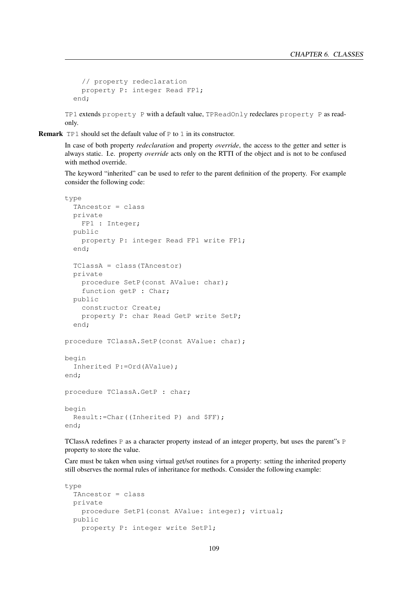```
// property redeclaration
  property P: integer Read FP1;
end;
```
TP1 extends property P with a default value, TPReadOnly redeclares property P as readonly.

Remark TP1 should set the default value of P to 1 in its constructor.

In case of both property *redeclaration* and property *override*, the access to the getter and setter is always static. I.e. property *override* acts only on the RTTI of the object and is not to be confused with method override.

The keyword "inherited" can be used to refer to the parent definition of the property. For example consider the following code:

```
type
  TAncestor = class
  private
   FP1 : Integer;
  public
    property P: integer Read FP1 write FP1;
  end;
  TClassA = class(TAncestor)
  private
    procedure SetP(const AValue: char);
    function getP : Char;
  public
    constructor Create;
    property P: char Read GetP write SetP;
  end;
procedure TClassA.SetP(const AValue: char);
begin
  Inherited P:=Ord(AValue);
end;
procedure TClassA.GetP : char;
begin
  Result:=Char((Inherited P) and $FF);
end;
```
TClassA redefines P as a character property instead of an integer property, but uses the parent"s P property to store the value.

Care must be taken when using virtual get/set routines for a property: setting the inherited property still observes the normal rules of inheritance for methods. Consider the following example:

```
type
 TAncestor = class
 private
   procedure SetP1(const AValue: integer); virtual;
 public
    property P: integer write SetP1;
```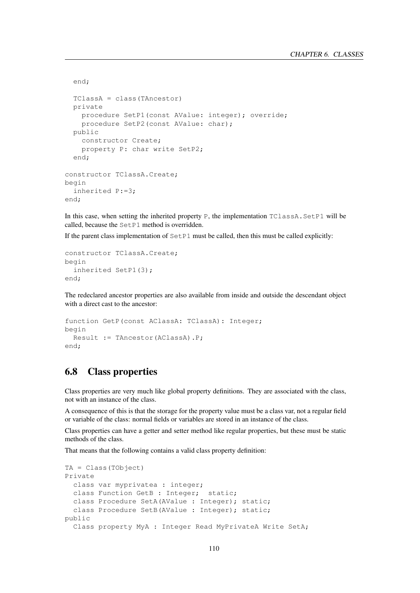```
end;
  TClassA = class(TAncestor)
  private
    procedure SetP1(const AValue: integer); override;
    procedure SetP2(const AValue: char);
  public
    constructor Create;
    property P: char write SetP2;
  end;
constructor TClassA.Create;
begin
  inherited P:=3;
end;
```
In this case, when setting the inherited property  $P$ , the implementation  $TClassA$ . Set  $P1$  will be called, because the SetP1 method is overridden.

If the parent class implementation of  $SetP1$  must be called, then this must be called explicitly:

```
constructor TClassA.Create;
begin
  inherited SetP1(3);
end;
```
The redeclared ancestor properties are also available from inside and outside the descendant object with a direct cast to the ancestor:

```
function GetP(const AClassA: TClassA): Integer;
begin
 Result := TAncestor(AClassA).P;
end;
```
## 6.8 Class properties

Class properties are very much like global property definitions. They are associated with the class, not with an instance of the class.

A consequence of this is that the storage for the property value must be a class var, not a regular field or variable of the class: normal fields or variables are stored in an instance of the class.

Class properties can have a getter and setter method like regular properties, but these must be static methods of the class.

That means that the following contains a valid class property definition:

```
TA = Class(TObject)
Private
 class var myprivatea : integer;
 class Function GetB : Integer; static;
 class Procedure SetA(AValue : Integer); static;
 class Procedure SetB(AValue : Integer); static;
public
 Class property MyA : Integer Read MyPrivateA Write SetA;
```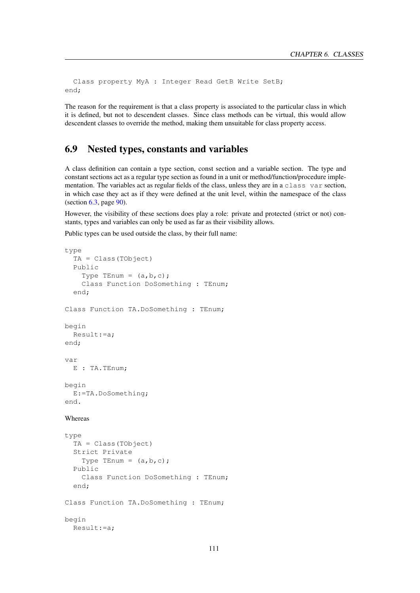```
Class property MyA : Integer Read GetB Write SetB;
end;
```
The reason for the requirement is that a class property is associated to the particular class in which it is defined, but not to descendent classes. Since class methods can be virtual, this would allow descendent classes to override the method, making them unsuitable for class property access.

#### 6.9 Nested types, constants and variables

A class definition can contain a type section, const section and a variable section. The type and constant sections act as a regular type section as found in a unit or method/function/procedure implementation. The variables act as regular fields of the class, unless they are in a class var section, in which case they act as if they were defined at the unit level, within the namespace of the class (section [6.3,](#page-90-0) page [90\)](#page-90-0).

However, the visibility of these sections does play a role: private and protected (strict or not) constants, types and variables can only be used as far as their visibility allows.

Public types can be used outside the class, by their full name:

```
type
  TA = Class(TObject)
  Public
    Type TEnum = (a, b, c);
    Class Function DoSomething : TEnum;
  end;
Class Function TA.DoSomething : TEnum;
begin
 Result:=a;
end;
var
  E : TA. TEnum;
begin
  E:=TA.DoSomething;
end.
Whereas
type
  TA = Class(TObject)
  Strict Private
    Type TEnum = (a,b,c);
  Public
    Class Function DoSomething : TEnum;
  end;
Class Function TA.DoSomething : TEnum;
begin
  Result:=a;
```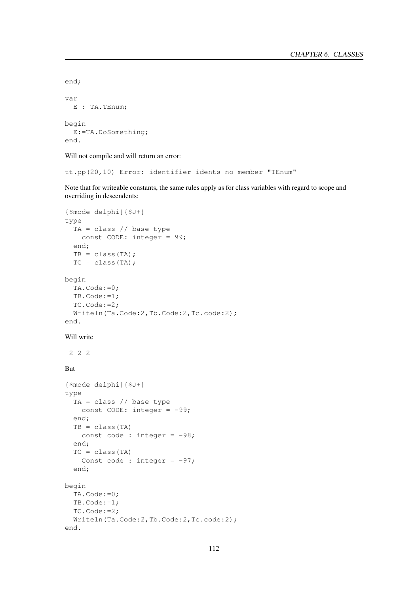```
end;
var
 E : TA. TEnum:
begin
  E:=TA.DoSomething;
end.
```
Will not compile and will return an error:

tt.pp(20,10) Error: identifier idents no member "TEnum"

Note that for writeable constants, the same rules apply as for class variables with regard to scope and overriding in descendents:

```
{$mode delphi}{$J+}
type
  TA = class // base typeconst CODE: integer = 99;
  end;
  TB = class(TA);TC = class(TA);begin
 TA.Code:=0;
  TB.Code:=1;
  TC.Code:=2;
  Writeln(Ta.Code:2,Tb.Code:2,Tc.code:2);
end.
```
#### Will write

```
2 2 2
```
#### But

```
{$mode delphi}{$J+}
type
  TA = class // base type
   const CODE: integer = -99;
  end;
  TB = class(TA)const code : integer = -98;
  end;
  TC = class(TA)Const code : integer = -97;
  end;
begin
  TA.Code:=0;
 TB.Code:=1;
 TC.Code:=2;
 Writeln(Ta.Code:2,Tb.Code:2,Tc.code:2);
end.
```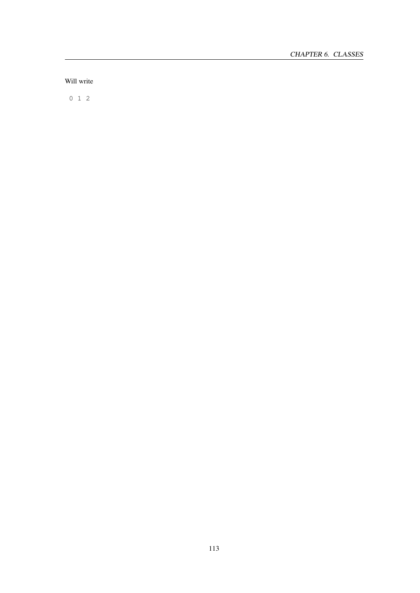#### Will write

0 1 2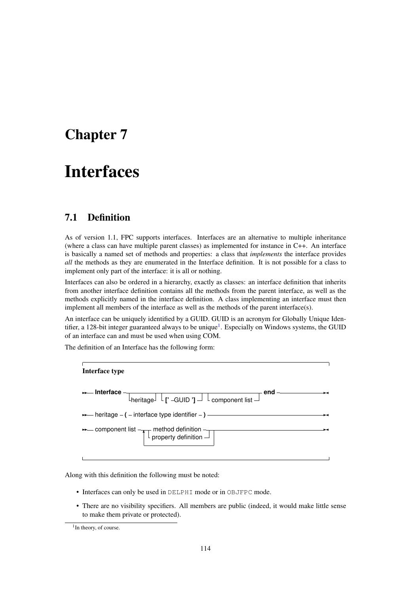# Chapter 7

# Interfaces

# 7.1 Definition

As of version 1.1, FPC supports interfaces. Interfaces are an alternative to multiple inheritance (where a class can have multiple parent classes) as implemented for instance in C++. An interface is basically a named set of methods and properties: a class that *implements* the interface provides *all* the methods as they are enumerated in the Interface definition. It is not possible for a class to implement only part of the interface: it is all or nothing.

Interfaces can also be ordered in a hierarchy, exactly as classes: an interface definition that inherits from another interface definition contains all the methods from the parent interface, as well as the methods explicitly named in the interface definition. A class implementing an interface must then implement all members of the interface as well as the methods of the parent interface(s).

An interface can be uniquely identified by a GUID. GUID is an acronym for Globally Unique Iden-tifier, a [1](#page-114-0)28-bit integer guaranteed always to be unique<sup>1</sup>. Especially on Windows systems, the GUID of an interface can and must be used when using COM.

The definition of an Interface has the following form:

| Interface type                                                            |         |
|---------------------------------------------------------------------------|---------|
| $\rightarrow$ Interface $-$<br>Theritage [ [' -GUID '] - component list - | $end$ — |
| $\rightarrow$ heritage – ( – interface type identifier – ) –              |         |
| → component list – method definition –                                    |         |

Along with this definition the following must be noted:

- Interfaces can only be used in DELPHI mode or in OBJFPC mode.
- There are no visibility specifiers. All members are public (indeed, it would make little sense to make them private or protected).

<span id="page-114-0"></span><sup>&</sup>lt;sup>1</sup>In theory, of course.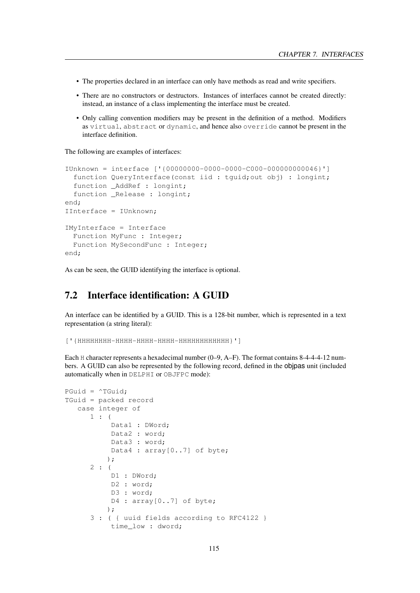- The properties declared in an interface can only have methods as read and write specifiers.
- There are no constructors or destructors. Instances of interfaces cannot be created directly: instead, an instance of a class implementing the interface must be created.
- Only calling convention modifiers may be present in the definition of a method. Modifiers as virtual, abstract or dynamic, and hence also override cannot be present in the interface definition.

The following are examples of interfaces:

```
IUnknown = interface ['{00000000-0000-0000-C000-000000000046}']
  function QueryInterface(const iid : tguid;out obj) : longint;
 function _AddRef : longint;
 function _Release : longint;
end;
IInterface = IUnknown;
IMyInterface = Interface
 Function MyFunc : Integer;
 Function MySecondFunc : Integer;
end;
```
As can be seen, the GUID identifying the interface is optional.

#### 7.2 Interface identification: A GUID

An interface can be identified by a GUID. This is a 128-bit number, which is represented in a text representation (a string literal):

```
['{HHHHHHHH-HHHH-HHHH-HHHH-HHHHHHHHHHHH}']
```
Each H character represents a hexadecimal number (0–9, A–F). The format contains 8-4-4-4-12 numbers. A GUID can also be represented by the following record, defined in the objpas unit (included automatically when in DELPHI or OBJFPC mode):

```
P\text{Guid} = \text{``TGuid:}TGuid = packed record
   case integer of
      1 : (
           Data1 : DWord;
           Data2 : word;
           Data3 : word;
           Data4 : array[0..7] of byte;
          );
      2 : (
           D1 : DWord;
           D2 : word;
           D3 : word;
           D4 : array[0..7] of byte;
          );
      3 : ( { uuid fields according to RFC4122 }
            time_low : dword;
```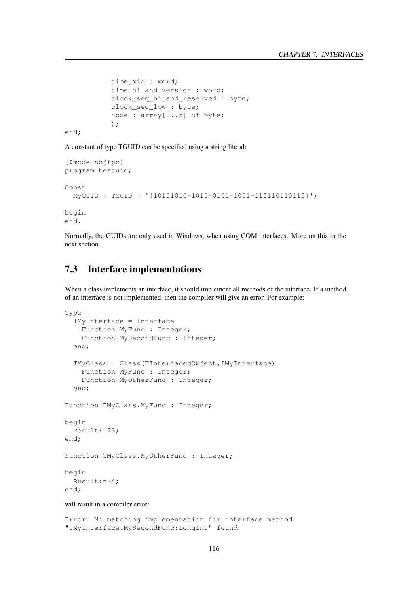```
time mid : word;
time hi and version : word;
clock seq hi and reserved : byte;
clock seq low : byte;
node : array[0..5] of byte;
);
```
end;

A constant of type TGUID can be specified using a string literal:

```
{$mode objfpc}
program testuid;
Const
 MyGUID : TGUID = '{10101010-1010-0101-1001-110110110110}';
begin
end.
```
Normally, the GUIDs are only used in Windows, when using COM interfaces. More on this in the next section.

# 7.3 Interface implementations

When a class implements an interface, it should implement all methods of the interface. If a method of an interface is not implemented, then the compiler will give an error. For example:

```
Type
  IMyInterface = Interface
    Function MyFunc : Integer;
    Function MySecondFunc : Integer;
  end;
  TMyClass = Class(TInterfacedObject,IMyInterface)
    Function MyFunc : Integer;
    Function MyOtherFunc : Integer;
  end;
Function TMyClass.MyFunc : Integer;
begin
  Result:=23;
end;
Function TMyClass.MyOtherFunc : Integer;
begin
  Result:=24;
end;
will result in a compiler error:
```
Error: No matching implementation for interface method "IMyInterface.MySecondFunc:LongInt" found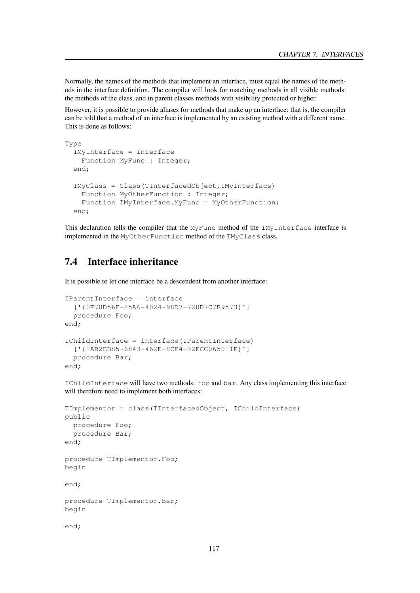Normally, the names of the methods that implement an interface, must equal the names of the methods in the interface definition. The compiler will look for matching methods in all visible methods: the methods of the class, and in parent classes methods with visibility protected or higher.

However, it is possible to provide aliases for methods that make up an interface: that is, the compiler can be told that a method of an interface is implemented by an existing method with a different name. This is done as follows:

```
Type
 IMyInterface = Interface
   Function MyFunc : Integer;
 end;
 TMyClass = Class(TInterfacedObject,IMyInterface)
    Function MyOtherFunction : Integer;
    Function IMyInterface.MyFunc = MyOtherFunction;
 end;
```
This declaration tells the compiler that the MyFunc method of the IMyInterface interface is implemented in the MyOtherFunction method of the TMyClass class.

# 7.4 Interface inheritance

It is possible to let one interface be a descendent from another interface:

```
IParentInterface = interface
  ['{0F78D56E-85A6-4024-98D7-720D7C7B9573}']
 procedure Foo;
end;
IChildInterface = interface(IParentInterface)
  ['{1AB2EB85-6843-462E-8CE4-32ECC065011E}']
 procedure Bar;
end;
```
IChildInterface will have two methods: foo and bar. Any class implementing this interface will therefore need to implement both interfaces:

```
TImplementor = class(TInterfacedObject, IChildInterface)
public
  procedure Foo;
 procedure Bar;
end;
procedure TImplementor.Foo;
begin
end;
procedure TImplementor.Bar;
begin
end;
```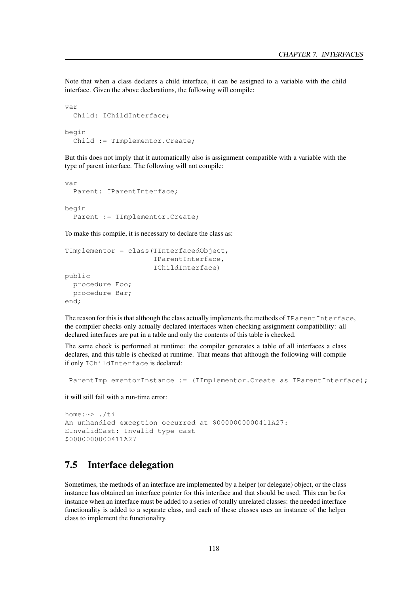Note that when a class declares a child interface, it can be assigned to a variable with the child interface. Given the above declarations, the following will compile:

```
var
 Child: IChildInterface;
begin
 Child := TImplementor.Create;
```
But this does not imply that it automatically also is assignment compatible with a variable with the type of parent interface. The following will not compile:

```
var
 Parent: IParentInterface;
begin
 Parent := TImplementor.Create;
```
To make this compile, it is necessary to declare the class as:

```
TImplementor = class(TInterfacedObject,
                     IParentInterface,
                     IChildInterface)
public
 procedure Foo;
 procedure Bar;
end;
```
The reason for this is that although the class actually implements the methods of IParent Interface, the compiler checks only actually declared interfaces when checking assignment compatibility: all declared interfaces are put in a table and only the contents of this table is checked.

The same check is performed at runtime: the compiler generates a table of all interfaces a class declares, and this table is checked at runtime. That means that although the following will compile if only IChildInterface is declared:

```
ParentImplementorInstance := (TImplementor.Create as IParentInterface);
```
it will still fail with a run-time error:

```
home:~> ./ti
An unhandled exception occurred at $0000000000411A27:
EInvalidCast: Invalid type cast
$0000000000411A27
```
### 7.5 Interface delegation

Sometimes, the methods of an interface are implemented by a helper (or delegate) object, or the class instance has obtained an interface pointer for this interface and that should be used. This can be for instance when an interface must be added to a series of totally unrelated classes: the needed interface functionality is added to a separate class, and each of these classes uses an instance of the helper class to implement the functionality.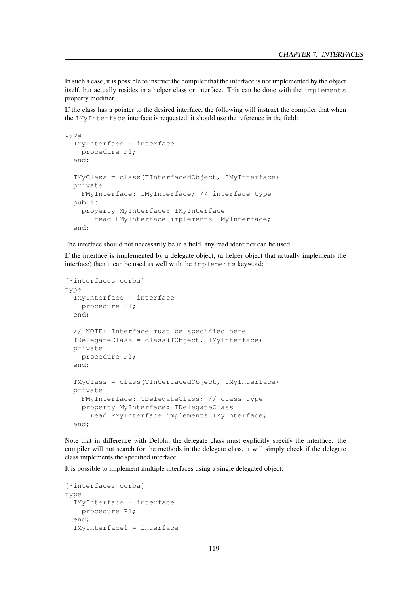In such a case, it is possible to instruct the compiler that the interface is not implemented by the object itself, but actually resides in a helper class or interface. This can be done with the implements property modifier.

If the class has a pointer to the desired interface, the following will instruct the compiler that when the IMyInterface interface is requested, it should use the reference in the field:

```
type
 IMyInterface = interface
   procedure P1;
 end;
 TMyClass = class(TInterfacedObject, IMyInterface)
 private
    FMyInterface: IMyInterface; // interface type
 public
    property MyInterface: IMyInterface
       read FMyInterface implements IMyInterface;
 end;
```
The interface should not necessarily be in a field, any read identifier can be used.

If the interface is implemented by a delegate object, (a helper object that actually implements the interface) then it can be used as well with the implements keyword:

```
{$interfaces corba}
type
  IMyInterface = interface
   procedure P1;
 end;
 // NOTE: Interface must be specified here
 TDelegateClass = class(TObject, IMyInterface)
 private
   procedure P1;
 end;
 TMyClass = class(TInterfacedObject, IMyInterface)
 private
    FMyInterface: TDelegateClass; // class type
    property MyInterface: TDelegateClass
      read FMyInterface implements IMyInterface;
 end;
```
Note that in difference with Delphi, the delegate class must explicitly specify the interface: the compiler will not search for the methods in the delegate class, it will simply check if the delegate class implements the specified interface.

It is possible to implement multiple interfaces using a single delegated object:

```
{$interfaces corba}
type
 IMyInterface = interface
   procedure P1;
 end;
 IMyInterface1 = interface
```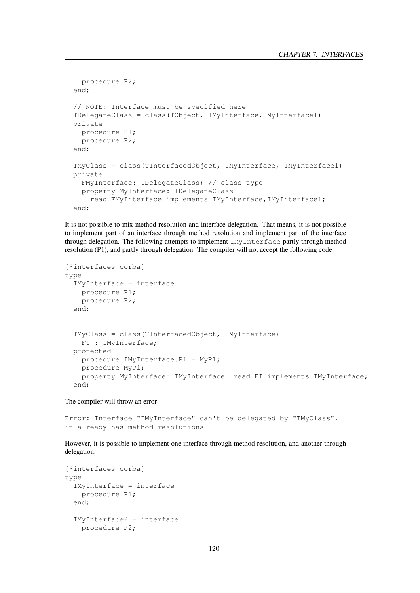```
procedure P2;
end;
// NOTE: Interface must be specified here
TDelegateClass = class(TObject, IMyInterface,IMyInterface1)
private
 procedure P1;
 procedure P2;
end;
TMyClass = class(TInterfacedObject, IMyInterface, IMyInterface1)
private
 FMyInterface: TDelegateClass; // class type
  property MyInterface: TDelegateClass
    read FMyInterface implements IMyInterface, IMyInterface1;
end;
```
It is not possible to mix method resolution and interface delegation. That means, it is not possible to implement part of an interface through method resolution and implement part of the interface through delegation. The following attempts to implement IMyInterface partly through method resolution (P1), and partly through delegation. The compiler will not accept the following code:

```
{$interfaces corba}
type
 IMyInterface = interface
   procedure P1;
    procedure P2;
 end;
 TMyClass = class(TInterfacedObject, IMyInterface)
    FI : IMyInterface;
 protected
    procedure IMyInterface.P1 = MyP1;
    procedure MyP1;
    property MyInterface: IMyInterface read FI implements IMyInterface;
 end;
```
The compiler will throw an error:

Error: Interface "IMyInterface" can't be delegated by "TMyClass", it already has method resolutions

However, it is possible to implement one interface through method resolution, and another through delegation:

```
{$interfaces corba}
type
  IMyInterface = interface
   procedure P1;
 end;
 IMyInterface2 = interface
    procedure P2;
```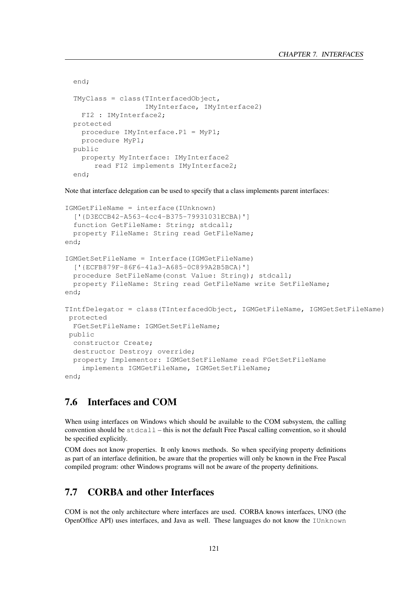```
end;
TMyClass = class(TInterfacedObject,
                 IMyInterface, IMyInterface2)
  FI2 : IMyInterface2;
protected
  procedure IMyInterface.P1 = MyP1;
  procedure MyP1;
public
  property MyInterface: IMyInterface2
     read FI2 implements IMyInterface2;
end;
```
Note that interface delegation can be used to specify that a class implements parent interfaces:

```
IGMGetFileName = interface(IUnknown)
  ['{D3ECCB42-A563-4cc4-B375-79931031ECBA}']
  function GetFileName: String; stdcall;
 property FileName: String read GetFileName;
end;
IGMGetSetFileName = Interface(IGMGetFileName)
  ['{ECFB879F-86F6-41a3-A685-0C899A2B5BCA}']
 procedure SetFileName(const Value: String); stdcall;
 property FileName: String read GetFileName write SetFileName;
end;
TIntfDelegator = class(TInterfacedObject, IGMGetFileName, IGMGetSetFileName)
 protected
 FGetSetFileName: IGMGetSetFileName;
public
 constructor Create;
 destructor Destroy; override;
 property Implementor: IGMGetSetFileName read FGetSetFileName
    implements IGMGetFileName, IGMGetSetFileName;
end;
```
#### 7.6 Interfaces and COM

When using interfaces on Windows which should be available to the COM subsystem, the calling convention should be  $\text{stdcall}$  – this is not the default Free Pascal calling convention, so it should be specified explicitly.

COM does not know properties. It only knows methods. So when specifying property definitions as part of an interface definition, be aware that the properties will only be known in the Free Pascal compiled program: other Windows programs will not be aware of the property definitions.

### 7.7 CORBA and other Interfaces

COM is not the only architecture where interfaces are used. CORBA knows interfaces, UNO (the OpenOffice API) uses interfaces, and Java as well. These languages do not know the IUnknown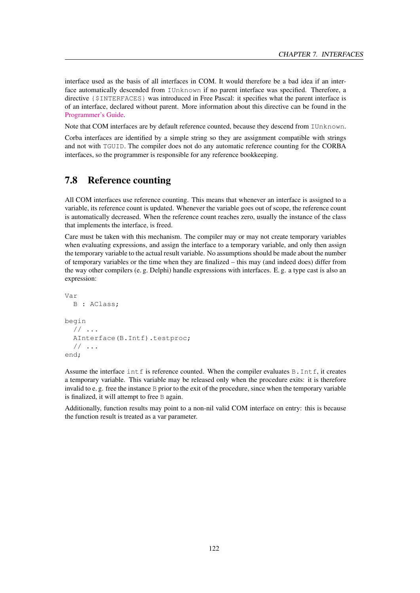interface used as the basis of all interfaces in COM. It would therefore be a bad idea if an interface automatically descended from IUnknown if no parent interface was specified. Therefore, a directive {\$INTERFACES} was introduced in Free Pascal: it specifies what the parent interface is of an interface, declared without parent. More information about this directive can be found in the [Programmer's Guide.](../prog/prog.html)

Note that COM interfaces are by default reference counted, because they descend from IUnknown.

Corba interfaces are identified by a simple string so they are assignment compatible with strings and not with TGUID. The compiler does not do any automatic reference counting for the CORBA interfaces, so the programmer is responsible for any reference bookkeeping.

#### 7.8 Reference counting

All COM interfaces use reference counting. This means that whenever an interface is assigned to a variable, its reference count is updated. Whenever the variable goes out of scope, the reference count is automatically decreased. When the reference count reaches zero, usually the instance of the class that implements the interface, is freed.

Care must be taken with this mechanism. The compiler may or may not create temporary variables when evaluating expressions, and assign the interface to a temporary variable, and only then assign the temporary variable to the actual result variable. No assumptions should be made about the number of temporary variables or the time when they are finalized – this may (and indeed does) differ from the way other compilers (e. g. Delphi) handle expressions with interfaces. E. g. a type cast is also an expression:

```
Var
  B : AClass;
begin
  // ...
  AInterface(B.Intf).testproc;
  // ...
end;
```
Assume the interface  $int f$  is reference counted. When the compiler evaluates B. Intf, it creates a temporary variable. This variable may be released only when the procedure exits: it is therefore invalid to e. g. free the instance B prior to the exit of the procedure, since when the temporary variable is finalized, it will attempt to free B again.

Additionally, function results may point to a non-nil valid COM interface on entry: this is because the function result is treated as a var parameter.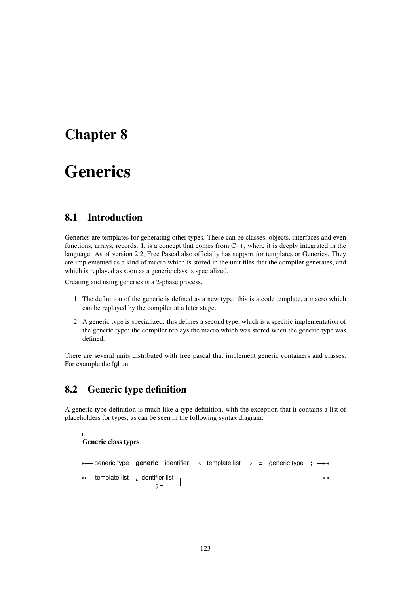# Chapter 8

# **Generics**

### <span id="page-123-0"></span>8.1 Introduction

Generics are templates for generating other types. These can be classes, objects, interfaces and even functions, arrays, records. It is a concept that comes from C++, where it is deeply integrated in the language. As of version 2.2, Free Pascal also officially has support for templates or Generics. They are implemented as a kind of macro which is stored in the unit files that the compiler generates, and which is replayed as soon as a generic class is specialized.

Creating and using generics is a 2-phase process.

- 1. The definition of the generic is defined as a new type: this is a code template, a macro which can be replayed by the compiler at a later stage.
- 2. A generic type is specialized: this defines a second type, which is a specific implementation of the generic type: the compiler replays the macro which was stored when the generic type was defined.

There are several units distributed with free pascal that implement generic containers and classes. For example the fgl unit.

#### 8.2 Generic type definition

A generic type definition is much like a type definition, with the exception that it contains a list of placeholders for types, as can be seen in the following syntax diagram:

#### Generic class types

```
→ generic type – generic – identifier – < template list – > = – generic type – ; –→
► template list – identifier list
                          ;
                                                                                  ✲✛
```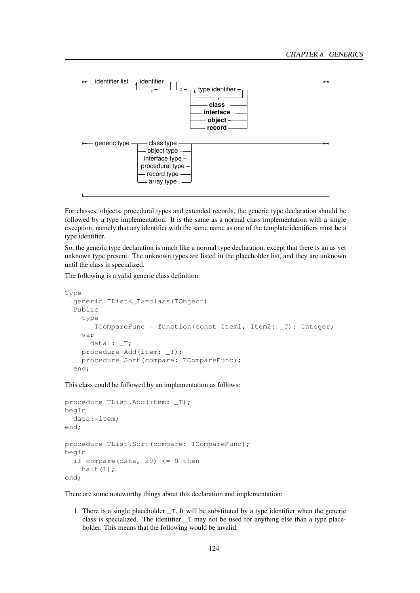

For classes, objects, procedural types and extended records, the generic type declaration should be followed by a type implementation. It is the same as a normal class implementation with a single exception, namely that any identifier with the same name as one of the template identifiers must be a type identifier.

So, the generic type declaration is much like a normal type declaration, except that there is an as yet unknown type present. The unknown types are listed in the placeholder list, and they are unknown until the class is specialized.

The following is a valid generic class definition:

```
Type
 generic TList<_T>=class(TObject)
 Public
    type
       TCompareFunc = function(const Item1, Item2: _T): Integer;
    var
      data : _T;
    procedure Add(item: _T);
    procedure Sort(compare: TCompareFunc);
 end;
```
This class could be followed by an implementation as follows:

```
procedure TList.Add(item: _T);
begin
  data:=item;
end;
procedure TList.Sort(compare: TCompareFunc);
begin
  if compare(data, 20) \leq 0 then
    halt(1);
end;
```
There are some noteworthy things about this declaration and implementation:

1. There is a single placeholder \_T. It will be substituted by a type identifier when the generic class is specialized. The identifier \_T may not be used for anything else than a type placeholder. This means that the following would be invalid: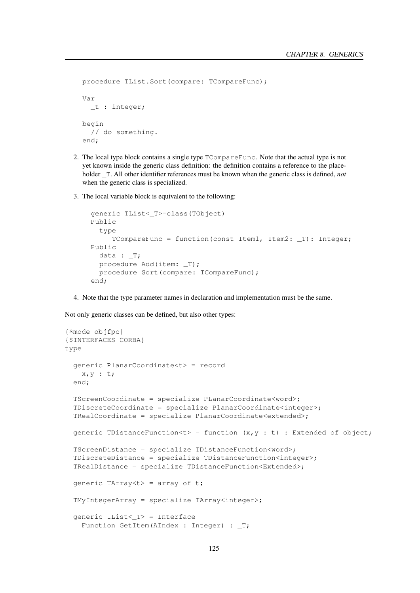```
procedure TList.Sort(compare: TCompareFunc);
Var
 _t : integer;
begin
  // do something.
end;
```
- 2. The local type block contains a single type TCompareFunc. Note that the actual type is not yet known inside the generic class definition: the definition contains a reference to the placeholder  $T$ . All other identifier references must be known when the generic class is defined, *not* when the generic class is specialized.
- 3. The local variable block is equivalent to the following:

```
generic TList<_T>=class(TObject)
Public
 type
     TCompareFunc = function(const Item1, Item2: _T): Integer;
Public
 data : _T;
 procedure Add(item: _T);
 procedure Sort(compare: TCompareFunc);
end;
```
4. Note that the type parameter names in declaration and implementation must be the same.

Not only generic classes can be defined, but also other types:

```
{$mode objfpc}
{$INTERFACES CORBA}
type
 generic PlanarCoordinate<t> = record
    x, y : t;end;
 TScreenCoordinate = specialize PLanarCoordinate<word>;
 TDiscreteCoordinate = specialize PlanarCoordinate<integer>;
 TRealCoordinate = specialize PlanarCoordinate<extended>;
 generic TDistanceFunction<t> = function (x, y : t) : Extended of object;
 TScreenDistance = specialize TDistanceFunction<word>;
 TDiscreteDistance = specialize TDistanceFunction<integer>;
 TRealDistance = specialize TDistanceFunction<Extended>;
 generic TArray \langle t \rangle = array of t;
 TMyIntegerArray = specialize TArray<integer>;
 generic IList<_T> = Interface
    Function GetItem(AIndex : Integer) : _T;
```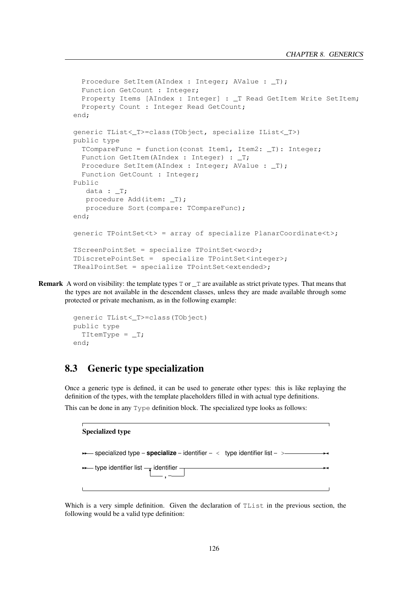```
Procedure SetItem(AIndex : Integer; AValue : _T);
  Function GetCount : Integer;
  Property Items [AIndex : Integer] : T Read GetItem Write SetItem;
  Property Count : Integer Read GetCount;
end;
generic TList<_T>=class(TObject, specialize IList<_T>)
public type
  TCompareFunc = function(const Item1, Item2: _T): Integer;
  Function GetItem(AIndex : Integer) : _T;
  Procedure SetItem(AIndex : Integer; AValue : _T);
  Function GetCount : Integer;
Public
  data : _T;
   procedure Add(item: T);
  procedure Sort(compare: TCompareFunc);
end;
generic TPointSet<t> = array of specialize PlanarCoordinate<t>;
TScreenPointSet = specialize TPointSet<word>;
TDiscretePointSet = specialize TPointSet<integer>;
TRealPointSet = specialize TPointSet<extended>;
```
Remark A word on visibility: the template types T or \_T are available as strict private types. That means that the types are not available in the descendent classes, unless they are made available through some protected or private mechanism, as in the following example:

```
generic TList<_T>=class(TObject)
public type
 TItemType = T;end;
```
## 8.3 Generic type specialization

Once a generic type is defined, it can be used to generate other types: this is like replaying the definition of the types, with the template placeholders filled in with actual type definitions. This can be done in any Type definition block. The specialized type looks as follows:

Specialized type **→ specialized type - specialize** - identifier - < type identifier list - > → **► type identifier list**  $\rightarrow$  identifier **,** ✲✛

Which is a very simple definition. Given the declaration of TList in the previous section, the following would be a valid type definition: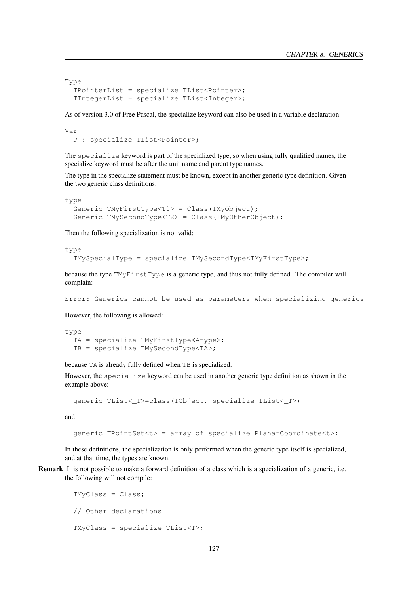```
Type
  TPointerList = specialize TList<Pointer>;
  TIntegerList = specialize TList<Integer>;
```
As of version 3.0 of Free Pascal, the specialize keyword can also be used in a variable declaration:

Var P : specialize TList<Pointer>;

The specialize keyword is part of the specialized type, so when using fully qualified names, the specialize keyword must be after the unit name and parent type names.

The type in the specialize statement must be known, except in another generic type definition. Given the two generic class definitions:

```
type
 Generic TMyFirstType<T1> = Class(TMyObject);
 Generic TMySecondType<T2> = Class(TMyOtherObject);
```
Then the following specialization is not valid:

```
type
 TMySpecialType = specialize TMySecondType<TMyFirstType>;
```
because the type TMyFirstType is a generic type, and thus not fully defined. The compiler will complain:

Error: Generics cannot be used as parameters when specializing generics

However, the following is allowed:

```
type
 TA = specialize TMyFirstType<Atype>;
 TB = specialize TMySecondType<TA>;
```
because TA is already fully defined when TB is specialized.

However, the specialize keyword can be used in another generic type definition as shown in the example above:

```
generic TList<_T>=class(TObject, specialize IList<_T>)
```
and

generic TPointSet<t> = array of specialize PlanarCoordinate<t>;

In these definitions, the specialization is only performed when the generic type itself is specialized, and at that time, the types are known.

Remark It is not possible to make a forward definition of a class which is a specialization of a generic, i.e. the following will not compile:

> TMyClass = Class; // Other declarations TMyClass = specialize TList<T>;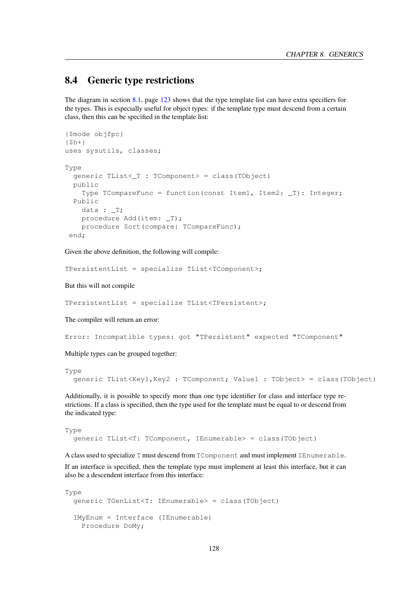#### 8.4 Generic type restrictions

The diagram in section [8.1,](#page-123-0) page [123](#page-123-0) shows that the type template list can have extra specifiers for the types. This is especially useful for object types: if the template type must descend from a certain class, then this can be specified in the template list:

```
{$mode objfpc}
{5h+}uses sysutils, classes;
Type
 generic TList<_T : TComponent> = class(TObject)
 public
    Type TCompareFunc = function(const Item1, Item2: _T): Integer;
 Public
   data : _T;
    procedure Add(item: _T);
    procedure Sort(compare: TCompareFunc);
 end;
```
Given the above definition, the following will compile:

TPersistentList = specialize TList<TComponent>;

But this will not compile

TPersistentList = specialize TList<TPersistent>;

The compiler will return an error:

Error: Incompatible types: got "TPersistent" expected "TComponent"

Multiple types can be grouped together:

```
Type
 generic TList<Key1,Key2 : TComponent; Value1 : TObject> = class(TObject)
```
Additionally, it is possible to specify more than one type identifier for class and interface type restrictions. If a class is specified, then the type used for the template must be equal to or descend from the indicated type:

```
Type
 generic TList<T: TComponent, IEnumerable> = class(TObject)
```
A class used to specialize T must descend from TComponent and must implement IEnumerable. If an interface is specified, then the template type must implement at least this interface, but it can also be a descendent interface from this interface:

```
Type
 generic TGenList<T: IEnumerable> = class(TObject)
 IMyEnum = Interface (IEnumerable)
    Procedure DoMy;
```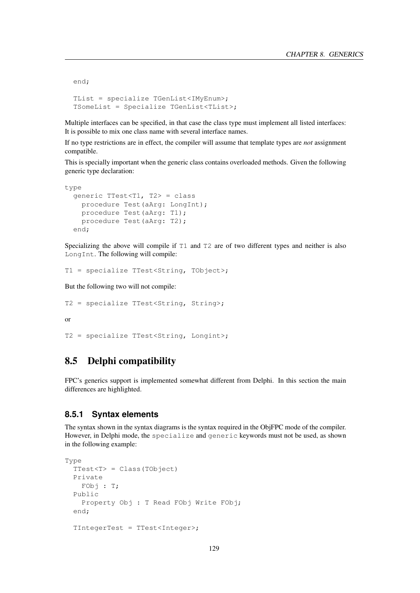```
TList = specialize TGenList<IMyEnum>;
TSomeList = Specialize TGenList<TList>;
```
end;

Multiple interfaces can be specified, in that case the class type must implement all listed interfaces: It is possible to mix one class name with several interface names.

If no type restrictions are in effect, the compiler will assume that template types are *not* assignment compatible.

This is specially important when the generic class contains overloaded methods. Given the following generic type declaration:

```
type
 generic TTest<T1, T2> = class
    procedure Test(aArg: LongInt);
    procedure Test(aArg: T1);
    procedure Test(aArg: T2);
 end;
```
Specializing the above will compile if T1 and T2 are of two different types and neither is also LongInt. The following will compile:

T1 = specialize TTest<String, TObject>;

But the following two will not compile:

```
T2 = specialize TTest<String, String>;
or
```
T2 = specialize TTest<String, Longint>;

#### 8.5 Delphi compatibility

FPC's generics support is implemented somewhat different from Delphi. In this section the main differences are highlighted.

#### **8.5.1 Syntax elements**

The syntax shown in the syntax diagrams is the syntax required in the ObjFPC mode of the compiler. However, in Delphi mode, the specialize and generic keywords must not be used, as shown in the following example:

```
Type
 TTest<T> = Class(TObject)
 Private
    FObj : T;
 Public
    Property Obj : T Read FObj Write FObj;
 end;
 TIntegerTest = TTest<Integer>;
```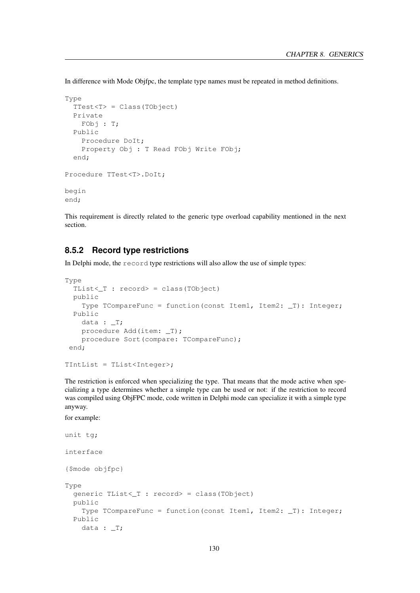In difference with Mode Objfpc, the template type names must be repeated in method definitions.

```
Type
  TTest<T> = Class(TObject)
  Private
   FObj : T;
  Public
   Procedure DoIt;
    Property Obj : T Read FObj Write FObj;
  end;
Procedure TTest<T>.DoIt;
begin
end;
```
This requirement is directly related to the generic type overload capability mentioned in the next section.

#### **8.5.2 Record type restrictions**

In Delphi mode, the record type restrictions will also allow the use of simple types:

```
Type
 TList<_T : record> = class(TObject)
 public
   Type TCompareFunc = function(const Item1, Item2: _T): Integer;
 Public
   data : T;
   procedure Add(item: _T);
   procedure Sort(compare: TCompareFunc);
 end;
TIntList = TList<Integer>;
```
The restriction is enforced when specializing the type. That means that the mode active when specializing a type determines whether a simple type can be used or not: if the restriction to record was compiled using ObjFPC mode, code written in Delphi mode can specialize it with a simple type anyway.

for example:

```
unit tg;
interface
{$mode objfpc}
Type
 generic TList<_T : record> = class(TObject)
 public
    Type TCompareFunc = function(const Item1, Item2: _T): Integer;
 Public
    data : T;
```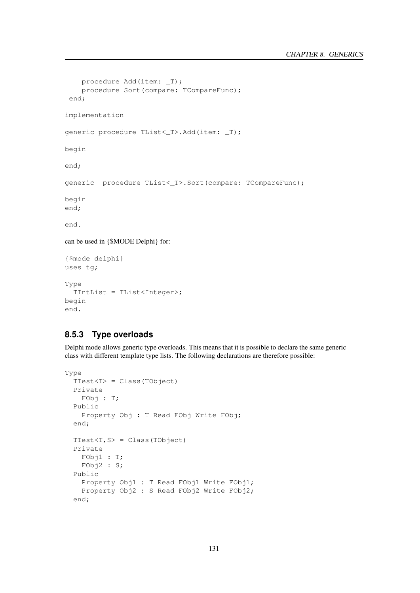```
procedure Add(item: _T);
    procedure Sort(compare: TCompareFunc);
 end;
implementation
generic procedure TList<_T>.Add(item: _T);
begin
end;
generic procedure TList<_T>.Sort(compare: TCompareFunc);
begin
end;
end.
can be used in {$MODE Delphi} for:
{$mode delphi}
uses tg;
Type
  TIntList = TList<Integer>;
begin
end.
```
#### **8.5.3 Type overloads**

Delphi mode allows generic type overloads. This means that it is possible to declare the same generic class with different template type lists. The following declarations are therefore possible:

```
Type
 TTest<T> = Class(TObject)
 Private
   FObj : T;
 Public
    Property Obj : T Read FObj Write FObj;
 end;
 TTest<T,S> = Class(TObject)
 Private
   FObj1 : T;
   FObj2 : S;
 Public
   Property Obj1 : T Read FObj1 Write FObj1;
   Property Obj2 : S Read FObj2 Write FObj2;
 end;
```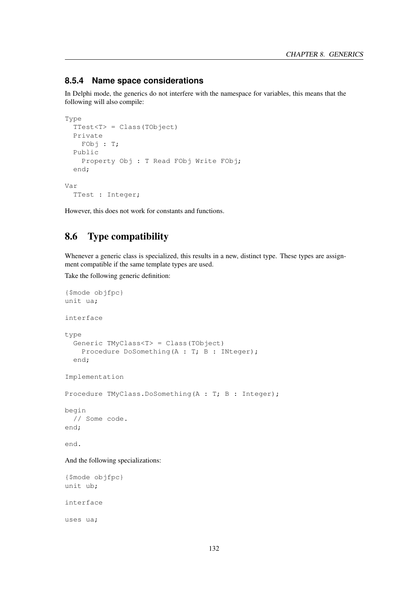#### **8.5.4 Name space considerations**

In Delphi mode, the generics do not interfere with the namespace for variables, this means that the following will also compile:

```
Type
 TTest<T> = Class(TObject)
 Private
   FObj : T;
 Public
   Property Obj : T Read FObj Write FObj;
 end;
Var
 TTest : Integer;
```
However, this does not work for constants and functions.

# 8.6 Type compatibility

Whenever a generic class is specialized, this results in a new, distinct type. These types are assignment compatible if the same template types are used.

Take the following generic definition:

```
{$mode objfpc}
unit ua;
interface
type
  Generic TMyClass<T> = Class(TObject)
    Procedure DoSomething (A : T; B : INteger);
  end;
Implementation
Procedure TMyClass.DoSomething(A : T; B : Integer);
begin
 // Some code.
end;
end.
And the following specializations:
```

```
{$mode objfpc}
unit ub;
interface
uses ua;
```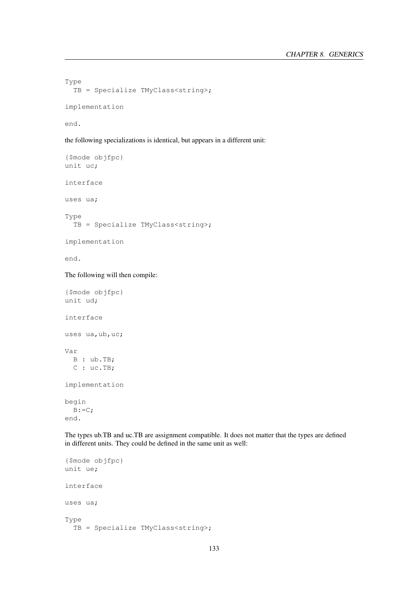```
Type
  TB = Specialize TMyClass<string>;
implementation
end.
```
the following specializations is identical, but appears in a different unit:

```
{$mode objfpc}
unit uc;
interface
uses ua;
Type
  TB = Specialize TMyClass<string>;
implementation
end.
The following will then compile:
```

```
{$mode objfpc}
unit ud;
interface
uses ua, ub, uc;
Var
 B : ub.TB;
 C : uc.TB;
implementation
begin
 B:=C;end.
```
The types ub.TB and uc.TB are assignment compatible. It does not matter that the types are defined in different units. They could be defined in the same unit as well:

```
{$mode objfpc}
unit ue;
interface
uses ua;
Type
 TB = Specialize TMyClass<string>;
```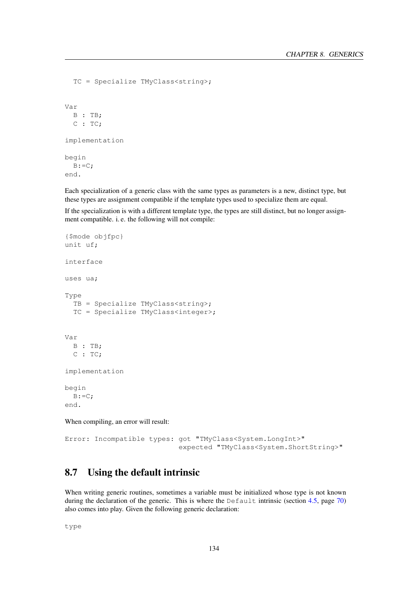```
TC = Specialize TMyClass<string>;
Var
 B : TB;
 C : TC;implementation
begin
 B:=C;
end.
```
Each specialization of a generic class with the same types as parameters is a new, distinct type, but these types are assignment compatible if the template types used to specialize them are equal.

If the specialization is with a different template type, the types are still distinct, but no longer assignment compatible. i. e. the following will not compile:

```
{$mode objfpc}
unit uf;
interface
uses ua;
Type
  TB = Specialize TMyClass<string>;
  TC = Specialize TMyClass<integer>;
Var
  B : TB;
  C : TC;
implementation
begin
 B:=C;end.
When compiling, an error will result:
```

```
Error: Incompatible types: got "TMyClass<System.LongInt>"
                           expected "TMyClass<System.ShortString>"
```
## 8.7 Using the default intrinsic

When writing generic routines, sometimes a variable must be initialized whose type is not known during the declaration of the generic. This is where the Default intrinsic (section [4.5,](#page-70-0) page [70\)](#page-70-0) also comes into play. Given the following generic declaration:

type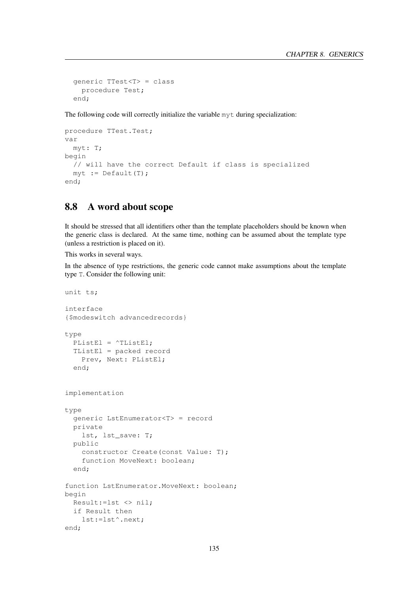```
generic TTest<T> = class
  procedure Test;
end;
```
The following code will correctly initialize the variable myt during specialization:

```
procedure TTest.Test;
var
 myt: T;
begin
  // will have the correct Default if class is specialized
 myt := Default(T);
end;
```
### 8.8 A word about scope

It should be stressed that all identifiers other than the template placeholders should be known when the generic class is declared. At the same time, nothing can be assumed about the template type (unless a restriction is placed on it).

This works in several ways.

In the absence of type restrictions, the generic code cannot make assumptions about the template type T. Consider the following unit:

```
unit ts;
interface
{$modeswitch advancedrecords}
type
 PListEl = ^TListEl;
  TListEl = packed record
    Prev, Next: PListEl;
  end;
implementation
type
  generic LstEnumerator<T> = record
  private
    lst, lst_save: T;
  public
    constructor Create(const Value: T);
    function MoveNext: boolean;
  end;
function LstEnumerator.MoveNext: boolean;
begin
  Result:=lst <> nil;
  if Result then
    lst:=lst^.next;
end;
```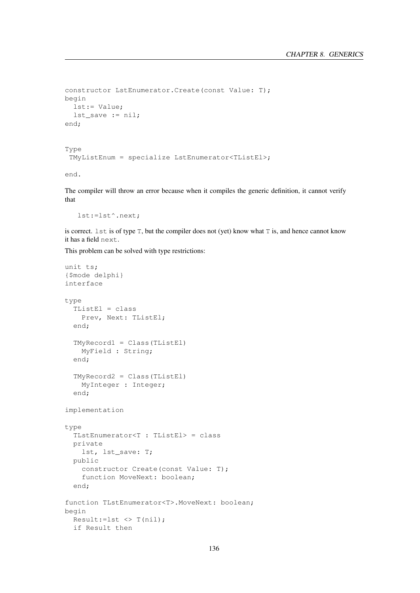```
constructor LstEnumerator.Create(const Value: T);
begin
 lst:= Value;
  lst save := nil;
end;
Type
 TMyListEnum = specialize LstEnumerator<TListEl>;
end.
```
The compiler will throw an error because when it compiles the generic definition, it cannot verify that

```
lst:=lst^.next;
```
is correct.  $1st$  is of type T, but the compiler does not (yet) know what T is, and hence cannot know it has a field next.

This problem can be solved with type restrictions:

```
unit ts;
{$mode delphi}
interface
type
  TListEl = class
   Prev, Next: TListEl;
  end;
  TMyRecord1 = Class(TListEl)
   MyField : String;
  end;
  TMyRecord2 = Class(TListEl)
    MyInteger : Integer;
  end;
implementation
type
  TLstEnumerator<T : TListEl> = class
  private
   lst, lst_save: T;
  public
    constructor Create(const Value: T);
    function MoveNext: boolean;
  end;
function TLstEnumerator<T>.MoveNext: boolean;
begin
 Result:=lst <> T(nil);
  if Result then
```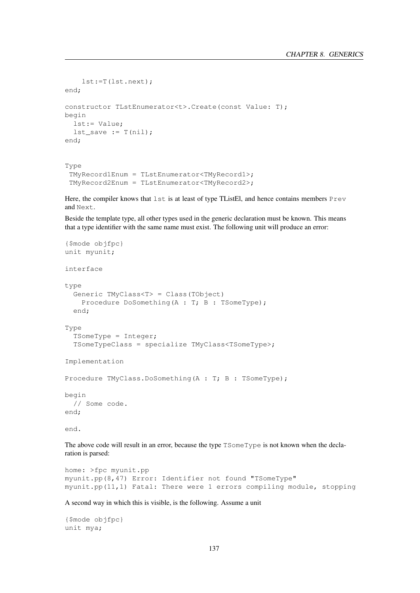```
lst:=T(lst.next);
end;
constructor TLstEnumerator<t>.Create(const Value: T);
begin
  lst:= Value;
  lst\_save := T(nil);end;
Type
 TMyRecord1Enum = TLstEnumerator<TMyRecord1>;
 TMyRecord2Enum = TLstEnumerator<TMyRecord2>;
Here, the compiler knows that lst is at least of type TListEl, and hence contains members Prev
and Next.
Beside the template type, all other types used in the generic declaration must be known. This means
that a type identifier with the same name must exist. The following unit will produce an error:
{$mode objfpc}
unit myunit;
interface
type
  Generic TMyClass<T> = Class(TObject)
    Procedure DoSomething(A : T; B : TSomeType);
  end;
Type
  TSomeType = Integer;
  TSomeTypeClass = specialize TMyClass<TSomeType>;
Implementation
Procedure TMyClass.DoSomething(A : T; B : TSomeType);
begin
```
// Some code. end;

end.

The above code will result in an error, because the type TSomeType is not known when the declaration is parsed:

home: >fpc myunit.pp myunit.pp(8,47) Error: Identifier not found "TSomeType" myunit.pp(11,1) Fatal: There were 1 errors compiling module, stopping

A second way in which this is visible, is the following. Assume a unit

```
{$mode objfpc}
unit mya;
```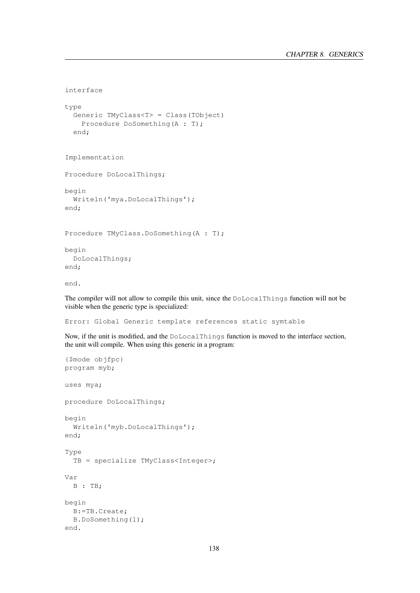```
interface
type
  Generic TMyClass<T> = Class(TObject)
    Procedure DoSomething(A : T);
  end;
Implementation
Procedure DoLocalThings;
begin
 Writeln('mya.DoLocalThings');
end;
Procedure TMyClass.DoSomething(A : T);
begin
 DoLocalThings;
end;
```
end.

The compiler will not allow to compile this unit, since the DoLocalThings function will not be visible when the generic type is specialized:

Error: Global Generic template references static symtable

Now, if the unit is modified, and the DoLocalThings function is moved to the interface section, the unit will compile. When using this generic in a program:

```
{$mode objfpc}
program myb;
uses mya;
procedure DoLocalThings;
begin
 Writeln('myb.DoLocalThings');
end;
Type
 TB = specialize TMyClass<Integer>;
Var
 B : TB;
begin
 B:=TB.Create;
 B.DoSomething(1);
```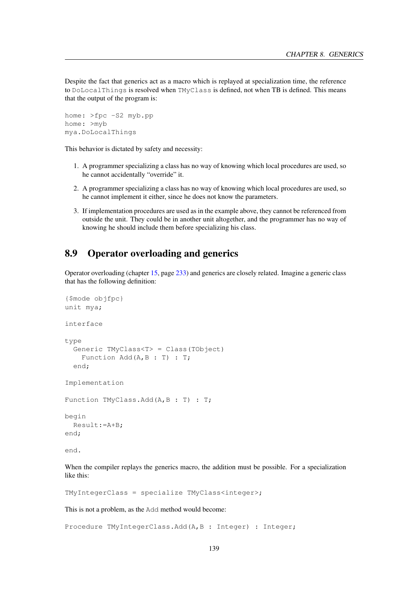Despite the fact that generics act as a macro which is replayed at specialization time, the reference to DoLocalThings is resolved when TMyClass is defined, not when TB is defined. This means that the output of the program is:

```
home: >fpc -S2 myb.pp
home: >myb
mya.DoLocalThings
```
This behavior is dictated by safety and necessity:

- 1. A programmer specializing a class has no way of knowing which local procedures are used, so he cannot accidentally "override" it.
- 2. A programmer specializing a class has no way of knowing which local procedures are used, so he cannot implement it either, since he does not know the parameters.
- 3. If implementation procedures are used as in the example above, they cannot be referenced from outside the unit. They could be in another unit altogether, and the programmer has no way of knowing he should include them before specializing his class.

#### 8.9 Operator overloading and generics

Operator overloading (chapter [15,](#page-233-0) page [233\)](#page-233-0) and generics are closely related. Imagine a generic class that has the following definition:

```
{$mode objfpc}
unit mya;
interface
type
  Generic TMyClass<T> = Class(TObject)
    Function Add(A, B : T) : T;
  end;
Implementation
Function TMyClass.Add(A, B : T) : T;
begin
  Result:=A+B;
end;
```
end.

When the compiler replays the generics macro, the addition must be possible. For a specialization like this:

TMyIntegerClass = specialize TMyClass<integer>;

This is not a problem, as the Add method would become:

Procedure TMyIntegerClass.Add(A,B : Integer) : Integer;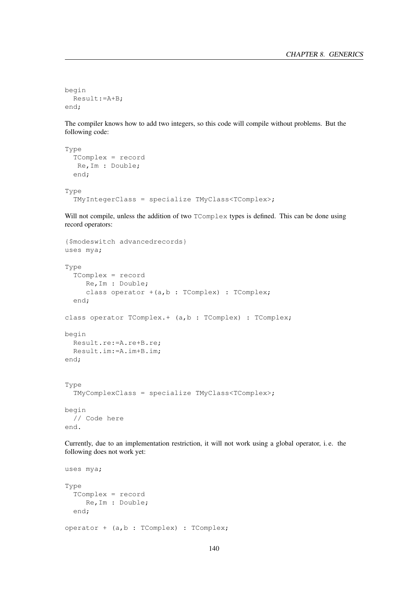```
begin
  Result:=A+B;
end;
```
The compiler knows how to add two integers, so this code will compile without problems. But the following code:

```
Type
 TComplex = record
  Re,Im : Double;
 end;
Type
 TMyIntegerClass = specialize TMyClass<TComplex>;
```
Will not compile, unless the addition of two TComplex types is defined. This can be done using record operators:

```
{$modeswitch advancedrecords}
uses mya;
Type
  TComplex = record
     Re,Im : Double;
     class operator +(a,b : TComplex) : TComplex;
  end;
class operator TComplex.+ (a,b : TComplex) : TComplex;
begin
 Result.re:=A.re+B.re;
 Result.im:=A.im+B.im;
end;
Type
  TMyComplexClass = specialize TMyClass<TComplex>;
begin
  // Code here
end.
```
Currently, due to an implementation restriction, it will not work using a global operator, i. e. the following does not work yet:

```
uses mya;
Type
  TComplex = record
     Re,Im : Double;
  end;
operator + (a,b : TComplex) : TComplex;
```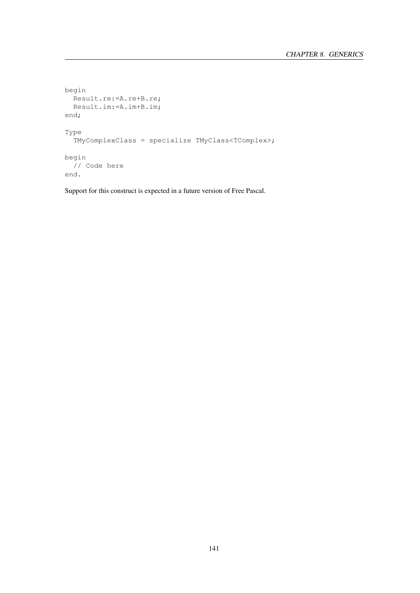```
begin
 Result.re:=A.re+B.re;
 Result.im:=A.im+B.im;
end;
Type
  TMyComplexClass = specialize TMyClass<TComplex>;
begin
 // Code here
end.
```
Support for this construct is expected in a future version of Free Pascal.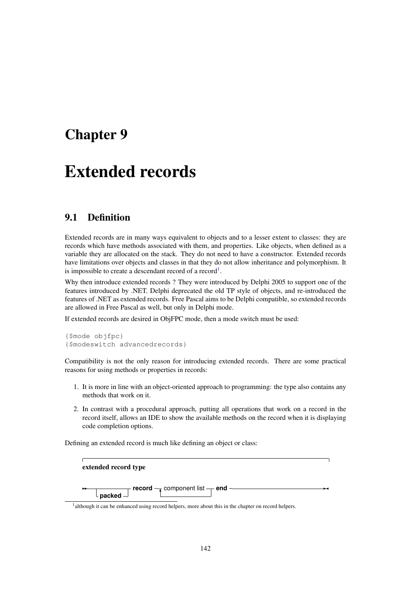# Chapter 9

# Extended records

### 9.1 Definition

Extended records are in many ways equivalent to objects and to a lesser extent to classes: they are records which have methods associated with them, and properties. Like objects, when defined as a variable they are allocated on the stack. They do not need to have a constructor. Extended records have limitations over objects and classes in that they do not allow inheritance and polymorphism. It is impossible to create a descendant record of a record<sup>[1](#page-142-0)</sup>.

Why then introduce extended records ? They were introduced by Delphi 2005 to support one of the features introduced by .NET. Delphi deprecated the old TP style of objects, and re-introduced the features of .NET as extended records. Free Pascal aims to be Delphi compatible, so extended records are allowed in Free Pascal as well, but only in Delphi mode.

If extended records are desired in ObjFPC mode, then a mode switch must be used:

```
{$mode objfpc}
{$modeswitch advancedrecords}
```
Compatibility is not the only reason for introducing extended records. There are some practical reasons for using methods or properties in records:

- 1. It is more in line with an object-oriented approach to programming: the type also contains any methods that work on it.
- 2. In contrast with a procedural approach, putting all operations that work on a record in the record itself, allows an IDE to show the available methods on the record when it is displaying code completion options.

Defining an extended record is much like defining an object or class:



<span id="page-142-0"></span><sup>&</sup>lt;sup>1</sup> although it can be enhanced using record helpers, more about this in the chapter on record helpers.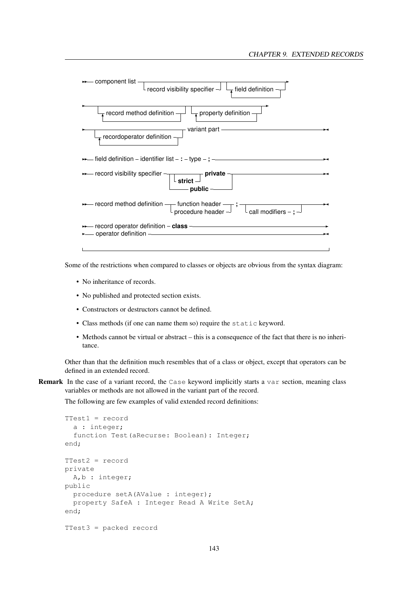

Some of the restrictions when compared to classes or objects are obvious from the syntax diagram:

- No inheritance of records.
- No published and protected section exists.
- Constructors or destructors cannot be defined.
- Class methods (if one can name them so) require the static keyword.
- Methods cannot be virtual or abstract this is a consequence of the fact that there is no inheritance.

Other than that the definition much resembles that of a class or object, except that operators can be defined in an extended record.

Remark In the case of a variant record, the Case keyword implicitly starts a var section, meaning class variables or methods are not allowed in the variant part of the record.

The following are few examples of valid extended record definitions:

```
TTest1 = record
  a : integer;
  function Test(aRecurse: Boolean): Integer;
end;
TTest2 = record
private
  A,b : integer;
public
  procedure setA(AValue : integer);
  property SafeA : Integer Read A Write SetA;
end;
TTest3 = packed record
```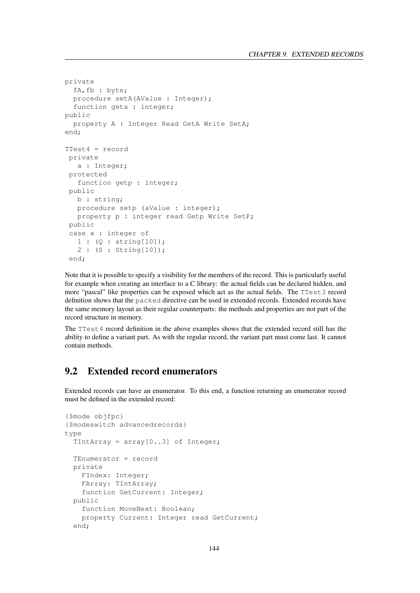```
private
  fA,fb : byte;
  procedure setA(AValue : Integer);
  function geta : integer;
public
  property A : Integer Read GetA Write SetA;
end;
TTest4 = record
 private
   a : Integer;
 protected
   function getp : integer;
 public
   b : string;
   procedure setp (aValue : integer);
   property p : integer read Getp Write SetP;
 public
 case x : integer of
   1 : (Q : string[10]);
   2 : (S : String[10]);
 end;
```
Note that it is possible to specify a visibility for the members of the record. This is particularly useful for example when creating an interface to a C library: the actual fields can be declared hidden, and more "pascal" like properties can be exposed which act as the actual fields. The TTest3 record definition shows that the packed directive can be used in extended records. Extended records have the same memory layout as their regular counterparts: the methods and properties are not part of the record structure in memory.

The TTest4 record definition in the above examples shows that the extended record still has the ability to define a variant part. As with the regular record, the variant part must come last. It cannot contain methods.

#### 9.2 Extended record enumerators

Extended records can have an enumerator. To this end, a function returning an enumerator record must be defined in the extended record:

```
{$mode objfpc}
{$modeswitch advancedrecords}
type
 TIntArray = array[0..3] of Integer;
 TEnumerator = record
 private
   FIndex: Integer;
   FArray: TIntArray;
    function GetCurrent: Integer;
 public
    function MoveNext: Boolean;
    property Current: Integer read GetCurrent;
 end;
```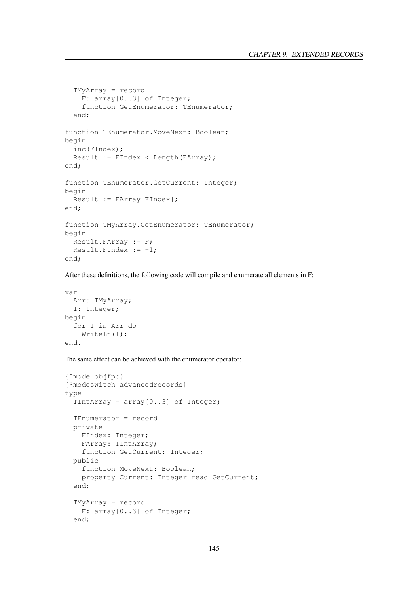```
TMyArray = record
    F: array<sup>[0..3]</sup> of Integer;
    function GetEnumerator: TEnumerator;
  end;
function TEnumerator.MoveNext: Boolean;
begin
  inc(FIndex);
  Result := FIndex < Length(FArray);
end;
function TEnumerator.GetCurrent: Integer;
begin
 Result := FArray[FIndex];
end;
function TMyArray.GetEnumerator: TEnumerator;
begin
  Result.FArray := F;
  Result.FIndex := -1;end;
```
After these definitions, the following code will compile and enumerate all elements in F:

```
var
 Arr: TMyArray;
 I: Integer;
begin
 for I in Arr do
   WriteLn(I);
end.
```
The same effect can be achieved with the enumerator operator:

```
{$mode objfpc}
{$modeswitch advancedrecords}
type
  TIntArray = array[0..3] of Integer;
  TEnumerator = record
  private
   FIndex: Integer;
    FArray: TIntArray;
    function GetCurrent: Integer;
  public
    function MoveNext: Boolean;
    property Current: Integer read GetCurrent;
  end;
  TMyArray = record
   F: array<sup>[0..3]</sup> of Integer;
  end;
```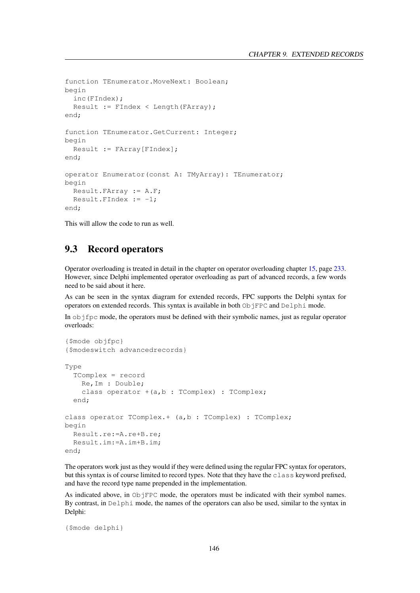```
function TEnumerator.MoveNext: Boolean;
begin
  inc(FIndex);
  Result := FIndex < Length(FArray);
end;
function TEnumerator.GetCurrent: Integer;
begin
  Result := FArray[FIndex];
end;
operator Enumerator(const A: TMyArray): TEnumerator;
begin
 Result.FArray := A.F;
  Result.FIndex := -1;end;
```
This will allow the code to run as well.

#### 9.3 Record operators

Operator overloading is treated in detail in the chapter on operator overloading chapter [15,](#page-233-0) page [233.](#page-233-0) However, since Delphi implemented operator overloading as part of advanced records, a few words need to be said about it here.

As can be seen in the syntax diagram for extended records, FPC supports the Delphi syntax for operators on extended records. This syntax is available in both  $Ob$  jFPC and  $Delphi$  mode.

In  $\phi$  if  $\phi$  mode, the operators must be defined with their symbolic names, just as regular operator overloads:

```
{$mode objfpc}
{$modeswitch advancedrecords}
Type
 TComplex = record
    Re,Im : Double;
    class operator +(a,b : TComplex) : TComplex;
 end;
class operator TComplex.+ (a,b : TComplex) : TComplex;
begin
 Result.re:=A.re+B.re;
 Result.im:=A.im+B.im;
end;
```
The operators work just as they would if they were defined using the regular FPC syntax for operators, but this syntax is of course limited to record types. Note that they have the class keyword prefixed, and have the record type name prepended in the implementation.

As indicated above, in ObjFPC mode, the operators must be indicated with their symbol names. By contrast, in Delphi mode, the names of the operators can also be used, similar to the syntax in Delphi:

{\$mode delphi}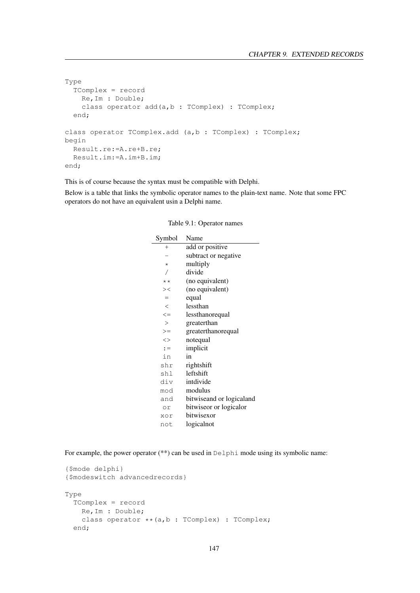```
Type
  TComplex = record
   Re,Im : Double;
    class operator add(a,b : TComplex) : TComplex;
  end;
class operator TComplex.add (a,b : TComplex) : TComplex;
begin
  Result.re:=A.re+B.re;
  Result.im:=A.im+B.im;
end;
```
This is of course because the syntax must be compatible with Delphi.

Below is a table that links the symbolic operator names to the plain-text name. Note that some FPC operators do not have an equivalent usin a Delphi name.

| Table 9.1: Operator names |  |  |
|---------------------------|--|--|
|---------------------------|--|--|

| Symbol                       | Name                     |
|------------------------------|--------------------------|
| $^{+}$                       | add or positive          |
|                              | subtract or negative     |
| $\star$                      | multiply                 |
| $\prime$                     | divide                   |
| $\star\star$                 | (no equivalent)          |
| $>\lt$                       | (no equivalent)          |
| $=$                          | equal                    |
| $\lt$                        | lessthan                 |
| $\leq$                       | lessthanorequal          |
| $\geq$                       | greaterthan              |
| $>=$                         | greaterthanorequal       |
| $\left\langle \right\rangle$ | notequal                 |
| $: =$                        | implicit                 |
| in                           | in                       |
| shr                          | rightshift               |
| shl                          | leftshift                |
| div                          | intdivide                |
| mod                          | modulus                  |
| and                          | bitwiseand or logicaland |
| or                           | bitwiseor or logicalor   |
| xor                          | bitwisexor               |
| not                          | logicalnot               |

For example, the power operator (\*\*) can be used in Delphi mode using its symbolic name:

```
{$mode delphi}
{$modeswitch advancedrecords}
Type
  TComplex = record
   Re,Im : Double;
   class operator **(a,b : TComplex) : TComplex;
  end;
```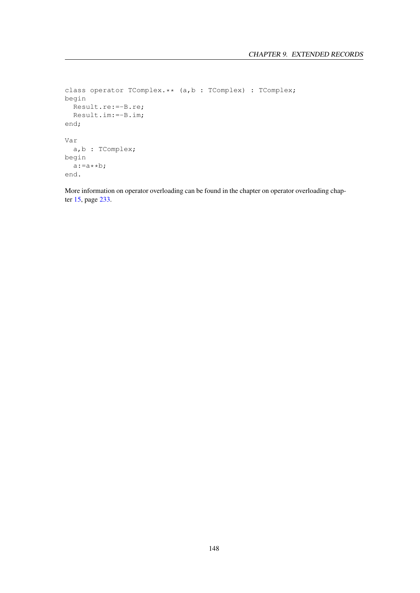```
class operator TComplex.** (a,b : TComplex) : TComplex;
begin
 Result.re:=-B.re;
 Result.im:=-B.im;
end;
Var
 a,b : TComplex;
begin
 a:=a**b;end.
```
More information on operator overloading can be found in the chapter on operator overloading chapter [15,](#page-233-0) page [233.](#page-233-0)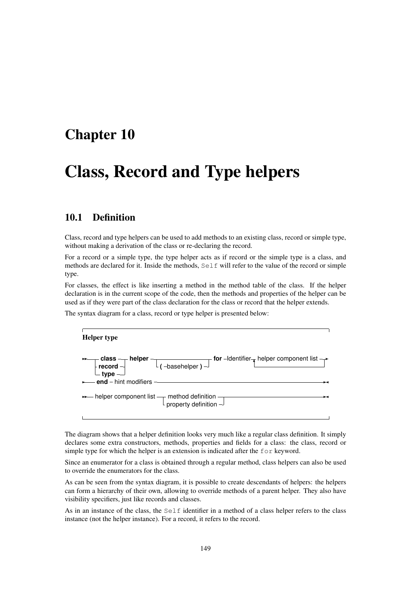# Chapter 10

# Class, Record and Type helpers

#### 10.1 Definition

Class, record and type helpers can be used to add methods to an existing class, record or simple type, without making a derivation of the class or re-declaring the record.

For a record or a simple type, the type helper acts as if record or the simple type is a class, and methods are declared for it. Inside the methods, Self will refer to the value of the record or simple type.

For classes, the effect is like inserting a method in the method table of the class. If the helper declaration is in the current scope of the code, then the methods and properties of the helper can be used as if they were part of the class declaration for the class or record that the helper extends.

The syntax diagram for a class, record or type helper is presented below:

| <b>Helper type</b>                                                                                                                                                                                                                                                                                                                                                                                                               |
|----------------------------------------------------------------------------------------------------------------------------------------------------------------------------------------------------------------------------------------------------------------------------------------------------------------------------------------------------------------------------------------------------------------------------------|
| $\leftarrow$ class — helper —<br>record — $\left(\frac{1}{2} + \frac{1}{2} + \frac{1}{2} + \frac{1}{2} + \frac{1}{2} + \frac{1}{2} + \frac{1}{2} + \frac{1}{2} + \frac{1}{2} + \frac{1}{2} + \frac{1}{2} + \frac{1}{2} + \frac{1}{2} + \frac{1}{2} + \frac{1}{2} + \frac{1}{2} + \frac{1}{2} + \frac{1}{2} + \frac{1}{2} + \frac{1}{2} + \frac{1}{2} + \frac{1}{2} + \frac{1}{2} + \$<br>$\longleftarrow$ end – hint modifiers – |
| Aller component list - method definition -                                                                                                                                                                                                                                                                                                                                                                                       |

The diagram shows that a helper definition looks very much like a regular class definition. It simply declares some extra constructors, methods, properties and fields for a class: the class, record or simple type for which the helper is an extension is indicated after the for keyword.

Since an enumerator for a class is obtained through a regular method, class helpers can also be used to override the enumerators for the class.

As can be seen from the syntax diagram, it is possible to create descendants of helpers: the helpers can form a hierarchy of their own, allowing to override methods of a parent helper. They also have visibility specifiers, just like records and classes.

As in an instance of the class, the Self identifier in a method of a class helper refers to the class instance (not the helper instance). For a record, it refers to the record.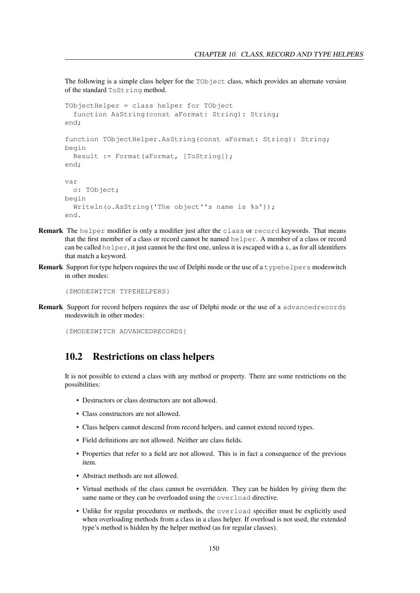The following is a simple class helper for the TObject class, which provides an alternate version of the standard ToString method.

```
TObjectHelper = class helper for TObject
  function AsString(const aFormat: String): String;
end;
function TObjectHelper.AsString(const aFormat: String): String;
begin
  Result := Format(aFormat, [ToString]);
end;
var
 o: TObject;
begin
 Writeln(o.AsString('The object''s name is %s'));
end.
```
- Remark The helper modifier is only a modifier just after the class or record keywords. That means that the first member of a class or record cannot be named helper. A member of a class or record can be called helper, it just cannot be the first one, unless it is escaped with a  $\&$ , as for all identifiers that match a keyword.
- Remark Support for type helpers requires the use of Delphi mode or the use of a typehelpers modeswitch in other modes:

{\$MODESWITCH TYPEHELPERS}

Remark Support for record helpers requires the use of Delphi mode or the use of a advancedrecords modeswitch in other modes:

{\$MODESWITCH ADVANCEDRECORDS}

#### 10.2 Restrictions on class helpers

It is not possible to extend a class with any method or property. There are some restrictions on the possibilities:

- Destructors or class destructors are not allowed.
- Class constructors are not allowed.
- Class helpers cannot descend from record helpers, and cannot extend record types.
- Field definitions are not allowed. Neither are class fields.
- Properties that refer to a field are not allowed. This is in fact a consequence of the previous item.
- Abstract methods are not allowed.
- Virtual methods of the class cannot be overridden. They can be hidden by giving them the same name or they can be overloaded using the overload directive.
- Unlike for regular procedures or methods, the overload specifier must be explicitly used when overloading methods from a class in a class helper. If overload is not used, the extended type's method is hidden by the helper method (as for regular classes).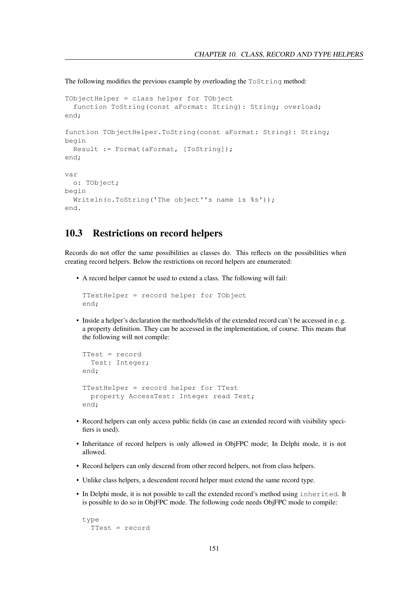The following modifies the previous example by overloading the ToString method:

```
TObjectHelper = class helper for TObject
  function ToString(const aFormat: String): String; overload;
end;
function TObjectHelper.ToString(const aFormat: String): String;
begin
 Result := Format(aFormat, [ToString]);
end;
var
 o: TObject;
begin
 Writeln(o.ToString('The object''s name is %s'));
end.
```
#### 10.3 Restrictions on record helpers

Records do not offer the same possibilities as classes do. This reflects on the possibilities when creating record helpers. Below the restrictions on record helpers are enumerated:

• A record helper cannot be used to extend a class. The following will fail:

```
TTestHelper = record helper for TObject
end;
```
• Inside a helper's declaration the methods/fields of the extended record can't be accessed in e. g. a property definition. They can be accessed in the implementation, of course. This means that the following will not compile:

```
TTest = record
 Test: Integer;
end;
TTestHelper = record helper for TTest
 property AccessTest: Integer read Test;
end;
```
- Record helpers can only access public fields (in case an extended record with visibility specifiers is used).
- Inheritance of record helpers is only allowed in ObjFPC mode; In Delphi mode, it is not allowed.
- Record helpers can only descend from other record helpers, not from class helpers.
- Unlike class helpers, a descendent record helper must extend the same record type.
- In Delphi mode, it is not possible to call the extended record's method using inherited. It is possible to do so in ObjFPC mode. The following code needs ObjFPC mode to compile:

```
type
  TTest = record
```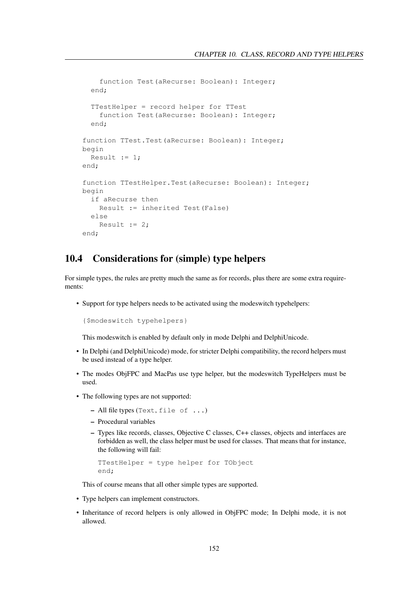```
function Test(aRecurse: Boolean): Integer;
  end;
  TTestHelper = record helper for TTest
    function Test(aRecurse: Boolean): Integer;
  end;
function TTest.Test(aRecurse: Boolean): Integer;
begin
  Result := 1;end;
function TTestHelper.Test(aRecurse: Boolean): Integer;
begin
  if aRecurse then
    Result := inherited Test(False)
  else
    Result := 2;end;
```
## 10.4 Considerations for (simple) type helpers

For simple types, the rules are pretty much the same as for records, plus there are some extra requirements:

• Support for type helpers needs to be activated using the modeswitch typehelpers:

```
{$modeswitch typehelpers}
```
This modeswitch is enabled by default only in mode Delphi and DelphiUnicode.

- In Delphi (and DelphiUnicode) mode, for stricter Delphi compatibility, the record helpers must be used instead of a type helper.
- The modes ObjFPC and MacPas use type helper, but the modeswitch TypeHelpers must be used.
- The following types are not supported:
	- $-$  All file types (Text, file of ...)
	- Procedural variables
	- Types like records, classes, Objective C classes, C++ classes, objects and interfaces are forbidden as well, the class helper must be used for classes. That means that for instance, the following will fail:

```
TTestHelper = type helper for TObject
end;
```
This of course means that all other simple types are supported.

- Type helpers can implement constructors.
- Inheritance of record helpers is only allowed in ObjFPC mode; In Delphi mode, it is not allowed.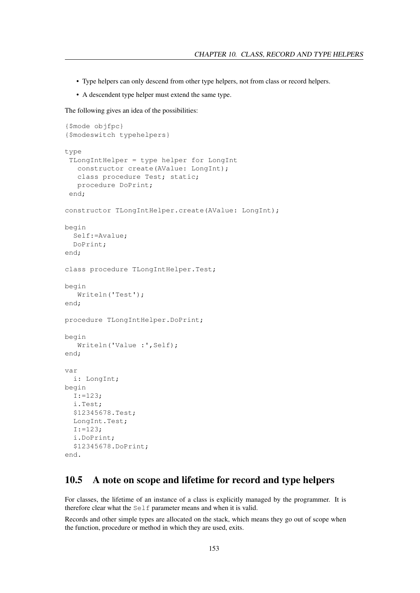- Type helpers can only descend from other type helpers, not from class or record helpers.
- A descendent type helper must extend the same type.

The following gives an idea of the possibilities:

```
{$mode objfpc}
{$modeswitch typehelpers}
type
 TLongIntHelper = type helper for LongInt
   constructor create(AValue: LongInt);
   class procedure Test; static;
   procedure DoPrint;
 end;
constructor TLongIntHelper.create(AValue: LongInt);
begin
 Self:=Avalue;
 DoPrint;
end;
class procedure TLongIntHelper.Test;
begin
   Writeln('Test');
end;
procedure TLongIntHelper.DoPrint;
begin
  Writeln('Value :',Self);
end;
var
 i: LongInt;
begin
 I := 123;
 i.Test;
 $12345678.Test;
 LongInt.Test;
 I := 123;i.DoPrint;
  $12345678.DoPrint;
```

```
end.
```
#### 10.5 A note on scope and lifetime for record and type helpers

For classes, the lifetime of an instance of a class is explicitly managed by the programmer. It is therefore clear what the Self parameter means and when it is valid.

Records and other simple types are allocated on the stack, which means they go out of scope when the function, procedure or method in which they are used, exits.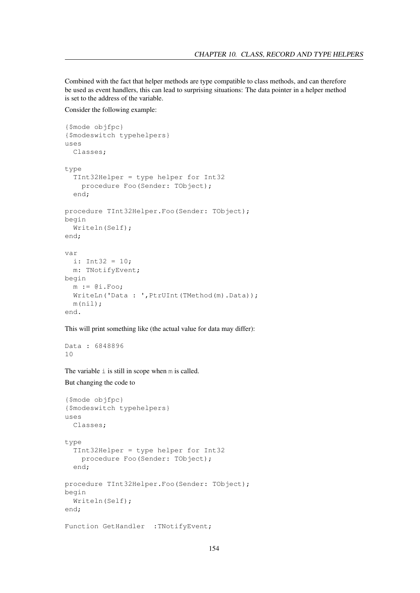Combined with the fact that helper methods are type compatible to class methods, and can therefore be used as event handlers, this can lead to surprising situations: The data pointer in a helper method is set to the address of the variable.

Consider the following example:

```
{$mode objfpc}
{$modeswitch typehelpers}
uses
  Classes;
type
  TInt32Helper = type helper for Int32
    procedure Foo(Sender: TObject);
  end;
procedure TInt32Helper.Foo(Sender: TObject);
begin
 Writeln(Self);
end;
var
 i: Int32 = 10;
 m: TNotifyEvent;
begin
 m := @i.Foo;WriteLn('Data : ',PtrUInt(TMethod(m).Data));
 m(nil);
end.
```
This will print something like (the actual value for data may differ):

Data : 6848896 10

The variable  $\pm$  is still in scope when  $m$  is called.

But changing the code to

```
{$mode objfpc}
{$modeswitch typehelpers}
uses
  Classes;
type
  TInt32Helper = type helper for Int32
    procedure Foo(Sender: TObject);
  end;
procedure TInt32Helper.Foo(Sender: TObject);
begin
 Writeln(Self);
end;
Function GetHandler : TNotifyEvent;
```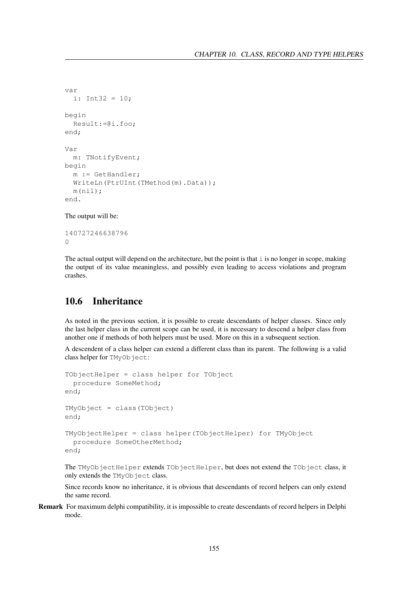```
var
  i: Int32 = 10;
begin
  Result:=@i.foo;
end;
Var
 m: TNotifyEvent;
begin
 m := GetHandler;
 WriteLn(PtrUInt(TMethod(m).Data));
 m(nil);
end.
```
The output will be:

```
140727246638796
\Omega
```
The actual output will depend on the architecture, but the point is that  $\pm$  is no longer in scope, making the output of its value meaningless, and possibly even leading to access violations and program crashes.

### 10.6 Inheritance

As noted in the previous section, it is possible to create descendants of helper classes. Since only the last helper class in the current scope can be used, it is necessary to descend a helper class from another one if methods of both helpers must be used. More on this in a subsequent section.

A descendent of a class helper can extend a different class than its parent. The following is a valid class helper for TMyObject:

```
TObjectHelper = class helper for TObject
 procedure SomeMethod;
end;
TMyObject = class(TObject)
end;
TMyObjectHelper = class helper(TObjectHelper) for TMyObject
 procedure SomeOtherMethod;
end;
```
The TMyObjectHelper extends TObjectHelper, but does not extend the TObject class, it only extends the TMyObject class.

Since records know no inheritance, it is obvious that descendants of record helpers can only extend the same record.

Remark For maximum delphi compatibility, it is impossible to create descendants of record helpers in Delphi mode.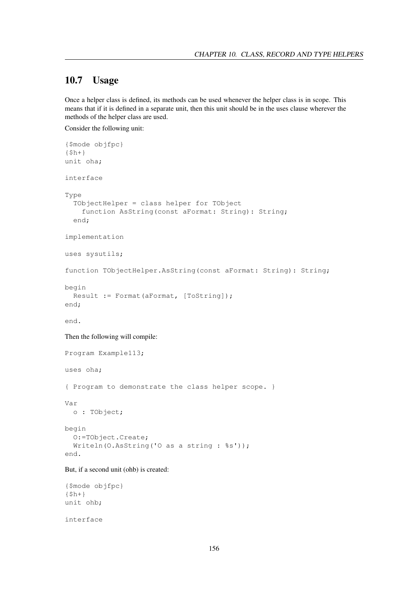#### 10.7 Usage

Once a helper class is defined, its methods can be used whenever the helper class is in scope. This means that if it is defined in a separate unit, then this unit should be in the uses clause wherever the methods of the helper class are used.

Consider the following unit:

```
{$mode objfpc}
{5h+}unit oha;
interface
Type
  TObjectHelper = class helper for TObject
    function AsString(const aFormat: String): String;
  end;
implementation
uses sysutils;
function TObjectHelper.AsString(const aFormat: String): String;
begin
  Result := Format(aFormat, [ToString]);
end;
end.
Then the following will compile:
Program Example113;
uses oha;
{ Program to demonstrate the class helper scope. }
Var
 o : TObject;
begin
  O:=TObject.Create;
  Writeln(O.AsString('O as a string: %s'));
end.
But, if a second unit (ohb) is created:
```

```
{$mode objfpc}
{$h+}
unit ohb;
```
interface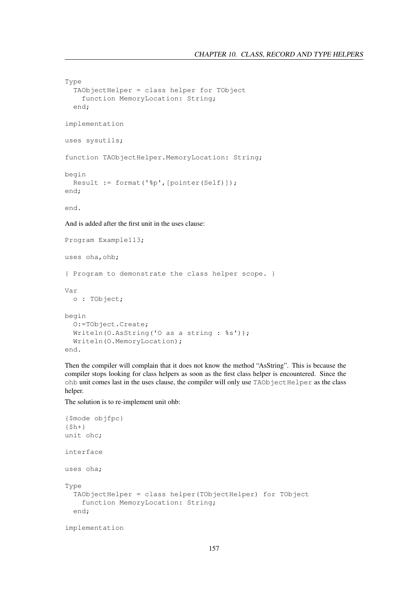```
Type
  TAObjectHelper = class helper for TObject
    function MemoryLocation: String;
  end;
implementation
uses sysutils;
function TAObjectHelper.MemoryLocation: String;
begin
  Result := format('%p',[pointer(Self)]);
end;
end.
And is added after the first unit in the uses clause:
Program Example113;
uses oha, ohb;
{ Program to demonstrate the class helper scope. }
Var
  o : TObject;
begin
  O:=TObject.Create;
```

```
Writeln(O.AsString('O as a string : %s'));
 Writeln(O.MemoryLocation);
end.
```
Then the compiler will complain that it does not know the method "AsString". This is because the compiler stops looking for class helpers as soon as the first class helper is encountered. Since the ohb unit comes last in the uses clause, the compiler will only use TAObjectHelper as the class helper.

The solution is to re-implement unit ohb:

```
{$mode objfpc}
{5h+}unit ohc;
interface
uses oha;
Type
  TAObjectHelper = class helper(TObjectHelper) for TObject
    function MemoryLocation: String;
  end;
implementation
```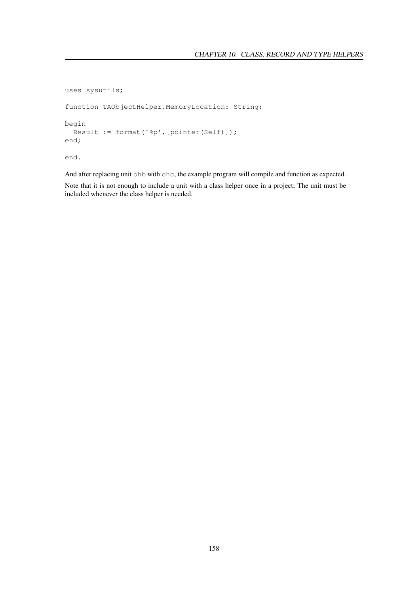```
uses sysutils;
function TAObjectHelper.MemoryLocation: String;
begin
 Result := format('%p',[pointer(Self)]);
end;
```
end.

And after replacing unit ohb with ohc, the example program will compile and function as expected.

Note that it is not enough to include a unit with a class helper once in a project; The unit must be included whenever the class helper is needed.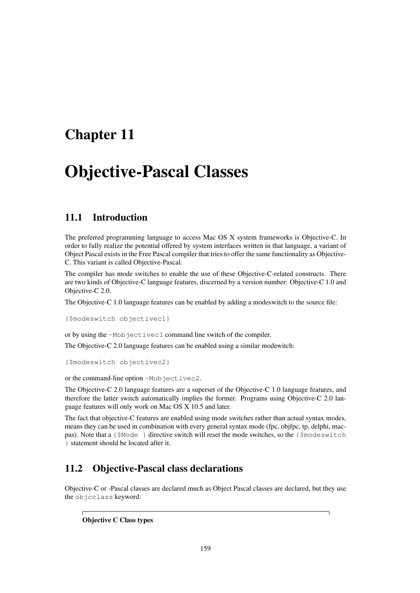# Chapter 11

# Objective-Pascal Classes

# 11.1 Introduction

The preferred programming language to access Mac OS X system frameworks is Objective-C. In order to fully realize the potential offered by system interfaces written in that language, a variant of Object Pascal exists in the Free Pascal compiler that tries to offer the same functionality as Objective-C. This variant is called Objective-Pascal.

The compiler has mode switches to enable the use of these Objective-C-related constructs. There are two kinds of Objective-C language features, discerned by a version number: Objective-C 1.0 and Objective-C 2.0.

The Objective-C 1.0 language features can be enabled by adding a modeswitch to the source file:

```
{$modeswitch objectivec1}
```
or by using the -Mobjectivec1 command line switch of the compiler.

The Objective-C 2.0 language features can be enabled using a similar modewitch:

```
{$modeswitch objectivec2}
```
or the command-line option -Mobjectivec2.

The Objective-C 2.0 language features are a superset of the Objective-C 1.0 language features, and therefore the latter switch automatically implies the former. Programs using Objective-C 2.0 language features will only work on Mac OS X 10.5 and later.

The fact that objective-C features are enabled using mode switches rather than actual syntax modes, means they can be used in combination with every general syntax mode (fpc, objfpc, tp, delphi, macpas). Note that a {\$Mode } directive switch will reset the mode switches, so the {\$modeswitch } statement should be located after it.

# 11.2 Objective-Pascal class declarations

Objective-C or -Pascal classes are declared much as Object Pascal classes are declared, but they use the objcclass keyword:

Objective C Class types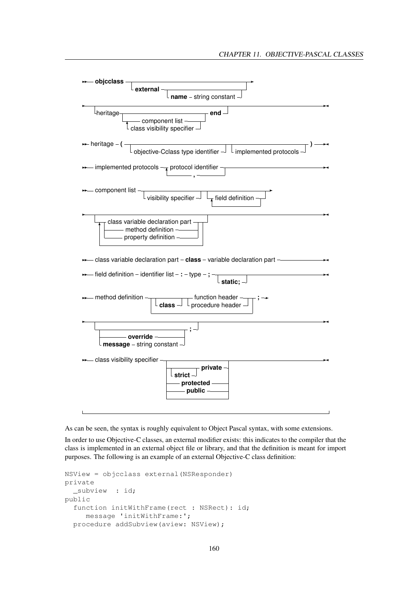| - objcclass                                                                                                                                |  |  |
|--------------------------------------------------------------------------------------------------------------------------------------------|--|--|
| external<br>L name – string constant –                                                                                                     |  |  |
|                                                                                                                                            |  |  |
| Lheritage<br>– end -<br>class visibility specifier -                                                                                       |  |  |
| objective-Cclass type identifier JU implemented protocols<br>$\rightarrow$ heritage - ( $\cdot$                                            |  |  |
| implemented protocols $-\sqrt{ }$ protocol identifier -                                                                                    |  |  |
| - component list ·<br>visibility specifier $\frac{1}{2}$ $\frac{1}{2}$ field definition -                                                  |  |  |
| class variable declaration part -<br>- method definition<br>- property definition -                                                        |  |  |
| class variable declaration part $-$ class $-$ variable declaration part $-$                                                                |  |  |
| $\rightarrow$ field definition - identifier list - : - type -;<br>$\mathrel{\mathop{\rule{0pt}{\scriptstyle\relax}}\nolimits}$ static; $-$ |  |  |
| method definition -<br>- function header -<br>$\mathsf L$ class $\mathsf \lnot \enskip \mathsf L$ procedure header $\mathsf \lnot$         |  |  |
| override --<br>L message – string constant -                                                                                               |  |  |
| class visibility specifier<br>private -<br>└ strict -<br>– protected –<br>— public -                                                       |  |  |

As can be seen, the syntax is roughly equivalent to Object Pascal syntax, with some extensions.

In order to use Objective-C classes, an external modifier exists: this indicates to the compiler that the class is implemented in an external object file or library, and that the definition is meant for import purposes. The following is an example of an external Objective-C class definition:

```
NSView = objcclass external(NSResponder)
private
  _subview : id;
public
  function initWithFrame(rect : NSRect): id;
    message 'initWithFrame:';
 procedure addSubview(aview: NSView);
```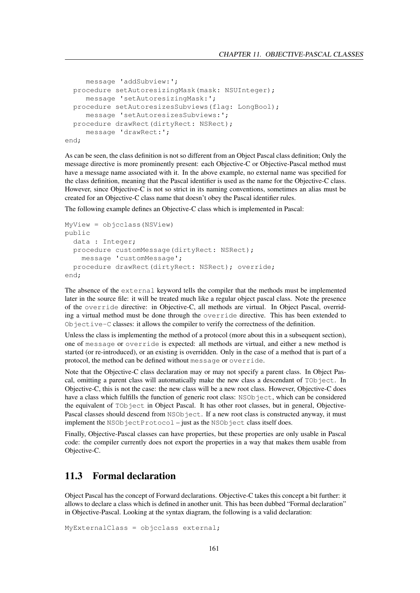```
message 'addSubview:';
 procedure setAutoresizingMask(mask: NSUInteger);
     message 'setAutoresizingMask:';
 procedure setAutoresizesSubviews(flag: LongBool);
     message 'setAutoresizesSubviews:';
 procedure drawRect(dirtyRect: NSRect);
     message 'drawRect:';
end;
```
As can be seen, the class definition is not so different from an Object Pascal class definition; Only the message directive is more prominently present: each Objective-C or Objective-Pascal method must have a message name associated with it. In the above example, no external name was specified for the class definition, meaning that the Pascal identifier is used as the name for the Objective-C class. However, since Objective-C is not so strict in its naming conventions, sometimes an alias must be created for an Objective-C class name that doesn't obey the Pascal identifier rules.

The following example defines an Objective-C class which is implemented in Pascal:

```
MyView = objcclass(NSView)
public
 data : Integer;
 procedure customMessage(dirtyRect: NSRect);
    message 'customMessage';
 procedure drawRect(dirtyRect: NSRect); override;
end;
```
The absence of the external keyword tells the compiler that the methods must be implemented later in the source file: it will be treated much like a regular object pascal class. Note the presence of the override directive: in Objective-C, all methods are virtual. In Object Pascal, overriding a virtual method must be done through the override directive. This has been extended to Objective-C classes: it allows the compiler to verify the correctness of the definition.

Unless the class is implementing the method of a protocol (more about this in a subsequent section), one of message or override is expected: all methods are virtual, and either a new method is started (or re-introduced), or an existing is overridden. Only in the case of a method that is part of a protocol, the method can be defined without message or override.

Note that the Objective-C class declaration may or may not specify a parent class. In Object Pascal, omitting a parent class will automatically make the new class a descendant of TObject. In Objective-C, this is not the case: the new class will be a new root class. However, Objective-C does have a class which fulfills the function of generic root class: NSObject, which can be considered the equivalent of TObject in Object Pascal. It has other root classes, but in general, Objective-Pascal classes should descend from NSObject. If a new root class is constructed anyway, it must implement the NSObject Protocol – just as the NSObject class itself does.

Finally, Objective-Pascal classes can have properties, but these properties are only usable in Pascal code: the compiler currently does not export the properties in a way that makes them usable from Objective-C.

#### 11.3 Formal declaration

Object Pascal has the concept of Forward declarations. Objective-C takes this concept a bit further: it allows to declare a class which is defined in another unit. This has been dubbed "Formal declaration" in Objective-Pascal. Looking at the syntax diagram, the following is a valid declaration:

MyExternalClass = objcclass external;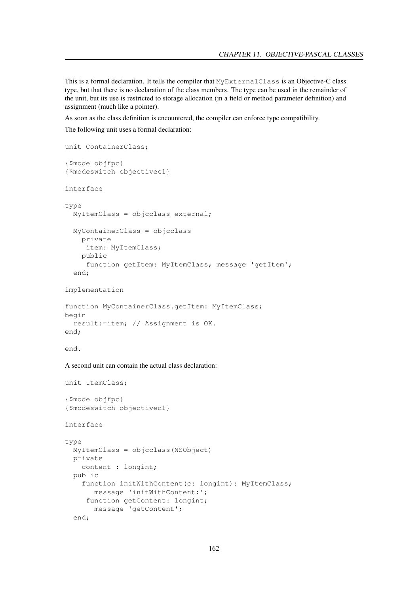This is a formal declaration. It tells the compiler that MyExternalClass is an Objective-C class type, but that there is no declaration of the class members. The type can be used in the remainder of the unit, but its use is restricted to storage allocation (in a field or method parameter definition) and assignment (much like a pointer).

As soon as the class definition is encountered, the compiler can enforce type compatibility.

The following unit uses a formal declaration:

```
unit ContainerClass;
{$mode objfpc}
{$modeswitch objectivec1}
interface
type
 MyItemClass = objcclass external;
 MyContainerClass = objcclass
   private
    item: MyItemClass;
    public
     function getItem: MyItemClass; message 'getItem';
  end;
implementation
function MyContainerClass.getItem: MyItemClass;
begin
  result:=item; // Assignment is OK.
end;
end.
A second unit can contain the actual class declaration:
unit ItemClass;
{$mode objfpc}
{$modeswitch objectivec1}
interface
type
 MyItemClass = objcclass(NSObject)
  private
    content : longint;
  public
    function initWithContent(c: longint): MyItemClass;
       message 'initWithContent:';
     function getContent: longint;
       message 'getContent';
  end;
```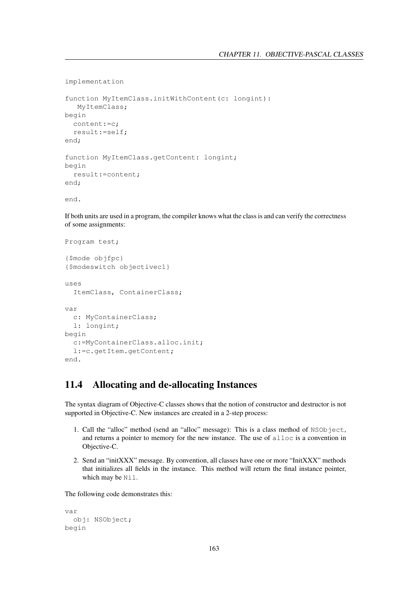```
implementation
function MyItemClass.initWithContent(c: longint):
   MyItemClass;
begin
  content:=c;
  result:=self;
end;
function MyItemClass.getContent: longint;
begin
  result:=content;
end;
```
end.

If both units are used in a program, the compiler knows what the class is and can verify the correctness of some assignments:

```
Program test;
{$mode objfpc}
{$modeswitch objectivec1}
uses
  ItemClass, ContainerClass;
var
 c: MyContainerClass;
 l: longint;
begin
  c:=MyContainerClass.alloc.init;
  l:=c.getItem.getContent;
end.
```
# 11.4 Allocating and de-allocating Instances

The syntax diagram of Objective-C classes shows that the notion of constructor and destructor is not supported in Objective-C. New instances are created in a 2-step process:

- 1. Call the "alloc" method (send an "alloc" message): This is a class method of NSObject, and returns a pointer to memory for the new instance. The use of alloc is a convention in Objective-C.
- 2. Send an "initXXX" message. By convention, all classes have one or more "InitXXX" methods that initializes all fields in the instance. This method will return the final instance pointer, which may be Nil.

The following code demonstrates this:

```
var
  obj: NSObject;
begin
```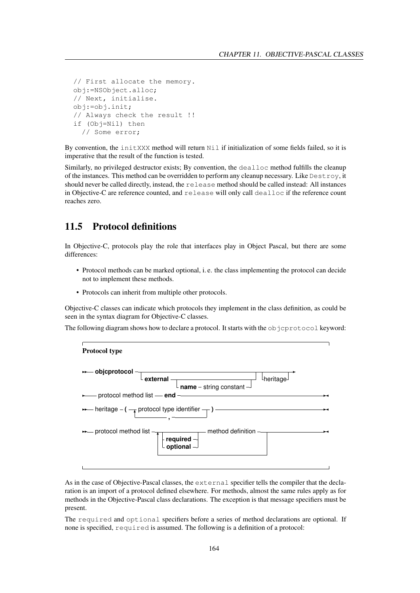```
// First allocate the memory.
obj:=NSObject.alloc;
// Next, initialise.
obj:=obj.init;
// Always check the result !!
if (Obj=Nil) then
  // Some error;
```
By convention, the initXXX method will return Nil if initialization of some fields failed, so it is imperative that the result of the function is tested.

Similarly, no privileged destructor exists; By convention, the dealloc method fulfills the cleanup of the instances. This method can be overridden to perform any cleanup necessary. Like  $\text{Destroy}$ , it should never be called directly, instead, the release method should be called instead: All instances in Objective-C are reference counted, and release will only call dealloc if the reference count reaches zero.

#### 11.5 Protocol definitions

In Objective-C, protocols play the role that interfaces play in Object Pascal, but there are some differences:

- Protocol methods can be marked optional, i. e. the class implementing the protocol can decide not to implement these methods.
- Protocols can inherit from multiple other protocols.

Objective-C classes can indicate which protocols they implement in the class definition, as could be seen in the syntax diagram for Objective-C classes.

The following diagram shows how to declare a protocol. It starts with the  $\circ$ b  $\circ$ cprotocol keyword:

| <b>Protocol type</b>                                                                                                                                      |  |
|-----------------------------------------------------------------------------------------------------------------------------------------------------------|--|
| b objcprotocol - external - external - name - string constant -<br>Lheritage                                                                              |  |
|                                                                                                                                                           |  |
| $\rightarrow$ heritage - ( $\rightarrow$ protocol type identifier $\rightarrow$ ) $\rightarrow$                                                           |  |
| $\rightarrow$ protocol method list $\left[\begin{array}{c c}\n\end{array}\right]$ required $\left[\begin{array}{c}\n\end{array}\right]$ method definition |  |

As in the case of Objective-Pascal classes, the external specifier tells the compiler that the declaration is an import of a protocol defined elsewhere. For methods, almost the same rules apply as for methods in the Objective-Pascal class declarations. The exception is that message specifiers must be present.

The required and optional specifiers before a series of method declarations are optional. If none is specified, required is assumed. The following is a definition of a protocol: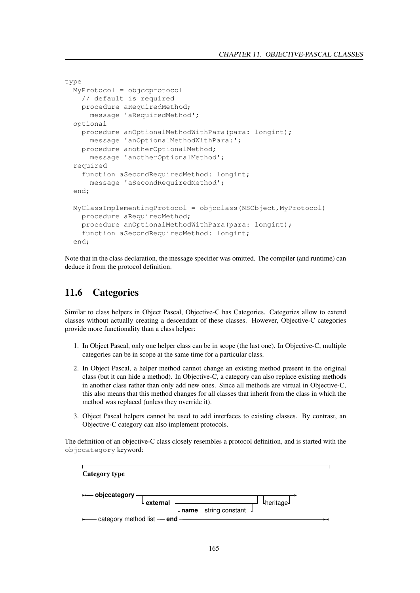```
type
 MyProtocol = objccprotocol
   // default is required
   procedure aRequiredMethod;
     message 'aRequiredMethod';
 optional
   procedure anOptionalMethodWithPara(para: longint);
     message 'anOptionalMethodWithPara:';
   procedure anotherOptionalMethod;
     message 'anotherOptionalMethod';
 required
   function aSecondRequiredMethod: longint;
     message 'aSecondRequiredMethod';
 end;
 MyClassImplementingProtocol = objcclass(NSObject,MyProtocol)
   procedure aRequiredMethod;
   procedure anOptionalMethodWithPara(para: longint);
    function aSecondRequiredMethod: longint;
 end;
```
Note that in the class declaration, the message specifier was omitted. The compiler (and runtime) can deduce it from the protocol definition.

#### 11.6 Categories

Similar to class helpers in Object Pascal, Objective-C has Categories. Categories allow to extend classes without actually creating a descendant of these classes. However, Objective-C categories provide more functionality than a class helper:

- 1. In Object Pascal, only one helper class can be in scope (the last one). In Objective-C, multiple categories can be in scope at the same time for a particular class.
- 2. In Object Pascal, a helper method cannot change an existing method present in the original class (but it can hide a method). In Objective-C, a category can also replace existing methods in another class rather than only add new ones. Since all methods are virtual in Objective-C, this also means that this method changes for all classes that inherit from the class in which the method was replaced (unless they override it).
- 3. Object Pascal helpers cannot be used to add interfaces to existing classes. By contrast, an Objective-C category can also implement protocols.

The definition of an objective-C class closely resembles a protocol definition, and is started with the objccategory keyword:

| Category type                |            |                                                    |           |  |
|------------------------------|------------|----------------------------------------------------|-----------|--|
| $\rightarrow$ objecategory   | └ external |                                                    | Lheritage |  |
| category method list - end - |            | $\frac{1}{2}$ name – string constant $\frac{1}{2}$ |           |  |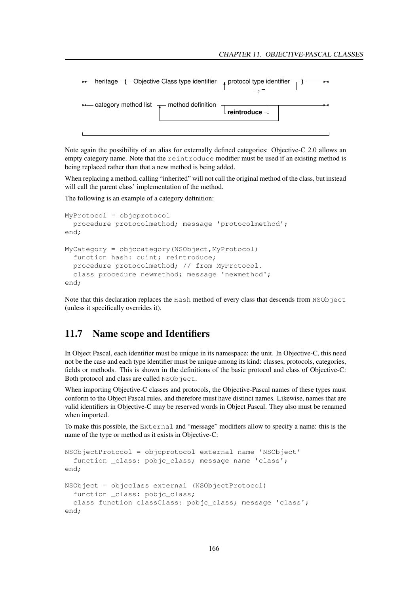| → heritage - ( - Objective Class type identifier $-\frac{1}{\sqrt{2}}$ protocol type identifier $-\frac{1}{\sqrt{2}}$ |  |  |
|-----------------------------------------------------------------------------------------------------------------------|--|--|
| extra category method list - method definition - reintroduce -                                                        |  |  |
|                                                                                                                       |  |  |

Note again the possibility of an alias for externally defined categories: Objective-C 2.0 allows an empty category name. Note that the reintroduce modifier must be used if an existing method is being replaced rather than that a new method is being added.

When replacing a method, calling "inherited" will not call the original method of the class, but instead will call the parent class' implementation of the method.

The following is an example of a category definition:

```
MyProtocol = objcprotocol
 procedure protocolmethod; message 'protocolmethod';
end;
MyCategory = objccategory(NSObject,MyProtocol)
 function hash: cuint; reintroduce;
 procedure protocolmethod; // from MyProtocol.
 class procedure newmethod; message 'newmethod';
end;
```
Note that this declaration replaces the Hash method of every class that descends from NSObject (unless it specifically overrides it).

#### 11.7 Name scope and Identifiers

In Object Pascal, each identifier must be unique in its namespace: the unit. In Objective-C, this need not be the case and each type identifier must be unique among its kind: classes, protocols, categories, fields or methods. This is shown in the definitions of the basic protocol and class of Objective-C: Both protocol and class are called NSObject.

When importing Objective-C classes and protocols, the Objective-Pascal names of these types must conform to the Object Pascal rules, and therefore must have distinct names. Likewise, names that are valid identifiers in Objective-C may be reserved words in Object Pascal. They also must be renamed when imported.

To make this possible, the External and "message" modifiers allow to specify a name: this is the name of the type or method as it exists in Objective-C:

```
NSObjectProtocol = objcprotocol external name 'NSObject'
 function class: pobjc class; message name 'class';
end;
NSObject = objcclass external (NSObjectProtocol)
 function _class: pobjc_class;
 class function classClass: pobjc_class; message 'class';
end;
```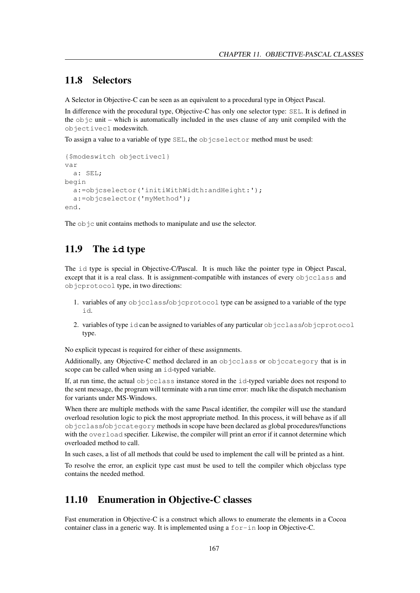#### 11.8 Selectors

A Selector in Objective-C can be seen as an equivalent to a procedural type in Object Pascal.

In difference with the procedural type, Objective-C has only one selector type: SEL. It is defined in the  $\circ$ b j $\circ$  unit – which is automatically included in the uses clause of any unit compiled with the objectivec1 modeswitch.

To assign a value to a variable of type SEL, the objcselector method must be used:

```
{$modeswitch objectivec1}
var
 a: SEL;
begin
 a:=objcselector('initiWithWidth:andHeight:');
 a:=objcselector('myMethod');
end.
```
The  $\circ$ b  $\circ$  c unit contains methods to manipulate and use the selector.

#### 11.9 The **id** type

The id type is special in Objective-C/Pascal. It is much like the pointer type in Object Pascal, except that it is a real class. It is assignment-compatible with instances of every objcclass and objcprotocol type, in two directions:

- 1. variables of any objcclass/objcprotocol type can be assigned to a variable of the type id.
- 2. variables of type id can be assigned to variables of any particular objectass/objeprotocol type.

No explicit typecast is required for either of these assignments.

Additionally, any Objective-C method declared in an objcclass or objccategory that is in scope can be called when using an id-typed variable.

If, at run time, the actual  $\circ$ bjcclass instance stored in the id-typed variable does not respond to the sent message, the program will terminate with a run time error: much like the dispatch mechanism for variants under MS-Windows.

When there are multiple methods with the same Pascal identifier, the compiler will use the standard overload resolution logic to pick the most appropriate method. In this process, it will behave as if all objcclass/objccategory methods in scope have been declared as global procedures/functions with the overload specifier. Likewise, the compiler will print an error if it cannot determine which overloaded method to call.

In such cases, a list of all methods that could be used to implement the call will be printed as a hint.

To resolve the error, an explicit type cast must be used to tell the compiler which objcclass type contains the needed method.

#### 11.10 Enumeration in Objective-C classes

Fast enumeration in Objective-C is a construct which allows to enumerate the elements in a Cocoa container class in a generic way. It is implemented using a  $f \circ r - i \circ n$  loop in Objective-C.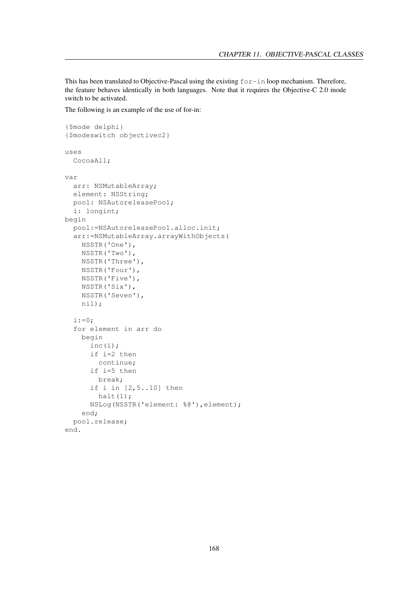This has been translated to Objective-Pascal using the existing for-in loop mechanism. Therefore, the feature behaves identically in both languages. Note that it requires the Objective-C 2.0 mode switch to be activated.

The following is an example of the use of for-in:

```
{$mode delphi}
{$modeswitch objectivec2}
uses
  CocoaAll;
var
  arr: NSMutableArray;
  element: NSString;
 pool: NSAutoreleasePool;
 i: longint;
begin
  pool:=NSAutoreleasePool.alloc.init;
  arr:=NSMutableArray.arrayWithObjects(
    NSSTR('One'),
    NSSTR('Two'),
    NSSTR('Three'),
    NSSTR('Four'),
    NSSTR('Five'),
    NSSTR('Six'),
    NSSTR('Seven'),
    nil);
  i := 0;for element in arr do
    begin
      inc(i);
      if i=2 then
        continue;
      if i=5 then
       break;
      if i in [2,5..10] then
        halt(1);
      NSLog(NSSTR('element: %@'),element);
    end;
  pool.release;
end.
```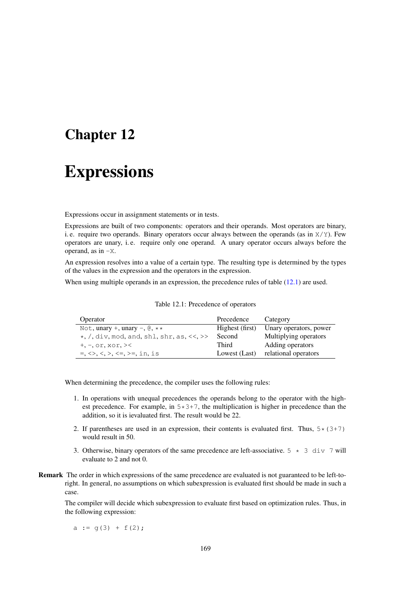# Chapter 12

# **Expressions**

Expressions occur in assignment statements or in tests.

Expressions are built of two components: operators and their operands. Most operators are binary, i. e. require two operands. Binary operators occur always between the operands (as in  $X/Y$ ). Few operators are unary, i. e. require only one operand. A unary operator occurs always before the operand, as in  $-X$ .

An expression resolves into a value of a certain type. The resulting type is determined by the types of the values in the expression and the operators in the expression.

When using multiple operands in an expression, the precedence rules of table [\(12.1\)](#page-169-0) are used.

| Operator                                                  | Precedence      | Category               |
|-----------------------------------------------------------|-----------------|------------------------|
| Not, unary +, unary $-$ , $\mathcal{C}, \star \star$      | Highest (first) | Unary operators, power |
| $\star$ , $\lambda$ , div, mod, and, shl, shr, as, <<, >> | Second          | Multiplying operators  |
| $+, \neg, \text{or}, \text{xor}, \geq$                    | Third           | Adding operators       |
| $=, \le, \le, \ge, \le, \ge, \text{in}, \text{is}$        | Lowest (Last)   | relational operators   |

#### <span id="page-169-0"></span>Table 12.1: Precedence of operators

When determining the precedence, the compiler uses the following rules:

- 1. In operations with unequal precedences the operands belong to the operator with the highest precedence. For example, in  $5 \times 3+7$ , the multiplication is higher in precedence than the addition, so it is ievaluated first. The result would be 22.
- 2. If parentheses are used in an expression, their contents is evaluated first. Thus,  $5 \star (3+7)$ would result in 50.
- 3. Otherwise, binary operators of the same precedence are left-associative.  $5 \times 3$  div 7 will evaluate to 2 and not 0.
- Remark The order in which expressions of the same precedence are evaluated is not guaranteed to be left-toright. In general, no assumptions on which subexpression is evaluated first should be made in such a case.

The compiler will decide which subexpression to evaluate first based on optimization rules. Thus, in the following expression:

a :=  $g(3) + f(2)$ ;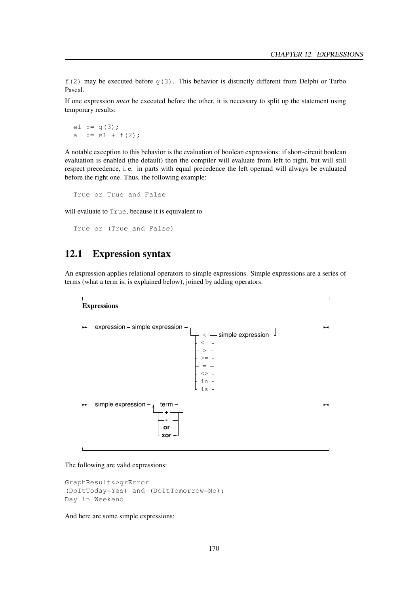$f(2)$  may be executed before  $g(3)$ . This behavior is distinctly different from Delphi or Turbo Pascal.

If one expression *must* be executed before the other, it is necessary to split up the statement using temporary results:

e1 :=  $q(3)$ ; a :=  $e1 + f(2)$ ;

A notable exception to this behavior is the evaluation of boolean expressions: if short-circuit boolean evaluation is enabled (the default) then the compiler will evaluate from left to right, but will still respect precedence, i. e. in parts with equal precedence the left operand will always be evaluated before the right one. Thus, the following example:

True or True and False

will evaluate to True, because it is equivalent to

```
True or (True and False)
```
#### 12.1 Expression syntax

An expression applies relational operators to simple expressions. Simple expressions are a series of terms (what a term is, is explained below), joined by adding operators.

#### **Expressions**



The following are valid expressions:

```
GraphResult<>grError
(DoItToday=Yes) and (DoItTomorrow=No);
Day in Weekend
```
And here are some simple expressions: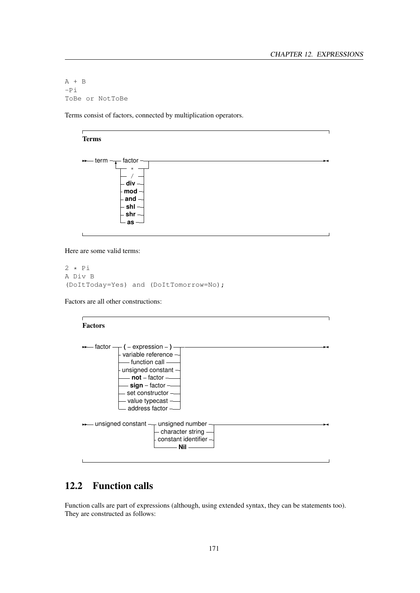$A + B$  $-Pi$ ToBe or NotToBe

Terms consist of factors, connected by multiplication operators.

Terms



Here are some valid terms:

```
2 * PiA Div B
(DoItToday=Yes) and (DoItTomorrow=No);
```
Factors are all other constructions:

Factors



## 12.2 Function calls

Function calls are part of expressions (although, using extended syntax, they can be statements too). They are constructed as follows: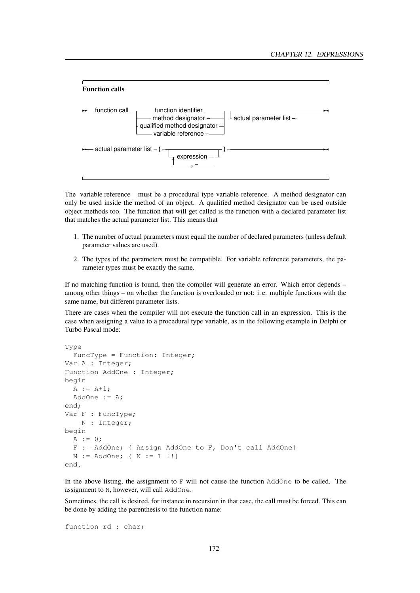

The variable reference must be a procedural type variable reference. A method designator can only be used inside the method of an object. A qualified method designator can be used outside object methods too. The function that will get called is the function with a declared parameter list that matches the actual parameter list. This means that

- 1. The number of actual parameters must equal the number of declared parameters (unless default parameter values are used).
- 2. The types of the parameters must be compatible. For variable reference parameters, the parameter types must be exactly the same.

If no matching function is found, then the compiler will generate an error. Which error depends – among other things – on whether the function is overloaded or not: i. e. multiple functions with the same name, but different parameter lists.

There are cases when the compiler will not execute the function call in an expression. This is the case when assigning a value to a procedural type variable, as in the following example in Delphi or Turbo Pascal mode:

```
Type
  FuncType = Function: Integer;
Var A : Integer;
Function AddOne : Integer;
begin
  A := A+1;AddOne := A;
end;
Var F : FuncType;
    N : Integer;
begin
  A := 0;F := AddOne; { Assign AddOne to F, Don't call AddOne}
  N := AddOne; \{ N := 1 ! ! }end.
```
In the above listing, the assignment to  $F$  will not cause the function AddOne to be called. The assignment to N, however, will call AddOne.

Sometimes, the call is desired, for instance in recursion in that case, the call must be forced. This can be done by adding the parenthesis to the function name:

function rd : char;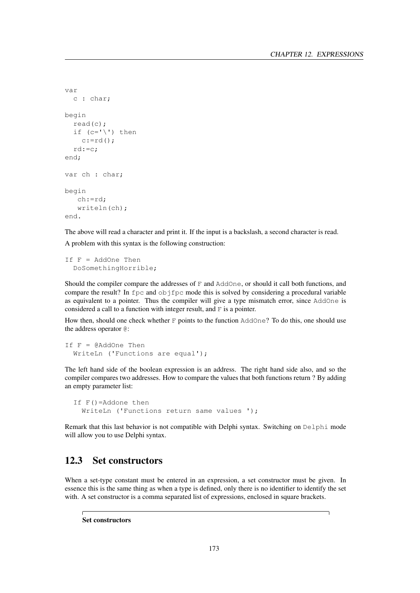```
var
  c : char;
begin
  read(c);
  if (c='\backslash') then
    c:=rd();rd:=c;
end;
var ch : char;
begin
   ch:=rd;
   writeln(ch);
end.
```
The above will read a character and print it. If the input is a backslash, a second character is read. A problem with this syntax is the following construction:

```
If F = AddOne Then
 DoSomethingHorrible;
```
Should the compiler compare the addresses of F and AddOne, or should it call both functions, and compare the result? In  $fpc$  and  $objfpc$  mode this is solved by considering a procedural variable as equivalent to a pointer. Thus the compiler will give a type mismatch error, since AddOne is considered a call to a function with integer result, and  $F$  is a pointer.

How then, should one check whether  $F$  points to the function  $AddOne?$  To do this, one should use the address operator @:

```
If F = @AddOne Then
 WriteLn ('Functions are equal');
```
The left hand side of the boolean expression is an address. The right hand side also, and so the compiler compares two addresses. How to compare the values that both functions return ? By adding an empty parameter list:

```
If F()=Addone then
 WriteLn ('Functions return same values ');
```
Remark that this last behavior is not compatible with Delphi syntax. Switching on Delphi mode will allow you to use Delphi syntax.

#### 12.3 Set constructors

When a set-type constant must be entered in an expression, a set constructor must be given. In essence this is the same thing as when a type is defined, only there is no identifier to identify the set with. A set constructor is a comma separated list of expressions, enclosed in square brackets.

Set constructors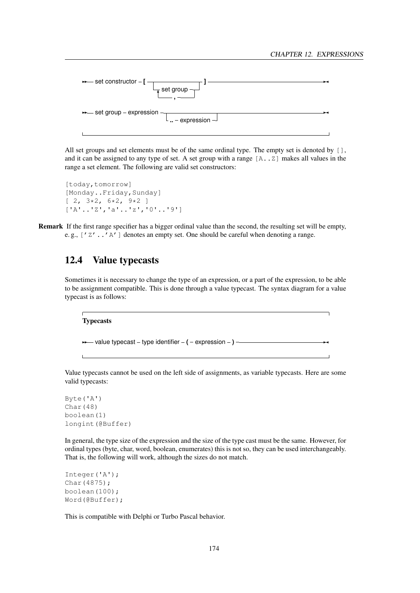

All set groups and set elements must be of the same ordinal type. The empty set is denoted by [], and it can be assigned to any type of set. A set group with a range  $[A..2]$  makes all values in the range a set element. The following are valid set constructors:

```
[today, tomorrow]
[Monday..Friday, Sunday]
[2, 3*2, 6*2, 9*2]['A'..'Z','a'..'z','0'..'9']
```
Remark If the first range specifier has a bigger ordinal value than the second, the resulting set will be empty, e. g., ['Z'..'A'] denotes an empty set. One should be careful when denoting a range.

#### 12.4 Value typecasts

Sometimes it is necessary to change the type of an expression, or a part of the expression, to be able to be assignment compatible. This is done through a value typecast. The syntax diagram for a value typecast is as follows:



Value typecasts cannot be used on the left side of assignments, as variable typecasts. Here are some valid typecasts:

```
Byte('A')
Char(48)boolean(1)
longint(@Buffer)
```
In general, the type size of the expression and the size of the type cast must be the same. However, for ordinal types (byte, char, word, boolean, enumerates) this is not so, they can be used interchangeably. That is, the following will work, although the sizes do not match.

```
Integer('A');
Char(4875);
boolean(100);
Word(@Buffer);
```
This is compatible with Delphi or Turbo Pascal behavior.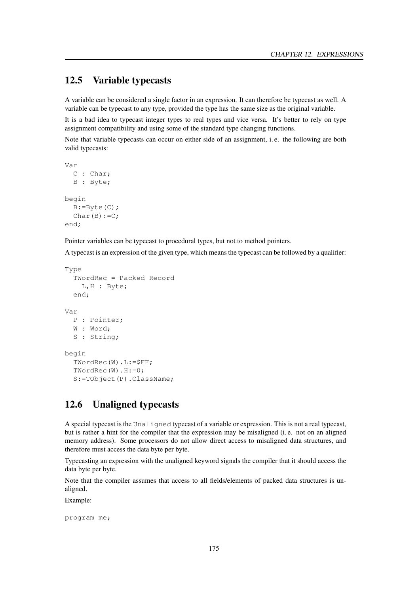#### 12.5 Variable typecasts

A variable can be considered a single factor in an expression. It can therefore be typecast as well. A variable can be typecast to any type, provided the type has the same size as the original variable.

It is a bad idea to typecast integer types to real types and vice versa. It's better to rely on type assignment compatibility and using some of the standard type changing functions.

Note that variable typecasts can occur on either side of an assignment, i. e. the following are both valid typecasts:

```
Var
  C : Char;
  B : Byte;
begin
  B:=Byte(C);
  Char(B):=C;end;
```
Pointer variables can be typecast to procedural types, but not to method pointers.

A typecast is an expression of the given type, which means the typecast can be followed by a qualifier:

```
Type
 TWordRec = Packed Record
   L,H : Byte;
 end;
Var
 P : Pointer;
 W : Word;
 S : String;
begin
 TWordRec(W).L:=$FF;
 TWordRec(W).H:=0;
 S:=TObject(P).ClassName;
```
## 12.6 Unaligned typecasts

A special typecast is the Unaligned typecast of a variable or expression. This is not a real typecast, but is rather a hint for the compiler that the expression may be misaligned (i. e. not on an aligned memory address). Some processors do not allow direct access to misaligned data structures, and therefore must access the data byte per byte.

Typecasting an expression with the unaligned keyword signals the compiler that it should access the data byte per byte.

Note that the compiler assumes that access to all fields/elements of packed data structures is unaligned.

Example:

program me;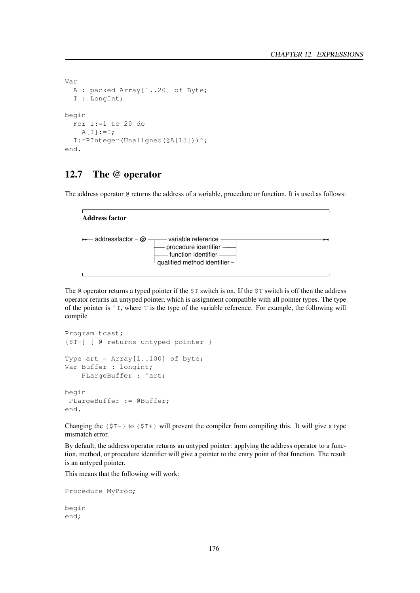```
Var
 A : packed Array[1..20] of Byte;
  I : LongInt;
begin
  For I:=1 to 20 do
   A[T]:=I;I:=PInteger(Unaligned(@A[13]))^;
end.
```
#### 12.7 The @ operator

The address operator @ returns the address of a variable, procedure or function. It is used as follows:

The  $\theta$  operator returns a typed pointer if the  $\beta T$  switch is on. If the  $\beta T$  switch is off then the address operator returns an untyped pointer, which is assignment compatible with all pointer types. The type of the pointer is  $\hat{T}$ , where  $\hat{T}$  is the type of the variable reference. For example, the following will compile

```
Program tcast;
{$T-} { @ returns untyped pointer }
Type art = Array[1..100] of byte;
Var Buffer : longint;
    PLargeBuffer : ^art;
begin
 PLargeBuffer := @Buffer;
end.
```
Changing the  $\{ST-\}$  to  $\{ST+\}$  will prevent the compiler from compiling this. It will give a type mismatch error.

By default, the address operator returns an untyped pointer: applying the address operator to a function, method, or procedure identifier will give a pointer to the entry point of that function. The result is an untyped pointer.

This means that the following will work:

```
Procedure MyProc;
begin
end;
```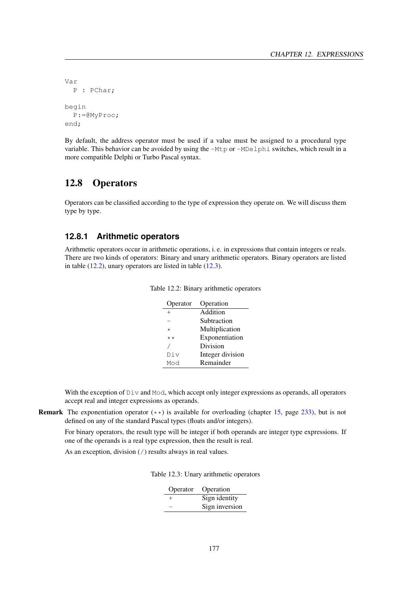```
Var
 P : PChar;
begin
  P:=@MyProc;
end;
```
By default, the address operator must be used if a value must be assigned to a procedural type variable. This behavior can be avoided by using the -Mtp or -MDelphi switches, which result in a more compatible Delphi or Turbo Pascal syntax.

## 12.8 Operators

Operators can be classified according to the type of expression they operate on. We will discuss them type by type.

#### **12.8.1 Arithmetic operators**

Arithmetic operators occur in arithmetic operations, i. e. in expressions that contain integers or reals. There are two kinds of operators: Binary and unary arithmetic operators. Binary operators are listed in table [\(12.2\)](#page-177-0), unary operators are listed in table [\(12.3\)](#page-177-1).

<span id="page-177-0"></span>

| Operator     | Operation        |
|--------------|------------------|
| $+$          | Addition         |
|              | Subtraction      |
| $\star$      | Multiplication   |
| $\star\star$ | Exponentiation   |
|              | Division         |
| Div          | Integer division |
| Mod          | Remainder        |

Table 12.2: Binary arithmetic operators

With the exception of  $Di$ v and Mod, which accept only integer expressions as operands, all operators accept real and integer expressions as operands.

**Remark** The exponentiation operator  $(**)$  is available for overloading (chapter [15,](#page-233-0) page [233\)](#page-233-0), but is not defined on any of the standard Pascal types (floats and/or integers).

For binary operators, the result type will be integer if both operands are integer type expressions. If one of the operands is a real type expression, then the result is real.

As an exception, division (/) results always in real values.

| Table 12.3: Unary arithmetic operators |  |  |  |
|----------------------------------------|--|--|--|
|----------------------------------------|--|--|--|

<span id="page-177-1"></span>

| Operator | Operation      |
|----------|----------------|
| $^{+}$   | Sign identity  |
|          | Sign inversion |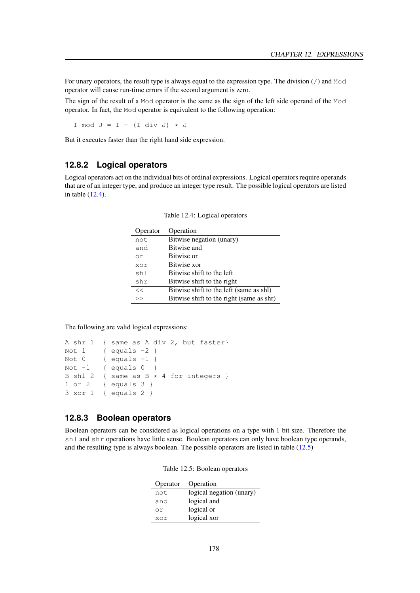For unary operators, the result type is always equal to the expression type. The division (/) and Mod operator will cause run-time errors if the second argument is zero.

The sign of the result of a Mod operator is the same as the sign of the left side operand of the Mod operator. In fact, the Mod operator is equivalent to the following operation:

I mod  $J = I - (I \ div J) * J$ 

But it executes faster than the right hand side expression.

#### **12.8.2 Logical operators**

Logical operators act on the individual bits of ordinal expressions. Logical operators require operands that are of an integer type, and produce an integer type result. The possible logical operators are listed in table [\(12.4\)](#page-178-0).

| Operator | Operation                                |
|----------|------------------------------------------|
| not      | Bitwise negation (unary)                 |
| and      | Bitwise and                              |
| or       | Bitwise or                               |
| xor      | Bitwise xor                              |
| shl      | Bitwise shift to the left                |
| shr      | Bitwise shift to the right               |
| <<       | Bitwise shift to the left (same as shl)  |
| >        | Bitwise shift to the right (same as shr) |

<span id="page-178-0"></span>Table 12.4: Logical operators

The following are valid logical expressions:

```
A shr 1 { same as A div 2, but faster}
Not 1 { equals -2 }
Not 0 \t{equals -1}Not -1 { equals 0 }
B shl 2 { same as B * 4 for integers }
1 or 2 { equals 3 }
3 xor 1 { equals 2 }
```
#### **12.8.3 Boolean operators**

Boolean operators can be considered as logical operations on a type with 1 bit size. Therefore the shl and shr operations have little sense. Boolean operators can only have boolean type operands, and the resulting type is always boolean. The possible operators are listed in table [\(12.5\)](#page-178-1)

| Operator | Operation                |
|----------|--------------------------|
| not      | logical negation (unary) |
| and      | logical and              |
| or       | logical or               |
| xor      | logical xor              |

<span id="page-178-1"></span>Table 12.5: Boolean operators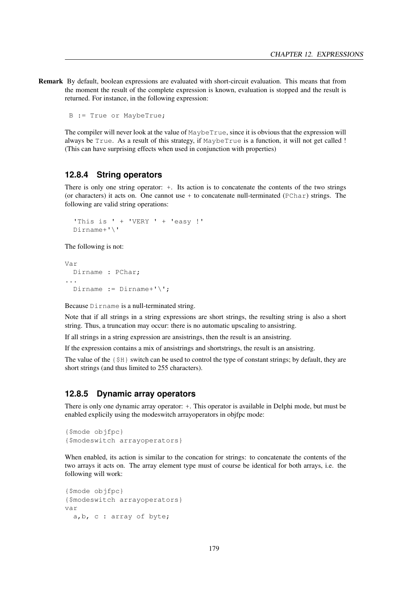Remark By default, boolean expressions are evaluated with short-circuit evaluation. This means that from the moment the result of the complete expression is known, evaluation is stopped and the result is returned. For instance, in the following expression:

```
B := True or MaybeTrue;
```
The compiler will never look at the value of MaybeTrue, since it is obvious that the expression will always be True. As a result of this strategy, if MaybeTrue is a function, it will not get called ! (This can have surprising effects when used in conjunction with properties)

#### **12.8.4 String operators**

There is only one string operator: +. Its action is to concatenate the contents of the two strings (or characters) it acts on. One cannot use  $+$  to concatenate null-terminated (PChar) strings. The following are valid string operations:

```
'This is ' + 'VERY ' + 'easy !'
Dirname+'\'
```
The following is not:

```
Var
  Dirname : PChar;
...
 Dirname := Dirname+'\';
```
Because Dirname is a null-terminated string.

Note that if all strings in a string expressions are short strings, the resulting string is also a short string. Thus, a truncation may occur: there is no automatic upscaling to ansistring.

If all strings in a string expression are ansistrings, then the result is an ansistring.

If the expression contains a mix of ansistrings and shortstrings, the result is an ansistring.

The value of the  $\{SH\}$  switch can be used to control the type of constant strings; by default, they are short strings (and thus limited to 255 characters).

#### **12.8.5 Dynamic array operators**

There is only one dynamic array operator: +. This operator is available in Delphi mode, but must be enabled explicily using the modeswitch arrayoperators in objfpc mode:

```
{$mode objfpc}
{$modeswitch arrayoperators}
```
When enabled, its action is similar to the concation for strings: to concatenate the contents of the two arrays it acts on. The array element type must of course be identical for both arrays, i.e. the following will work:

```
{$mode objfpc}
{$modeswitch arrayoperators}
var
 a,b, c : array of byte;
```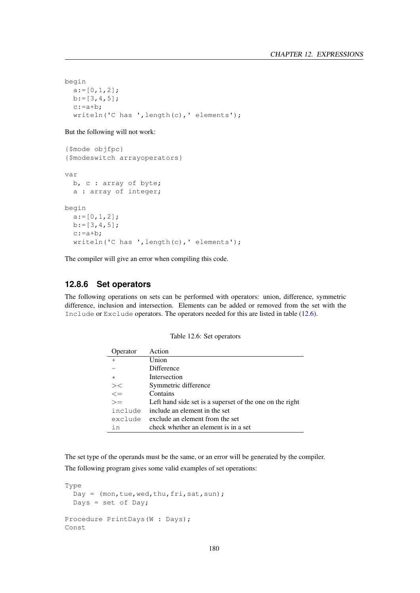```
begin
 a:=[0,1,2];
 b:=[3,4,5];
  c:=a+b:
  writeln('C has ',length(c),' elements');
```
But the following will not work:

```
{$mode objfpc}
{$modeswitch arrayoperators}
var
 b, c : array of byte;
  a : array of integer;
begin
  a:=[0,1,2];
 b:=[3,4,5];
  c:=a+b;
  writeln('C has ',length(c),' elements');
```
The compiler will give an error when compiling this code.

### **12.8.6 Set operators**

The following operations on sets can be performed with operators: union, difference, symmetric difference, inclusion and intersection. Elements can be added or removed from the set with the Include or Exclude operators. The operators needed for this are listed in table [\(12.6\)](#page-180-0).

<span id="page-180-0"></span>

| Operator | Action                                                   |
|----------|----------------------------------------------------------|
| $+$      | Union                                                    |
|          | Difference                                               |
| $\star$  | Intersection                                             |
| $>\,<$   | Symmetric difference                                     |
| $\lt =$  | Contains                                                 |
| $>=$     | Left hand side set is a superset of the one on the right |
| include  | include an element in the set                            |
| exclude  | exclude an element from the set                          |
| in       | check whether an element is in a set                     |

The set type of the operands must be the same, or an error will be generated by the compiler. The following program gives some valid examples of set operations:

```
Type
  Day = (mon, true, wed, thu, fri, sat, sun);Days = set of Day;
Procedure PrintDays(W : Days);
Const
```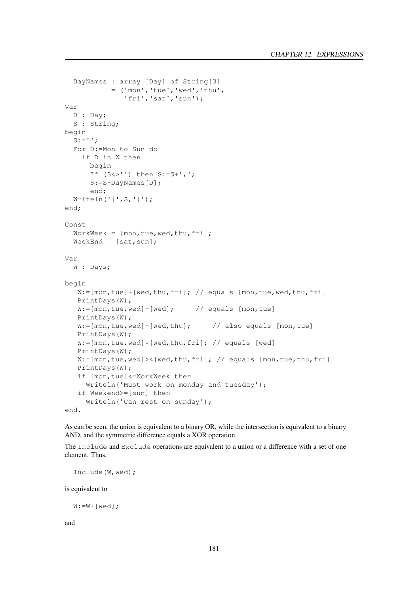```
DayNames : array [Day] of String[3]
           = ('mon','tue','wed','thu',
               'fri','sat','sun');
Var
  D : Day;
  S : String;
begin
  S := ' ';
 For D:=Mon to Sun do
    if D in W then
      begin
      If (S \ll '') then S:=S+', ';
      S:=S+DayNames[D];
      end;
  Writeln('[',S,']');
end;
Const
  WorkWeek = [mon, true, wed, thu, fri];WeekEnd = [sat, sun];
Var
  W : Davs:
begin
   W:=[mon, true]+[wed, thu, fri]; // equals [mon, true, wed, thu, fri]PrintDays(W);
   W:=[mon, true, wed] - [wed]; // equals [mon, true]PrintDays(W);
   W:=[mon, true, wed] - [wed, thu]; // also equals [mon, true]PrintDays(W);
   W:=[mon, true, wed]*[wed,thu,fri]; // equals [wed]PrintDays(W);
   W:=[mon, true, wed]\times[wed, thu, fri]; // equals [mon, true, thu, fri]PrintDays(W);
   if [mon,tue]<=WorkWeek then
     Writeln('Must work on monday and tuesday');
   if Weekend>=[sun] then
     Writeln('Can rest on sunday');
end.
```
As can be seen, the union is equivalent to a binary OR, while the intersection is equivalent to a binary AND, and the symmetric difference equals a XOR operation.

The Include and Exclude operations are equivalent to a union or a difference with a set of one element. Thus,

Include(W,wed);

is equivalent to

W:=W+[wed];

and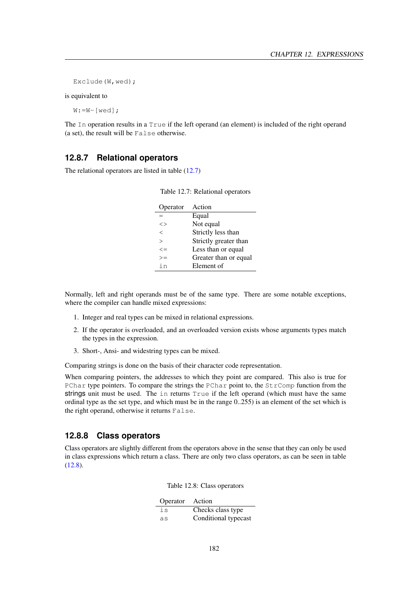Exclude(W,wed);

is equivalent to

 $W:=W-[wed]$ ;

The In operation results in a True if the left operand (an element) is included of the right operand (a set), the result will be False otherwise.

#### **12.8.7 Relational operators**

The relational operators are listed in table [\(12.7\)](#page-182-0)

| Operator | Action                |
|----------|-----------------------|
|          | Equal                 |
| $<$ $>$  | Not equal             |
| $\,<\,$  | Strictly less than    |
| ↘        | Strictly greater than |
| $\lt =$  | Less than or equal    |
| $>=$     | Greater than or equal |
| i n      | Element of            |

<span id="page-182-0"></span>

|  | Table 12.7: Relational operators |
|--|----------------------------------|
|--|----------------------------------|

Normally, left and right operands must be of the same type. There are some notable exceptions, where the compiler can handle mixed expressions:

- 1. Integer and real types can be mixed in relational expressions.
- 2. If the operator is overloaded, and an overloaded version exists whose arguments types match the types in the expression.
- 3. Short-, Ansi- and widestring types can be mixed.

Comparing strings is done on the basis of their character code representation.

When comparing pointers, the addresses to which they point are compared. This also is true for PChar type pointers. To compare the strings the PChar point to, the StrComp function from the strings unit must be used. The in returns True if the left operand (which must have the same ordinal type as the set type, and which must be in the range 0..255) is an element of the set which is the right operand, otherwise it returns False.

#### **12.8.8 Class operators**

Class operators are slightly different from the operators above in the sense that they can only be used in class expressions which return a class. There are only two class operators, as can be seen in table  $(12.8).$  $(12.8).$ 

<span id="page-182-1"></span>

| Operator Action |                      |
|-----------------|----------------------|
| is              | Checks class type    |
| as              | Conditional typecast |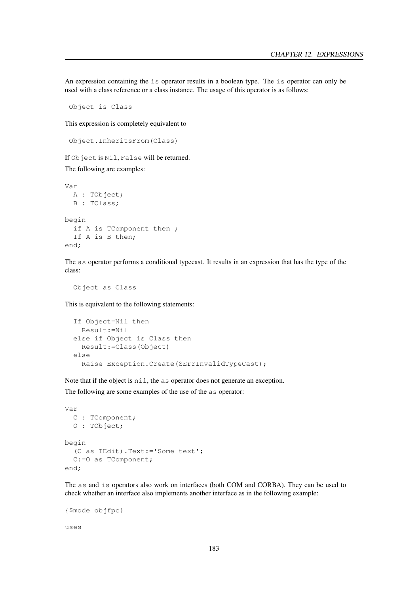An expression containing the is operator results in a boolean type. The is operator can only be used with a class reference or a class instance. The usage of this operator is as follows:

Object is Class

This expression is completely equivalent to

Object.InheritsFrom(Class)

If Object is Nil, False will be returned.

The following are examples:

```
Var
 A : TObject;
 B : TClass;
begin
  if A is TComponent then ;
  If A is B then;
end;
```
The as operator performs a conditional typecast. It results in an expression that has the type of the class:

Object as Class

This is equivalent to the following statements:

```
If Object=Nil then
  Result:=Nil
else if Object is Class then
  Result:=Class(Object)
else
  Raise Exception.Create(SErrInvalidTypeCast);
```
Note that if the object is  $nil$ , the as operator does not generate an exception.

The following are some examples of the use of the as operator:

```
Var
  C : TComponent;
  O : TObject;
begin
  (C as TEdit).Text:='Some text';
  C:= O as TComponent;
end;
```
The as and is operators also work on interfaces (both COM and CORBA). They can be used to check whether an interface also implements another interface as in the following example:

```
{$mode objfpc}
uses
```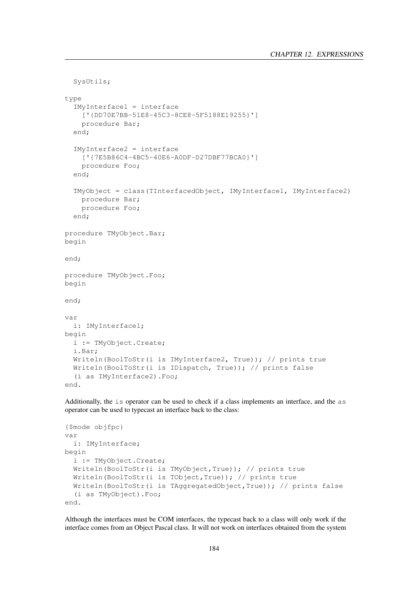```
SysUtils;
type
  IMyInterface1 = interface
    ['{DD70E7BB-51E8-45C3-8CE8-5F5188E19255}']
    procedure Bar;
  end;
  IMyInterface2 = interface
    ['{7E5B86C4-4BC5-40E6-A0DF-D27DBF77BCA0}']
    procedure Foo;
  end;
  TMyObject = class(TInterfacedObject, IMyInterface1, IMyInterface2)
    procedure Bar;
    procedure Foo;
  end;
procedure TMyObject.Bar;
begin
end;
procedure TMyObject.Foo;
begin
end;
var
 i: IMyInterface1;
begin
 i := TMyObject.Create;
 i.Bar;
  Writeln(BoolToStr(i is IMyInterface2, True)); // prints true
  Writeln(BoolToStr(i is IDispatch, True)); // prints false
  (i as IMyInterface2).Foo;
end.
```
Additionally, the is operator can be used to check if a class implements an interface, and the as operator can be used to typecast an interface back to the class:

```
{$mode objfpc}
var
 i: IMyInterface;
begin
 i := TMyObject.Create;
 Writeln(BoolToStr(i is TMyObject,True)); // prints true
 Writeln(BoolToStr(i is TObject,True)); // prints true
  Writeln(BoolToStr(i is TAggregatedObject, True)); // prints false
  (i as TMyObject).Foo;
end.
```
Although the interfaces must be COM interfaces, the typecast back to a class will only work if the interface comes from an Object Pascal class. It will not work on interfaces obtained from the system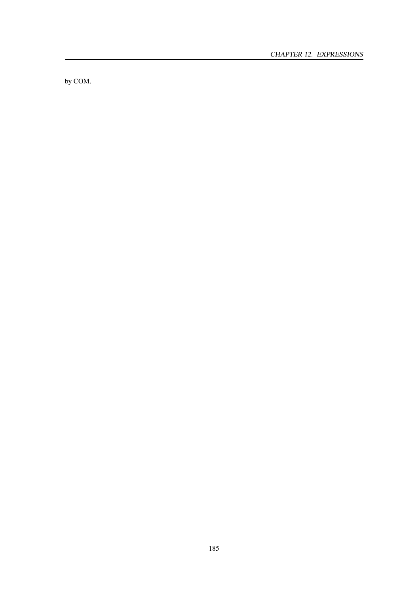by COM.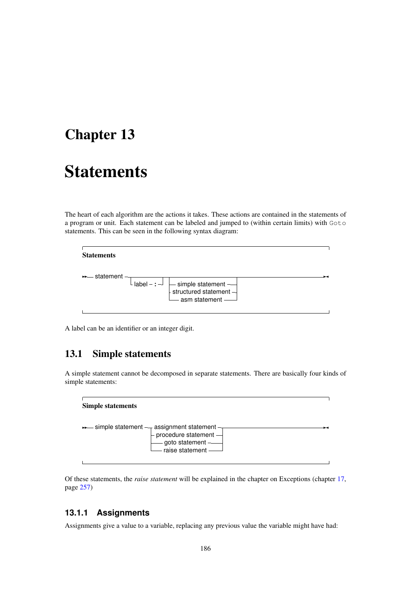# Chapter 13

# **Statements**

The heart of each algorithm are the actions it takes. These actions are contained in the statements of a program or unit. Each statement can be labeled and jumped to (within certain limits) with Goto statements. This can be seen in the following syntax diagram:

| <b>Statements</b>         |                                                                                                                                                                                                               |  |
|---------------------------|---------------------------------------------------------------------------------------------------------------------------------------------------------------------------------------------------------------|--|
| $\rightarrow$ statement - | $\left  \begin{array}{c} \text{Label} - : \rightarrow \\ \text{structure} \end{array} \right $ = simple statement $\left  \begin{array}{c} \text{Example} \\ \text{1} \end{array} \right $<br>- asm statement |  |
|                           |                                                                                                                                                                                                               |  |

A label can be an identifier or an integer digit.

# 13.1 Simple statements

A simple statement cannot be decomposed in separate statements. There are basically four kinds of simple statements:

| Simple statements |                                                                                                                                       |  |
|-------------------|---------------------------------------------------------------------------------------------------------------------------------------|--|
|                   | $\rightarrow$ simple statement $-$ assignment statement -<br>$-$ procedure statement $-$<br>— goto statement -<br>— raise statement - |  |
|                   |                                                                                                                                       |  |

Of these statements, the *raise statement* will be explained in the chapter on Exceptions (chapter [17,](#page-257-0) page [257\)](#page-257-0)

## **13.1.1 Assignments**

Assignments give a value to a variable, replacing any previous value the variable might have had: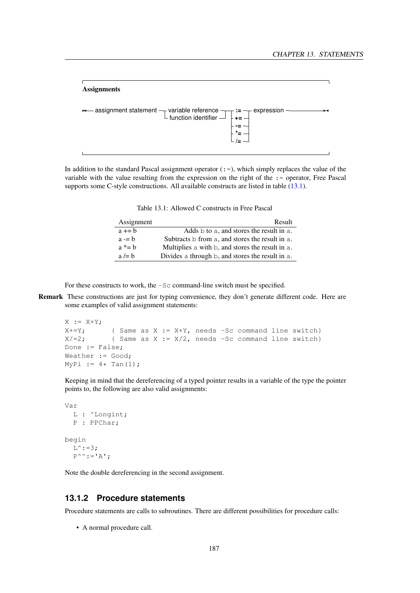#### **Assignments**  $\rightarrow$  assignment statement  $\rightarrow$  variable reference  $L$  function identifier  $-$ **:= += -= \*= /=** - expression

In addition to the standard Pascal assignment operator  $(:=),$  which simply replaces the value of the variable with the value resulting from the expression on the right of the := operator, Free Pascal supports some C-style constructions. All available constructs are listed in table [\(13.1\)](#page-187-0).

<span id="page-187-0"></span>Table 13.1: Allowed C constructs in Free Pascal

| Assignment | Result                                           |
|------------|--------------------------------------------------|
| $a == b$   | Adds b to a, and stores the result in a.         |
| $a = b$    | Subtracts b from a, and stores the result in a.  |
| $a^* = b$  | Multiplies a with b, and stores the result in a. |
| $a \neq b$ | Divides a through b, and stores the result in a. |

For these constructs to work, the -Sc command-line switch must be specified.

Remark These constructions are just for typing convenience, they don't generate different code. Here are some examples of valid assignment statements:

```
X := X+Y;X+=Y; { Same as X := X+Y, needs -Sc command line switch}
X/=2; { Same as X := X/2, needs -Sc command line switch}
Done := False;
Weather := Good;
MyPi := 4* Tan(1);
```
Keeping in mind that the dereferencing of a typed pointer results in a variable of the type the pointer points to, the following are also valid assignments:

```
Var
  L : ^Longint;
   P : PPChar;
begin
  L^{\wedge}:=3;
  P^{\wedge^{\wedge}}: = 'A';
```
Note the double dereferencing in the second assignment.

#### **13.1.2 Procedure statements**

Procedure statements are calls to subroutines. There are different possibilities for procedure calls:

• A normal procedure call.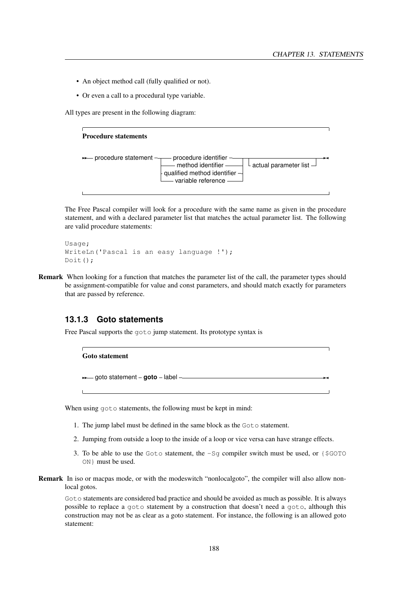- An object method call (fully qualified or not).
- Or even a call to a procedural type variable.

All types are present in the following diagram:

| <b>Procedure statements</b>                                                                                                       |  |
|-----------------------------------------------------------------------------------------------------------------------------------|--|
| procedure statement - procedure identifier<br>method identifier -<br>L actual parameter list $-$<br>qualified method identifier - |  |
|                                                                                                                                   |  |

The Free Pascal compiler will look for a procedure with the same name as given in the procedure statement, and with a declared parameter list that matches the actual parameter list. The following are valid procedure statements:

```
Usage;
WriteLn('Pascal is an easy language !');
Doit();
```
Remark When looking for a function that matches the parameter list of the call, the parameter types should be assignment-compatible for value and const parameters, and should match exactly for parameters that are passed by reference.

#### **13.1.3 Goto statements**

Free Pascal supports the goto jump statement. Its prototype syntax is

Goto statement

**→ goto statement - goto** - label -

When using  $qot \circ t$  statements, the following must be kept in mind:

- 1. The jump label must be defined in the same block as the Goto statement.
- 2. Jumping from outside a loop to the inside of a loop or vice versa can have strange effects.
- 3. To be able to use the Goto statement, the  $-Sg$  compiler switch must be used, or {\$GOTO} ON} must be used.
- Remark In iso or macpas mode, or with the modeswitch "nonlocalgoto", the compiler will also allow nonlocal gotos.

Goto statements are considered bad practice and should be avoided as much as possible. It is always possible to replace a goto statement by a construction that doesn't need a goto, although this construction may not be as clear as a goto statement. For instance, the following is an allowed goto statement: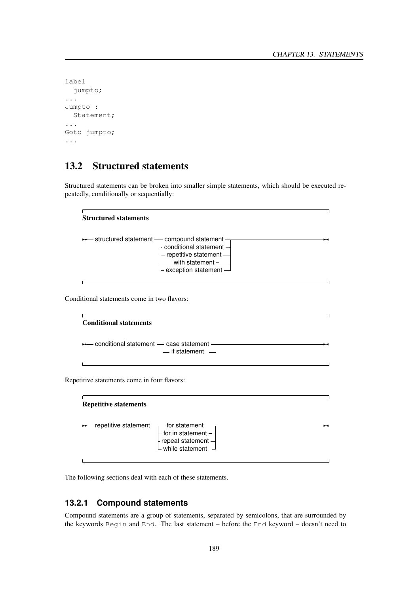```
label
  jumpto;
...
Jumpto :
 Statement;
...
Goto jumpto;
...
```
## 13.2 Structured statements

Structured statements can be broken into smaller simple statements, which should be executed repeatedly, conditionally or sequentially:

| <b>Structured statements</b>                                                                                                                                           |
|------------------------------------------------------------------------------------------------------------------------------------------------------------------------|
| $\rightarrow$ structured statement $-$ compound statement $-$<br>conditional statement -<br>- repetitive statement --<br>- with statement<br>- exception statement $-$ |
|                                                                                                                                                                        |
| Conditional statements come in two flavors:                                                                                                                            |
| <b>Conditional statements</b>                                                                                                                                          |
| ► conditional statement $-$ case statement $-$<br>$-$ if statement $-$                                                                                                 |
|                                                                                                                                                                        |
| Repetitive statements come in four flavors:                                                                                                                            |
| <b>Repetitive statements</b>                                                                                                                                           |
| $\rightarrow$ repetitive statement $\neg$ for statement $\neg$<br>- for in statement ---<br>repeat statement-<br>- while statement -                                   |

The following sections deal with each of these statements.

### **13.2.1 Compound statements**

Compound statements are a group of statements, separated by semicolons, that are surrounded by the keywords Begin and End. The last statement – before the End keyword – doesn't need to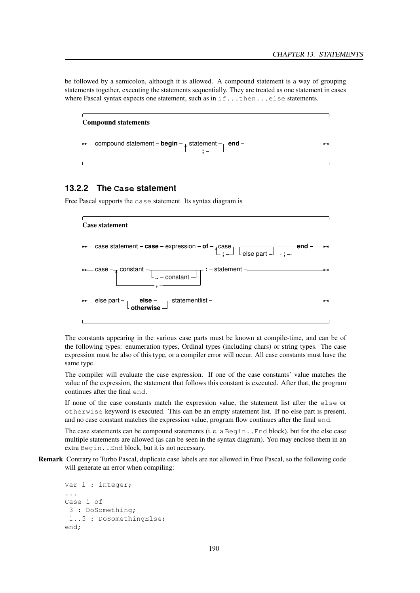be followed by a semicolon, although it is allowed. A compound statement is a way of grouping statements together, executing the statements sequentially. They are treated as one statement in cases where Pascal syntax expects one statement, such as in if...then...else statements.

| <b>Compound statements</b> |  |
|----------------------------|--|
|                            |  |
|                            |  |

#### **13.2.2 The Case statement**

Free Pascal supports the case statement. Its syntax diagram is

| $\rightarrow$ case statement – case – expression – of $\frac{1}{\lfloor}$ = $\lfloor$ else part – $\lfloor$ = $\rfloor$ end – $\rightarrow$ |
|---------------------------------------------------------------------------------------------------------------------------------------------|
| $\rightarrow$ case $\rightarrow$ constant $\boxed{\phantom{a} \phantom{a}}$ : - statement $\rightarrow$                                     |
| $\rightarrow$ else part $-\rightarrow$ else $-\rightarrow$ statementlist $-\rightarrow$                                                     |

The constants appearing in the various case parts must be known at compile-time, and can be of the following types: enumeration types, Ordinal types (including chars) or string types. The case expression must be also of this type, or a compiler error will occur. All case constants must have the same type.

The compiler will evaluate the case expression. If one of the case constants' value matches the value of the expression, the statement that follows this constant is executed. After that, the program continues after the final end.

If none of the case constants match the expression value, the statement list after the else or otherwise keyword is executed. This can be an empty statement list. If no else part is present, and no case constant matches the expression value, program flow continues after the final end.

The case statements can be compound statements (i. e. a Begin..End block), but for the else case multiple statements are allowed (as can be seen in the syntax diagram). You may enclose them in an extra Begin..End block, but it is not necessary.

Remark Contrary to Turbo Pascal, duplicate case labels are not allowed in Free Pascal, so the following code will generate an error when compiling:

```
Var i : integer;
...
Case i of
 3 : DoSomething;
 1..5 : DoSomethingElse;
end;
```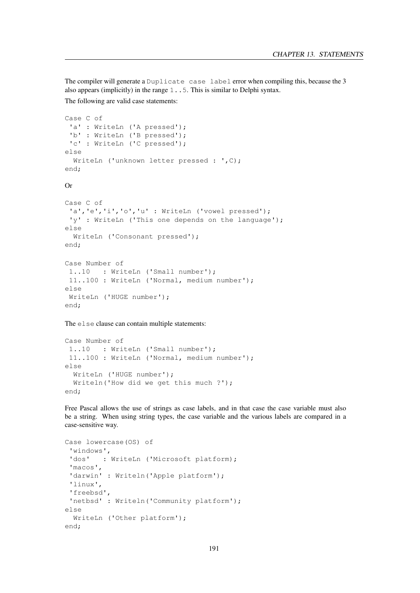The compiler will generate a Duplicate case label error when compiling this, because the 3 also appears (implicitly) in the range 1..5. This is similar to Delphi syntax.

The following are valid case statements:

```
Case C of
 'a' : WriteLn ('A pressed');
 'b' : WriteLn ('B pressed');
 'c' : WriteLn ('C pressed');
else
 WriteLn ('unknown letter pressed : ',C);
end;
Or
Case C of
 'a','e','i','o','u' : WriteLn ('vowel pressed');
 'y' : WriteLn ('This one depends on the language');
else
 WriteLn ('Consonant pressed');
end;
Case Number of
1..10 : WriteLn ('Small number');
11..100 : WriteLn ('Normal, medium number');
else
WriteLn ('HUGE number');
end;
```
The else clause can contain multiple statements:

```
Case Number of
1..10 : WriteLn ('Small number');
11..100 : WriteLn ('Normal, medium number');
else
 WriteLn ('HUGE number');
 Writeln('How did we get this much ?');
end;
```
Free Pascal allows the use of strings as case labels, and in that case the case variable must also be a string. When using string types, the case variable and the various labels are compared in a case-sensitive way.

```
Case lowercase(OS) of
 'windows',
 'dos' : WriteLn ('Microsoft platform);
 'macos',
 'darwin' : Writeln('Apple platform');
 'linux',
 'freebsd',
 'netbsd' : Writeln('Community platform');
else
 WriteLn ('Other platform');
end;
```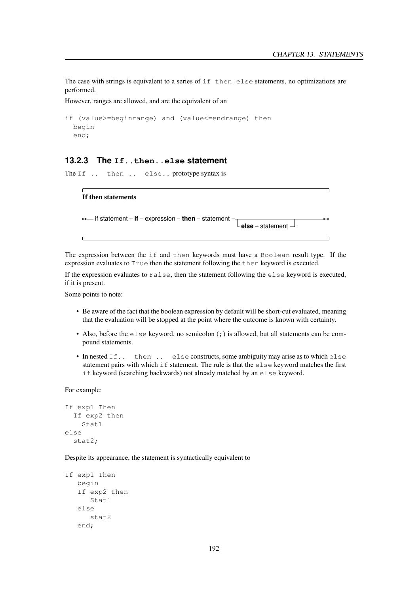✲✛

The case with strings is equivalent to a series of  $if$  then else statements, no optimizations are performed.

However, ranges are allowed, and are the equivalent of an

```
if (value>=beginrange) and (value<=endrange) then
 begin
 end;
```
#### **13.2.3 The If..then..else statement**

The If .. then .. else.. prototype syntax is

#### If then statements

**→** if statement - if - expression - then - statement - $\frac{1}{2}$  else – statement –

The expression between the if and then keywords must have a Boolean result type. If the expression evaluates to True then the statement following the then keyword is executed.

If the expression evaluates to False, then the statement following the else keyword is executed, if it is present.

Some points to note:

- Be aware of the fact that the boolean expression by default will be short-cut evaluated, meaning that the evaluation will be stopped at the point where the outcome is known with certainty.
- Also, before the  $e \perp s e$  keyword, no semicolon  $(i)$  is allowed, but all statements can be compound statements.
- In nested If.. then .. else constructs, some ambiguity may arise as to which else statement pairs with which if statement. The rule is that the else keyword matches the first if keyword (searching backwards) not already matched by an else keyword.

For example:

```
If exp1 Then
  If exp2 then
    Stat1
else
  stat2;
```
Despite its appearance, the statement is syntactically equivalent to

```
If exp1 Then
   begin
   If exp2 then
      Stat1
   else
      stat2
   end;
```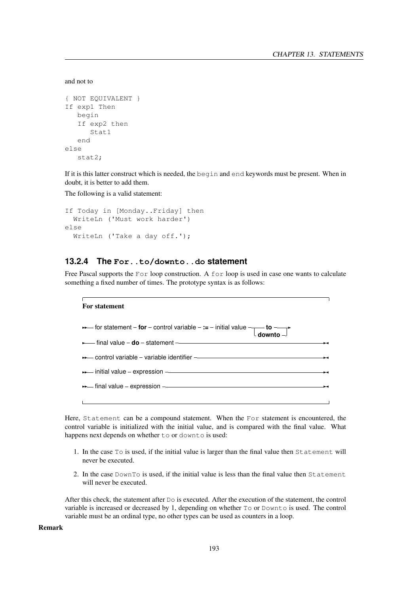and not to

```
{ NOT EQUIVALENT }
If exp1 Then
   begin
   If exp2 then
      Stat1
   end
else
   stat2;
```
If it is this latter construct which is needed, the begin and end keywords must be present. When in doubt, it is better to add them.

The following is a valid statement:

```
If Today in [Monday..Friday] then
 WriteLn ('Must work harder')
else
 WriteLn ('Take a day off.');
```
#### **13.2.4 The For..to/downto..do statement**

Free Pascal supports the For loop construction. A for loop is used in case one wants to calculate something a fixed number of times. The prototype syntax is as follows:



Here, Statement can be a compound statement. When the For statement is encountered, the control variable is initialized with the initial value, and is compared with the final value. What happens next depends on whether to or downto is used:

- 1. In the case To is used, if the initial value is larger than the final value then Statement will never be executed.
- 2. In the case DownTo is used, if the initial value is less than the final value then Statement will never be executed.

After this check, the statement after Do is executed. After the execution of the statement, the control variable is increased or decreased by 1, depending on whether To or Downto is used. The control variable must be an ordinal type, no other types can be used as counters in a loop.

Remark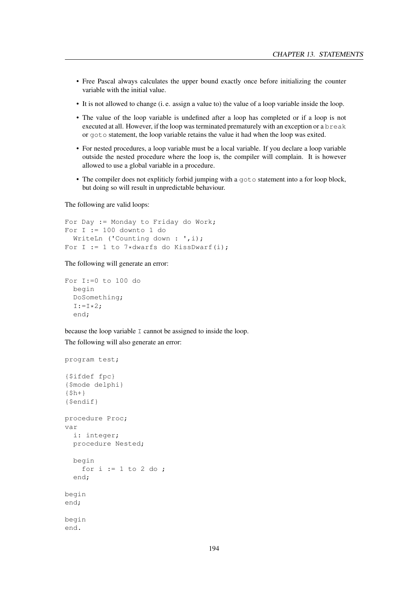- Free Pascal always calculates the upper bound exactly once before initializing the counter variable with the initial value.
- It is not allowed to change (i. e. assign a value to) the value of a loop variable inside the loop.
- The value of the loop variable is undefined after a loop has completed or if a loop is not executed at all. However, if the loop was terminated prematurely with an exception or a break or goto statement, the loop variable retains the value it had when the loop was exited.
- For nested procedures, a loop variable must be a local variable. If you declare a loop variable outside the nested procedure where the loop is, the compiler will complain. It is however allowed to use a global variable in a procedure.
- The compiler does not expliticly forbid jumping with a goto statement into a for loop block, but doing so will result in unpredictable behaviour.

The following are valid loops:

```
For Day := Monday to Friday do Work;
For I := 100 downto 1 do
 WriteLn ('Counting down : ', i);
For I := 1 to 7*dwarfs do KissDwarf(i);
```
The following will generate an error:

```
For I:=0 to 100 do
 begin
  DoSomething;
  I:=I*2;
  end;
```
because the loop variable I cannot be assigned to inside the loop.

The following will also generate an error:

```
program test;
{$ifdef fpc}
{$mode delphi}
{5h+}{$endif}
procedure Proc;
var
  i: integer;
  procedure Nested;
  begin
    for i := 1 to 2 do;
  end;
begin
end;
begin
end.
```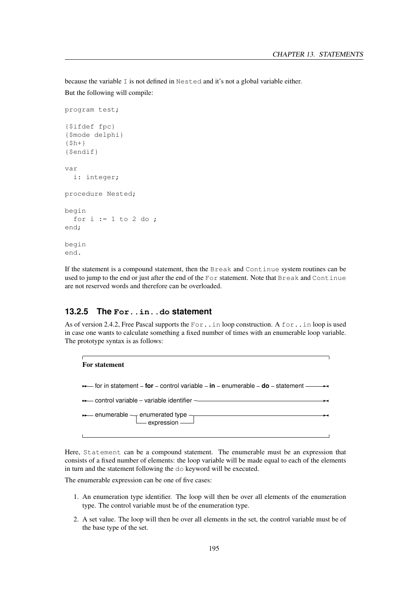because the variable I is not defined in Nested and it's not a global variable either. But the following will compile:

```
program test;
{$ifdef fpc}
{$mode delphi}
{5h+}{$endif}
var
  i: integer;
procedure Nested;
begin
  for i := 1 to 2 do;
end;
begin
end.
```
If the statement is a compound statement, then the Break and Continue system routines can be used to jump to the end or just after the end of the For statement. Note that Break and Continue are not reserved words and therefore can be overloaded.

## **13.2.5 The For..in..do statement**

As of version 2.4.2, Free Pascal supports the For..in loop construction. A for..in loop is used in case one wants to calculate something a fixed number of times with an enumerable loop variable. The prototype syntax is as follows:

| For statement                                                                  |
|--------------------------------------------------------------------------------|
| for in statement – for – control variable – in – enumerable – do – statement – |
| $\rightarrow$ control variable – variable identifier –                         |
| enumerable – enumerated type –<br>expression –                                 |
|                                                                                |

Here, Statement can be a compound statement. The enumerable must be an expression that consists of a fixed number of elements: the loop variable will be made equal to each of the elements in turn and the statement following the do keyword will be executed.

The enumerable expression can be one of five cases:

- 1. An enumeration type identifier. The loop will then be over all elements of the enumeration type. The control variable must be of the enumeration type.
- 2. A set value. The loop will then be over all elements in the set, the control variable must be of the base type of the set.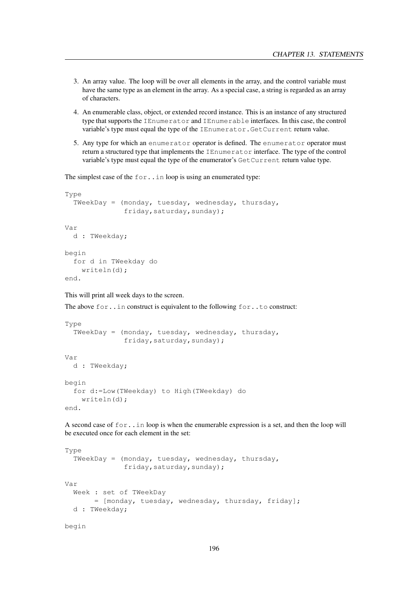- 3. An array value. The loop will be over all elements in the array, and the control variable must have the same type as an element in the array. As a special case, a string is regarded as an array of characters.
- 4. An enumerable class, object, or extended record instance. This is an instance of any structured type that supports the IEnumerator and IEnumerable interfaces. In this case, the control variable's type must equal the type of the IEnumerator.GetCurrent return value.
- 5. Any type for which an enumerator operator is defined. The enumerator operator must return a structured type that implements the IEnumerator interface. The type of the control variable's type must equal the type of the enumerator's GetCurrent return value type.

The simplest case of the  $for$ ... in loop is using an enumerated type:

```
Type
  TWeekDay = (monday, tuesday, wednesday, thursday,
              friday, saturday, sunday);
Var
  d : TWeekday;
begin
  for d in TWeekday do
    writeln(d);
end.
```
This will print all week days to the screen.

The above for..in construct is equivalent to the following for..to construct:

```
Type
 TWeekDay = (monday, tuesday, wednesday, thursday,
              friday, saturday, sunday);
Var
 d : TWeekday;
begin
 for d:=Low(TWeekday) to High(TWeekday) do
    writeln(d);
end.
```
A second case of for..in loop is when the enumerable expression is a set, and then the loop will be executed once for each element in the set:

```
Type
  TWeekDay = (monday, tuesday, wednesday, thursday,
              friday, saturday, sunday);
Var
 Week : set of TWeekDay
       = [monday, tuesday, wednesday, thursday, friday];
 d : TWeekday;
```
begin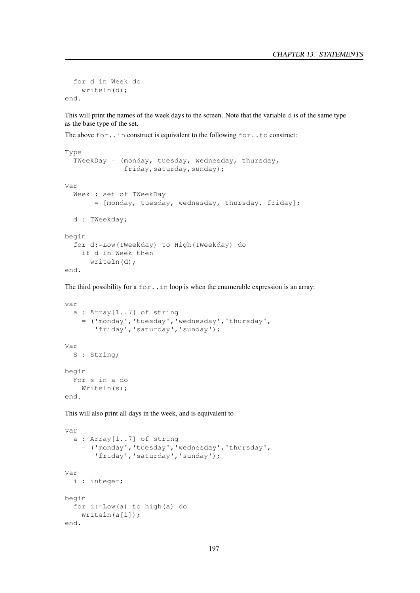```
for d in Week do
    writeln(d);
end.
```
This will print the names of the week days to the screen. Note that the variable d is of the same type as the base type of the set.

The above for..in construct is equivalent to the following for..to construct:

```
Type
  TWeekDay = (monday, tuesday, wednesday, thursday,
              friday, saturday, sunday);
Var
  Week : set of TWeekDay
       = [monday, tuesday, wednesday, thursday, friday];
  d : TWeekday;
begin
  for d:=Low(TWeekday) to High(TWeekday) do
    if d in Week then
      writeln(d);
end.
```
The third possibility for a  $for$ ..in loop is when the enumerable expression is an array:

```
var
  a : Array[1..7] of string
    = ('monday','tuesday','wednesday','thursday',
       'friday','saturday','sunday');
Var
 S : String;
begin
 For s in a do
   Writeln(s);
end.
```
This will also print all days in the week, and is equivalent to

```
var
  a : Array[1..7] of string
    = ('monday','tuesday','wednesday','thursday',
       'friday','saturday','sunday');
Var
  i : integer;
begin
  for i:=Low(a) to high(a) do
    Writeln(a[i]);
end.
```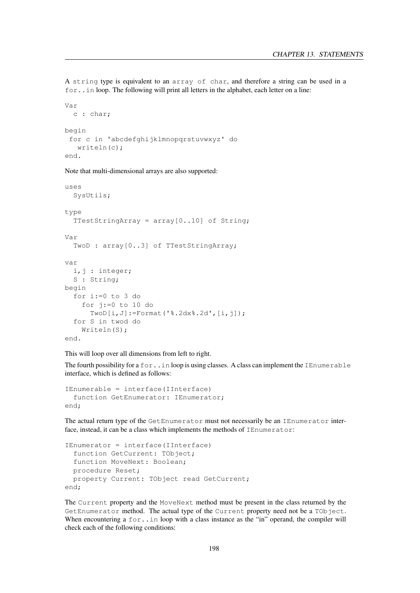A string type is equivalent to an array of char, and therefore a string can be used in a for..in loop. The following will print all letters in the alphabet, each letter on a line:

```
Var
  c : char;
begin
 for c in 'abcdefghijklmnopqrstuvwxyz' do
   writeln(c);
end.
```
Note that multi-dimensional arrays are also supported:

```
uses
 SysUtils;
type
 TTestStringArray = array[0..10] of String;
Var
 TwoD : array[0..3] of TTestStringArray;
var
 i, j : integer;
 S : String;
begin
 for i:=0 to 3 do
    for j:=0 to 10 do
      TwoD[i,J]:=Format('%.2dx%.2d',[i,j]);
  for S in twod do
   Writeln(S);
end.
```
This will loop over all dimensions from left to right.

The fourth possibility for a  $for.$ . in loop is using classes. A class can implement the IEnumerable interface, which is defined as follows:

```
IEnumerable = interface(IInterface)
 function GetEnumerator: IEnumerator;
end;
```
The actual return type of the GetEnumerator must not necessarily be an IEnumerator interface, instead, it can be a class which implements the methods of IEnumerator:

```
IEnumerator = interface(IInterface)
 function GetCurrent: TObject;
 function MoveNext: Boolean;
 procedure Reset;
 property Current: TObject read GetCurrent;
end;
```
The Current property and the MoveNext method must be present in the class returned by the GetEnumerator method. The actual type of the Current property need not be a TObject. When encountering a for..in loop with a class instance as the "in" operand, the compiler will check each of the following conditions: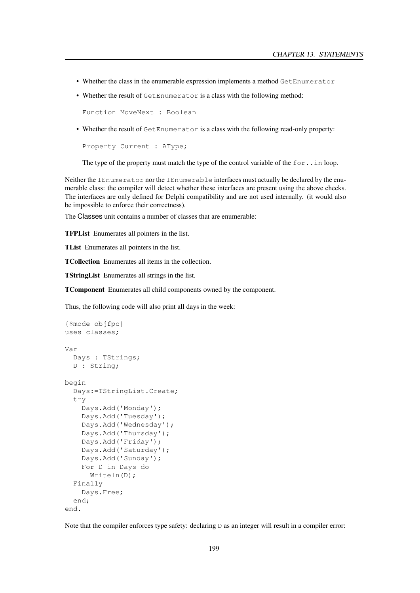- Whether the class in the enumerable expression implements a method GetEnumerator
- Whether the result of GetEnumerator is a class with the following method:

Function MoveNext : Boolean

• Whether the result of GetEnumerator is a class with the following read-only property:

Property Current : AType;

The type of the property must match the type of the control variable of the  $for \ldots in loop$ .

Neither the IEnumerator nor the IEnumerable interfaces must actually be declared by the enumerable class: the compiler will detect whether these interfaces are present using the above checks. The interfaces are only defined for Delphi compatibility and are not used internally. (it would also be impossible to enforce their correctness).

The Classes unit contains a number of classes that are enumerable:

TFPList Enumerates all pointers in the list.

TList Enumerates all pointers in the list.

TCollection Enumerates all items in the collection.

TStringList Enumerates all strings in the list.

TComponent Enumerates all child components owned by the component.

Thus, the following code will also print all days in the week:

```
{$mode objfpc}
uses classes;
Var
 Days : TStrings;
 D : String;
begin
 Days:=TStringList.Create;
 try
   Days.Add('Monday');
    Days.Add('Tuesday');
    Days.Add('Wednesday');
    Days.Add('Thursday');
    Days.Add('Friday');
    Days.Add('Saturday');
    Days.Add('Sunday');
    For D in Days do
     Writeln(D);
 Finally
    Days.Free;
 end;
end.
```
Note that the compiler enforces type safety: declaring D as an integer will result in a compiler error: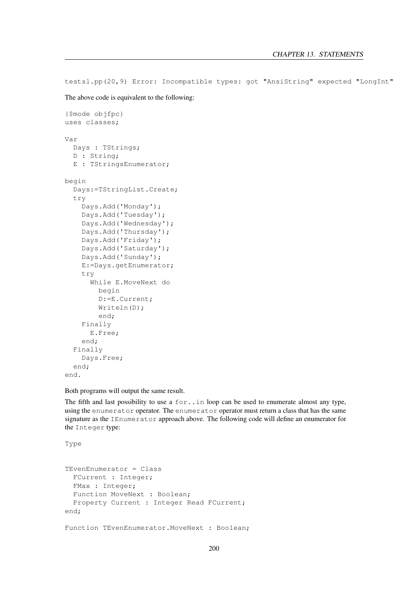testsl.pp(20,9) Error: Incompatible types: got "AnsiString" expected "LongInt"

The above code is equivalent to the following:

```
{$mode objfpc}
uses classes;
Var
  Days : TStrings;
  D : String;
  E : TStringsEnumerator;
begin
  Days:=TStringList.Create;
  try
    Days.Add('Monday');
    Days.Add('Tuesday');
    Days.Add('Wednesday');
    Days.Add('Thursday');
    Days.Add('Friday');
    Days.Add('Saturday');
    Days.Add('Sunday');
    E:=Days.getEnumerator;
    try
      While E.MoveNext do
        begin
        D:=E.Current;
        Writeln(D);
        end;
    Finally
      E.Free;
    end;
  Finally
    Days.Free;
  end;
end.
```
Both programs will output the same result.

The fifth and last possibility to use a  $for$ ..in loop can be used to enumerate almost any type, using the enumerator operator. The enumerator operator must return a class that has the same signature as the IEnumerator approach above. The following code will define an enumerator for the Integer type:

```
Type
```

```
TEvenEnumerator = Class
 FCurrent : Integer;
 FMax : Integer;
 Function MoveNext : Boolean;
 Property Current : Integer Read FCurrent;
end;
Function TEvenEnumerator.MoveNext : Boolean;
```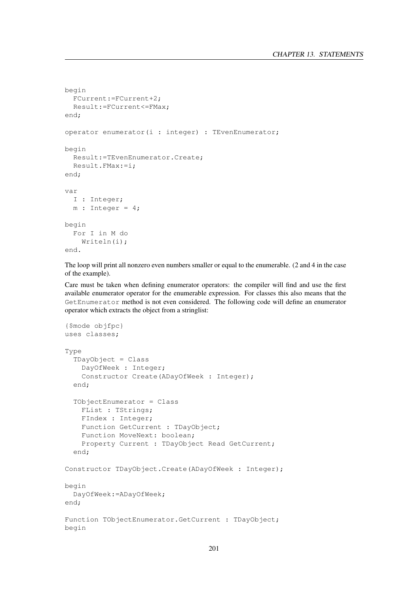```
begin
  FCurrent:=FCurrent+2;
  Result:=FCurrent<=FMax;
end;
operator enumerator(i : integer) : TEvenEnumerator;
begin
  Result:=TEvenEnumerator.Create;
  Result.FMax:=i;
end;
var
 I : Integer;
 m : Integer = 4;
begin
  For I in M do
   Writeln(i);
end.
```
The loop will print all nonzero even numbers smaller or equal to the enumerable. (2 and 4 in the case of the example).

Care must be taken when defining enumerator operators: the compiler will find and use the first available enumerator operator for the enumerable expression. For classes this also means that the GetEnumerator method is not even considered. The following code will define an enumerator operator which extracts the object from a stringlist:

```
{$mode objfpc}
uses classes;
Type
 TDayObject = Class
    DayOfWeek : Integer;
    Constructor Create(ADayOfWeek : Integer);
 end;
 TObjectEnumerator = Class
   FList : TStrings;
   FIndex : Integer;
    Function GetCurrent : TDayObject;
    Function MoveNext: boolean;
    Property Current : TDayObject Read GetCurrent;
 end;
Constructor TDayObject.Create(ADayOfWeek : Integer);
begin
 DayOfWeek:=ADayOfWeek;
end;
Function TObjectEnumerator.GetCurrent : TDayObject;
begin
```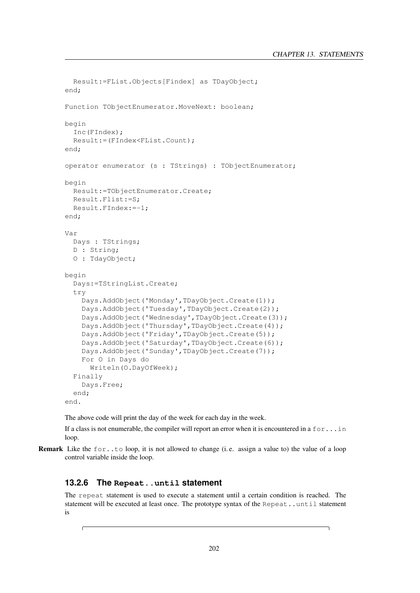```
Result:=FList.Objects[Findex] as TDayObject;
end;
Function TObjectEnumerator.MoveNext: boolean;
begin
  Inc(FIndex);
  Result:=(FIndex<FList.Count);
end;
operator enumerator (s : TStrings) : TObjectEnumerator;
begin
  Result:=TObjectEnumerator.Create;
  Result.Flist:=S;
  Result.FIndex:=-1;
end;
Var
  Days : TStrings;
  D : String;
  O : TdayObject;
begin
  Days:=TStringList.Create;
  try
    Days.AddObject('Monday',TDayObject.Create(1));
    Days.AddObject('Tuesday',TDayObject.Create(2));
    Days.AddObject('Wednesday',TDayObject.Create(3));
    Days.AddObject('Thursday',TDayObject.Create(4));
    Days.AddObject('Friday',TDayObject.Create(5));
    Days.AddObject('Saturday',TDayObject.Create(6));
    Days.AddObject('Sunday',TDayObject.Create(7));
    For O in Days do
      Writeln(O.DayOfWeek);
  Finally
    Days.Free;
  end;
end.
```
The above code will print the day of the week for each day in the week.

If a class is not enumerable, the compiler will report an error when it is encountered in a  $for \dots$  in loop.

**Remark** Like the  $f \circ r$ ..to loop, it is not allowed to change (i.e. assign a value to) the value of a loop control variable inside the loop.

#### **13.2.6 The Repeat..until statement**

The repeat statement is used to execute a statement until a certain condition is reached. The statement will be executed at least once. The prototype syntax of the Repeat..until statement is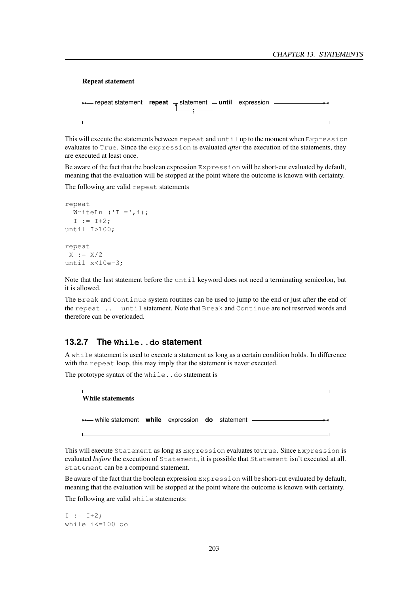

This will execute the statements between repeat and until up to the moment when Expression evaluates to True. Since the expression is evaluated *after* the execution of the statements, they are executed at least once.

Be aware of the fact that the boolean expression Expression will be short-cut evaluated by default, meaning that the evaluation will be stopped at the point where the outcome is known with certainty.

The following are valid repeat statements

```
repeat
 WriteLn (T = ', i);I := I + 2:until I>100;
repeat
X := X/2until x<10e-3;
```
Note that the last statement before the until keyword does not need a terminating semicolon, but it is allowed.

The Break and Continue system routines can be used to jump to the end or just after the end of the repeat .. until statement. Note that Break and Continue are not reserved words and therefore can be overloaded.

#### **13.2.7 The While..do statement**

A while statement is used to execute a statement as long as a certain condition holds. In difference with the repeat loop, this may imply that the statement is never executed.

The prototype syntax of the While..do statement is

While statements

<del>▶</del> while statement – while – expression – do – statement –

This will execute Statement as long as Expression evaluates toTrue. Since Expression is evaluated *before* the execution of Statement, it is possible that Statement isn't executed at all. Statement can be a compound statement.

Be aware of the fact that the boolean expression Expression will be short-cut evaluated by default, meaning that the evaluation will be stopped at the point where the outcome is known with certainty.

The following are valid while statements:

 $I := I + 2;$ while i<=100 do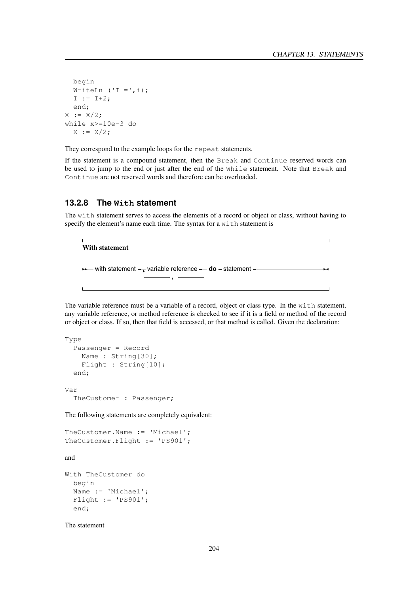```
begin
 WriteLn (T = ', i);I := I+2;end;
X := X/2;while x>=10e-3 do
 X := X/2;
```
They correspond to the example loops for the repeat statements.

If the statement is a compound statement, then the Break and Continue reserved words can be used to jump to the end or just after the end of the While statement. Note that Break and Continue are not reserved words and therefore can be overloaded.

#### **13.2.8 The With statement**

The with statement serves to access the elements of a record or object or class, without having to specify the element's name each time. The syntax for a with statement is

```
With statement
✲✲ with statement ✻
                     variable reference
                             ,
                                         do – statement ––––––––––––––––––––
```
The variable reference must be a variable of a record, object or class type. In the with statement, any variable reference, or method reference is checked to see if it is a field or method of the record or object or class. If so, then that field is accessed, or that method is called. Given the declaration:

```
Type
 Passenger = Record
   Name : String[30];
   Flight : String[10];
 end;
Var
 TheCustomer : Passenger;
```
The following statements are completely equivalent:

```
TheCustomer.Name := 'Michael';
TheCustomer.Flight := 'PS901';
```
and

```
With TheCustomer do
 begin
 Name := 'Michael';
 Flight := 'PS901';end;
```
The statement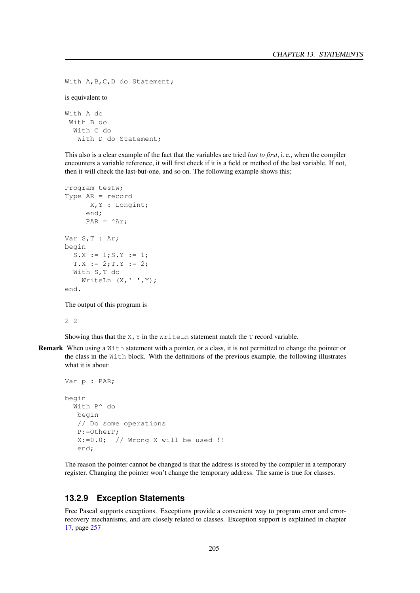With A, B, C, D do Statement;

is equivalent to

With A do With B do With C do With D do Statement;

This also is a clear example of the fact that the variables are tried *last to first*, i. e., when the compiler encounters a variable reference, it will first check if it is a field or method of the last variable. If not, then it will check the last-but-one, and so on. The following example shows this;

```
Program testw;
Type AR = record
      X,Y : Longint;
     end;
     PAR = ^{\wedge}Ar;
Var S,T : Ar;
begin
  S.X := 1; S.Y := 1;T.X := 2, T.Y := 2;With S,T do
    WriteLn (X, ' ', Y);
end.
```
The output of this program is

2 2

Showing thus that the  $X$ , Y in the WriteLn statement match the  $T$  record variable.

Remark When using a With statement with a pointer, or a class, it is not permitted to change the pointer or the class in the With block. With the definitions of the previous example, the following illustrates what it is about:

```
Var p : PAR;
begin
  With P^ do
  begin
   // Do some operations
   P:=OtherP;
   X:=0.0; // Wrong X will be used !!
   end;
```
The reason the pointer cannot be changed is that the address is stored by the compiler in a temporary register. Changing the pointer won't change the temporary address. The same is true for classes.

#### **13.2.9 Exception Statements**

Free Pascal supports exceptions. Exceptions provide a convenient way to program error and errorrecovery mechanisms, and are closely related to classes. Exception support is explained in chapter [17,](#page-257-0) page [257](#page-257-0)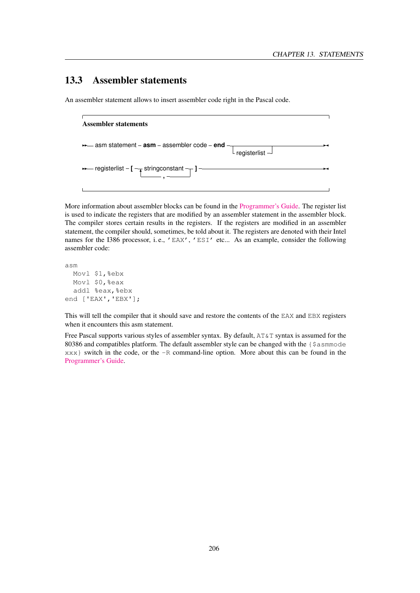## 13.3 Assembler statements

An assembler statement allows to insert assembler code right in the Pascal code.

| <b>Assembler statements</b>                                       |  |
|-------------------------------------------------------------------|--|
| A asm statement - asm - assembler code - end<br>registerlist      |  |
| $\rightarrow$ registerlist - [ $\rightarrow$ stringconstant - ] - |  |

More information about assembler blocks can be found in the [Programmer's Guide.](../prog/prog.html) The register list is used to indicate the registers that are modified by an assembler statement in the assembler block. The compiler stores certain results in the registers. If the registers are modified in an assembler statement, the compiler should, sometimes, be told about it. The registers are denoted with their Intel names for the I386 processor, i.e., 'EAX', 'ESI' etc... As an example, consider the following assembler code:

asm Movl \$1,%ebx Movl \$0,%eax addl %eax, %ebx end ['EAX','EBX'];

This will tell the compiler that it should save and restore the contents of the EAX and EBX registers when it encounters this asm statement.

Free Pascal supports various styles of assembler syntax. By default, AT&T syntax is assumed for the 80386 and compatibles platform. The default assembler style can be changed with the  $\frac{1}{5}$  asmmode xxx} switch in the code, or the -R command-line option. More about this can be found in the [Programmer's Guide.](../prog/prog.html)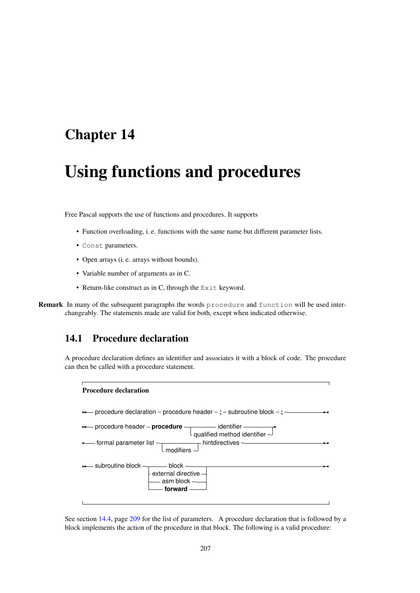# Chapter 14

# Using functions and procedures

Free Pascal supports the use of functions and procedures. It supports

- Function overloading, i. e. functions with the same name but different parameter lists.
- Const parameters.
- Open arrays (i. e. arrays without bounds).
- Variable number of arguments as in C.
- Return-like construct as in C, through the Exit keyword.

## 14.1 Procedure declaration

A procedure declaration defines an identifier and associates it with a block of code. The procedure can then be called with a procedure statement.

| <b>Procedure declaration</b>                                                                                        |
|---------------------------------------------------------------------------------------------------------------------|
| $\rightarrow$ procedure declaration – procedure header –; – subroutine block –; –                                   |
| → procedure header - <b>procedure</b> - dentifier - dentifier -                                                     |
| $\longleftarrow$ formal parameter list $\frac{1}{\boxed{\text{modifiers}}}$ hintdirectives $\overline{\phantom{a}}$ |
| $\rightarrow$ subroutine block - block -<br>external directive -<br>$-$ asm block $-$<br>$-$ forward $-$            |

See section [14.4,](#page-209-0) page [209](#page-209-0) for the list of parameters. A procedure declaration that is followed by a block implements the action of the procedure in that block. The following is a valid procedure:

Remark In many of the subsequent paragraphs the words procedure and function will be used interchangeably. The statements made are valid for both, except when indicated otherwise.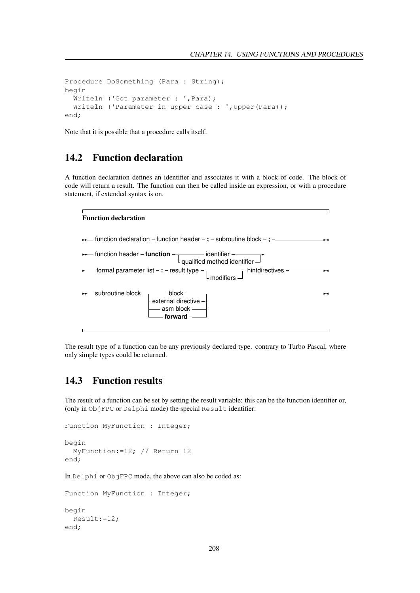```
Procedure DoSomething (Para : String);
begin
  Writeln ('Got parameter : ', Para);
  Writeln ('Parameter in upper case : ', Upper(Para));
end;
```
Note that it is possible that a procedure calls itself.

## 14.2 Function declaration

A function declaration defines an identifier and associates it with a block of code. The block of code will return a result. The function can then be called inside an expression, or with a procedure statement, if extended syntax is on.

| <b>Function declaration</b>                                                                                                        |
|------------------------------------------------------------------------------------------------------------------------------------|
| $\rightarrow$ function declaration – function header – ; – subroutine block – ; –                                                  |
| <b>→</b> function header – <b>function</b> – $\frac{1}{\sqrt{2\pi}}$ dentifier – $\frac{1}{\sqrt{2\pi}}$ – $\frac{1}{\sqrt{2\pi}}$ |
| $\longleftarrow$ formal parameter list - : - result type $\frac{1}{\sqrt{2\pi}}$ hintdirectives $\longrightarrow$                  |
| → subroutine block – block – block – external directive – asm block – asm block – forward –                                        |

The result type of a function can be any previously declared type. contrary to Turbo Pascal, where only simple types could be returned.

## 14.3 Function results

The result of a function can be set by setting the result variable: this can be the function identifier or, (only in ObjFPC or Delphi mode) the special Result identifier:

```
Function MyFunction : Integer;
```

```
begin
 MyFunction:=12; // Return 12
end;
```
In Delphi or ObjFPC mode, the above can also be coded as:

```
Function MyFunction : Integer;
begin
  Result:=12;
end;
```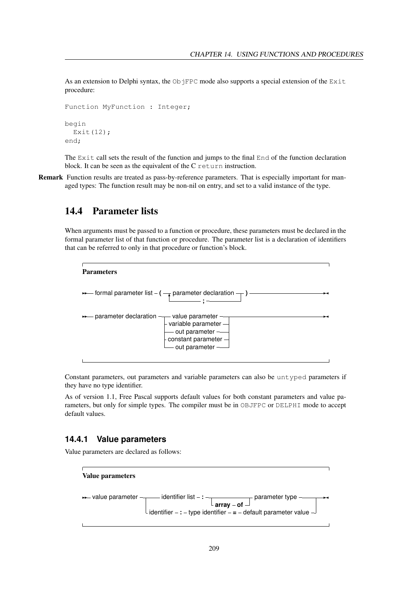As an extension to Delphi syntax, the  $Ob$  jFPC mode also supports a special extension of the Exit procedure:

```
Function MyFunction : Integer;
begin
  Exit(12);
end;
```
The Exit call sets the result of the function and jumps to the final End of the function declaration block. It can be seen as the equivalent of the C return instruction.

Remark Function results are treated as pass-by-reference parameters. That is especially important for managed types: The function result may be non-nil on entry, and set to a valid instance of the type.

## <span id="page-209-0"></span>14.4 Parameter lists

When arguments must be passed to a function or procedure, these parameters must be declared in the formal parameter list of that function or procedure. The parameter list is a declaration of identifiers that can be referred to only in that procedure or function's block.



Constant parameters, out parameters and variable parameters can also be untyped parameters if they have no type identifier.

As of version 1.1, Free Pascal supports default values for both constant parameters and value parameters, but only for simple types. The compiler must be in OBJFPC or DELPHI mode to accept default values.

#### **14.4.1 Value parameters**

Value parameters are declared as follows:

Value parameters **► value parameter –** identifier list – :  $\lfloor$  array – of – parameter type  $\lfloor$  identifier  $-$  :  $-$  type identifier  $-\equiv$   $-$  default parameter value ✲✛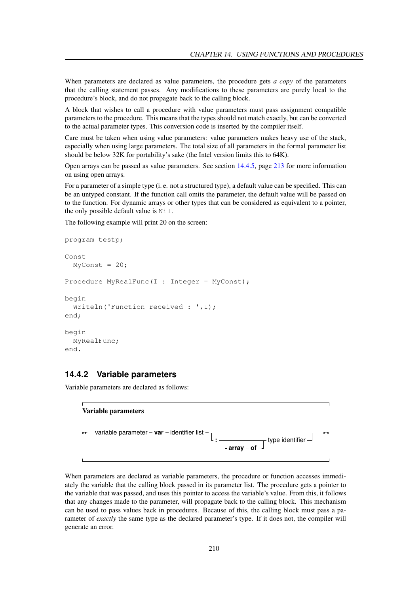When parameters are declared as value parameters, the procedure gets *a copy* of the parameters that the calling statement passes. Any modifications to these parameters are purely local to the procedure's block, and do not propagate back to the calling block.

A block that wishes to call a procedure with value parameters must pass assignment compatible parameters to the procedure. This means that the types should not match exactly, but can be converted to the actual parameter types. This conversion code is inserted by the compiler itself.

Care must be taken when using value parameters: value parameters makes heavy use of the stack, especially when using large parameters. The total size of all parameters in the formal parameter list should be below 32K for portability's sake (the Intel version limits this to 64K).

Open arrays can be passed as value parameters. See section [14.4.5,](#page-213-0) page [213](#page-213-0) for more information on using open arrays.

For a parameter of a simple type (i. e. not a structured type), a default value can be specified. This can be an untyped constant. If the function call omits the parameter, the default value will be passed on to the function. For dynamic arrays or other types that can be considered as equivalent to a pointer, the only possible default value is Nil.

The following example will print 20 on the screen:

```
program testp;
Const
 MyConst = 20;Procedure MyRealFunc(I : Integer = MyConst);
begin
 Writeln('Function received : ',I);
end;
begin
 MyRealFunc;
end.
```
#### <span id="page-210-0"></span>**14.4.2 Variable parameters**

Variable parameters are declared as follows:

| Variable parameters                            |                                                                                                                              |  |
|------------------------------------------------|------------------------------------------------------------------------------------------------------------------------------|--|
| → variable parameter – var – identifier list – | $_\sqsubset$ type identifier $\lrcorner$<br>٠<br>$\boxed{\phantom{a} \mathbf{array} - \mathbf{of} \; \mathbf{-} \mathbf{} }$ |  |
|                                                |                                                                                                                              |  |

When parameters are declared as variable parameters, the procedure or function accesses immediately the variable that the calling block passed in its parameter list. The procedure gets a pointer to the variable that was passed, and uses this pointer to access the variable's value. From this, it follows that any changes made to the parameter, will propagate back to the calling block. This mechanism can be used to pass values back in procedures. Because of this, the calling block must pass a parameter of *exactly* the same type as the declared parameter's type. If it does not, the compiler will generate an error.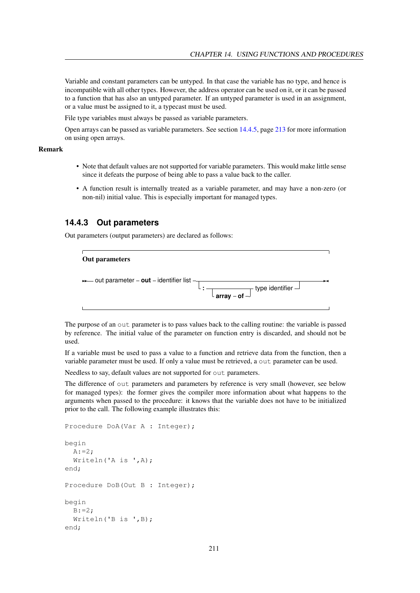Variable and constant parameters can be untyped. In that case the variable has no type, and hence is incompatible with all other types. However, the address operator can be used on it, or it can be passed to a function that has also an untyped parameter. If an untyped parameter is used in an assignment, or a value must be assigned to it, a typecast must be used.

File type variables must always be passed as variable parameters.

Open arrays can be passed as variable parameters. See section [14.4.5,](#page-213-0) page [213](#page-213-0) for more information on using open arrays.

#### Remark

- Note that default values are not supported for variable parameters. This would make little sense since it defeats the purpose of being able to pass a value back to the caller.
- A function result is internally treated as a variable parameter, and may have a non-zero (or non-nil) initial value. This is especially important for managed types.

#### **14.4.3 Out parameters**

Out parameters (output parameters) are declared as follows:

| Out parameters                                         |                                                              |  |
|--------------------------------------------------------|--------------------------------------------------------------|--|
| $\rightarrow$ out parameter - out - identifier list -- | $-$ type identifier $-$<br>┕<br>$\lfloor$ array – of $\lnot$ |  |
|                                                        |                                                              |  |

The purpose of an out parameter is to pass values back to the calling routine: the variable is passed by reference. The initial value of the parameter on function entry is discarded, and should not be used.

If a variable must be used to pass a value to a function and retrieve data from the function, then a variable parameter must be used. If only a value must be retrieved, a out parameter can be used.

Needless to say, default values are not supported for out parameters.

The difference of out parameters and parameters by reference is very small (however, see below for managed types): the former gives the compiler more information about what happens to the arguments when passed to the procedure: it knows that the variable does not have to be initialized prior to the call. The following example illustrates this:

```
Procedure DoA(Var A : Integer);
begin
  A: = 2:Writeln('A is ',A);
end;
Procedure DoB(Out B : Integer);
begin
  B := 2;Writeln('B is ',B);
end;
```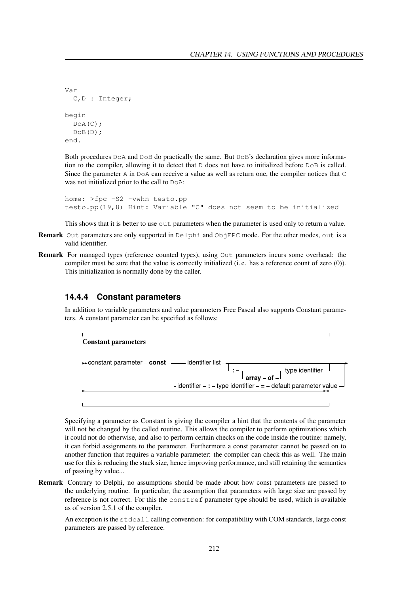```
Var
 C,D : Integer;
begin
 DoA(C);DOB(D);end.
```
Both procedures DoA and DoB do practically the same. But DoB's declaration gives more information to the compiler, allowing it to detect that  $D$  does not have to initialized before  $D \circ B$  is called. Since the parameter A in DoA can receive a value as well as return one, the compiler notices that C was not initialized prior to the call to  $DoA$ :

```
home: >fpc -S2 -vwhn testo.pp
testo.pp(19,8) Hint: Variable "C" does not seem to be initialized
```
This shows that it is better to use out parameters when the parameter is used only to return a value.

- Remark Out parameters are only supported in Delphi and ObjFPC mode. For the other modes, out is a valid identifier.
- Remark For managed types (reference counted types), using Out parameters incurs some overhead: the compiler must be sure that the value is correctly initialized (i.e. has a reference count of zero (0)). This initialization is normally done by the caller.

#### **14.4.4 Constant parameters**

In addition to variable parameters and value parameters Free Pascal also supports Constant parameters. A constant parameter can be specified as follows:



Specifying a parameter as Constant is giving the compiler a hint that the contents of the parameter will not be changed by the called routine. This allows the compiler to perform optimizations which it could not do otherwise, and also to perform certain checks on the code inside the routine: namely, it can forbid assignments to the parameter. Furthermore a const parameter cannot be passed on to another function that requires a variable parameter: the compiler can check this as well. The main use for this is reducing the stack size, hence improving performance, and still retaining the semantics of passing by value...

Remark Contrary to Delphi, no assumptions should be made about how const parameters are passed to the underlying routine. In particular, the assumption that parameters with large size are passed by reference is not correct. For this the constref parameter type should be used, which is available as of version 2.5.1 of the compiler.

An exception is the stdcall calling convention: for compatibility with COM standards, large const parameters are passed by reference.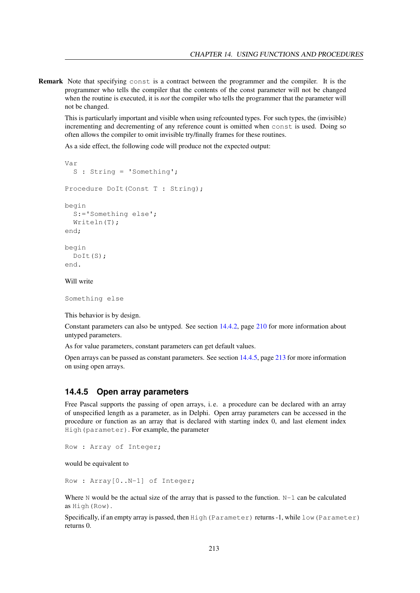Remark Note that specifying const is a contract between the programmer and the compiler. It is the programmer who tells the compiler that the contents of the const parameter will not be changed when the routine is executed, it is *not* the compiler who tells the programmer that the parameter will not be changed.

This is particularly important and visible when using refcounted types. For such types, the (invisible) incrementing and decrementing of any reference count is omitted when const is used. Doing so often allows the compiler to omit invisible try/finally frames for these routines.

As a side effect, the following code will produce not the expected output:

```
Var
  S : String = 'Something';
Procedure DoIt(Const T : String);
begin
  S:='Something else';
  Writeln(T);
end;
begin
  DoIt(S);
end.
```
### Will write

Something else

This behavior is by design.

Constant parameters can also be untyped. See section [14.4.2,](#page-210-0) page [210](#page-210-0) for more information about untyped parameters.

As for value parameters, constant parameters can get default values.

Open arrays can be passed as constant parameters. See section [14.4.5,](#page-213-0) page [213](#page-213-0) for more information on using open arrays.

### <span id="page-213-0"></span>**14.4.5 Open array parameters**

Free Pascal supports the passing of open arrays, i. e. a procedure can be declared with an array of unspecified length as a parameter, as in Delphi. Open array parameters can be accessed in the procedure or function as an array that is declared with starting index 0, and last element index High(parameter). For example, the parameter

Row : Array of Integer;

would be equivalent to

Row : Array[0..N-1] of Integer;

Where N would be the actual size of the array that is passed to the function.  $N-1$  can be calculated as High(Row).

Specifically, if an empty array is passed, then High(Parameter) returns -1, while low(Parameter) returns 0.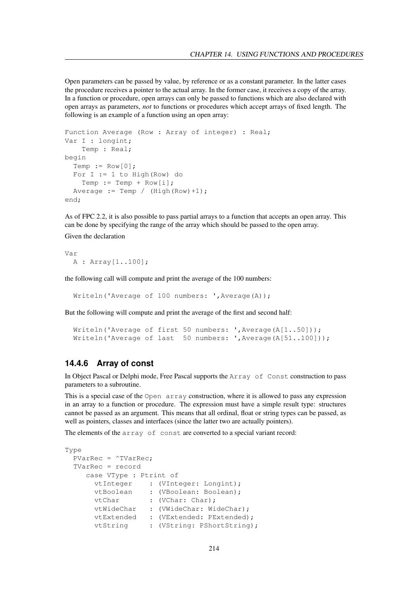Open parameters can be passed by value, by reference or as a constant parameter. In the latter cases the procedure receives a pointer to the actual array. In the former case, it receives a copy of the array. In a function or procedure, open arrays can only be passed to functions which are also declared with open arrays as parameters, *not* to functions or procedures which accept arrays of fixed length. The following is an example of a function using an open array:

```
Function Average (Row : Array of integer) : Real;
Var I : longint;
   Temp : Real;
begin
 Temp := Row[0];
 For I := 1 to High (Row) do
   Temp := Temp + Row[i];
 Average := Temp / (High(Row)+1);
end;
```
As of FPC 2.2, it is also possible to pass partial arrays to a function that accepts an open array. This can be done by specifying the range of the array which should be passed to the open array.

Given the declaration

Var A : Array[1..100];

the following call will compute and print the average of the 100 numbers:

Writeln('Average of 100 numbers: ', Average(A));

But the following will compute and print the average of the first and second half:

```
Writeln('Average of first 50 numbers: ',Average(A[1..50]));
Writeln('Average of last 50 numbers: ',Average(A[51..100]));
```
#### **14.4.6 Array of const**

In Object Pascal or Delphi mode, Free Pascal supports the Array of Const construction to pass parameters to a subroutine.

This is a special case of the Open array construction, where it is allowed to pass any expression in an array to a function or procedure. The expression must have a simple result type: structures cannot be passed as an argument. This means that all ordinal, float or string types can be passed, as well as pointers, classes and interfaces (since the latter two are actually pointers).

The elements of the array of const are converted to a special variant record:

```
Type
 PVarRec = ^TVarRec;
 TVarRec = record
    case VType : Ptrint of
      vtInteger : (VInteger: Longint);
      vtBoolean : (VBoolean: Boolean);
      vtChar : (VChar: Char);
      vtWideChar : (VWideChar: WideChar);
      vtExtended : (VExtended: PExtended);
      vtString : (VString: PShortString);
```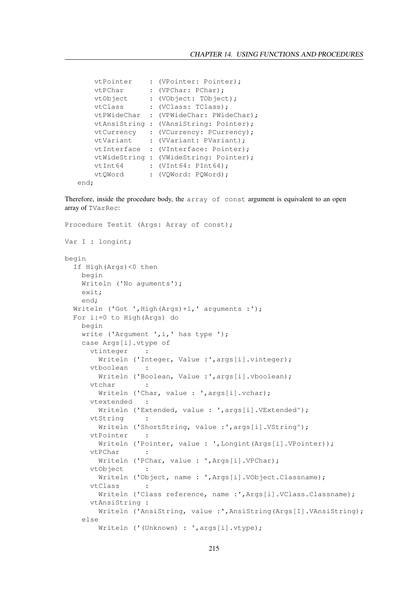```
vtPointer : (VPointer: Pointer);
   vtPChar : (VPChar: PChar);<br>vtObject : (VObject: TObjec
                : (VObject: TObject);
    vtClass : (VClass: TClass);
   vtPWideChar : (VPWideChar: PWideChar);
   vtAnsiString : (VAnsiString: Pointer);
    vtCurrency : (VCurrency: PCurrency);
    vtVariant : (VVariant: PVariant);
   vtInterface : (VInterface: Pointer);
    vtWideString : (VWideString: Pointer);
    vtInt64 : (VInt64: PInt64);
    vtQWord : (VQWord: PQWord);
end;
```
Therefore, inside the procedure body, the array of const argument is equivalent to an open array of TVarRec:

```
Procedure Testit (Args: Array of const);
Var I : longint;
begin
 If High(Args)<0 then
   begin
   Writeln ('No aguments');
   exit;
   end;
 Writeln ('Got ', High(Args)+1, ' arguments :');
 For i:=0 to High(Args) do
   begin
   write ('Argument ',i,' has type ');
   case Args[i].vtype of
     vtinteger :
       Writeln ('Integer, Value :', args[i].vinteger);
     vtboolean :
       Writeln ('Boolean, Value :',args[i].vboolean);
     vtchar :
       Writeln ('Char, value : ',args[i].vchar);
     vtextended :
       Writeln ('Extended, value : ', args[i].VExtended^);
     vtString :
       Writeln ('ShortString, value :', args[i].VString^);
     vtPointer :
       Writeln ('Pointer, value : ',Longint(Args[i].VPointer));
     vtPChar :
       Writeln ('PChar, value : ', Args[i]. VPChar);
     vtObject :
       Writeln ('Object, name : ',Args[i].VObject.Classname);
     vtClass :
       Writeln ('Class reference, name :',Args[i].VClass.Classname);
     vtAnsiString :
       Writeln ('AnsiString, value :',AnsiString(Args[I].VAnsiString);
   else
       Writeln ('(Unknown) : ',args[i].vtype);
```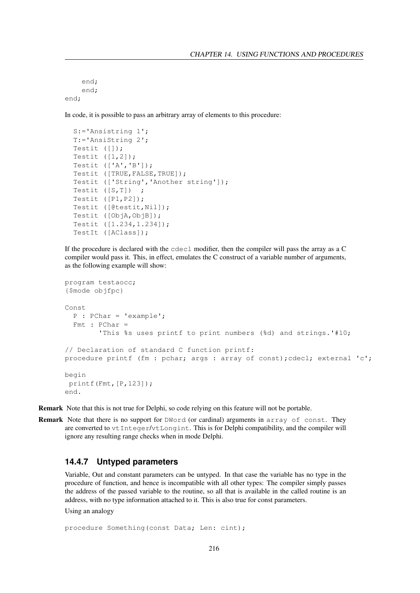end; end; end;

In code, it is possible to pass an arbitrary array of elements to this procedure:

```
S:='Ansistring 1';
T:='AnsiString 2';
Testit ([]);
Testit ([1,2]);
Testit (['A','B']);
Testit ([TRUE,FALSE,TRUE]);
Testit (['String','Another string']);
Testit ([S,T]) ;
Testit ([P1,P2]);
Testit ([@testit,Nil]);
Testit ([ObjA,ObjB]);
Testit ([1.234,1.234]);
TestIt ([AClass]);
```
If the procedure is declared with the cdecl modifier, then the compiler will pass the array as a C compiler would pass it. This, in effect, emulates the C construct of a variable number of arguments, as the following example will show:

```
program testaocc;
{$mode objfpc}
Const
  P : PChar = 'example';
  Fmt : PChar =
        'This %s uses printf to print numbers (%d) and strings.'#10;
// Declaration of standard C function printf:
procedure printf (fm : pchar; args : array of const); cdecl; external 'c';
begin
 printf(Fmt,[P,123]);
end.
```
Remark Note that this is not true for Delphi, so code relying on this feature will not be portable.

Remark Note that there is no support for DWord (or cardinal) arguments in array of const. They are converted to  $vt$ Integer/vtLongint. This is for Delphi compatibility, and the compiler will ignore any resulting range checks when in mode Delphi.

#### **14.4.7 Untyped parameters**

Variable, Out and constant parameters can be untyped. In that case the variable has no type in the procedure of function, and hence is incompatible with all other types: The compiler simply passes the address of the passed variable to the routine, so all that is available in the called routine is an address, with no type information attached to it. This is also true for const parameters.

Using an analogy

procedure Something(const Data; Len: cint);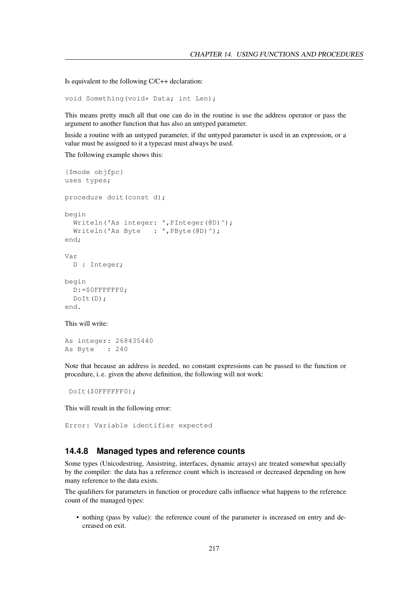Is equivalent to the following C/C++ declaration:

void Something(void\* Data; int Len);

This means pretty much all that one can do in the routine is use the address operator or pass the argument to another function that has also an untyped parameter.

Inside a routine with an untyped parameter, if the untyped parameter is used in an expression, or a value must be assigned to it a typecast must always be used.

The following example shows this:

```
{$mode objfpc}
uses types;
procedure doit(const d);
begin
 Writeln('As integer: ', PInteger(@D)^);
  Writeln('As Byte : ', PByte(@D)^);
end;
V \cap rD : Integer;
begin
  D:=$0FFFFFF0;
  DoIt(D);
end.
```
This will write:

As integer: 268435440 As Byte : 240

Note that because an address is needed, no constant expressions can be passed to the function or procedure, i. e. given the above definition, the following will not work:

```
DoIt($0FFFFFF0);
```
This will result in the following error:

Error: Variable identifier expected

#### **14.4.8 Managed types and reference counts**

Some types (Unicodestring, Ansistring, interfaces, dynamic arrays) are treated somewhat specially by the compiler: the data has a reference count which is increased or decreased depending on how many reference to the data exists.

The qualifiers for parameters in function or procedure calls influence what happens to the reference count of the managed types:

• nothing (pass by value): the reference count of the parameter is increased on entry and decreased on exit.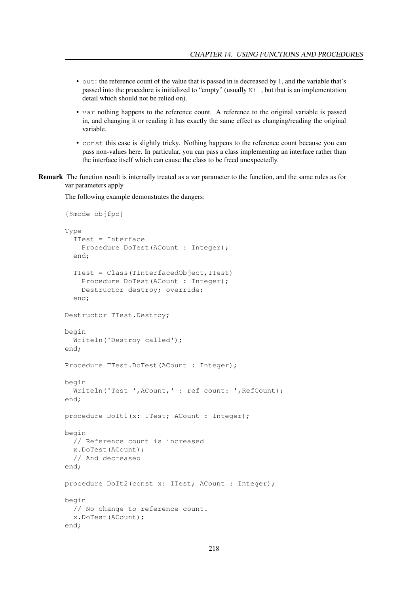- out: the reference count of the value that is passed in is decreased by 1, and the variable that's passed into the procedure is initialized to "empty" (usually  $Nil$ , but that is an implementation detail which should not be relied on).
- var nothing happens to the reference count. A reference to the original variable is passed in, and changing it or reading it has exactly the same effect as changing/reading the original variable.
- const this case is slightly tricky. Nothing happens to the reference count because you can pass non-values here. In particular, you can pass a class implementing an interface rather than the interface itself which can cause the class to be freed unexpectedly.
- Remark The function result is internally treated as a var parameter to the function, and the same rules as for var parameters apply.

The following example demonstrates the dangers:

```
{$mode objfpc}
Type
  ITest = Interface
    Procedure DoTest(ACount : Integer);
  end;
  TTest = Class(TInterfacedObject,ITest)
    Procedure DoTest(ACount : Integer);
    Destructor destroy; override;
  end;
Destructor TTest.Destroy;
begin
  Writeln('Destroy called');
end;
Procedure TTest.DoTest(ACount : Integer);
begin
 Writeln('Test ',ACount,' : ref count: ',RefCount);
end;
procedure DoIt1(x: ITest; ACount : Integer);
begin
  // Reference count is increased
  x.DoTest(ACount);
  // And decreased
end;
procedure DoIt2(const x: ITest; ACount : Integer);
begin
 // No change to reference count.
  x.DoTest(ACount);
end;
```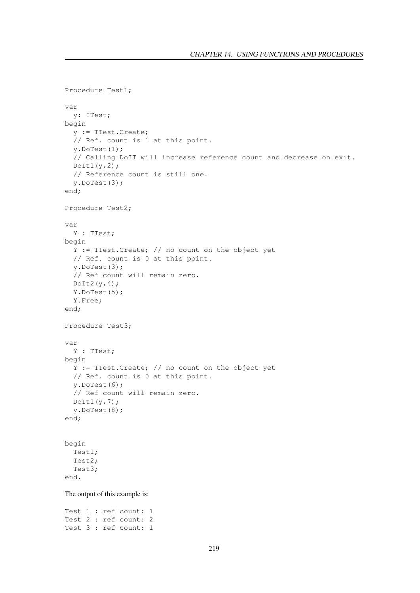```
Procedure Test1;
var
 y: ITest;
begin
 y := TTest.Create;
  // Ref. count is 1 at this point.
 y.DoTest(1);
  // Calling DoIT will increase reference count and decrease on exit.
 DoIt1(y, 2);
  // Reference count is still one.
  y.DoTest(3);
end;
Procedure Test2;
var
 Y : TTest;
begin
 Y := TTest.Create; // no count on the object yet
 // Ref. count is 0 at this point.
 y.DoTest(3);
 // Ref count will remain zero.
 DoIt2(y, 4);
 Y.DoTest(5);
  Y.Free;
end;
Procedure Test3;
var
 Y : TTest;
begin
 Y := TTest.Create; // no count on the object yet
  // Ref. count is 0 at this point.
 y.DoTest(6);
 // Ref count will remain zero.
 DoIt1(y, 7);
 y.DoTest(8);
end;
begin
 Test1;
 Test2;
  Test3;
end.
The output of this example is:
Test 1 : ref count: 1
Test 2 : ref count: 2
Test 3 : ref count: 1
```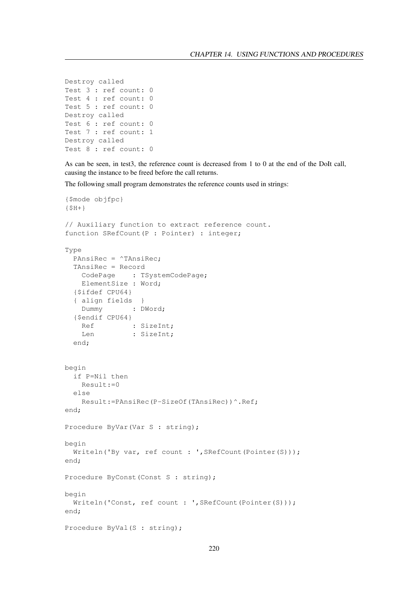```
Destroy called
Test 3 : ref count: 0
Test 4 : ref count: 0
Test 5 : ref count: 0
Destroy called
Test 6 : ref count: 0
Test 7 : ref count: 1
Destroy called
Test 8 : ref count: 0
```
As can be seen, in test3, the reference count is decreased from 1 to 0 at the end of the DoIt call, causing the instance to be freed before the call returns.

The following small program demonstrates the reference counts used in strings:

```
{$mode objfpc}
{$H+}
// Auxiliary function to extract reference count.
function SRefCount(P : Pointer) : integer;
Type
 PAnsiRec = ^TAnsiRec;
 TAnsiRec = Record
   CodePage : TSystemCodePage;
   ElementSize : Word;
 {$ifdef CPU64}
  { align fields }
   Dummy : DWord;
  {$endif CPU64}
   Ref : SizeInt;
   Len : SizeInt;
 end;
begin
 if P=Nil then
   Result:=0
 else
   Result:=PAnsiRec(P-SizeOf(TAnsiRec))^.Ref;
end;
Procedure ByVar(Var S : string);
begin
 Writeln('By var, ref count : ', SRefCount(Pointer(S)));
end;
Procedure ByConst(Const S : string);
begin
 Writeln('Const, ref count : ',SRefCount(Pointer(S)));
end;
Procedure ByVal(S : string);
```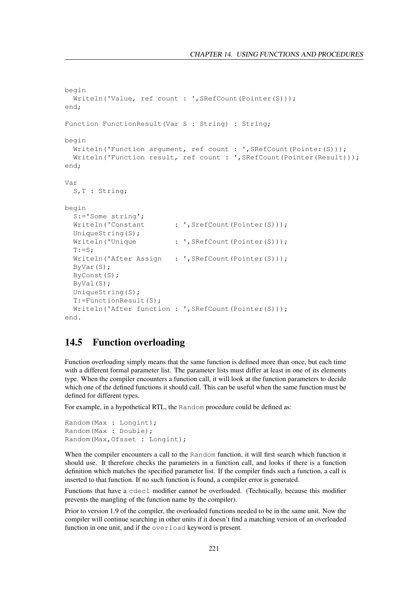```
begin
  Writeln('Value, ref count : ', SRefCount(Pointer(S)));
end;
Function FunctionResult(Var S : String) : String;
begin
  Writeln('Function argument, ref count : ', SRefCount(Pointer(S)));
  Writeln('Function result, ref count : ', SRefCount(Pointer(Result)));
end;
Var
  S,T : String;
begin
  S:='Some string';
  Writeln('Constant : ', SrefCount(Pointer(S)));
  UniqueString(S);
  Writeln('Unique : ', SRefCount(Pointer(S)));
  T := S;Writeln('After Assign : ', SRefCount(Pointer(S)));
  ByVar(S);
  ByConst(S);
  ByVal(S);
  UniqueString(S);
  T:=FunctionResult(S);
  Writeln('After function : ',SRefCount(Pointer(S)));
end.
```
## 14.5 Function overloading

Function overloading simply means that the same function is defined more than once, but each time with a different formal parameter list. The parameter lists must differ at least in one of its elements type. When the compiler encounters a function call, it will look at the function parameters to decide which one of the defined functions it should call. This can be useful when the same function must be defined for different types.

For example, in a hypothetical RTL, the Random procedure could be defined as:

```
Random(Max : Longint);
Random(Max : Double);
Random(Max,Ofsset : Longint);
```
When the compiler encounters a call to the Random function, it will first search which function it should use. It therefore checks the parameters in a function call, and looks if there is a function definition which matches the specified parameter list. If the compiler finds such a function, a call is inserted to that function. If no such function is found, a compiler error is generated.

Functions that have a cdecl modifier cannot be overloaded. (Technically, because this modifier prevents the mangling of the function name by the compiler).

Prior to version 1.9 of the compiler, the overloaded functions needed to be in the same unit. Now the compiler will continue searching in other units if it doesn't find a matching version of an overloaded function in one unit, and if the overload keyword is present.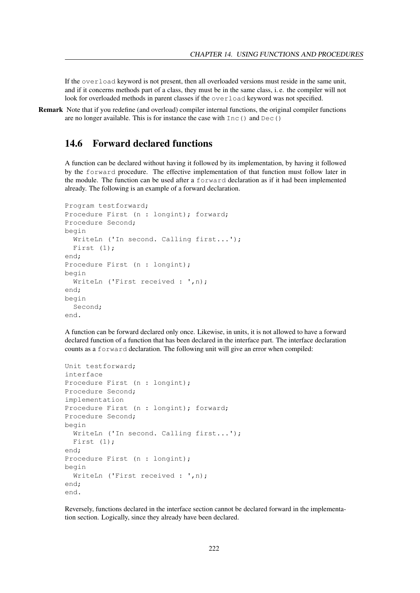If the overload keyword is not present, then all overloaded versions must reside in the same unit, and if it concerns methods part of a class, they must be in the same class, i. e. the compiler will not look for overloaded methods in parent classes if the overload keyword was not specified.

Remark Note that if you redefine (and overload) compiler internal functions, the original compiler functions are no longer available. This is for instance the case with  $Inc()$  and  $Dec()$ 

## 14.6 Forward declared functions

A function can be declared without having it followed by its implementation, by having it followed by the forward procedure. The effective implementation of that function must follow later in the module. The function can be used after a forward declaration as if it had been implemented already. The following is an example of a forward declaration.

```
Program testforward;
Procedure First (n : longint); forward;
Procedure Second;
begin
  WriteLn ('In second. Calling first...');
  First (1);
end;
Procedure First (n : longint);
begin
  WriteLn ('First received : ', n);
end;
begin
  Second;
end.
```
A function can be forward declared only once. Likewise, in units, it is not allowed to have a forward declared function of a function that has been declared in the interface part. The interface declaration counts as a forward declaration. The following unit will give an error when compiled:

```
Unit testforward;
interface
Procedure First (n : longint);
Procedure Second;
implementation
Procedure First (n : longint); forward;
Procedure Second;
begin
  WriteLn ('In second. Calling first...');
  First (1);
end;
Procedure First (n : longint);
begin
  WriteLn ('First received : ',n);
end;
end.
```
Reversely, functions declared in the interface section cannot be declared forward in the implementation section. Logically, since they already have been declared.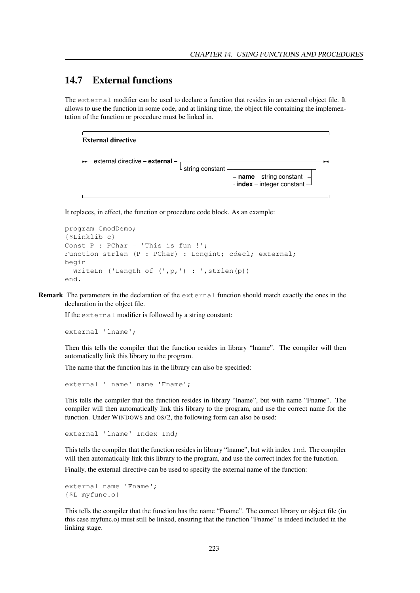## <span id="page-223-0"></span>14.7 External functions

The external modifier can be used to declare a function that resides in an external object file. It allows to use the function in some code, and at linking time, the object file containing the implementation of the function or procedure must be linked in.

| <b>External directive</b>                     |                           |                                                                                                                           |  |
|-----------------------------------------------|---------------------------|---------------------------------------------------------------------------------------------------------------------------|--|
| $\rightarrow$ external directive - external - | $\perp$ string constant - | $\begin{bmatrix} -\mathbf{name} - \mathbf{string} \ \mathbf{constant} - \end{bmatrix}$<br><b>index</b> – integer constant |  |

It replaces, in effect, the function or procedure code block. As an example:

```
program CmodDemo;
{$Linklib c}
Const P : PChar = 'This is fun !';
Function strlen (P : PChar) : Longint; cdecl; external;
begin
 WriteLn ('Length of (',p,') : ', strlen(p))
end.
```
Remark The parameters in the declaration of the external function should match exactly the ones in the declaration in the object file.

If the external modifier is followed by a string constant:

external 'lname';

Then this tells the compiler that the function resides in library "lname". The compiler will then automatically link this library to the program.

The name that the function has in the library can also be specified:

external 'lname' name 'Fname';

This tells the compiler that the function resides in library "lname", but with name "Fname". The compiler will then automatically link this library to the program, and use the correct name for the function. Under WINDOWS and OS/2, the following form can also be used:

external 'lname' Index Ind;

This tells the compiler that the function resides in library "lname", but with index Ind. The compiler will then automatically link this library to the program, and use the correct index for the function.

Finally, the external directive can be used to specify the external name of the function:

```
external name 'Fname';
{$L myfunc.o}
```
This tells the compiler that the function has the name "Fname". The correct library or object file (in this case myfunc.o) must still be linked, ensuring that the function "Fname" is indeed included in the linking stage.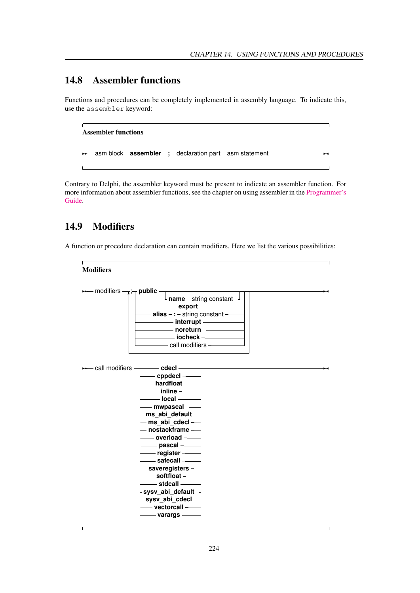## 14.8 Assembler functions

Functions and procedures can be completely implemented in assembly language. To indicate this, use the assembler keyword:

#### Assembler functions

```
★ asm block - assembler - ; - declaration part - asm statement -
```
Contrary to Delphi, the assembler keyword must be present to indicate an assembler function. For more information about assembler functions, see the chapter on using assembler in the [Programmer's](../prog/prog.html) [Guide.](../prog/prog.html)

## 14.9 Modifiers

A function or procedure declaration can contain modifiers. Here we list the various possibilities:

#### **Modifiers**

| $\rightarrow$ modifiers $-\vec{x}$ ; public -                                                                                                                                                                                  |
|--------------------------------------------------------------------------------------------------------------------------------------------------------------------------------------------------------------------------------|
| name – string constant $-$                                                                                                                                                                                                     |
| $-$ export $-$                                                                                                                                                                                                                 |
| alias $-$ : $-$ string constant $-$                                                                                                                                                                                            |
|                                                                                                                                                                                                                                |
| noreturn -                                                                                                                                                                                                                     |
| iocheck - The Management of the Management of the Management of the Management of the Management of the Management of the Management of the Management of the Management of the Management of the Management of the Management |
| call modifiers -                                                                                                                                                                                                               |
|                                                                                                                                                                                                                                |
|                                                                                                                                                                                                                                |
| $\rightarrow$ call modifiers $-\rightarrow$ cdecl $-\rightarrow$                                                                                                                                                               |
| cppdecl-                                                                                                                                                                                                                       |
| hardfloat -                                                                                                                                                                                                                    |
| $-$ inline $-$                                                                                                                                                                                                                 |
| $-$ local $-$                                                                                                                                                                                                                  |
| $-$ mwpascal $-$                                                                                                                                                                                                               |
| ms_abi_default-                                                                                                                                                                                                                |
| - ms_abi_cdecl -                                                                                                                                                                                                               |
| nostackframe -<br>$-$ overload $-$                                                                                                                                                                                             |
| $-$ pascal $-$                                                                                                                                                                                                                 |
| $-$ register $-$                                                                                                                                                                                                               |
| - safecall -                                                                                                                                                                                                                   |
| - saveregisters -                                                                                                                                                                                                              |
| — softfloat —                                                                                                                                                                                                                  |
| $-$ stdcall $-$                                                                                                                                                                                                                |
| sysv_abi_default -                                                                                                                                                                                                             |
| sysv_abi_cdecl -                                                                                                                                                                                                               |
| $-$ vectorcall $-$                                                                                                                                                                                                             |
| - varargs -                                                                                                                                                                                                                    |
|                                                                                                                                                                                                                                |

 $\overline{\phantom{a}}$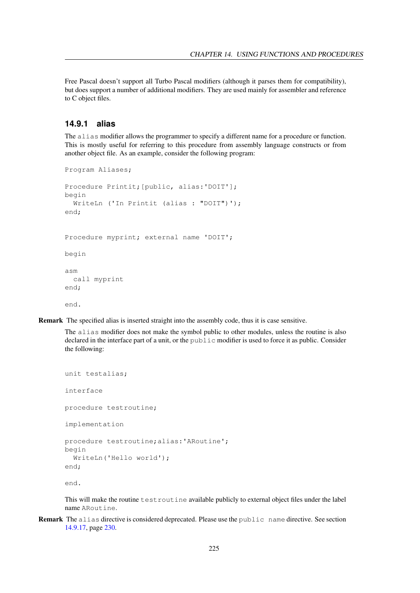Free Pascal doesn't support all Turbo Pascal modifiers (although it parses them for compatibility), but does support a number of additional modifiers. They are used mainly for assembler and reference to C object files.

#### **14.9.1 alias**

The alias modifier allows the programmer to specify a different name for a procedure or function. This is mostly useful for referring to this procedure from assembly language constructs or from another object file. As an example, consider the following program:

```
Program Aliases;
Procedure Printit;[public, alias:'DOIT'];
begin
  WriteLn ('In Printit (alias : "DOIT")');
end;
Procedure myprint; external name 'DOIT';
begin
asm
  call myprint
end;
end.
```
Remark The specified alias is inserted straight into the assembly code, thus it is case sensitive.

The alias modifier does not make the symbol public to other modules, unless the routine is also declared in the interface part of a unit, or the public modifier is used to force it as public. Consider the following:

```
unit testalias;
interface
procedure testroutine;
implementation
procedure testroutine;alias:'ARoutine';
begin
 WriteLn('Hello world');
end;
```
end.

This will make the routine testroutine available publicly to external object files under the label name ARoutine.

Remark The alias directive is considered deprecated. Please use the public name directive. See section [14.9.17,](#page-230-0) page [230.](#page-230-0)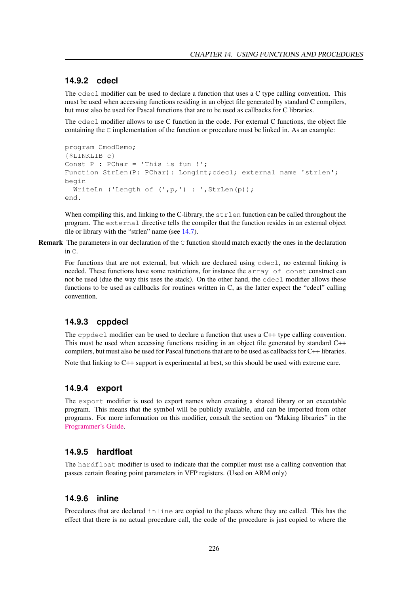#### **14.9.2 cdecl**

The cdecl modifier can be used to declare a function that uses a C type calling convention. This must be used when accessing functions residing in an object file generated by standard C compilers, but must also be used for Pascal functions that are to be used as callbacks for C libraries.

The cdecl modifier allows to use C function in the code. For external C functions, the object file containing the C implementation of the function or procedure must be linked in. As an example:

```
program CmodDemo;
{$LINKLIB c}
Const P : PChar = 'This is fun !';
Function StrLen(P: PChar): Longint;cdecl; external name 'strlen';
begin
 WriteLn ('Length of (', p, ') : ', StrLen(p));
end.
```
When compiling this, and linking to the C-library, the  $strlen$  function can be called throughout the program. The external directive tells the compiler that the function resides in an external object file or library with the "strlen" name (see [14.7\)](#page-223-0).

Remark The parameters in our declaration of the C function should match exactly the ones in the declaration in C.

For functions that are not external, but which are declared using cdecl, no external linking is needed. These functions have some restrictions, for instance the array of const construct can not be used (due the way this uses the stack). On the other hand, the cdecl modifier allows these functions to be used as callbacks for routines written in C, as the latter expect the "cdecl" calling convention.

#### **14.9.3 cppdecl**

The cppdecl modifier can be used to declare a function that uses a C++ type calling convention. This must be used when accessing functions residing in an object file generated by standard C++ compilers, but must also be used for Pascal functions that are to be used as callbacks for C++ libraries.

Note that linking to C++ support is experimental at best, so this should be used with extreme care.

#### **14.9.4 export**

The export modifier is used to export names when creating a shared library or an executable program. This means that the symbol will be publicly available, and can be imported from other programs. For more information on this modifier, consult the section on "Making libraries" in the [Programmer's Guide.](../prog/prog.html)

#### **14.9.5 hardfloat**

The hardfloat modifier is used to indicate that the compiler must use a calling convention that passes certain floating point parameters in VFP registers. (Used on ARM only)

#### **14.9.6 inline**

Procedures that are declared inline are copied to the places where they are called. This has the effect that there is no actual procedure call, the code of the procedure is just copied to where the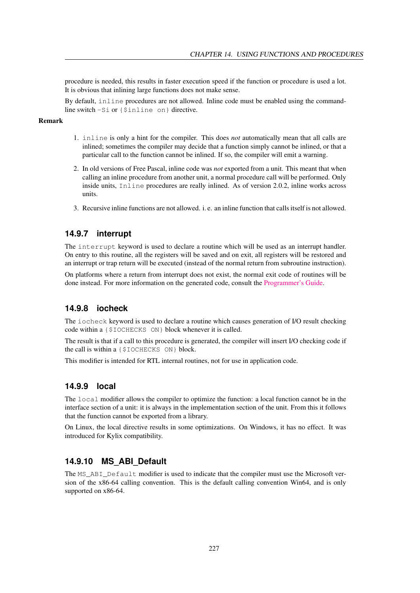procedure is needed, this results in faster execution speed if the function or procedure is used a lot. It is obvious that inlining large functions does not make sense.

By default, inline procedures are not allowed. Inline code must be enabled using the commandline switch -Si or {\$inline on} directive.

#### Remark

- 1. inline is only a hint for the compiler. This does *not* automatically mean that all calls are inlined; sometimes the compiler may decide that a function simply cannot be inlined, or that a particular call to the function cannot be inlined. If so, the compiler will emit a warning.
- 2. In old versions of Free Pascal, inline code was *not* exported from a unit. This meant that when calling an inline procedure from another unit, a normal procedure call will be performed. Only inside units, Inline procedures are really inlined. As of version 2.0.2, inline works across units.
- 3. Recursive inline functions are not allowed. i. e. an inline function that calls itself is not allowed.

### **14.9.7 interrupt**

The interrupt keyword is used to declare a routine which will be used as an interrupt handler. On entry to this routine, all the registers will be saved and on exit, all registers will be restored and an interrupt or trap return will be executed (instead of the normal return from subroutine instruction).

On platforms where a return from interrupt does not exist, the normal exit code of routines will be done instead. For more information on the generated code, consult the [Programmer's Guide.](../prog/prog.html)

#### **14.9.8 iocheck**

The iocheck keyword is used to declare a routine which causes generation of I/O result checking code within a {\$IOCHECKS ON} block whenever it is called.

The result is that if a call to this procedure is generated, the compiler will insert I/O checking code if the call is within a {\$IOCHECKS ON} block.

This modifier is intended for RTL internal routines, not for use in application code.

#### **14.9.9 local**

The local modifier allows the compiler to optimize the function: a local function cannot be in the interface section of a unit: it is always in the implementation section of the unit. From this it follows that the function cannot be exported from a library.

On Linux, the local directive results in some optimizations. On Windows, it has no effect. It was introduced for Kylix compatibility.

#### **14.9.10 MS\_ABI\_Default**

The MS\_ABI\_Default modifier is used to indicate that the compiler must use the Microsoft version of the x86-64 calling convention. This is the default calling convention Win64, and is only supported on x86-64.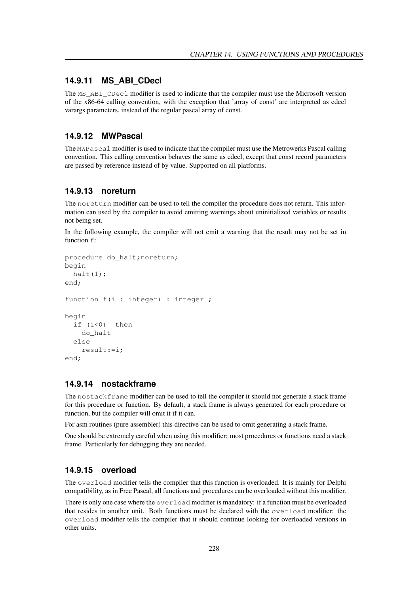#### **14.9.11 MS\_ABI\_CDecl**

The MS\_ABI\_CDecl modifier is used to indicate that the compiler must use the Microsoft version of the x86-64 calling convention, with the exception that 'array of const' are interpreted as cdecl varargs parameters, instead of the regular pascal array of const.

#### **14.9.12 MWPascal**

The MWPascal modifier is used to indicate that the compiler must use the Metrowerks Pascal calling convention. This calling convention behaves the same as cdecl, except that const record parameters are passed by reference instead of by value. Supported on all platforms.

#### **14.9.13 noreturn**

The noreturn modifier can be used to tell the compiler the procedure does not return. This information can used by the compiler to avoid emitting warnings about uninitialized variables or results not being set.

In the following example, the compiler will not emit a warning that the result may not be set in function  $f$ :

```
procedure do halt; noreturn;
begin
  halt(1);
end;
function f(i : integer) : integer;begin
  if (i<0) then
    do_halt
  else
    result:=i;
end;
```
### **14.9.14 nostackframe**

The nostackframe modifier can be used to tell the compiler it should not generate a stack frame for this procedure or function. By default, a stack frame is always generated for each procedure or function, but the compiler will omit it if it can.

For asm routines (pure assembler) this directive can be used to omit generating a stack frame.

One should be extremely careful when using this modifier: most procedures or functions need a stack frame. Particularly for debugging they are needed.

#### **14.9.15 overload**

The overload modifier tells the compiler that this function is overloaded. It is mainly for Delphi compatibility, as in Free Pascal, all functions and procedures can be overloaded without this modifier.

There is only one case where the overload modifier is mandatory: if a function must be overloaded that resides in another unit. Both functions must be declared with the overload modifier: the overload modifier tells the compiler that it should continue looking for overloaded versions in other units.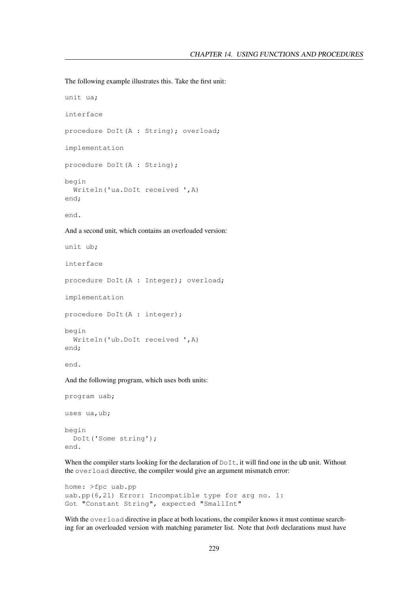```
The following example illustrates this. Take the first unit:
unit ua;
interface
procedure DoIt(A : String); overload;
implementation
procedure DoIt(A : String);
begin
  Writeln('ua.DoIt received ',A)
end;
end.
And a second unit, which contains an overloaded version:
unit ub;
interface
procedure DoIt(A : Integer); overload;
implementation
procedure DoIt(A : integer);
begin
  Writeln('ub.DoIt received ',A)
end;
end.
And the following program, which uses both units:
```

```
program uab;
uses ua,ub;
begin
  DoIt('Some string');
end.
```
When the compiler starts looking for the declaration of  $D \circ \mathbb{I}$ , it will find one in the ub unit. Without the overload directive, the compiler would give an argument mismatch error:

```
home: >fpc uab.pp
uab.pp(6,21) Error: Incompatible type for arg no. 1:
Got "Constant String", expected "SmallInt"
```
With the overload directive in place at both locations, the compiler knows it must continue searching for an overloaded version with matching parameter list. Note that *both* declarations must have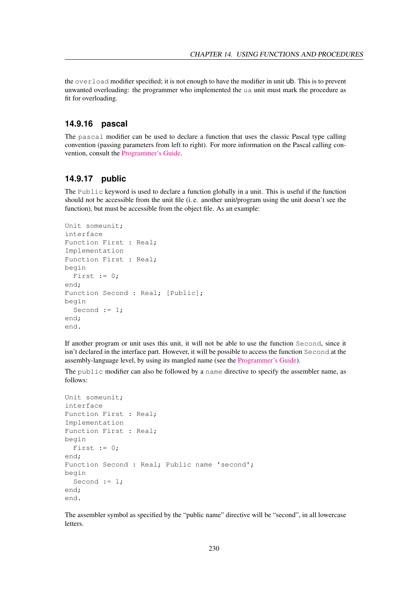the overload modifier specified; it is not enough to have the modifier in unit ub. This is to prevent unwanted overloading: the programmer who implemented the ua unit must mark the procedure as fit for overloading.

#### **14.9.16 pascal**

The pascal modifier can be used to declare a function that uses the classic Pascal type calling convention (passing parameters from left to right). For more information on the Pascal calling convention, consult the [Programmer's Guide.](../prog/prog.html)

#### <span id="page-230-0"></span>**14.9.17 public**

The Public keyword is used to declare a function globally in a unit. This is useful if the function should not be accessible from the unit file (i. e. another unit/program using the unit doesn't see the function), but must be accessible from the object file. As an example:

```
Unit someunit;
interface
Function First : Real;
Implementation
Function First : Real;
begin
 First := 0;end;
Function Second : Real; [Public];
begin
 Second := 1;end;
end.
```
If another program or unit uses this unit, it will not be able to use the function Second, since it isn't declared in the interface part. However, it will be possible to access the function Second at the assembly-language level, by using its mangled name (see the [Programmer's Guide\)](../prog/prog.html).

The public modifier can also be followed by a name directive to specify the assembler name, as follows:

```
Unit someunit;
interface
Function First : Real;
Implementation
Function First : Real;
begin
  First := 0;end;
Function Second : Real; Public name 'second';
begin
 Second := 1;end;
end.
```
The assembler symbol as specified by the "public name" directive will be "second", in all lowercase letters.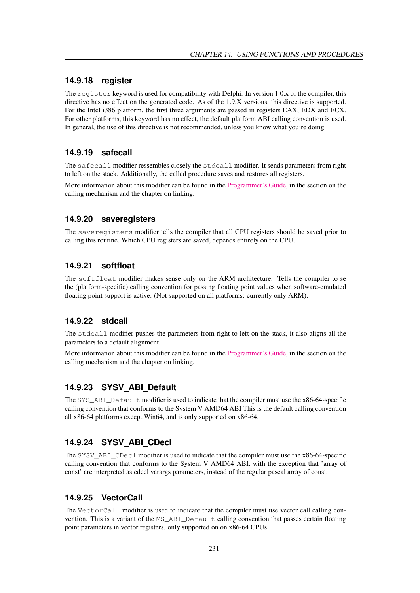#### **14.9.18 register**

The register keyword is used for compatibility with Delphi. In version 1.0.x of the compiler, this directive has no effect on the generated code. As of the 1.9.X versions, this directive is supported. For the Intel i386 platform, the first three arguments are passed in registers EAX, EDX and ECX. For other platforms, this keyword has no effect, the default platform ABI calling convention is used. In general, the use of this directive is not recommended, unless you know what you're doing.

#### **14.9.19 safecall**

The safecall modifier ressembles closely the stdcall modifier. It sends parameters from right to left on the stack. Additionally, the called procedure saves and restores all registers.

More information about this modifier can be found in the [Programmer's Guide,](../prog/prog.html) in the section on the calling mechanism and the chapter on linking.

#### **14.9.20 saveregisters**

The saveregisters modifier tells the compiler that all CPU registers should be saved prior to calling this routine. Which CPU registers are saved, depends entirely on the CPU.

#### **14.9.21 softfloat**

The softfloat modifier makes sense only on the ARM architecture. Tells the compiler to se the (platform-specific) calling convention for passing floating point values when software-emulated floating point support is active. (Not supported on all platforms: currently only ARM).

#### **14.9.22 stdcall**

The stdcall modifier pushes the parameters from right to left on the stack, it also aligns all the parameters to a default alignment.

More information about this modifier can be found in the [Programmer's Guide,](../prog/prog.html) in the section on the calling mechanism and the chapter on linking.

#### **14.9.23 SYSV\_ABI\_Default**

The SYS\_ABI\_Default modifier is used to indicate that the compiler must use the x86-64-specific calling convention that conforms to the System V AMD64 ABI This is the default calling convention all x86-64 platforms except Win64, and is only supported on x86-64.

#### **14.9.24 SYSV\_ABI\_CDecl**

The SYSV ABI CDecl modifier is used to indicate that the compiler must use the x86-64-specific calling convention that conforms to the System V AMD64 ABI, with the exception that 'array of const' are interpreted as cdecl varargs parameters, instead of the regular pascal array of const.

#### **14.9.25 VectorCall**

The VectorCall modifier is used to indicate that the compiler must use vector call calling convention. This is a variant of the MS\_ABI\_Default calling convention that passes certain floating point parameters in vector registers. only supported on on x86-64 CPUs.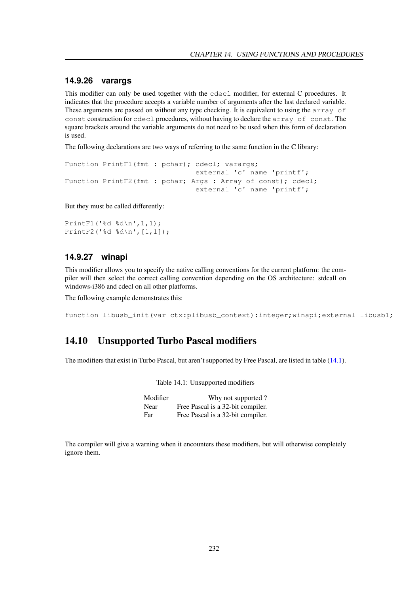#### **14.9.26 varargs**

This modifier can only be used together with the cdecl modifier, for external C procedures. It indicates that the procedure accepts a variable number of arguments after the last declared variable. These arguments are passed on without any type checking. It is equivalent to using the array of const construction for cdecl procedures, without having to declare the array of const. The square brackets around the variable arguments do not need to be used when this form of declaration is used.

The following declarations are two ways of referring to the same function in the C library:

```
Function PrintF1(fmt : pchar); cdecl; varargs;
                               external 'c' name 'printf';
Function PrintF2(fmt : pchar; Args : Array of const); cdecl;
                               external 'c' name 'printf';
```
But they must be called differently:

```
PrintF1('%d %d\n',1,1);
PrintF2('%d %d\n',[1,1]);
```
#### **14.9.27 winapi**

This modifier allows you to specify the native calling conventions for the current platform: the compiler will then select the correct calling convention depending on the OS architecture: stdcall on windows-i386 and cdecl on all other platforms.

The following example demonstrates this:

function libusb\_init(var ctx:plibusb\_context):integer;winapi;external libusb1;

#### 14.10 Unsupported Turbo Pascal modifiers

The modifiers that exist in Turbo Pascal, but aren't supported by Free Pascal, are listed in table [\(14.1\)](#page-232-0).

| Modifier | Why not supported?                |
|----------|-----------------------------------|
| Near     | Free Pascal is a 32-bit compiler. |
| Far      | Free Pascal is a 32-bit compiler. |

<span id="page-232-0"></span>Table 14.1: Unsupported modifiers

The compiler will give a warning when it encounters these modifiers, but will otherwise completely ignore them.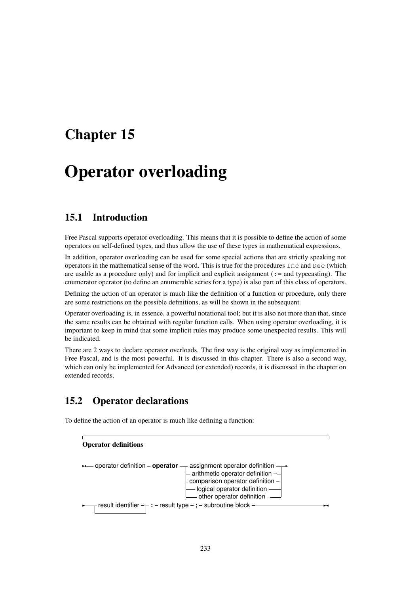## Chapter 15

# Operator overloading

## 15.1 Introduction

Free Pascal supports operator overloading. This means that it is possible to define the action of some operators on self-defined types, and thus allow the use of these types in mathematical expressions.

In addition, operator overloading can be used for some special actions that are strictly speaking not operators in the mathematical sense of the word. This is true for the procedures Inc and Dec (which are usable as a procedure only) and for implicit and explicit assignment ( $:=$  and typecasting). The enumerator operator (to define an enumerable series for a type) is also part of this class of operators.

Defining the action of an operator is much like the definition of a function or procedure, only there are some restrictions on the possible definitions, as will be shown in the subsequent.

Operator overloading is, in essence, a powerful notational tool; but it is also not more than that, since the same results can be obtained with regular function calls. When using operator overloading, it is important to keep in mind that some implicit rules may produce some unexpected results. This will be indicated.

There are 2 ways to declare operator overloads. The first way is the original way as implemented in Free Pascal, and is the most powerful. It is discussed in this chapter. There is also a second way, which can only be implemented for Advanced (or extended) records, it is discussed in the chapter on extended records.

## 15.2 Operator declarations

To define the action of an operator is much like defining a function:

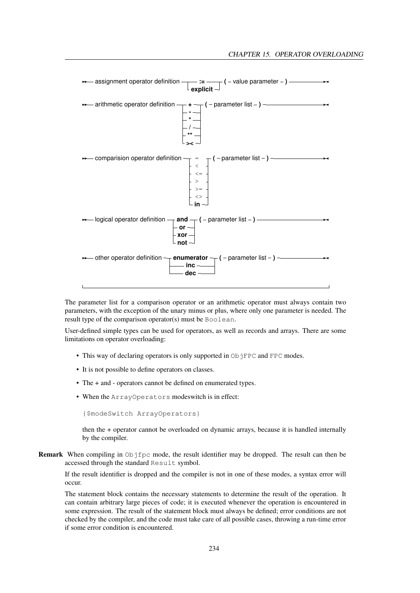

The parameter list for a comparison operator or an arithmetic operator must always contain two parameters, with the exception of the unary minus or plus, where only one parameter is needed. The result type of the comparison operator(s) must be Boolean.

User-defined simple types can be used for operators, as well as records and arrays. There are some limitations on operator overloading:

- This way of declaring operators is only supported in ObjFPC and FPC modes.
- It is not possible to define operators on classes.
- The  $+$  and  $-$  operators cannot be defined on enumerated types.
- When the ArrayOperators modeswitch is in effect:

{\$modeSwitch ArrayOperators}

then the + operator cannot be overloaded on dynamic arrays, because it is handled internally by the compiler.

Remark When compiling in Objfpc mode, the result identifier may be dropped. The result can then be accessed through the standard Result symbol.

If the result identifier is dropped and the compiler is not in one of these modes, a syntax error will occur.

The statement block contains the necessary statements to determine the result of the operation. It can contain arbitrary large pieces of code; it is executed whenever the operation is encountered in some expression. The result of the statement block must always be defined; error conditions are not checked by the compiler, and the code must take care of all possible cases, throwing a run-time error if some error condition is encountered.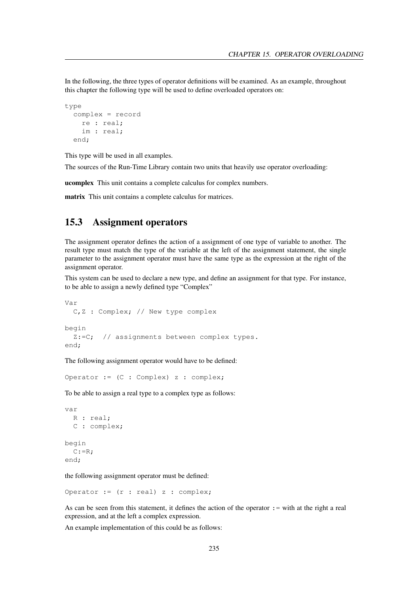In the following, the three types of operator definitions will be examined. As an example, throughout this chapter the following type will be used to define overloaded operators on:

```
type
  complex = record
    re : real;
    im : real;
  end;
```
This type will be used in all examples.

The sources of the Run-Time Library contain two units that heavily use operator overloading:

ucomplex This unit contains a complete calculus for complex numbers.

matrix This unit contains a complete calculus for matrices.

## 15.3 Assignment operators

The assignment operator defines the action of a assignment of one type of variable to another. The result type must match the type of the variable at the left of the assignment statement, the single parameter to the assignment operator must have the same type as the expression at the right of the assignment operator.

This system can be used to declare a new type, and define an assignment for that type. For instance, to be able to assign a newly defined type "Complex"

```
Var
 C,Z : Complex; // New type complex
begin
 Z:=C; // assignments between complex types.
end;
```
The following assignment operator would have to be defined:

Operator := (C : Complex) z : complex;

To be able to assign a real type to a complex type as follows:

```
var
 R : real;
  C : complex;
begin
  C:=R;end;
```
the following assignment operator must be defined:

Operator :=  $(r : real) z : complex;$ 

As can be seen from this statement, it defines the action of the operator := with at the right a real expression, and at the left a complex expression.

An example implementation of this could be as follows: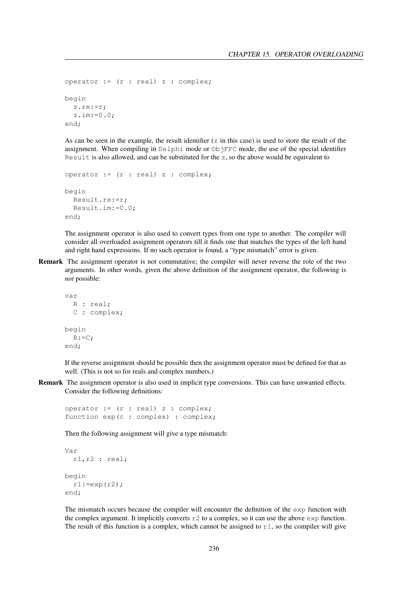```
operator := (r : real) z : complex;
begin
  z.re:=r;
  z.im:=0.0;
end;
```
As can be seen in the example, the result identifier  $(z$  in this case) is used to store the result of the assignment. When compiling in Delphi mode or ObjFPC mode, the use of the special identifier Result is also allowed, and can be substituted for the  $z$ , so the above would be equivalent to

```
operator := (r : real) z : complex;
begin
 Result.re:=r;
 Result.im:=0.0;
end;
```
The assignment operator is also used to convert types from one type to another. The compiler will consider all overloaded assignment operators till it finds one that matches the types of the left hand and right hand expressions. If no such operator is found, a "type mismatch" error is given.

Remark The assignment operator is not commutative; the compiler will never reverse the role of the two arguments. In other words, given the above definition of the assignment operator, the following is *not* possible:

```
var
  R : real;
 C : complex;
begin
  R:=C;end;
```
If the reverse assignment should be possible then the assignment operator must be defined for that as well. (This is not so for reals and complex numbers.)

Remark The assignment operator is also used in implicit type conversions. This can have unwanted effects. Consider the following definitions:

operator  $:= (r : real) z : complex;$ function exp(c : complex) : complex;

Then the following assignment will give a type mismatch:

```
Var
  r1,r2 : real;
begin
  r1:=exp(r2);end;
```
The mismatch occurs because the compiler will encounter the definition of the  $\exp$  function with the complex argument. It implicitly converts  $r^2$  to a complex, so it can use the above  $\exp$  function. The result of this function is a complex, which cannot be assigned to  $r1$ , so the compiler will give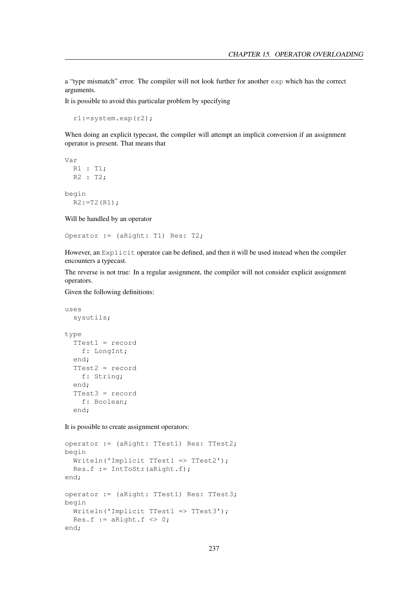a "type mismatch" error. The compiler will not look further for another exp which has the correct arguments.

It is possible to avoid this particular problem by specifying

r1:=system.exp(r2);

When doing an explicit typecast, the compiler will attempt an implicit conversion if an assignment operator is present. That means that

```
Var
  R1 : T1;
  R2 : T2;
begin
  R2:=T2(R1);
```
Will be handled by an operator

Operator := (aRight: T1) Res: T2;

However, an Explicit operator can be defined, and then it will be used instead when the compiler encounters a typecast.

The reverse is not true: In a regular assignment, the compiler will not consider explicit assignment operators.

Given the following definitions:

```
uses
  sysutils;
type
  TTest1 = record
   f: LongInt;
  end;
  TTest2 = record
    f: String;
  end;
  TTest3 = record
    f: Boolean;
  end;
```
It is possible to create assignment operators:

```
operator := (aRight: TTest1) Res: TTest2;
begin
 Writeln('Implicit TTest1 => TTest2');
  Res.f := IntToStr(aRight.f);
end;
operator := (aRight: TTest1) Res: TTest3;
begin
 Writeln('Implicit TTest1 => TTest3');
 Res.f := aRight.f \leq 0;end;
```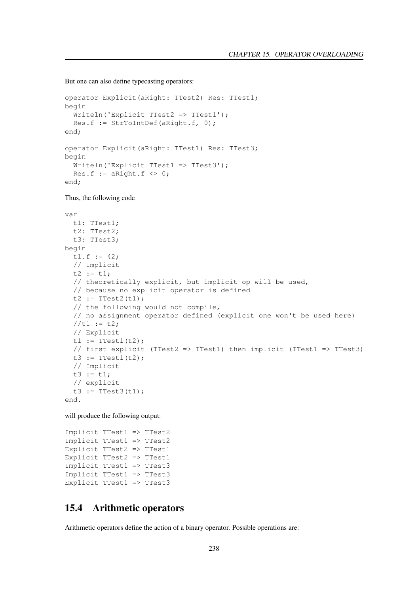But one can also define typecasting operators:

```
operator Explicit(aRight: TTest2) Res: TTest1;
begin
 Writeln('Explicit TTest2 => TTest1');
 Res.f := StrToIntDef(aRight.f, 0);
end;
operator Explicit(aRight: TTest1) Res: TTest3;
begin
 Writeln('Explicit TTest1 => TTest3');
 Res.f := aRight.f \leq 0;end;
```
Thus, the following code

```
var
 t1: TTest1;
 t2: TTest2;
 t3: TTest3;
begin
 t1.f := 42;// Implicit
 t2 := t1;// theoretically explicit, but implicit op will be used,
 // because no explicit operator is defined
 t2 := TTest2(t1);
 // the following would not compile,
 // no assignment operator defined (explicit one won't be used here)
 //tl := t2;// Explicit
 t1 := TTest1(t2);// first explicit (TTest2 => TTest1) then implicit (TTest1 => TTest3)
 t3 := TTest1(t2);
 // Implicit
 t3 := t1;// explicit
 t3 := TTest3(t1);end.
```
will produce the following output:

Implicit TTest1 => TTest2 Implicit TTest1 => TTest2 Explicit TTest2 => TTest1 Explicit TTest2 => TTest1 Implicit TTest1 => TTest3 Implicit TTest1 => TTest3 Explicit TTest1 => TTest3

## 15.4 Arithmetic operators

Arithmetic operators define the action of a binary operator. Possible operations are: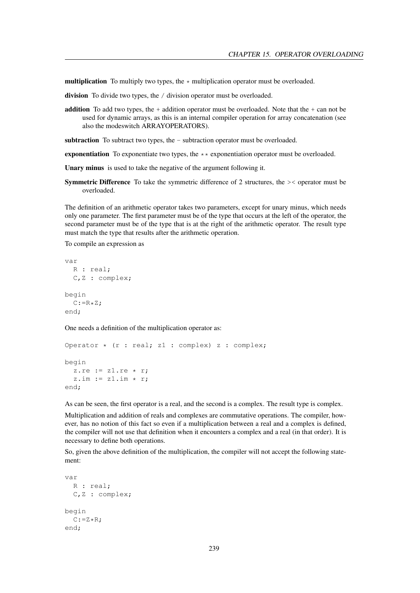**multiplication** To multiply two types, the  $\star$  multiplication operator must be overloaded.

division To divide two types, the / division operator must be overloaded.

**addition** To add two types, the  $+$  addition operator must be overloaded. Note that the  $+$  can not be used for dynamic arrays, as this is an internal compiler operation for array concatenation (see also the modeswitch ARRAYOPERATORS).

subtraction To subtract two types, the - subtraction operator must be overloaded.

**exponentiation** To exponentiate two types, the  $\star \star$  exponentiation operator must be overloaded.

Unary minus is used to take the negative of the argument following it.

Symmetric Difference To take the symmetric difference of 2 structures, the >< operator must be overloaded.

The definition of an arithmetic operator takes two parameters, except for unary minus, which needs only one parameter. The first parameter must be of the type that occurs at the left of the operator, the second parameter must be of the type that is at the right of the arithmetic operator. The result type must match the type that results after the arithmetic operation.

To compile an expression as

```
var
 R : real;
 C,Z : complex;
begin
 C:=R*Z;end;
```
One needs a definition of the multiplication operator as:

```
Operator * (r : real; z1 : complex) z : complex;
begin
  z.re := z1 \cdot re * r;z . \text{im} := z1 . \text{im} * r;end;
```
As can be seen, the first operator is a real, and the second is a complex. The result type is complex.

Multiplication and addition of reals and complexes are commutative operations. The compiler, however, has no notion of this fact so even if a multiplication between a real and a complex is defined, the compiler will not use that definition when it encounters a complex and a real (in that order). It is necessary to define both operations.

So, given the above definition of the multiplication, the compiler will not accept the following statement:

```
var
 R : real;
 C,Z : complex;
begin
  C:=Z*R;end;
```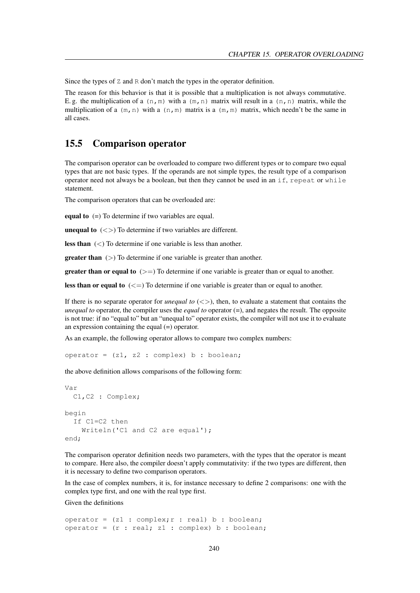Since the types of  $Z$  and  $R$  don't match the types in the operator definition.

The reason for this behavior is that it is possible that a multiplication is not always commutative. E. g. the multiplication of a  $(n, m)$  with a  $(m, n)$  matrix will result in a  $(n, n)$  matrix, while the multiplication of a  $(m, n)$  with a  $(n, m)$  matrix is a  $(m, m)$  matrix, which needn't be the same in all cases.

## 15.5 Comparison operator

The comparison operator can be overloaded to compare two different types or to compare two equal types that are not basic types. If the operands are not simple types, the result type of a comparison operator need not always be a boolean, but then they cannot be used in an  $if,$  repeat or while statement.

The comparison operators that can be overloaded are:

equal to  $(=)$  To determine if two variables are equal.

**unequal to**  $(\langle \rangle)$  To determine if two variables are different.

less than (<) To determine if one variable is less than another.

**greater than**  $(>)$  To determine if one variable is greater than another.

**greater than or equal to**  $(>=)$  To determine if one variable is greater than or equal to another.

**less than or equal to**  $(<)=$ ) To determine if one variable is greater than or equal to another.

If there is no separate operator for *unequal to*  $(\langle > \rangle)$ , then, to evaluate a statement that contains the *unequal to* operator, the compiler uses the *equal to* operator (=), and negates the result. The opposite is not true: if no "equal to" but an "unequal to" operator exists, the compiler will not use it to evaluate an expression containing the equal (=) operator.

As an example, the following operator allows to compare two complex numbers:

operator =  $(z1, z2 : complex)$  b : boolean;

the above definition allows comparisons of the following form:

```
Var
 C1,C2 : Complex;
begin
 If C1=C2 then
    Writeln('C1 and C2 are equal');
end;
```
The comparison operator definition needs two parameters, with the types that the operator is meant to compare. Here also, the compiler doesn't apply commutativity: if the two types are different, then it is necessary to define two comparison operators.

In the case of complex numbers, it is, for instance necessary to define 2 comparisons: one with the complex type first, and one with the real type first.

Given the definitions

operator =  $(z1 : complex; r : real)$  b : boolean; operator = (r : real; z1 : complex) b : boolean;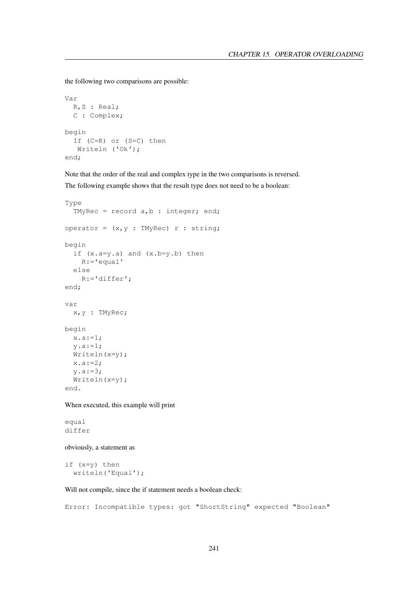the following two comparisons are possible:

```
Var
 R,S : Real;
 C : Complex;
begin
  If (C=R) or (S=C) then
  Writeln ('Ok');
end;
```
Note that the order of the real and complex type in the two comparisons is reversed.

The following example shows that the result type does not need to be a boolean:

```
Type
  TMyRec = record a, b : integer; end;
operator = (x, y : TMyRec) r : string;begin
  if (x.a=y.a) and (x.b=y.b) then
   R:='equal'
  else
    R:='differ';
end;
var
 x,y : TMyRec;
begin
 x.a:=1;
 y.a:=1;Writeln(x=y);
 x.a:=2;
  y.a:=3;
  Writeln(x=y);
end.
```
When executed, this example will print

equal differ

obviously, a statement as

if (x=y) then writeln('Equal');

Will not compile, since the if statement needs a boolean check:

Error: Incompatible types: got "ShortString" expected "Boolean"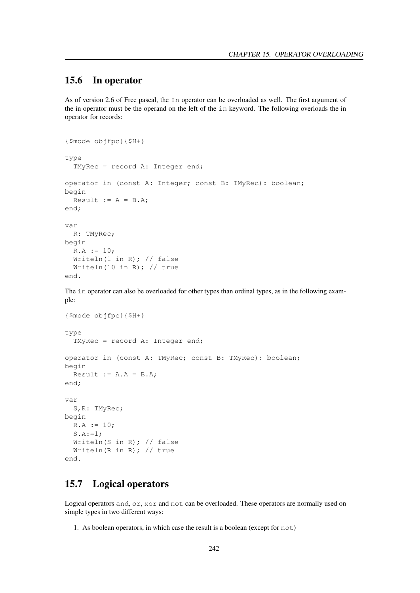## 15.6 In operator

As of version 2.6 of Free pascal, the In operator can be overloaded as well. The first argument of the in operator must be the operand on the left of the in keyword. The following overloads the in operator for records:

```
{$mode objfpc}{$H+}
type
  TMyRec = record A: Integer end;
operator in (const A: Integer; const B: TMyRec): boolean;
begin
  Result := A = B.A;end;
var
 R: TMyRec;
begin
 R.A := 10;Writeln(1 in R); // false
 Writeln(10 in R); // true
end.
```
The in operator can also be overloaded for other types than ordinal types, as in the following example:

```
{$mode objfpc}{$H+}
type
  TMyRec = record A: Integer end;
operator in (const A: TMyRec; const B: TMyRec): boolean;
begin
  Result := A.A = B.A;end;
var
  S,R: TMyRec;
begin
 R.A := 10;S.A:=1;Writeln(S in R); // false
 Writeln(R in R); // true
end.
```
## 15.7 Logical operators

Logical operators and, or, xor and not can be overloaded. These operators are normally used on simple types in two different ways:

1. As boolean operators, in which case the result is a boolean (except for not)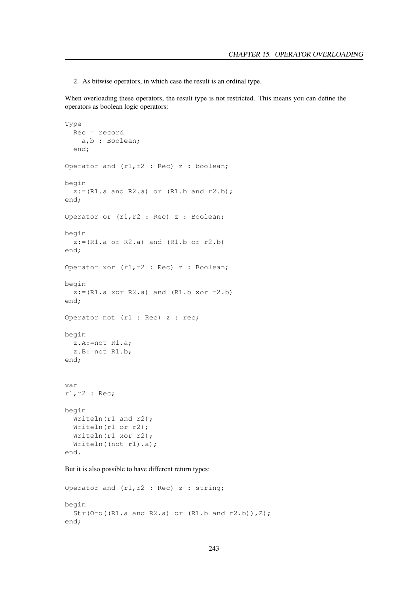2. As bitwise operators, in which case the result is an ordinal type.

When overloading these operators, the result type is not restricted. This means you can define the operators as boolean logic operators:

```
Type
 Rec = record
   a,b : Boolean;
  end;
Operator and (r1,r2 : Rec) z : boolean;
begin
  z:=(R1.a and R2.a) or (R1.b and r2.b);
end;
Operator or (r1, r2 : Rec) z : Boolean;begin
  z:=(R1.a or R2.a) and (R1.b or r2.b)
end;
Operator xor (r1,r2 : Rec) z : Boolean;
begin
 z:=(R1.a xor R2.a) and (R1.b xor r2.b)end;
Operator not (r1 : Rec) z : rec;
begin
 z.A:=not R1.a;
  z.B:=not R1.b;
end;
var
r1,r2 : Rec;
begin
 Writeln(r1 and r2);
 Writeln(r1 or r2);
 Writeln(r1 xor r2);
 Writeln((not r1).a);
end.
```
But it is also possible to have different return types:

```
Operator and (r1, r2 : Rec) z : string;
begin
 Str(Ord((R1.a and R2.a) or (R1.b and r2.b)),Z);
end;
```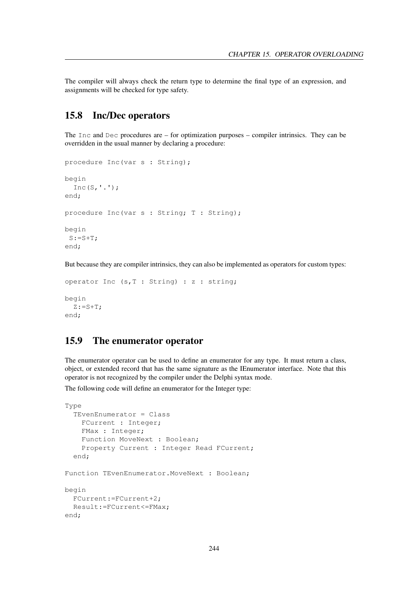The compiler will always check the return type to determine the final type of an expression, and assignments will be checked for type safety.

## 15.8 Inc/Dec operators

The Inc and Dec procedures are – for optimization purposes – compiler intrinsics. They can be overridden in the usual manner by declaring a procedure:

```
procedure Inc(var s : String);
begin
  Inc(S, ' . ');
end;
procedure Inc (var s : String; T : String);
begin
S: = S + T;
end;
```
But because they are compiler intrinsics, they can also be implemented as operators for custom types:

```
operator Inc (s,T : String) : z : string;
begin
 Z:=S+T;
end;
```
## 15.9 The enumerator operator

The enumerator operator can be used to define an enumerator for any type. It must return a class, object, or extended record that has the same signature as the IEnumerator interface. Note that this operator is not recognized by the compiler under the Delphi syntax mode.

The following code will define an enumerator for the Integer type:

```
Type
  TEvenEnumerator = Class
    FCurrent : Integer;
    FMax : Integer;
    Function MoveNext : Boolean;
    Property Current : Integer Read FCurrent;
  end;
Function TEvenEnumerator.MoveNext : Boolean;
begin
  FCurrent:=FCurrent+2;
  Result:=FCurrent<=FMax;
end;
```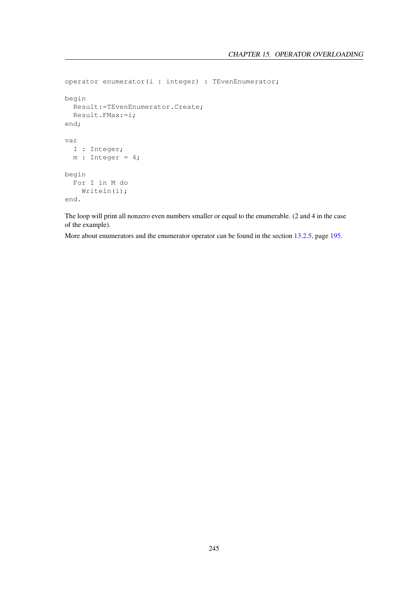operator enumerator(i : integer) : TEvenEnumerator; begin Result:=TEvenEnumerator.Create; Result.FMax:=i; end; var I : Integer;  $m$  : Integer = 4; begin For I in M do Writeln(i); end.

The loop will print all nonzero even numbers smaller or equal to the enumerable. (2 and 4 in the case of the example).

More about enumerators and the enumerator operator can be found in the section [13.2.5,](#page-195-0) page [195.](#page-195-0)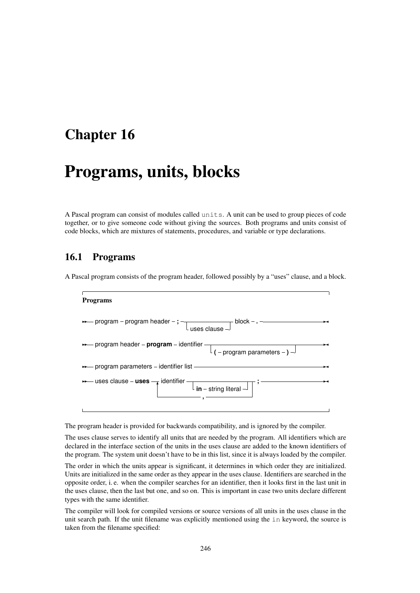## Chapter 16

# Programs, units, blocks

A Pascal program can consist of modules called units. A unit can be used to group pieces of code together, or to give someone code without giving the sources. Both programs and units consist of code blocks, which are mixtures of statements, procedures, and variable or type declarations.

### 16.1 Programs

A Pascal program consists of the program header, followed possibly by a "uses" clause, and a block.

## Programs ✲✲ program program header **;** uses clause block **.** ✲✛ <del>▶</del> program header - **program** - identifier **(** – program parameters – **)** ✲✛  $-$  program parameters  $-$  identifier list  $-$ ✲✲ uses clause **uses** ✻ identifier  $\lfloor$  in – string literal – **, ;**  $\rightarrow$

The program header is provided for backwards compatibility, and is ignored by the compiler.

The uses clause serves to identify all units that are needed by the program. All identifiers which are declared in the interface section of the units in the uses clause are added to the known identifiers of the program. The system unit doesn't have to be in this list, since it is always loaded by the compiler.

The order in which the units appear is significant, it determines in which order they are initialized. Units are initialized in the same order as they appear in the uses clause. Identifiers are searched in the opposite order, i. e. when the compiler searches for an identifier, then it looks first in the last unit in the uses clause, then the last but one, and so on. This is important in case two units declare different types with the same identifier.

The compiler will look for compiled versions or source versions of all units in the uses clause in the unit search path. If the unit filename was explicitly mentioned using the in keyword, the source is taken from the filename specified: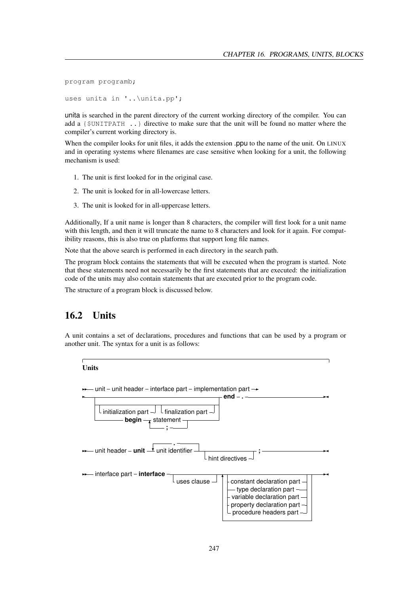```
program programb;
uses unita in '..\unita.pp';
```
unita is searched in the parent directory of the current working directory of the compiler. You can add a {\$UNITPATH ..} directive to make sure that the unit will be found no matter where the compiler's current working directory is.

When the compiler looks for unit files, it adds the extension .ppu to the name of the unit. On LINUX and in operating systems where filenames are case sensitive when looking for a unit, the following mechanism is used:

- 1. The unit is first looked for in the original case.
- 2. The unit is looked for in all-lowercase letters.
- 3. The unit is looked for in all-uppercase letters.

Additionally, If a unit name is longer than 8 characters, the compiler will first look for a unit name with this length, and then it will truncate the name to 8 characters and look for it again. For compatibility reasons, this is also true on platforms that support long file names.

Note that the above search is performed in each directory in the search path.

The program block contains the statements that will be executed when the program is started. Note that these statements need not necessarily be the first statements that are executed: the initialization code of the units may also contain statements that are executed prior to the program code.

The structure of a program block is discussed below.

## 16.2 Units

A unit contains a set of declarations, procedures and functions that can be used by a program or another unit. The syntax for a unit is as follows:

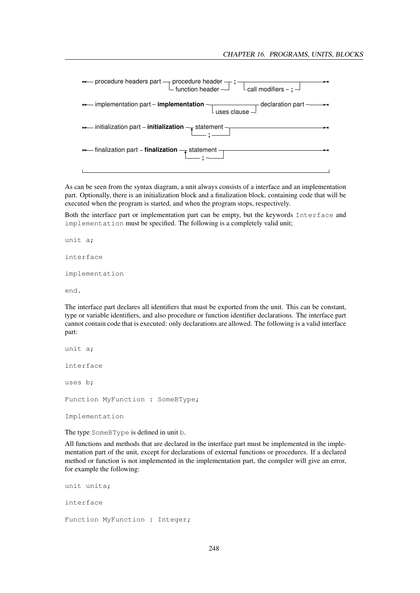| $\rightarrow$ procedure headers part — procedure header —; $\frac{1}{\sqrt{2}}$ call modifiers -; $\frac{1}{\sqrt{2}}$ |
|------------------------------------------------------------------------------------------------------------------------|
| implementation part – <b>implementation</b> – $\leftarrow$ declaration part – $\rightarrow$                            |
| initialization part – <b>initialization</b> $\rightarrow$ statement –                                                  |
| $\rightarrow$ finalization part - <b>finalization</b> $\rightarrow$ statement -                                        |
|                                                                                                                        |

As can be seen from the syntax diagram, a unit always consists of a interface and an implementation part. Optionally, there is an initialization block and a finalization block, containing code that will be executed when the program is started, and when the program stops, respectively.

Both the interface part or implementation part can be empty, but the keywords Interface and implementation must be specified. The following is a completely valid unit;

unit a;

interface

implementation

end.

The interface part declares all identifiers that must be exported from the unit. This can be constant, type or variable identifiers, and also procedure or function identifier declarations. The interface part cannot contain code that is executed: only declarations are allowed. The following is a valid interface part:

unit a; interface uses b; Function MyFunction : SomeBType;

Implementation

The type SomeBType is defined in unit b.

All functions and methods that are declared in the interface part must be implemented in the implementation part of the unit, except for declarations of external functions or procedures. If a declared method or function is not implemented in the implementation part, the compiler will give an error, for example the following:

unit unita; interface Function MyFunction : Integer;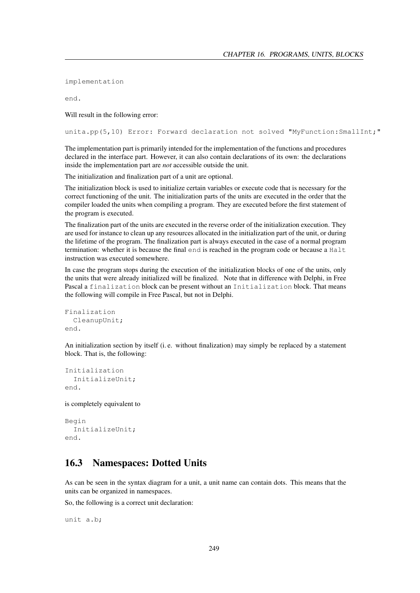implementation

end.

Will result in the following error:

unita.pp(5,10) Error: Forward declaration not solved "MyFunction: SmallInt;"

The implementation part is primarily intended for the implementation of the functions and procedures declared in the interface part. However, it can also contain declarations of its own: the declarations inside the implementation part are *not* accessible outside the unit.

The initialization and finalization part of a unit are optional.

The initialization block is used to initialize certain variables or execute code that is necessary for the correct functioning of the unit. The initialization parts of the units are executed in the order that the compiler loaded the units when compiling a program. They are executed before the first statement of the program is executed.

The finalization part of the units are executed in the reverse order of the initialization execution. They are used for instance to clean up any resources allocated in the initialization part of the unit, or during the lifetime of the program. The finalization part is always executed in the case of a normal program termination: whether it is because the final end is reached in the program code or because a Halt instruction was executed somewhere.

In case the program stops during the execution of the initialization blocks of one of the units, only the units that were already initialized will be finalized. Note that in difference with Delphi, in Free Pascal a finalization block can be present without an Initialization block. That means the following will compile in Free Pascal, but not in Delphi.

```
Finalization
  CleanupUnit;
end.
```
An initialization section by itself (i. e. without finalization) may simply be replaced by a statement block. That is, the following:

```
Initialization
  InitializeUnit;
end.
```
is completely equivalent to

```
Begin
  InitializeUnit;
end.
```
## 16.3 Namespaces: Dotted Units

As can be seen in the syntax diagram for a unit, a unit name can contain dots. This means that the units can be organized in namespaces.

So, the following is a correct unit declaration:

unit a.b;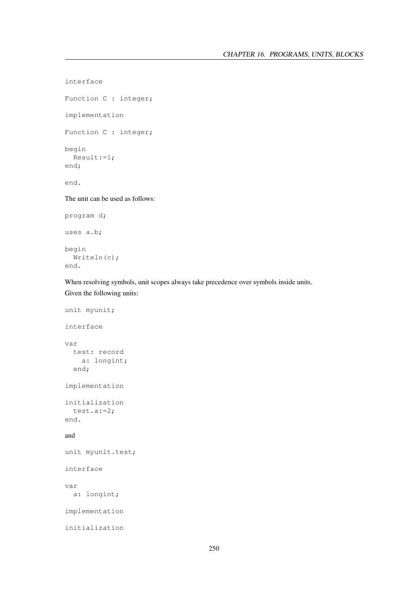```
interface
Function C : integer;
implementation
Function C : integer;
begin
  Result:=1;
end;
end.
The unit can be used as follows:
program d;
```

```
begin
  Writeln(c);
end.
```
uses a.b;

When resolving symbols, unit scopes always take precedence over symbols inside units.

```
Given the following units:
```

```
unit myunit;
interface
var
 test: record
    a: longint;
  end;
implementation
initialization
 test.a:=2;
end.
and
unit myunit.test;
interface
var
 a: longint;
implementation
initialization
```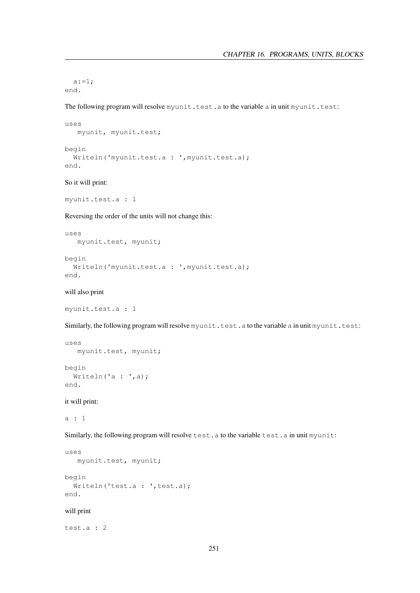$a:=1;$ end.

The following program will resolve myunit.test.a to the variable a in unit myunit.test:

```
uses
  myunit, myunit.test;
begin
 Writeln('myunit.test.a : ',myunit.test.a);
end.
```
So it will print:

myunit.test.a : 1

Reversing the order of the units will not change this:

```
uses
  myunit.test, myunit;
```

```
begin
 Writeln('myunit.test.a : ',myunit.test.a);
end.
```
will also print

```
myunit.test.a : 1
```
Similarly, the following program will resolve myunit.test.a to the variable a in unit myunit.test:

```
uses
  myunit.test, myunit;
```
begin Writeln('a : ',a); end.

it will print:

a : 1

Similarly, the following program will resolve test.a to the variable test.a in unit myunit:

```
uses
  myunit.test, myunit;
begin
 Writeln('test.a : ',test.a);
end.
```
will print

test.a : 2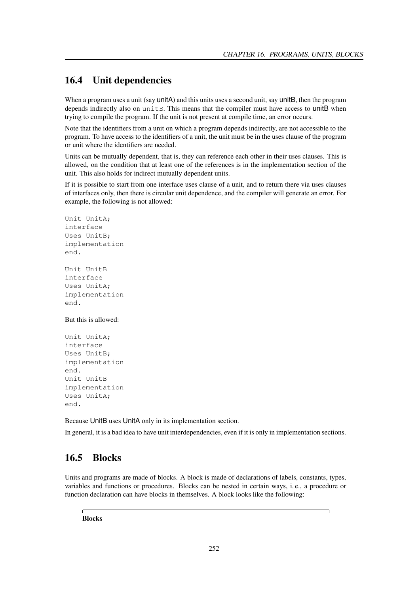### <span id="page-252-0"></span>16.4 Unit dependencies

When a program uses a unit (say unitA) and this units uses a second unit, say unitB, then the program depends indirectly also on unit B. This means that the compiler must have access to unit B when trying to compile the program. If the unit is not present at compile time, an error occurs.

Note that the identifiers from a unit on which a program depends indirectly, are not accessible to the program. To have access to the identifiers of a unit, the unit must be in the uses clause of the program or unit where the identifiers are needed.

Units can be mutually dependent, that is, they can reference each other in their uses clauses. This is allowed, on the condition that at least one of the references is in the implementation section of the unit. This also holds for indirect mutually dependent units.

If it is possible to start from one interface uses clause of a unit, and to return there via uses clauses of interfaces only, then there is circular unit dependence, and the compiler will generate an error. For example, the following is not allowed:

```
Unit UnitA;
interface
Uses UnitB;
implementation
end.
Unit UnitB
interface
Uses UnitA;
```
implementation end.

But this is allowed:

```
Unit UnitA;
interface
Uses UnitB;
implementation
end.
Unit UnitB
implementation
Uses UnitA;
end.
```
Because UnitB uses UnitA only in its implementation section.

In general, it is a bad idea to have unit interdependencies, even if it is only in implementation sections.

## 16.5 Blocks

Units and programs are made of blocks. A block is made of declarations of labels, constants, types, variables and functions or procedures. Blocks can be nested in certain ways, i. e., a procedure or function declaration can have blocks in themselves. A block looks like the following:

Blocks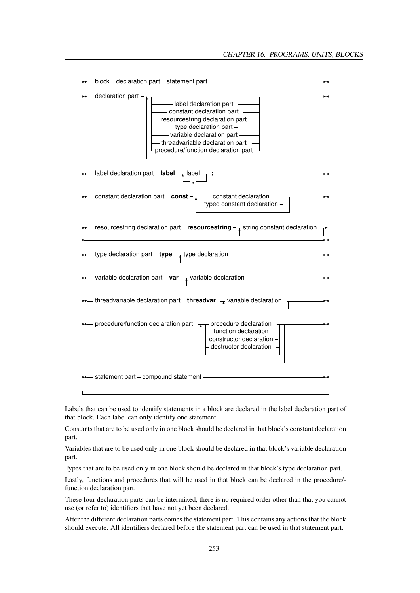| $-$ block – declaration part – statement part –                                                                                                                                                                                                                             |
|-----------------------------------------------------------------------------------------------------------------------------------------------------------------------------------------------------------------------------------------------------------------------------|
| - declaration part -<br>- label declaration part -<br>- constant declaration part -<br>- resourcestring declaration part-<br>- type declaration part -<br>- variable declaration part -<br>$-$ threadvariable declaration part $-$<br>procedure/function declaration part - |
| abel declaration part - label $\neg$ label $\neg$ ;                                                                                                                                                                                                                         |
| constant declaration part – const $-\sqrt{2}$ constant declaration –<br>$\mathsf{L}$ typed constant declaration $\mathsf{\neg}$                                                                                                                                             |
| - resourcestring declaration part - resourcestring $-\tau$ string constant declaration                                                                                                                                                                                      |
| — type declaration part - type $\frac{1}{\sqrt{2}}$ type declaration -                                                                                                                                                                                                      |
| variable declaration part - var $-\frac{1}{\sqrt{2}}$ variable declaration -                                                                                                                                                                                                |
| threadvariable declaration part - threadvar $\rightarrow$ variable declaration -                                                                                                                                                                                            |
| - procedure/function declaration part - procedure declaration -<br>- function declaration -<br>constructor declaration -<br>destructor declaration -                                                                                                                        |
| statement part - compound statement -                                                                                                                                                                                                                                       |
|                                                                                                                                                                                                                                                                             |

Labels that can be used to identify statements in a block are declared in the label declaration part of that block. Each label can only identify one statement.

Constants that are to be used only in one block should be declared in that block's constant declaration part.

Variables that are to be used only in one block should be declared in that block's variable declaration part.

Types that are to be used only in one block should be declared in that block's type declaration part.

Lastly, functions and procedures that will be used in that block can be declared in the procedure/ function declaration part.

These four declaration parts can be intermixed, there is no required order other than that you cannot use (or refer to) identifiers that have not yet been declared.

After the different declaration parts comes the statement part. This contains any actions that the block should execute. All identifiers declared before the statement part can be used in that statement part.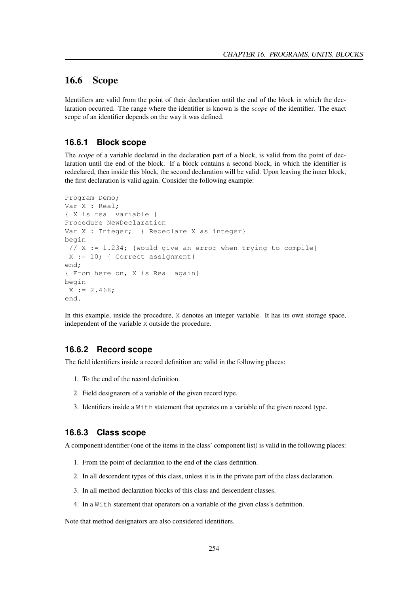### <span id="page-254-0"></span>16.6 Scope

Identifiers are valid from the point of their declaration until the end of the block in which the declaration occurred. The range where the identifier is known is the *scope* of the identifier. The exact scope of an identifier depends on the way it was defined.

#### **16.6.1 Block scope**

The *scope* of a variable declared in the declaration part of a block, is valid from the point of declaration until the end of the block. If a block contains a second block, in which the identifier is redeclared, then inside this block, the second declaration will be valid. Upon leaving the inner block, the first declaration is valid again. Consider the following example:

```
Program Demo;
Var X : Real;
{ X is real variable }
Procedure NewDeclaration
Var X : Integer; { Redeclare X as integer}
begin
 // X := 1.234; {would give an error when trying to compile}
 X := 10; { Correct assignment}
end;
{ From here on, X is Real again}
begin
 X := 2.468;end.
```
In this example, inside the procedure, X denotes an integer variable. It has its own storage space, independent of the variable X outside the procedure.

#### **16.6.2 Record scope**

The field identifiers inside a record definition are valid in the following places:

- 1. To the end of the record definition.
- 2. Field designators of a variable of the given record type.
- 3. Identifiers inside a With statement that operates on a variable of the given record type.

#### **16.6.3 Class scope**

A component identifier (one of the items in the class' component list) is valid in the following places:

- 1. From the point of declaration to the end of the class definition.
- 2. In all descendent types of this class, unless it is in the private part of the class declaration.
- 3. In all method declaration blocks of this class and descendent classes.
- 4. In a With statement that operators on a variable of the given class's definition.

Note that method designators are also considered identifiers.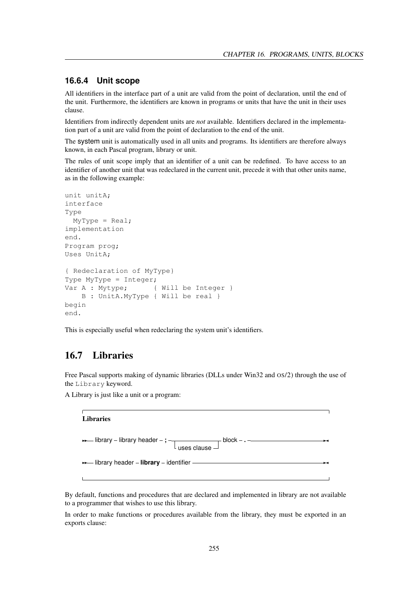#### <span id="page-255-0"></span>**16.6.4 Unit scope**

All identifiers in the interface part of a unit are valid from the point of declaration, until the end of the unit. Furthermore, the identifiers are known in programs or units that have the unit in their uses clause.

Identifiers from indirectly dependent units are *not* available. Identifiers declared in the implementation part of a unit are valid from the point of declaration to the end of the unit.

The system unit is automatically used in all units and programs. Its identifiers are therefore always known, in each Pascal program, library or unit.

The rules of unit scope imply that an identifier of a unit can be redefined. To have access to an identifier of another unit that was redeclared in the current unit, precede it with that other units name, as in the following example:

```
unit unitA;
interface
Type
 MyType = Real;
implementation
end.
Program prog;
Uses UnitA;
{ Redeclaration of MyType}
Type MyType = Integer;
Var A : Mytype; { Will be Integer }
    B : UnitA.MyType { Will be real }
begin
end.
```
This is especially useful when redeclaring the system unit's identifiers.

## 16.7 Libraries

Free Pascal supports making of dynamic libraries (DLLs under Win32 and OS/2) through the use of the Library keyword.

A Library is just like a unit or a program:

Libraries ✲✲ library library header **;** uses clause block **.** ✲✛ ibrary header – **library** – identifier –

By default, functions and procedures that are declared and implemented in library are not available to a programmer that wishes to use this library.

In order to make functions or procedures available from the library, they must be exported in an exports clause: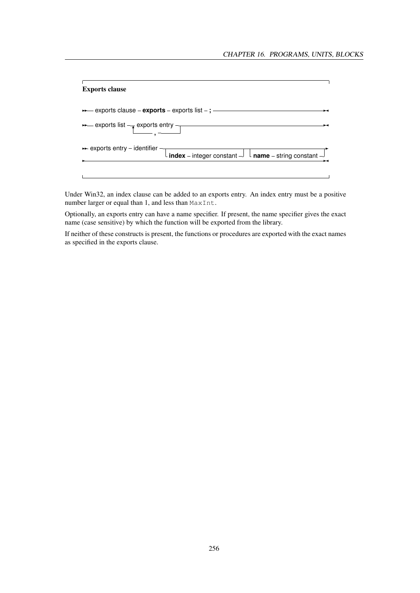| <b>Exports clause</b>                                                |                                                                                                                                  |
|----------------------------------------------------------------------|----------------------------------------------------------------------------------------------------------------------------------|
| $\rightarrow$ exports clause – exports – exports list –; –           |                                                                                                                                  |
| $\rightarrow$ exports list $\rightarrow$ exports entry $\rightarrow$ |                                                                                                                                  |
| ► exports entry – identifier $-$                                     | $\overline{\mathsf{index}}$ – integer constant $\overline{\mathsf{max}}$ <b>name</b> – string constant $\overline{\mathsf{max}}$ |
|                                                                      |                                                                                                                                  |

Under Win32, an index clause can be added to an exports entry. An index entry must be a positive number larger or equal than 1, and less than MaxInt.

Optionally, an exports entry can have a name specifier. If present, the name specifier gives the exact name (case sensitive) by which the function will be exported from the library.

If neither of these constructs is present, the functions or procedures are exported with the exact names as specified in the exports clause.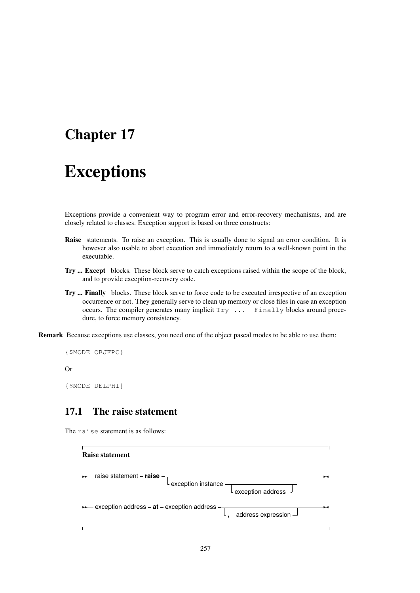# <span id="page-257-0"></span>Chapter 17

# Exceptions

Exceptions provide a convenient way to program error and error-recovery mechanisms, and are closely related to classes. Exception support is based on three constructs:

- Raise statements. To raise an exception. This is usually done to signal an error condition. It is however also usable to abort execution and immediately return to a well-known point in the executable.
- Try ... Except blocks. These block serve to catch exceptions raised within the scope of the block, and to provide exception-recovery code.
- Try ... Finally blocks. These block serve to force code to be executed irrespective of an exception occurrence or not. They generally serve to clean up memory or close files in case an exception occurs. The compiler generates many implicit Try ... Finally blocks around procedure, to force memory consistency.
- Remark Because exceptions use classes, you need one of the object pascal modes to be able to use them:

```
{$MODE OBJFPC}
```
Or

```
{$MODE DELPHI}
```
# 17.1 The raise statement

The raise statement is as follows:

| <b>Raise statement</b>                                          |                                                                   |  |
|-----------------------------------------------------------------|-------------------------------------------------------------------|--|
| $\rightarrow$ raise statement – raise                           |                                                                   |  |
|                                                                 | $^{\mathsf{L}}$ exception instance -<br>$L$ exception address $L$ |  |
| $\rightarrow$ exception address - <b>at</b> – exception address | , – address expression $-$                                        |  |
|                                                                 |                                                                   |  |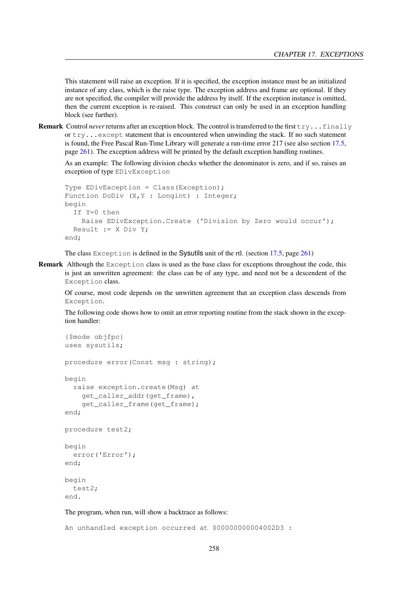This statement will raise an exception. If it is specified, the exception instance must be an initialized instance of any class, which is the raise type. The exception address and frame are optional. If they are not specified, the compiler will provide the address by itself. If the exception instance is omitted, then the current exception is re-raised. This construct can only be used in an exception handling block (see further).

**Remark** Control *never* returns after an exception block. The control is transferred to the first  $\text{tr } y \dots \text{finally}$ or try...except statement that is encountered when unwinding the stack. If no such statement is found, the Free Pascal Run-Time Library will generate a run-time error 217 (see also section [17.5,](#page-261-0) page [261\)](#page-261-0). The exception address will be printed by the default exception handling routines.

As an example: The following division checks whether the denominator is zero, and if so, raises an exception of type EDivException

```
Type EDivException = Class(Exception);
Function DoDiv (X, Y : Longint) : Integer;
begin
 If Y=0 then
    Raise EDivException.Create ('Division by Zero would occur');
 Result := X Div Y;
end;
```
The class Exception is defined in the Sysutils unit of the rtl. (section  $17.5$ , page  $261$ )

Remark Although the Exception class is used as the base class for exceptions throughout the code, this is just an unwritten agreement: the class can be of any type, and need not be a descendent of the Exception class.

Of course, most code depends on the unwritten agreement that an exception class descends from Exception.

The following code shows how to omit an error reporting routine from the stack shown in the exception handler:

```
{$mode objfpc}
uses sysutils;
procedure error(Const msg : string);
begin
 raise exception.create(Msg) at
    get caller addr(get frame),
    get caller frame(get frame);
end;
procedure test2;
begin
 error('Error');
end;
begin
 test2;
end.
```
The program, when run, will show a backtrace as follows:

An unhandled exception occurred at \$00000000004002D3 :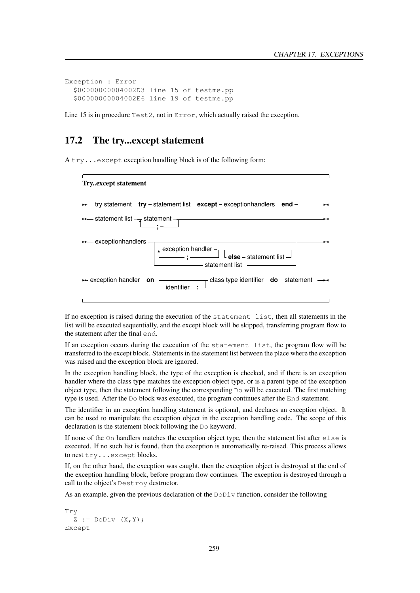```
Exception : Error
 $00000000004002D3 line 15 of testme.pp
 $00000000004002E6 line 19 of testme.pp
```
Line 15 is in procedure  $Test2$ , not in  $Error$ , which actually raised the exception.

# 17.2 The try...except statement

A try...except exception handling block is of the following form:

| Tryexcept statement                                                                                                                                  |
|------------------------------------------------------------------------------------------------------------------------------------------------------|
| <b>u</b> -try statement – try – statement list – except – exceptionhandlers – end –                                                                  |
| $\rightarrow$ statement list $\rightarrow$ statement $\rightarrow$                                                                                   |
| $\rightarrow$ exceptionhandlers $\rightarrow$<br>exception handler<br>$\frac{1}{2}$ = else – statement list –<br><u>Les and the statement</u> list - |
| ► exception handler – on $\frac{1}{\log n}$ class type identifier – do – statement – →                                                               |

If no exception is raised during the execution of the statement list, then all statements in the list will be executed sequentially, and the except block will be skipped, transferring program flow to the statement after the final end.

If an exception occurs during the execution of the statement list, the program flow will be transferred to the except block. Statements in the statement list between the place where the exception was raised and the exception block are ignored.

In the exception handling block, the type of the exception is checked, and if there is an exception handler where the class type matches the exception object type, or is a parent type of the exception object type, then the statement following the corresponding Do will be executed. The first matching type is used. After the Do block was executed, the program continues after the End statement.

The identifier in an exception handling statement is optional, and declares an exception object. It can be used to manipulate the exception object in the exception handling code. The scope of this declaration is the statement block following the Do keyword.

If none of the  $On$  handlers matches the exception object type, then the statement list after  $else$  is executed. If no such list is found, then the exception is automatically re-raised. This process allows to nest try...except blocks.

If, on the other hand, the exception was caught, then the exception object is destroyed at the end of the exception handling block, before program flow continues. The exception is destroyed through a call to the object's Destroy destructor.

As an example, given the previous declaration of the  $D \circ D \circ V$  function, consider the following

Try  $Z := D \circ D$ iv  $(X, Y)$ ; Except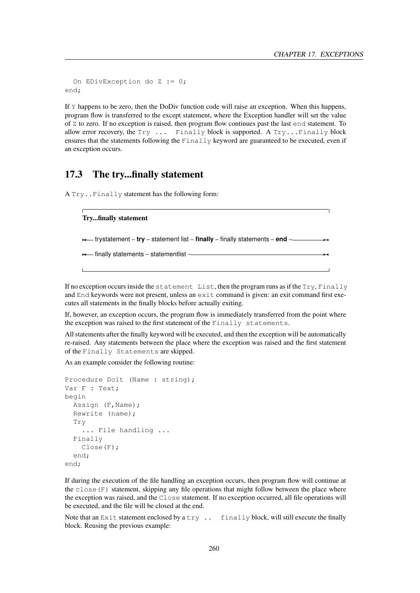```
On EDivException do Z := 0;
end;
```
If Y happens to be zero, then the DoDiv function code will raise an exception. When this happens, program flow is transferred to the except statement, where the Exception handler will set the value of Z to zero. If no exception is raised, then program flow continues past the last end statement. To allow error recovery, the  $Try$ ... Finally block is supported. A  $Try$ ...Finally block ensures that the statements following the Finally keyword are guaranteed to be executed, even if an exception occurs.

#### 17.3 The try...finally statement

A Try..Finally statement has the following form:

#### Try...finally statement

**★** trystatement – try – statement list – finally – finally statements – end –

 $\rightarrow$  finally statements - statementlist  $\rightarrow$ 

If no exception occurs inside the statement List, then the program runs as if the  $Try$ , Finally and End keywords were not present, unless an exit command is given: an exit command first executes all statements in the finally blocks before actually exiting.

If, however, an exception occurs, the program flow is immediately transferred from the point where the exception was raised to the first statement of the Finally statements.

All statements after the finally keyword will be executed, and then the exception will be automatically re-raised. Any statements between the place where the exception was raised and the first statement of the Finally Statements are skipped.

As an example consider the following routine:

```
Procedure Doit (Name : string);
Var F : Text;
begin
  Assign (F,Name);
  Rewrite (name);
  Try
    ... File handling ...
  Finally
    Close(F);
  end;
end;
```
If during the execution of the file handling an exception occurs, then program flow will continue at the close  $(F)$  statement, skipping any file operations that might follow between the place where the exception was raised, and the Close statement. If no exception occurred, all file operations will be executed, and the file will be closed at the end.

Note that an Exit statement enclosed by  $a \text{ try }$ . finally block, will still execute the finally block. Reusing the previous example: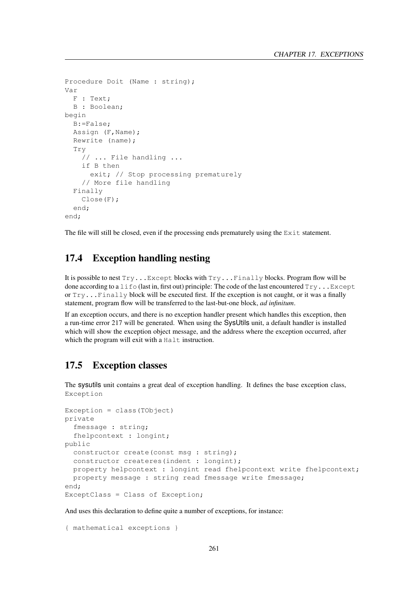```
Procedure Doit (Name : string);
Var
  F : Text;
 B : Boolean;
begin
 B:=False;
 Assign (F,Name);
  Rewrite (name);
  Try
    // ... File handling ...
    if B then
      exit; // Stop processing prematurely
    // More file handling
  Finally
    Close(F);
  end;
end;
```
The file will still be closed, even if the processing ends prematurely using the  $Exit$  statement.

### 17.4 Exception handling nesting

It is possible to nest Try...Except blocks with Try...Finally blocks. Program flow will be done according to a lifo (last in, first out) principle: The code of the last encountered Try...Except or Try...Finally block will be executed first. If the exception is not caught, or it was a finally statement, program flow will be transferred to the last-but-one block, *ad infinitum*.

If an exception occurs, and there is no exception handler present which handles this exception, then a run-time error 217 will be generated. When using the SysUtils unit, a default handler is installed which will show the exception object message, and the address where the exception occurred, after which the program will exit with a Halt instruction.

### <span id="page-261-0"></span>17.5 Exception classes

The sysutils unit contains a great deal of exception handling. It defines the base exception class, Exception

```
Exception = class(TObject)private
 fmessage : string;
 fhelpcontext : longint;
public
 constructor create(const msg : string);
 constructor createres(indent : longint);
 property helpcontext : longint read fhelpcontext write fhelpcontext;
 property message : string read fmessage write fmessage;
end;
ExceptClass = Class of Exception;
```
And uses this declaration to define quite a number of exceptions, for instance:

```
{ mathematical exceptions }
```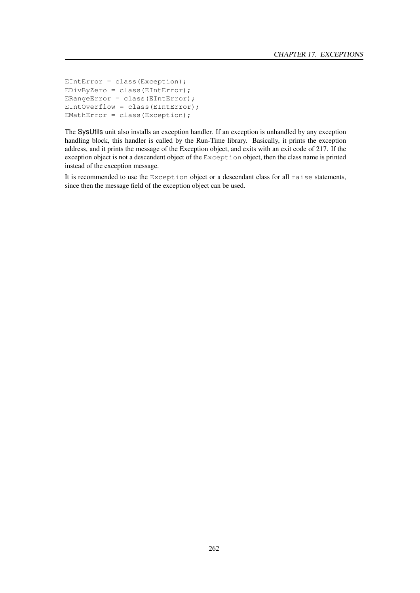```
EIntError = class(Exception);
EDivByZero = class(EIntError);
ERangeError = class(ElntError);EIntOverflow = class(EIntError);
EMathError = class(Exception);
```
The SysUtils unit also installs an exception handler. If an exception is unhandled by any exception handling block, this handler is called by the Run-Time library. Basically, it prints the exception address, and it prints the message of the Exception object, and exits with an exit code of 217. If the exception object is not a descendent object of the Exception object, then the class name is printed instead of the exception message.

It is recommended to use the Exception object or a descendant class for all raise statements, since then the message field of the exception object can be used.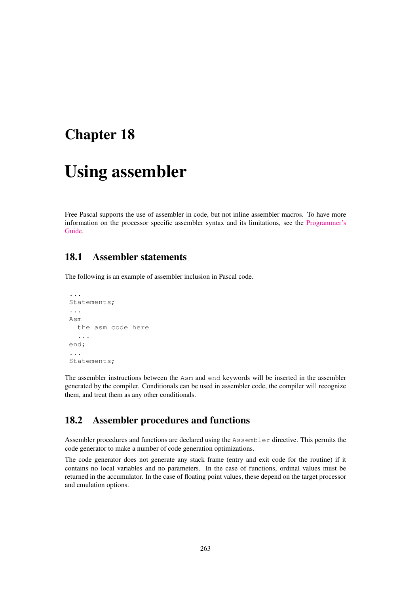# <span id="page-263-0"></span>Chapter 18

# Using assembler

Free Pascal supports the use of assembler in code, but not inline assembler macros. To have more information on the processor specific assembler syntax and its limitations, see the [Programmer's](../prog/prog.html) [Guide.](../prog/prog.html)

#### 18.1 Assembler statements

The following is an example of assembler inclusion in Pascal code.

```
...
Statements;
...
Asm
  the asm code here
  ...
end;
...
Statements;
```
The assembler instructions between the Asm and end keywords will be inserted in the assembler generated by the compiler. Conditionals can be used in assembler code, the compiler will recognize them, and treat them as any other conditionals.

### 18.2 Assembler procedures and functions

Assembler procedures and functions are declared using the Assembler directive. This permits the code generator to make a number of code generation optimizations.

The code generator does not generate any stack frame (entry and exit code for the routine) if it contains no local variables and no parameters. In the case of functions, ordinal values must be returned in the accumulator. In the case of floating point values, these depend on the target processor and emulation options.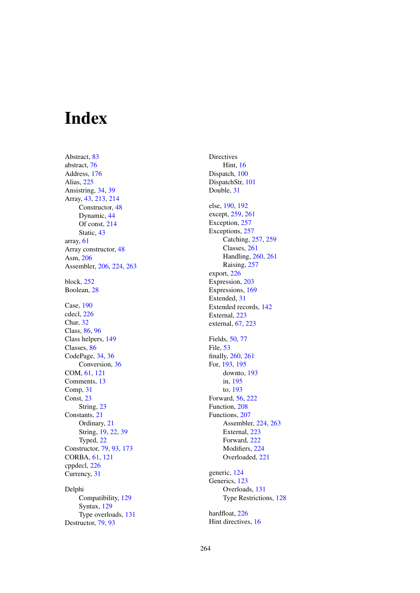# Index

Abstract, [83](#page-83-0) abstract, [76](#page-76-0) Address, [176](#page-176-0) Alias, [225](#page-225-0) Ansistring, [34,](#page-34-0) [39](#page-39-0) Array, [43,](#page-43-0) [213,](#page-213-0) [214](#page-214-0) Constructor, [48](#page-48-0) Dynamic, [44](#page-44-0) Of const, [214](#page-214-0) Static, [43](#page-43-0) array, [61](#page-61-0) Array constructor, [48](#page-48-0) Asm, [206](#page-206-0) Assembler, [206,](#page-206-0) [224,](#page-224-0) [263](#page-263-0) block, [252](#page-252-0) Boolean, [28](#page-28-0) Case, [190](#page-190-0) cdecl, [226](#page-226-0) Char, [32](#page-32-0) Class, [86,](#page-86-0) [96](#page-96-0) Class helpers, [149](#page-149-0) Classes, [86](#page-86-0) CodePage, [34,](#page-34-0) [36](#page-36-0) Conversion, [36](#page-36-0) COM, [61,](#page-61-0) [121](#page-121-0) Comments, [13](#page-13-0) Comp, [31](#page-31-0) Const, [23](#page-23-0) String, [23](#page-23-0) Constants, [21](#page-21-0) Ordinary, [21](#page-21-0) String, [19,](#page-19-0) [22,](#page-22-0) [39](#page-39-0) Typed, [22](#page-22-0) Constructor, [79,](#page-79-0) [93,](#page-93-0) [173](#page-173-0) CORBA, [61,](#page-61-0) [121](#page-121-0) cppdecl, [226](#page-226-0) Currency, [31](#page-31-0) Delphi Compatibility, [129](#page-129-0) Syntax, [129](#page-129-0) Type overloads, [131](#page-131-0) Destructor, [79,](#page-79-0) [93](#page-93-0)

Directives Hint, [16](#page-16-0) Dispatch, [100](#page-100-0) DispatchStr, [101](#page-101-0) Double, [31](#page-31-0) else, [190,](#page-190-0) [192](#page-192-0) except, [259,](#page-259-0) [261](#page-261-1) Exception, [257](#page-257-0) Exceptions, [257](#page-257-0) Catching, [257,](#page-257-0) [259](#page-259-0) Classes, [261](#page-261-1) Handling, [260,](#page-260-0) [261](#page-261-1) Raising, [257](#page-257-0) export, [226](#page-226-0) Expression, [203](#page-203-0) Expressions, [169](#page-169-0) Extended, [31](#page-31-0) Extended records, [142](#page-142-0) External, [223](#page-223-0) external, [67,](#page-67-0) [223](#page-223-0) Fields, [50,](#page-50-0) [77](#page-77-0) File, [53](#page-53-0) finally, [260,](#page-260-0) [261](#page-261-1) For, [193,](#page-193-0) [195](#page-195-0) downto, [193](#page-193-0) in, [195](#page-195-0) to, [193](#page-193-0) Forward, [56,](#page-56-0) [222](#page-222-0) Function, [208](#page-208-0) Functions, [207](#page-207-0) Assembler, [224,](#page-224-0) [263](#page-263-0) External, [223](#page-223-0) Forward, [222](#page-222-0) Modifiers, [224](#page-224-0) Overloaded, [221](#page-221-0) generic, [124](#page-124-0) Generics, [123](#page-123-0) Overloads, [131](#page-131-0) Type Restrictions, [128](#page-128-0) hardfloat, [226](#page-226-0)

Hint directives, [16](#page-16-0)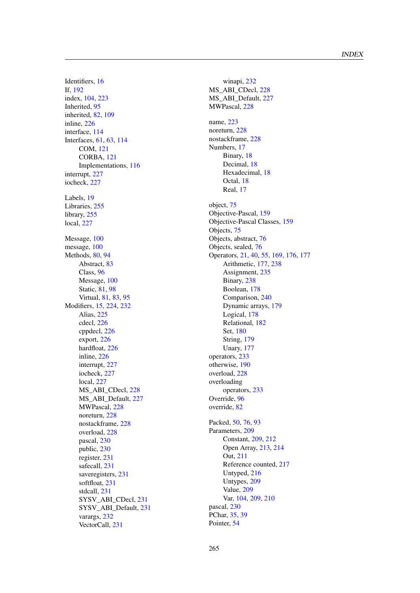Identifiers, [16](#page-16-0) If, [192](#page-192-0) index, [104](#page-104-0) , [223](#page-223-0) Inherited, [95](#page-95-0) inherited, [82](#page-82-0) , [109](#page-109-0) inline, [226](#page-226-0) interface, [114](#page-114-0) Interfaces, [61](#page-61-0) , [63](#page-63-0) , [114](#page-114-0) COM, [121](#page-121-0) CORBA, [121](#page-121-0) Implementations, [116](#page-116-0) interrupt, [227](#page-227-0) iocheck, [227](#page-227-0) Labels, [19](#page-19-0) Libraries, [255](#page-255-0) library, [255](#page-255-0) local, [227](#page-227-0) Message, [100](#page-100-0) message, [100](#page-100-0) Methods, [80](#page-80-0) , [94](#page-94-0) Abstract, [83](#page-83-0) Class, [96](#page-96-0) Message, [100](#page-100-0) Static, [81](#page-81-0), [98](#page-98-0) Virtual, [81](#page-81-0), [83](#page-83-0), [95](#page-95-0) Modifiers, [15](#page-15-0) , [224](#page-224-0) , [232](#page-232-0) Alias, [225](#page-225-0) cdecl, [226](#page-226-0) cppdecl, [226](#page-226-0) export, [226](#page-226-0) hardfloat, [226](#page-226-0) inline, [226](#page-226-0) interrupt, [227](#page-227-0) iocheck, [227](#page-227-0) local, [227](#page-227-0) MS\_ABI\_CDecl, [228](#page-228-0) MS\_ABI\_Default, [227](#page-227-0) MWPascal, [228](#page-228-0) noreturn, [228](#page-228-0) nostackframe, [228](#page-228-0) overload, [228](#page-228-0) pascal, [230](#page-230-0) public, [230](#page-230-0) register, [231](#page-231-0) safecall, [231](#page-231-0) saveregisters, [231](#page-231-0) softfloat, [231](#page-231-0) stdcall, [231](#page-231-0) SYSV\_ABI\_CDecl, [231](#page-231-0) SYSV\_ABI\_Default, [231](#page-231-0) varargs, [232](#page-232-0) VectorCall, [231](#page-231-0)

winapi, [232](#page-232-0) MS\_ABI\_CDecl, [228](#page-228-0) MS\_ABI\_Default, [227](#page-227-0) MWPascal, [228](#page-228-0) name, [223](#page-223-0) noreturn, [228](#page-228-0) nostackframe, [228](#page-228-0) Numbers, [17](#page-17-0) Binary, [18](#page-18-0) Decimal, [18](#page-18-0) Hexadecimal, [18](#page-18-0) Octal, [18](#page-18-0) Real, [17](#page-17-0) object, [75](#page-75-0) Objective-Pascal, [159](#page-159-0) Objective-Pascal Classes, [159](#page-159-0) Objects, [75](#page-75-0) Objects, abstract, [76](#page-76-0) Objects, sealed, [76](#page-76-0) Operators, [21](#page-21-0), [40](#page-40-0), [55](#page-55-0), [169](#page-169-0), [176](#page-176-0), [177](#page-177-0) Arithmetic, [177](#page-177-0) , [238](#page-238-0) Assignment, [235](#page-235-0) Binary, [238](#page-238-0) Boolean, [178](#page-178-0) Comparison, [240](#page-240-0) Dynamic arrays, [179](#page-179-0) Logical, [178](#page-178-0) Relational, [182](#page-182-0) Set, [180](#page-180-0) String, [179](#page-179-0) Unary, [177](#page-177-0) operators, [233](#page-233-0) otherwise, [190](#page-190-0) overload, [228](#page-228-0) overloading operators, [233](#page-233-0) Override, [96](#page-96-0) override, [82](#page-82-0) Packed, [50](#page-50-0), [76](#page-76-0), [93](#page-93-0) Parameters, [209](#page-209-0) Constant, [209](#page-209-0) , [212](#page-212-0) Open Array, [213](#page-213-0) , [214](#page-214-0) Out, [211](#page-211-0) Reference counted, [217](#page-217-0) Untyped, [216](#page-216-0) Untypes, [209](#page-209-0) Value, [209](#page-209-0) Var, [104](#page-104-0), [209](#page-209-0), [210](#page-210-0) pascal, [230](#page-230-0) PChar, [35](#page-35-0) , [39](#page-39-0) Pointer, [54](#page-54-0)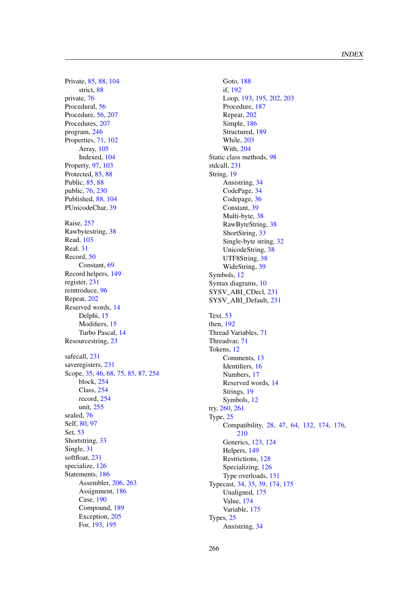Private, [85](#page-85-0), [88](#page-88-0), [104](#page-104-0) strict, [88](#page-88-0) private, [76](#page-76-0) Procedural, [56](#page-56-0) Procedure, [56](#page-56-0) , [207](#page-207-0) Procedures, [207](#page-207-0) program, [246](#page-246-0) Properties, [71](#page-71-0) , [102](#page-102-0) Array, [105](#page-105-0) Indexed, [104](#page-104-0) Property, [97](#page-97-0) , [103](#page-103-0) Protected, [85](#page-85-0), [88](#page-88-0) Public, [85](#page-85-0) , [88](#page-88-0) public, [76](#page-76-0) , [230](#page-230-0) Published, [88](#page-88-0), [104](#page-104-0) PUnicodeChar, [39](#page-39-0) Raise, [257](#page-257-0) Rawbytestring, [38](#page-38-0) Read, [103](#page-103-0) Real, [31](#page-31-0) Record, [50](#page-50-0) Constant, [69](#page-69-0) Record helpers, [149](#page-149-0) register, [231](#page-231-0) reintroduce, [96](#page-96-0) Repeat, [202](#page-202-0) Reserved words, [14](#page-14-0) Delphi, [15](#page-15-0) Modifiers, [15](#page-15-0) Turbo Pascal, [14](#page-14-0) Resourcestring, [23](#page-23-0) safecall, [231](#page-231-0) saveregisters, [231](#page-231-0) Scope, [35](#page-35-0), [46](#page-46-0), [68](#page-68-0), [75](#page-75-0), [85](#page-85-0), [87](#page-87-0), [254](#page-254-0) block, [254](#page-254-0) Class, [254](#page-254-0) record, [254](#page-254-0) unit, [255](#page-255-0) sealed, [76](#page-76-0) Self, [80](#page-80-0), [97](#page-97-0) Set, [53](#page-53-0) Shortstring, [33](#page-33-0) Single, [31](#page-31-0) softfloat, [231](#page-231-0) specialize, [126](#page-126-0) Statements, [186](#page-186-0) Assembler, [206](#page-206-0) , [263](#page-263-0) Assignment, [186](#page-186-0) Case, [190](#page-190-0) Compound, [189](#page-189-0) Exception, [205](#page-205-0) For, [193](#page-193-0) , [195](#page-195-0)

Goto, [188](#page-188-0) if, [192](#page-192-0) Loop, [193](#page-193-0), [195](#page-195-0), [202](#page-202-0), [203](#page-203-0) Procedure, [187](#page-187-0) Repeat, [202](#page-202-0) Simple, [186](#page-186-0) Structured, [189](#page-189-0) While, [203](#page-203-0) With, [204](#page-204-0) Static class methods, [98](#page-98-0) stdcall, [231](#page-231-0) String, [19](#page-19-0) Ansistring, [34](#page-34-0) CodePage, [34](#page-34-0) Codepage, [36](#page-36-0) Constant, [39](#page-39-0) Multi-byte, [38](#page-38-0) RawByteString, [38](#page-38-0) ShortString, [33](#page-33-0) Single-byte string, [32](#page-32-0) UnicodeString, [38](#page-38-0) UTF8String, [38](#page-38-0) WideString, [39](#page-39-0) Symbols, [12](#page-12-0) Syntax diagrams, [10](#page-10-0) SYSV\_ABI\_CDecl, [231](#page-231-0) SYSV\_ABI\_Default, [231](#page-231-0) Text, [53](#page-53-0) then, [192](#page-192-0) Thread Variables, [71](#page-71-0) Threadvar, [71](#page-71-0) Tokens, [12](#page-12-0) Comments, [13](#page-13-0) Identifiers, [16](#page-16-0) Numbers, [17](#page-17-0) Reserved words, [14](#page-14-0) Strings, [19](#page-19-0) Symbols, [12](#page-12-0) try, [260](#page-260-0) , [261](#page-261-1) Type, [25](#page-25-0) Compatibility, [28](#page-28-0), [47](#page-47-0), [64](#page-64-0), [132](#page-132-0), [174](#page-174-0), [176](#page-176-0), [210](#page-210-0) Generics, [123](#page-123-0) , [124](#page-124-0) Helpers, [149](#page-149-0) Restrictions, [128](#page-128-0) Specializing, [126](#page-126-0) Type overloads, [131](#page-131-0) Typecast, [34](#page-34-0) , [35](#page-35-0) , [39](#page-39-0) , [174](#page-174-0) , [175](#page-175-0) Unaligned, [175](#page-175-0) Value, [174](#page-174-0) Variable, [175](#page-175-0) Types, [25](#page-25-0) Ansistring, [34](#page-34-0)